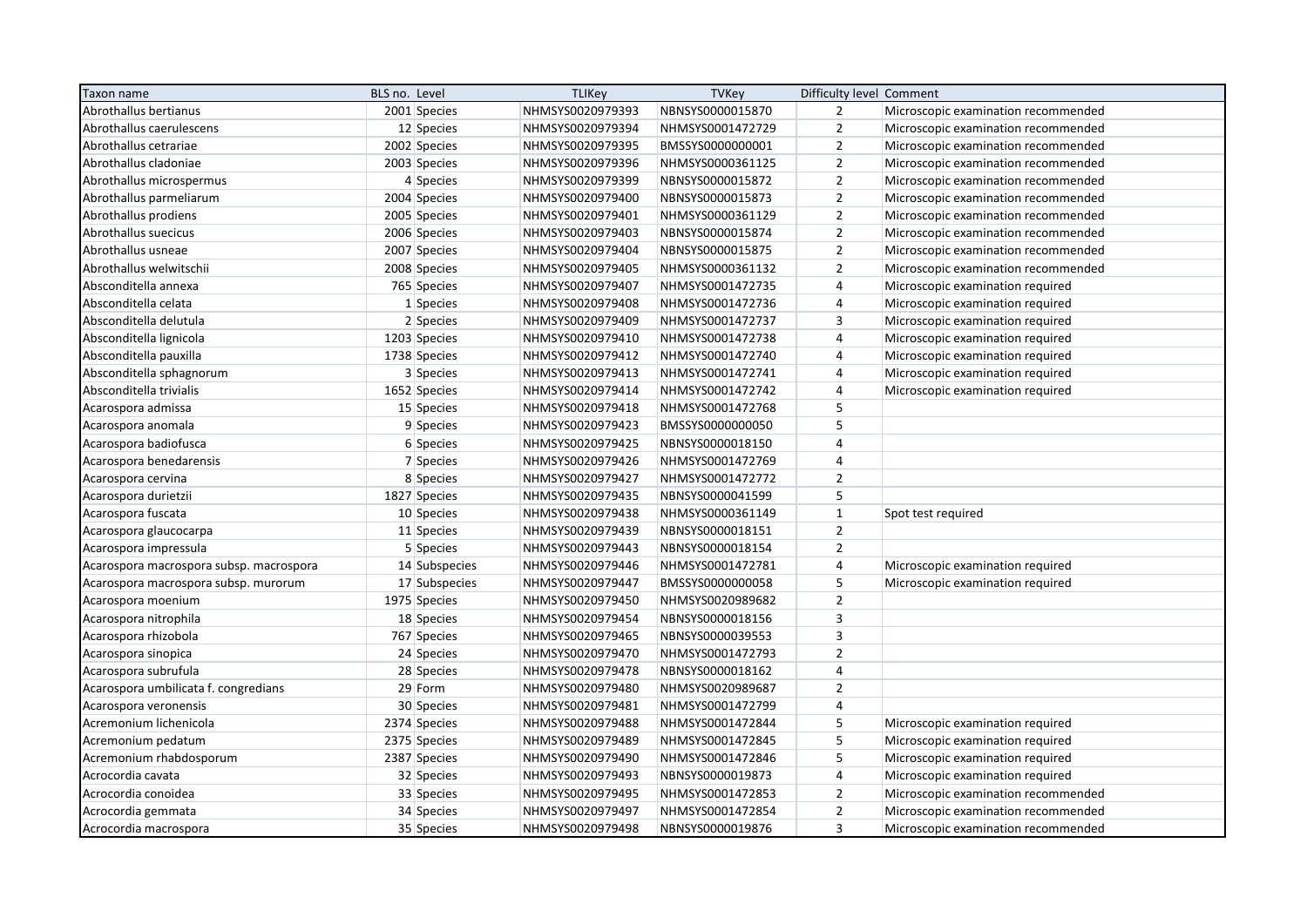| Taxon name                              | BLS no. Level | <b>TLIKey</b>    | <b>TVKey</b>     | Difficulty level Comment |                                     |
|-----------------------------------------|---------------|------------------|------------------|--------------------------|-------------------------------------|
| Abrothallus bertianus                   | 2001 Species  | NHMSYS0020979393 | NBNSYS0000015870 | $\overline{2}$           | Microscopic examination recommended |
| Abrothallus caerulescens                | 12 Species    | NHMSYS0020979394 | NHMSYS0001472729 | $\overline{2}$           | Microscopic examination recommended |
| Abrothallus cetrariae                   | 2002 Species  | NHMSYS0020979395 | BMSSYS0000000001 | $\overline{2}$           | Microscopic examination recommended |
| Abrothallus cladoniae                   | 2003 Species  | NHMSYS0020979396 | NHMSYS0000361125 | $\overline{2}$           | Microscopic examination recommended |
| Abrothallus microspermus                | 4 Species     | NHMSYS0020979399 | NBNSYS0000015872 | $\overline{2}$           | Microscopic examination recommended |
| Abrothallus parmeliarum                 | 2004 Species  | NHMSYS0020979400 | NBNSYS0000015873 | $\overline{2}$           | Microscopic examination recommended |
| Abrothallus prodiens                    | 2005 Species  | NHMSYS0020979401 | NHMSYS0000361129 | $\mathbf 2$              | Microscopic examination recommended |
| Abrothallus suecicus                    | 2006 Species  | NHMSYS0020979403 | NBNSYS0000015874 | $\overline{2}$           | Microscopic examination recommended |
| Abrothallus usneae                      | 2007 Species  | NHMSYS0020979404 | NBNSYS0000015875 | $\overline{2}$           | Microscopic examination recommended |
| Abrothallus welwitschii                 | 2008 Species  | NHMSYS0020979405 | NHMSYS0000361132 | $\overline{2}$           | Microscopic examination recommended |
| Absconditella annexa                    | 765 Species   | NHMSYS0020979407 | NHMSYS0001472735 | $\sqrt{4}$               | Microscopic examination required    |
| Absconditella celata                    | 1 Species     | NHMSYS0020979408 | NHMSYS0001472736 | 4                        | Microscopic examination required    |
| Absconditella delutula                  | 2 Species     | NHMSYS0020979409 | NHMSYS0001472737 | 3                        | Microscopic examination required    |
| Absconditella lignicola                 | 1203 Species  | NHMSYS0020979410 | NHMSYS0001472738 | $\overline{4}$           | Microscopic examination required    |
| Absconditella pauxilla                  | 1738 Species  | NHMSYS0020979412 | NHMSYS0001472740 | $\overline{4}$           | Microscopic examination required    |
| Absconditella sphagnorum                | 3 Species     | NHMSYS0020979413 | NHMSYS0001472741 | $\overline{4}$           | Microscopic examination required    |
| Absconditella trivialis                 | 1652 Species  | NHMSYS0020979414 | NHMSYS0001472742 | $\overline{4}$           | Microscopic examination required    |
| Acarospora admissa                      | 15 Species    | NHMSYS0020979418 | NHMSYS0001472768 | 5                        |                                     |
| Acarospora anomala                      | 9 Species     | NHMSYS0020979423 | BMSSYS0000000050 | 5                        |                                     |
| Acarospora badiofusca                   | 6 Species     | NHMSYS0020979425 | NBNSYS0000018150 | $\overline{a}$           |                                     |
| Acarospora benedarensis                 | 7 Species     | NHMSYS0020979426 | NHMSYS0001472769 | $\overline{4}$           |                                     |
| Acarospora cervina                      | 8 Species     | NHMSYS0020979427 | NHMSYS0001472772 | $\overline{2}$           |                                     |
| Acarospora durietzii                    | 1827 Species  | NHMSYS0020979435 | NBNSYS0000041599 | 5                        |                                     |
| Acarospora fuscata                      | 10 Species    | NHMSYS0020979438 | NHMSYS0000361149 | $\mathbf 1$              | Spot test required                  |
| Acarospora glaucocarpa                  | 11 Species    | NHMSYS0020979439 | NBNSYS0000018151 | $\overline{2}$           |                                     |
| Acarospora impressula                   | 5 Species     | NHMSYS0020979443 | NBNSYS0000018154 | $\overline{2}$           |                                     |
| Acarospora macrospora subsp. macrospora | 14 Subspecies | NHMSYS0020979446 | NHMSYS0001472781 | $\overline{4}$           | Microscopic examination required    |
| Acarospora macrospora subsp. murorum    | 17 Subspecies | NHMSYS0020979447 | BMSSYS0000000058 | 5                        | Microscopic examination required    |
| Acarospora moenium                      | 1975 Species  | NHMSYS0020979450 | NHMSYS0020989682 | $\overline{2}$           |                                     |
| Acarospora nitrophila                   | 18 Species    | NHMSYS0020979454 | NBNSYS0000018156 | $\overline{\mathbf{3}}$  |                                     |
| Acarospora rhizobola                    | 767 Species   | NHMSYS0020979465 | NBNSYS0000039553 | 3                        |                                     |
| Acarospora sinopica                     | 24 Species    | NHMSYS0020979470 | NHMSYS0001472793 | $\overline{2}$           |                                     |
| Acarospora subrufula                    | 28 Species    | NHMSYS0020979478 | NBNSYS0000018162 | $\overline{4}$           |                                     |
| Acarospora umbilicata f. congredians    | 29 Form       | NHMSYS0020979480 | NHMSYS0020989687 | $\overline{2}$           |                                     |
| Acarospora veronensis                   | 30 Species    | NHMSYS0020979481 | NHMSYS0001472799 | $\overline{4}$           |                                     |
| Acremonium lichenicola                  | 2374 Species  | NHMSYS0020979488 | NHMSYS0001472844 | 5                        | Microscopic examination required    |
| Acremonium pedatum                      | 2375 Species  | NHMSYS0020979489 | NHMSYS0001472845 | 5                        | Microscopic examination required    |
| Acremonium rhabdosporum                 | 2387 Species  | NHMSYS0020979490 | NHMSYS0001472846 | 5                        | Microscopic examination required    |
| Acrocordia cavata                       | 32 Species    | NHMSYS0020979493 | NBNSYS0000019873 | $\overline{4}$           | Microscopic examination required    |
| Acrocordia conoidea                     | 33 Species    | NHMSYS0020979495 | NHMSYS0001472853 | $\mathbf 2$              | Microscopic examination recommended |
| Acrocordia gemmata                      | 34 Species    | NHMSYS0020979497 | NHMSYS0001472854 | $\overline{2}$           | Microscopic examination recommended |
| Acrocordia macrospora                   | 35 Species    | NHMSYS0020979498 | NBNSYS0000019876 | $\overline{3}$           | Microscopic examination recommended |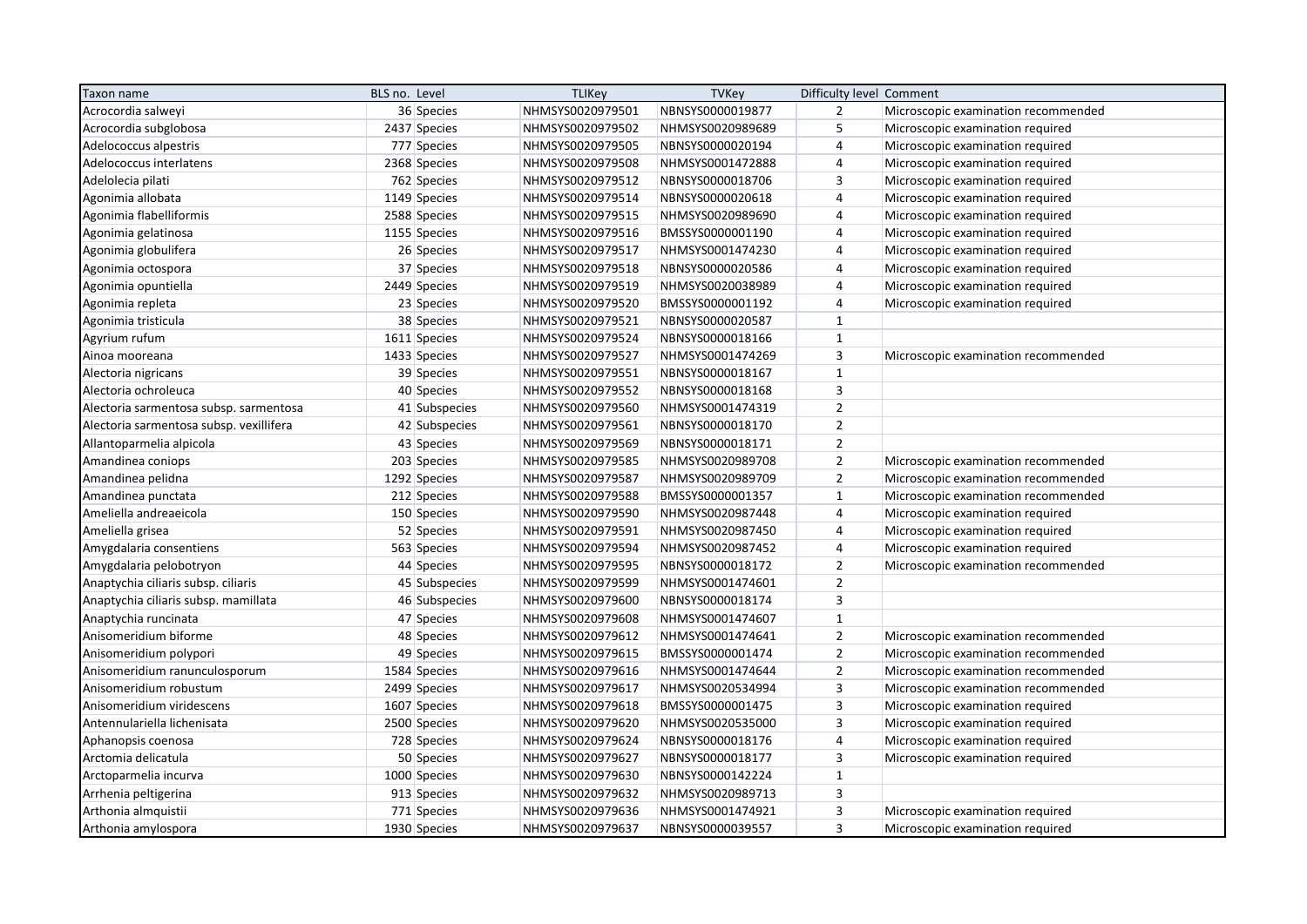| Taxon name                              | BLS no. Level | <b>TLIKey</b>    | <b>TVKey</b>     | Difficulty level Comment |                                     |
|-----------------------------------------|---------------|------------------|------------------|--------------------------|-------------------------------------|
| Acrocordia salweyi                      | 36 Species    | NHMSYS0020979501 | NBNSYS0000019877 | $\overline{2}$           | Microscopic examination recommended |
| Acrocordia subglobosa                   | 2437 Species  | NHMSYS0020979502 | NHMSYS0020989689 | 5                        | Microscopic examination required    |
| Adelococcus alpestris                   | 777 Species   | NHMSYS0020979505 | NBNSYS0000020194 | $\overline{4}$           | Microscopic examination required    |
| Adelococcus interlatens                 | 2368 Species  | NHMSYS0020979508 | NHMSYS0001472888 | $\overline{4}$           | Microscopic examination required    |
| Adelolecia pilati                       | 762 Species   | NHMSYS0020979512 | NBNSYS0000018706 | $\overline{3}$           | Microscopic examination required    |
| Agonimia allobata                       | 1149 Species  | NHMSYS0020979514 | NBNSYS0000020618 | $\overline{4}$           | Microscopic examination required    |
| Agonimia flabelliformis                 | 2588 Species  | NHMSYS0020979515 | NHMSYS0020989690 | $\overline{4}$           | Microscopic examination required    |
| Agonimia gelatinosa                     | 1155 Species  | NHMSYS0020979516 | BMSSYS0000001190 | $\overline{4}$           | Microscopic examination required    |
| Agonimia globulifera                    | 26 Species    | NHMSYS0020979517 | NHMSYS0001474230 | $\overline{4}$           | Microscopic examination required    |
| Agonimia octospora                      | 37 Species    | NHMSYS0020979518 | NBNSYS0000020586 | $\overline{4}$           | Microscopic examination required    |
| Agonimia opuntiella                     | 2449 Species  | NHMSYS0020979519 | NHMSYS0020038989 | 4                        | Microscopic examination required    |
| Agonimia repleta                        | 23 Species    | NHMSYS0020979520 | BMSSYS0000001192 | 4                        | Microscopic examination required    |
| Agonimia tristicula                     | 38 Species    | NHMSYS0020979521 | NBNSYS0000020587 | $\mathbf{1}$             |                                     |
| Agyrium rufum                           | 1611 Species  | NHMSYS0020979524 | NBNSYS0000018166 | $\mathbf{1}$             |                                     |
| Ainoa mooreana                          | 1433 Species  | NHMSYS0020979527 | NHMSYS0001474269 | $\overline{\mathbf{3}}$  | Microscopic examination recommended |
| Alectoria nigricans                     | 39 Species    | NHMSYS0020979551 | NBNSYS0000018167 | $\mathbf{1}$             |                                     |
| Alectoria ochroleuca                    | 40 Species    | NHMSYS0020979552 | NBNSYS0000018168 | $\overline{3}$           |                                     |
| Alectoria sarmentosa subsp. sarmentosa  | 41 Subspecies | NHMSYS0020979560 | NHMSYS0001474319 | $\overline{2}$           |                                     |
| Alectoria sarmentosa subsp. vexillifera | 42 Subspecies | NHMSYS0020979561 | NBNSYS0000018170 | $\overline{2}$           |                                     |
| Allantoparmelia alpicola                | 43 Species    | NHMSYS0020979569 | NBNSYS0000018171 | $\overline{2}$           |                                     |
| Amandinea coniops                       | 203 Species   | NHMSYS0020979585 | NHMSYS0020989708 | $\overline{2}$           | Microscopic examination recommended |
| Amandinea pelidna                       | 1292 Species  | NHMSYS0020979587 | NHMSYS0020989709 | $\overline{2}$           | Microscopic examination recommended |
| Amandinea punctata                      | 212 Species   | NHMSYS0020979588 | BMSSYS0000001357 | $\mathbf 1$              | Microscopic examination recommended |
| Ameliella andreaeicola                  | 150 Species   | NHMSYS0020979590 | NHMSYS0020987448 | $\overline{4}$           | Microscopic examination required    |
| Ameliella grisea                        | 52 Species    | NHMSYS0020979591 | NHMSYS0020987450 | $\overline{4}$           | Microscopic examination required    |
| Amygdalaria consentiens                 | 563 Species   | NHMSYS0020979594 | NHMSYS0020987452 | $\overline{4}$           | Microscopic examination required    |
| Amygdalaria pelobotryon                 | 44 Species    | NHMSYS0020979595 | NBNSYS0000018172 | $\overline{2}$           | Microscopic examination recommended |
| Anaptychia ciliaris subsp. ciliaris     | 45 Subspecies | NHMSYS0020979599 | NHMSYS0001474601 | $\overline{2}$           |                                     |
| Anaptychia ciliaris subsp. mamillata    | 46 Subspecies | NHMSYS0020979600 | NBNSYS0000018174 | $\overline{3}$           |                                     |
| Anaptychia runcinata                    | 47 Species    | NHMSYS0020979608 | NHMSYS0001474607 | $\mathbf{1}$             |                                     |
| Anisomeridium biforme                   | 48 Species    | NHMSYS0020979612 | NHMSYS0001474641 | $\overline{2}$           | Microscopic examination recommended |
| Anisomeridium polypori                  | 49 Species    | NHMSYS0020979615 | BMSSYS0000001474 | $\overline{2}$           | Microscopic examination recommended |
| Anisomeridium ranunculosporum           | 1584 Species  | NHMSYS0020979616 | NHMSYS0001474644 | $\mathbf 2$              | Microscopic examination recommended |
| Anisomeridium robustum                  | 2499 Species  | NHMSYS0020979617 | NHMSYS0020534994 | 3                        | Microscopic examination recommended |
| Anisomeridium viridescens               | 1607 Species  | NHMSYS0020979618 | BMSSYS0000001475 | 3                        | Microscopic examination required    |
| Antennulariella lichenisata             | 2500 Species  | NHMSYS0020979620 | NHMSYS0020535000 | $\overline{3}$           | Microscopic examination required    |
| Aphanopsis coenosa                      | 728 Species   | NHMSYS0020979624 | NBNSYS0000018176 | 4                        | Microscopic examination required    |
| Arctomia delicatula                     | 50 Species    | NHMSYS0020979627 | NBNSYS0000018177 | $\overline{\mathbf{3}}$  | Microscopic examination required    |
| Arctoparmelia incurva                   | 1000 Species  | NHMSYS0020979630 | NBNSYS0000142224 | $\mathbf{1}$             |                                     |
| Arrhenia peltigerina                    | 913 Species   | NHMSYS0020979632 | NHMSYS0020989713 | $\overline{\mathbf{3}}$  |                                     |
| Arthonia almquistii                     | 771 Species   | NHMSYS0020979636 | NHMSYS0001474921 | $\overline{3}$           | Microscopic examination required    |
| Arthonia amylospora                     | 1930 Species  | NHMSYS0020979637 | NBNSYS0000039557 | $\overline{3}$           | Microscopic examination required    |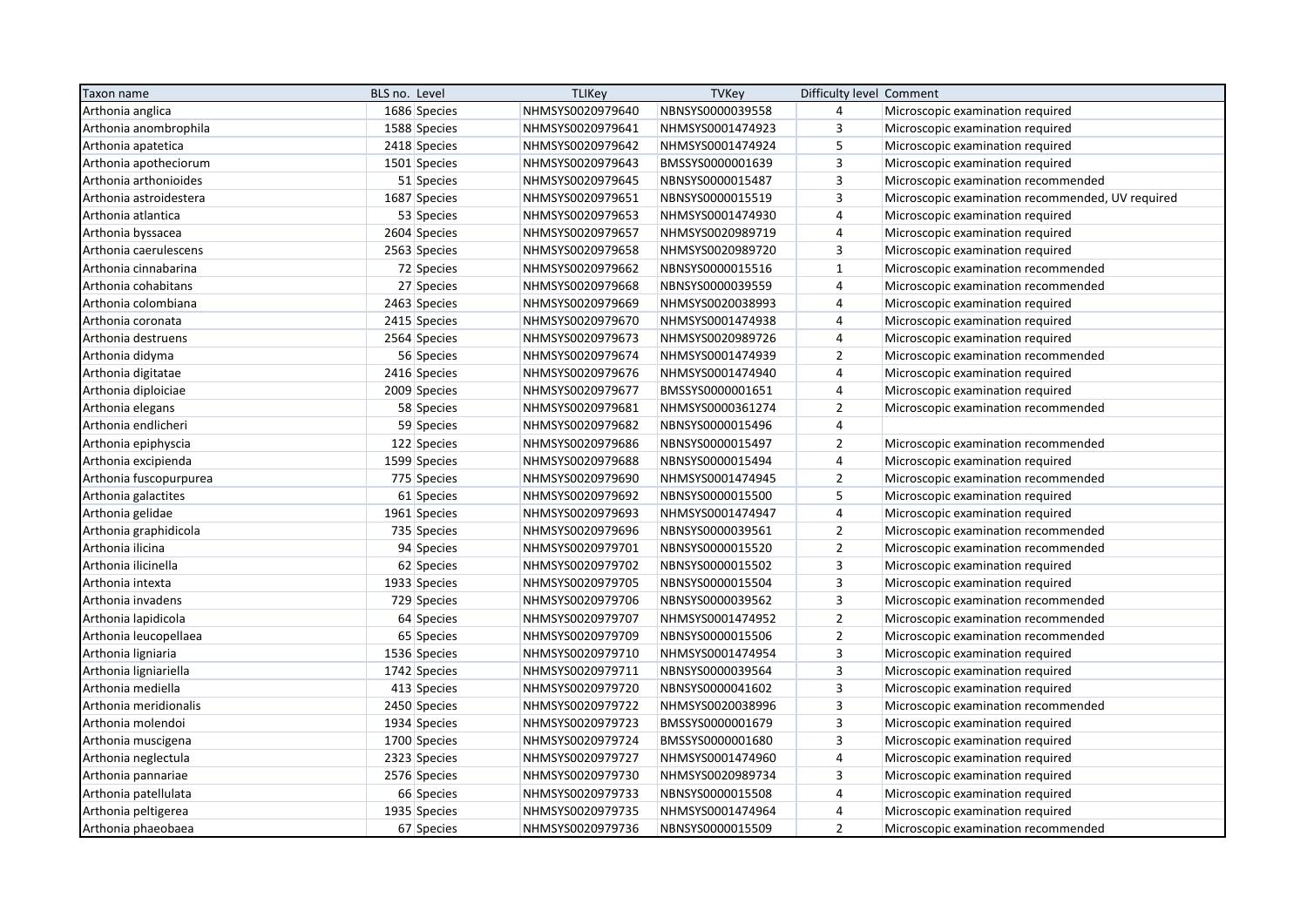| Taxon name             | BLS no. Level |              | <b>TLIKey</b>    | <b>TVKey</b>     | Difficulty level Comment |                                                  |
|------------------------|---------------|--------------|------------------|------------------|--------------------------|--------------------------------------------------|
| Arthonia anglica       |               | 1686 Species | NHMSYS0020979640 | NBNSYS0000039558 | $\overline{4}$           | Microscopic examination required                 |
| Arthonia anombrophila  |               | 1588 Species | NHMSYS0020979641 | NHMSYS0001474923 | 3                        | Microscopic examination required                 |
| Arthonia apatetica     |               | 2418 Species | NHMSYS0020979642 | NHMSYS0001474924 | 5                        | Microscopic examination required                 |
| Arthonia apotheciorum  |               | 1501 Species | NHMSYS0020979643 | BMSSYS0000001639 | $\mathsf 3$              | Microscopic examination required                 |
| Arthonia arthonioides  |               | 51 Species   | NHMSYS0020979645 | NBNSYS0000015487 | $\overline{\mathbf{3}}$  | Microscopic examination recommended              |
| Arthonia astroidestera |               | 1687 Species | NHMSYS0020979651 | NBNSYS0000015519 | 3                        | Microscopic examination recommended, UV required |
| Arthonia atlantica     |               | 53 Species   | NHMSYS0020979653 | NHMSYS0001474930 | 4                        | Microscopic examination required                 |
| Arthonia byssacea      |               | 2604 Species | NHMSYS0020979657 | NHMSYS0020989719 | 4                        | Microscopic examination required                 |
| Arthonia caerulescens  |               | 2563 Species | NHMSYS0020979658 | NHMSYS0020989720 | $\overline{3}$           | Microscopic examination required                 |
| Arthonia cinnabarina   |               | 72 Species   | NHMSYS0020979662 | NBNSYS0000015516 | $\mathbf{1}$             | Microscopic examination recommended              |
| Arthonia cohabitans    |               | 27 Species   | NHMSYS0020979668 | NBNSYS0000039559 | $\overline{4}$           | Microscopic examination recommended              |
| Arthonia colombiana    |               | 2463 Species | NHMSYS0020979669 | NHMSYS0020038993 | 4                        | Microscopic examination required                 |
| Arthonia coronata      |               | 2415 Species | NHMSYS0020979670 | NHMSYS0001474938 | $\overline{4}$           | Microscopic examination required                 |
| Arthonia destruens     |               | 2564 Species | NHMSYS0020979673 | NHMSYS0020989726 | $\overline{4}$           | Microscopic examination required                 |
| Arthonia didyma        |               | 56 Species   | NHMSYS0020979674 | NHMSYS0001474939 | $\overline{2}$           | Microscopic examination recommended              |
| Arthonia digitatae     |               | 2416 Species | NHMSYS0020979676 | NHMSYS0001474940 | $\overline{4}$           | Microscopic examination required                 |
| Arthonia diploiciae    |               | 2009 Species | NHMSYS0020979677 | BMSSYS0000001651 | $\overline{4}$           | Microscopic examination required                 |
| Arthonia elegans       |               | 58 Species   | NHMSYS0020979681 | NHMSYS0000361274 | $\overline{2}$           | Microscopic examination recommended              |
| Arthonia endlicheri    |               | 59 Species   | NHMSYS0020979682 | NBNSYS0000015496 | $\overline{4}$           |                                                  |
| Arthonia epiphyscia    |               | 122 Species  | NHMSYS0020979686 | NBNSYS0000015497 | $\overline{2}$           | Microscopic examination recommended              |
| Arthonia excipienda    |               | 1599 Species | NHMSYS0020979688 | NBNSYS0000015494 | $\overline{4}$           | Microscopic examination required                 |
| Arthonia fuscopurpurea |               | 775 Species  | NHMSYS0020979690 | NHMSYS0001474945 | $\overline{2}$           | Microscopic examination recommended              |
| Arthonia galactites    |               | 61 Species   | NHMSYS0020979692 | NBNSYS0000015500 | 5                        | Microscopic examination required                 |
| Arthonia gelidae       |               | 1961 Species | NHMSYS0020979693 | NHMSYS0001474947 | $\overline{4}$           | Microscopic examination required                 |
| Arthonia graphidicola  |               | 735 Species  | NHMSYS0020979696 | NBNSYS0000039561 | $\overline{2}$           | Microscopic examination recommended              |
| Arthonia ilicina       |               | 94 Species   | NHMSYS0020979701 | NBNSYS0000015520 | $\overline{2}$           | Microscopic examination recommended              |
| Arthonia ilicinella    |               | 62 Species   | NHMSYS0020979702 | NBNSYS0000015502 | $\overline{3}$           | Microscopic examination required                 |
| Arthonia intexta       |               | 1933 Species | NHMSYS0020979705 | NBNSYS0000015504 | $\overline{\mathbf{3}}$  | Microscopic examination required                 |
| Arthonia invadens      |               | 729 Species  | NHMSYS0020979706 | NBNSYS0000039562 | $\overline{3}$           | Microscopic examination recommended              |
| Arthonia lapidicola    |               | 64 Species   | NHMSYS0020979707 | NHMSYS0001474952 | $\overline{2}$           | Microscopic examination recommended              |
| Arthonia leucopellaea  |               | 65 Species   | NHMSYS0020979709 | NBNSYS0000015506 | $\overline{2}$           | Microscopic examination recommended              |
| Arthonia ligniaria     |               | 1536 Species | NHMSYS0020979710 | NHMSYS0001474954 | $\mathsf 3$              | Microscopic examination required                 |
| Arthonia ligniariella  |               | 1742 Species | NHMSYS0020979711 | NBNSYS0000039564 | $\overline{3}$           | Microscopic examination required                 |
| Arthonia mediella      |               | 413 Species  | NHMSYS0020979720 | NBNSYS0000041602 | $\overline{3}$           | Microscopic examination required                 |
| Arthonia meridionalis  |               | 2450 Species | NHMSYS0020979722 | NHMSYS0020038996 | $\overline{3}$           | Microscopic examination recommended              |
| Arthonia molendoi      |               | 1934 Species | NHMSYS0020979723 | BMSSYS0000001679 | $\overline{3}$           | Microscopic examination required                 |
| Arthonia muscigena     |               | 1700 Species | NHMSYS0020979724 | BMSSYS0000001680 | $\overline{3}$           | Microscopic examination required                 |
| Arthonia neglectula    |               | 2323 Species | NHMSYS0020979727 | NHMSYS0001474960 | 4                        | Microscopic examination required                 |
| Arthonia pannariae     |               | 2576 Species | NHMSYS0020979730 | NHMSYS0020989734 | $\overline{3}$           | Microscopic examination required                 |
| Arthonia patellulata   |               | 66 Species   | NHMSYS0020979733 | NBNSYS0000015508 | $\overline{4}$           | Microscopic examination required                 |
| Arthonia peltigerea    |               | 1935 Species | NHMSYS0020979735 | NHMSYS0001474964 | 4                        | Microscopic examination required                 |
| Arthonia phaeobaea     |               | 67 Species   | NHMSYS0020979736 | NBNSYS0000015509 | $\overline{2}$           | Microscopic examination recommended              |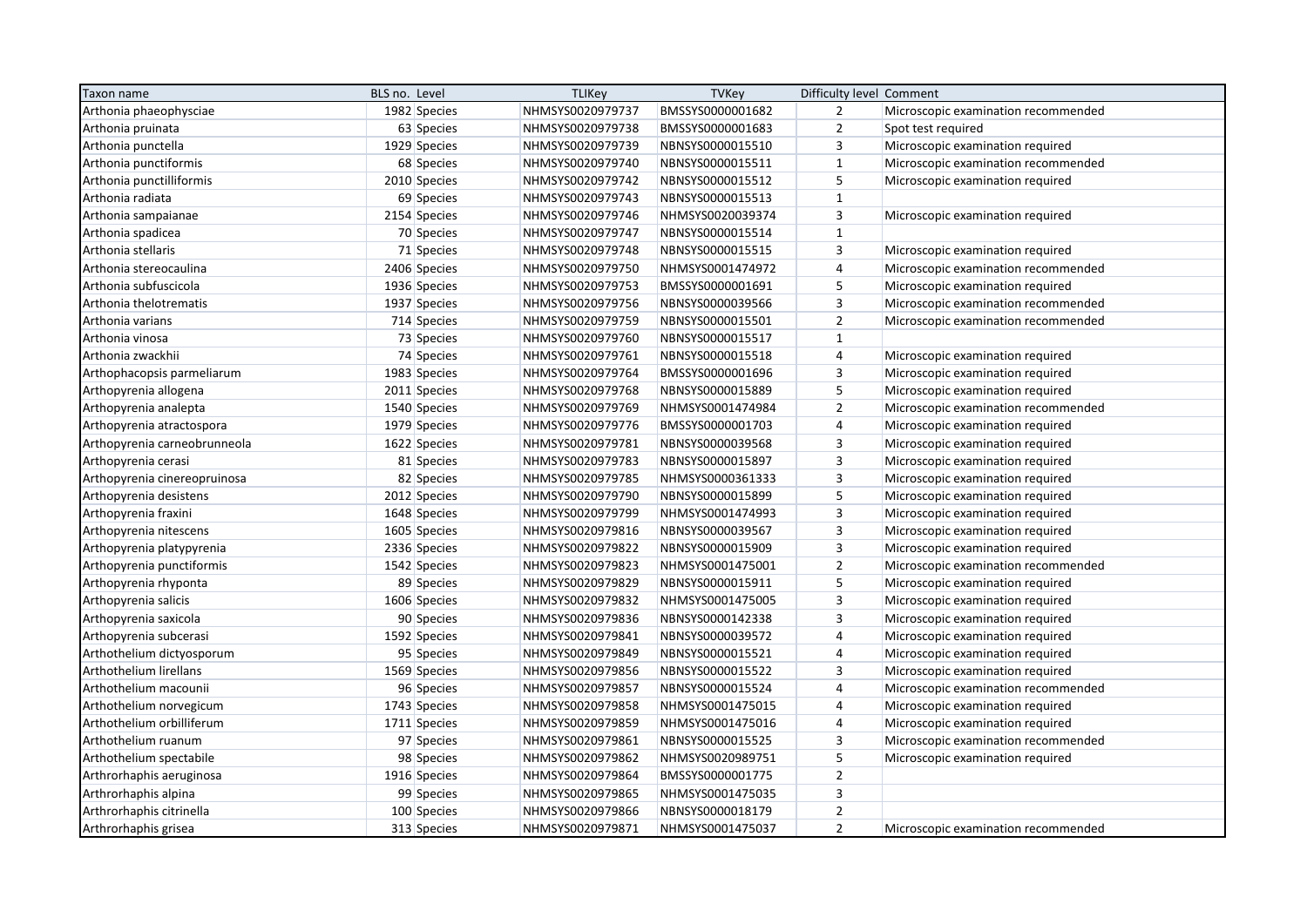| Taxon name                   | BLS no. Level |              | <b>TLIKey</b>    | <b>TVKey</b>     | Difficulty level Comment |                                     |
|------------------------------|---------------|--------------|------------------|------------------|--------------------------|-------------------------------------|
| Arthonia phaeophysciae       |               | 1982 Species | NHMSYS0020979737 | BMSSYS0000001682 | $\overline{2}$           | Microscopic examination recommended |
| Arthonia pruinata            |               | 63 Species   | NHMSYS0020979738 | BMSSYS0000001683 | $\overline{2}$           | Spot test required                  |
| Arthonia punctella           |               | 1929 Species | NHMSYS0020979739 | NBNSYS0000015510 | 3                        | Microscopic examination required    |
| Arthonia punctiformis        |               | 68 Species   | NHMSYS0020979740 | NBNSYS0000015511 | $\mathbf{1}$             | Microscopic examination recommended |
| Arthonia punctilliformis     |               | 2010 Species | NHMSYS0020979742 | NBNSYS0000015512 | 5                        | Microscopic examination required    |
| Arthonia radiata             |               | 69 Species   | NHMSYS0020979743 | NBNSYS0000015513 | $\mathbf{1}$             |                                     |
| Arthonia sampaianae          |               | 2154 Species | NHMSYS0020979746 | NHMSYS0020039374 | $\overline{3}$           | Microscopic examination required    |
| Arthonia spadicea            |               | 70 Species   | NHMSYS0020979747 | NBNSYS0000015514 | $\mathbf{1}$             |                                     |
| Arthonia stellaris           |               | 71 Species   | NHMSYS0020979748 | NBNSYS0000015515 | $\overline{3}$           | Microscopic examination required    |
| Arthonia stereocaulina       |               | 2406 Species | NHMSYS0020979750 | NHMSYS0001474972 | $\overline{4}$           | Microscopic examination recommended |
| Arthonia subfuscicola        |               | 1936 Species | NHMSYS0020979753 | BMSSYS0000001691 | 5                        | Microscopic examination required    |
| Arthonia thelotrematis       |               | 1937 Species | NHMSYS0020979756 | NBNSYS0000039566 | 3                        | Microscopic examination recommended |
| Arthonia varians             |               | 714 Species  | NHMSYS0020979759 | NBNSYS0000015501 | $\overline{2}$           | Microscopic examination recommended |
| Arthonia vinosa              |               | 73 Species   | NHMSYS0020979760 | NBNSYS0000015517 | $\mathbf{1}$             |                                     |
| Arthonia zwackhii            |               | 74 Species   | NHMSYS0020979761 | NBNSYS0000015518 | $\overline{4}$           | Microscopic examination required    |
| Arthophacopsis parmeliarum   |               | 1983 Species | NHMSYS0020979764 | BMSSYS0000001696 | $\overline{3}$           | Microscopic examination required    |
| Arthopyrenia allogena        |               | 2011 Species | NHMSYS0020979768 | NBNSYS0000015889 | 5                        | Microscopic examination required    |
| Arthopyrenia analepta        |               | 1540 Species | NHMSYS0020979769 | NHMSYS0001474984 | $\overline{2}$           | Microscopic examination recommended |
| Arthopyrenia atractospora    |               | 1979 Species | NHMSYS0020979776 | BMSSYS0000001703 | $\overline{4}$           | Microscopic examination required    |
| Arthopyrenia carneobrunneola |               | 1622 Species | NHMSYS0020979781 | NBNSYS0000039568 | $\overline{3}$           | Microscopic examination required    |
| Arthopyrenia cerasi          |               | 81 Species   | NHMSYS0020979783 | NBNSYS0000015897 | $\overline{3}$           | Microscopic examination required    |
| Arthopyrenia cinereopruinosa |               | 82 Species   | NHMSYS0020979785 | NHMSYS0000361333 | $\overline{3}$           | Microscopic examination required    |
| Arthopyrenia desistens       |               | 2012 Species | NHMSYS0020979790 | NBNSYS0000015899 | 5                        | Microscopic examination required    |
| Arthopyrenia fraxini         |               | 1648 Species | NHMSYS0020979799 | NHMSYS0001474993 | $\overline{3}$           | Microscopic examination required    |
| Arthopyrenia nitescens       |               | 1605 Species | NHMSYS0020979816 | NBNSYS0000039567 | $\overline{3}$           | Microscopic examination required    |
| Arthopyrenia platypyrenia    |               | 2336 Species | NHMSYS0020979822 | NBNSYS0000015909 | 3                        | Microscopic examination required    |
| Arthopyrenia punctiformis    |               | 1542 Species | NHMSYS0020979823 | NHMSYS0001475001 | $\overline{2}$           | Microscopic examination recommended |
| Arthopyrenia rhyponta        |               | 89 Species   | NHMSYS0020979829 | NBNSYS0000015911 | 5                        | Microscopic examination required    |
| Arthopyrenia salicis         |               | 1606 Species | NHMSYS0020979832 | NHMSYS0001475005 | $\overline{3}$           | Microscopic examination required    |
| Arthopyrenia saxicola        |               | 90 Species   | NHMSYS0020979836 | NBNSYS0000142338 | $\overline{3}$           | Microscopic examination required    |
| Arthopyrenia subcerasi       |               | 1592 Species | NHMSYS0020979841 | NBNSYS0000039572 | $\overline{4}$           | Microscopic examination required    |
| Arthothelium dictyosporum    |               | 95 Species   | NHMSYS0020979849 | NBNSYS0000015521 | $\overline{4}$           | Microscopic examination required    |
| Arthothelium lirellans       |               | 1569 Species | NHMSYS0020979856 | NBNSYS0000015522 | 3                        | Microscopic examination required    |
| Arthothelium macounii        |               | 96 Species   | NHMSYS0020979857 | NBNSYS0000015524 | $\overline{4}$           | Microscopic examination recommended |
| Arthothelium norvegicum      |               | 1743 Species | NHMSYS0020979858 | NHMSYS0001475015 | $\overline{4}$           | Microscopic examination required    |
| Arthothelium orbilliferum    |               | 1711 Species | NHMSYS0020979859 | NHMSYS0001475016 | $\overline{4}$           | Microscopic examination required    |
| Arthothelium ruanum          |               | 97 Species   | NHMSYS0020979861 | NBNSYS0000015525 | $\overline{3}$           | Microscopic examination recommended |
| Arthothelium spectabile      |               | 98 Species   | NHMSYS0020979862 | NHMSYS0020989751 | 5                        | Microscopic examination required    |
| Arthrorhaphis aeruginosa     |               | 1916 Species | NHMSYS0020979864 | BMSSYS0000001775 | $\overline{2}$           |                                     |
| Arthrorhaphis alpina         |               | 99 Species   | NHMSYS0020979865 | NHMSYS0001475035 | $\overline{3}$           |                                     |
| Arthrorhaphis citrinella     |               | 100 Species  | NHMSYS0020979866 | NBNSYS0000018179 | $\overline{2}$           |                                     |
| Arthrorhaphis grisea         |               | 313 Species  | NHMSYS0020979871 | NHMSYS0001475037 | $\overline{2}$           | Microscopic examination recommended |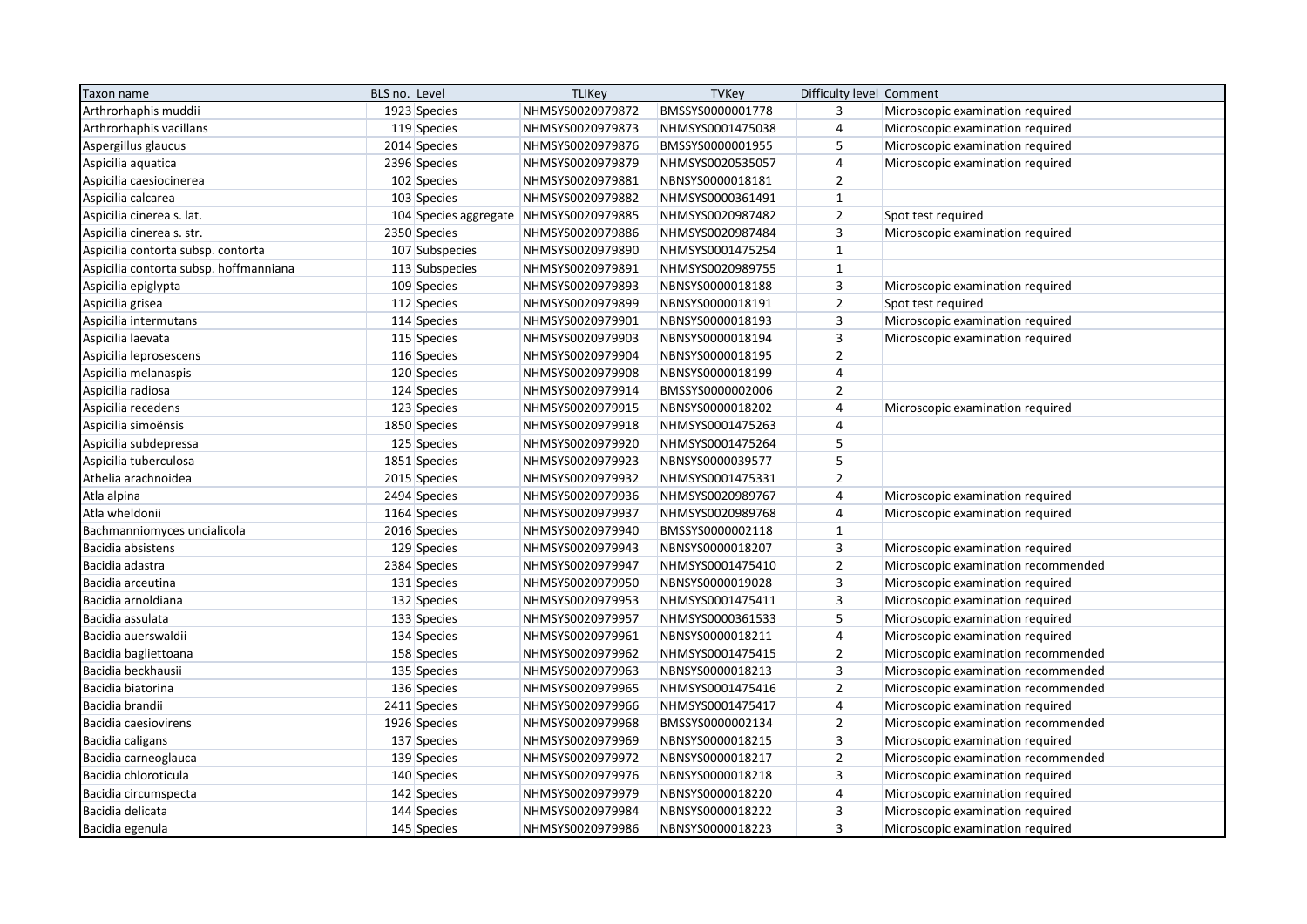| Taxon name                             | BLS no. Level                          | <b>TLIKey</b>    | <b>TVKey</b>     | Difficulty level Comment |                                     |
|----------------------------------------|----------------------------------------|------------------|------------------|--------------------------|-------------------------------------|
| Arthrorhaphis muddii                   | 1923 Species                           | NHMSYS0020979872 | BMSSYS0000001778 | 3                        | Microscopic examination required    |
| Arthrorhaphis vacillans                | 119 Species                            | NHMSYS0020979873 | NHMSYS0001475038 | $\overline{4}$           | Microscopic examination required    |
| Aspergillus glaucus                    | 2014 Species                           | NHMSYS0020979876 | BMSSYS0000001955 | 5                        | Microscopic examination required    |
| Aspicilia aquatica                     | 2396 Species                           | NHMSYS0020979879 | NHMSYS0020535057 | $\overline{4}$           | Microscopic examination required    |
| Aspicilia caesiocinerea                | 102 Species                            | NHMSYS0020979881 | NBNSYS0000018181 | $\overline{2}$           |                                     |
| Aspicilia calcarea                     | 103 Species                            | NHMSYS0020979882 | NHMSYS0000361491 | $\mathbf{1}$             |                                     |
| Aspicilia cinerea s. lat.              | 104 Species aggregate NHMSYS0020979885 |                  | NHMSYS0020987482 | $\overline{2}$           | Spot test required                  |
| Aspicilia cinerea s. str.              | 2350 Species                           | NHMSYS0020979886 | NHMSYS0020987484 | $\overline{3}$           | Microscopic examination required    |
| Aspicilia contorta subsp. contorta     | 107 Subspecies                         | NHMSYS0020979890 | NHMSYS0001475254 | $\mathbf{1}$             |                                     |
| Aspicilia contorta subsp. hoffmanniana | 113 Subspecies                         | NHMSYS0020979891 | NHMSYS0020989755 | $\mathbf{1}$             |                                     |
| Aspicilia epiglypta                    | 109 Species                            | NHMSYS0020979893 | NBNSYS0000018188 | 3                        | Microscopic examination required    |
| Aspicilia grisea                       | 112 Species                            | NHMSYS0020979899 | NBNSYS0000018191 | $\overline{2}$           | Spot test required                  |
| Aspicilia intermutans                  | 114 Species                            | NHMSYS0020979901 | NBNSYS0000018193 | $\overline{3}$           | Microscopic examination required    |
| Aspicilia laevata                      | 115 Species                            | NHMSYS0020979903 | NBNSYS0000018194 | $\overline{3}$           | Microscopic examination required    |
| Aspicilia leprosescens                 | 116 Species                            | NHMSYS0020979904 | NBNSYS0000018195 | $\overline{2}$           |                                     |
| Aspicilia melanaspis                   | 120 Species                            | NHMSYS0020979908 | NBNSYS0000018199 | $\overline{4}$           |                                     |
| Aspicilia radiosa                      | 124 Species                            | NHMSYS0020979914 | BMSSYS0000002006 | $\overline{2}$           |                                     |
| Aspicilia recedens                     | 123 Species                            | NHMSYS0020979915 | NBNSYS0000018202 | $\overline{4}$           | Microscopic examination required    |
| Aspicilia simoënsis                    | 1850 Species                           | NHMSYS0020979918 | NHMSYS0001475263 | $\overline{4}$           |                                     |
| Aspicilia subdepressa                  | 125 Species                            | NHMSYS0020979920 | NHMSYS0001475264 | 5                        |                                     |
| Aspicilia tuberculosa                  | 1851 Species                           | NHMSYS0020979923 | NBNSYS0000039577 | 5                        |                                     |
| Athelia arachnoidea                    | 2015 Species                           | NHMSYS0020979932 | NHMSYS0001475331 | $\overline{2}$           |                                     |
| Atla alpina                            | 2494 Species                           | NHMSYS0020979936 | NHMSYS0020989767 | $\overline{4}$           | Microscopic examination required    |
| Atla wheldonii                         | 1164 Species                           | NHMSYS0020979937 | NHMSYS0020989768 | $\overline{4}$           | Microscopic examination required    |
| Bachmanniomyces uncialicola            | 2016 Species                           | NHMSYS0020979940 | BMSSYS0000002118 | $\mathbf{1}$             |                                     |
| Bacidia absistens                      | 129 Species                            | NHMSYS0020979943 | NBNSYS0000018207 | 3                        | Microscopic examination required    |
| Bacidia adastra                        | 2384 Species                           | NHMSYS0020979947 | NHMSYS0001475410 | $\overline{2}$           | Microscopic examination recommended |
| Bacidia arceutina                      | 131 Species                            | NHMSYS0020979950 | NBNSYS0000019028 | $\overline{3}$           | Microscopic examination required    |
| Bacidia arnoldiana                     | 132 Species                            | NHMSYS0020979953 | NHMSYS0001475411 | $\overline{3}$           | Microscopic examination required    |
| Bacidia assulata                       | 133 Species                            | NHMSYS0020979957 | NHMSYS0000361533 | 5                        | Microscopic examination required    |
| Bacidia auerswaldii                    | 134 Species                            | NHMSYS0020979961 | NBNSYS0000018211 | $\overline{4}$           | Microscopic examination required    |
| Bacidia bagliettoana                   | 158 Species                            | NHMSYS0020979962 | NHMSYS0001475415 | $\overline{2}$           | Microscopic examination recommended |
| Bacidia beckhausii                     | 135 Species                            | NHMSYS0020979963 | NBNSYS0000018213 | $\overline{3}$           | Microscopic examination recommended |
| Bacidia biatorina                      | 136 Species                            | NHMSYS0020979965 | NHMSYS0001475416 | $\overline{2}$           | Microscopic examination recommended |
| Bacidia brandii                        | 2411 Species                           | NHMSYS0020979966 | NHMSYS0001475417 | $\overline{4}$           | Microscopic examination required    |
| Bacidia caesiovirens                   | 1926 Species                           | NHMSYS0020979968 | BMSSYS0000002134 | $\overline{2}$           | Microscopic examination recommended |
| Bacidia caligans                       | 137 Species                            | NHMSYS0020979969 | NBNSYS0000018215 | $\overline{3}$           | Microscopic examination required    |
| Bacidia carneoglauca                   | 139 Species                            | NHMSYS0020979972 | NBNSYS0000018217 | $\mathbf 2$              | Microscopic examination recommended |
| Bacidia chloroticula                   | 140 Species                            | NHMSYS0020979976 | NBNSYS0000018218 | $\overline{3}$           | Microscopic examination required    |
| Bacidia circumspecta                   | 142 Species                            | NHMSYS0020979979 | NBNSYS0000018220 | $\overline{\mathbf{r}}$  | Microscopic examination required    |
| Bacidia delicata                       | 144 Species                            | NHMSYS0020979984 | NBNSYS0000018222 | $\overline{3}$           | Microscopic examination required    |
| Bacidia egenula                        | 145 Species                            | NHMSYS0020979986 | NBNSYS0000018223 | $\overline{3}$           | Microscopic examination required    |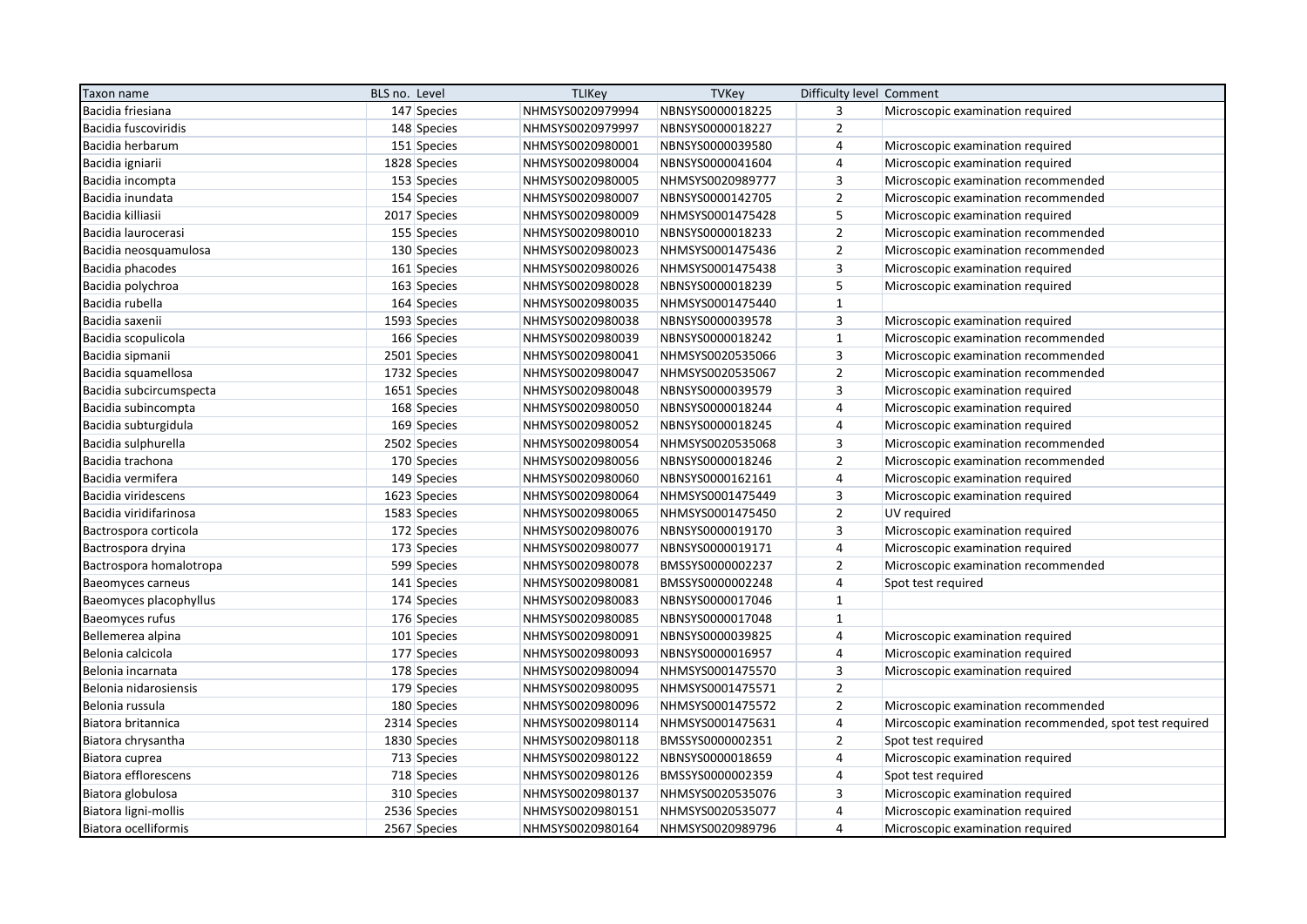| Taxon name               | BLS no. Level | <b>TLIKey</b>    | <b>TVKey</b>     | Difficulty level Comment |                                                         |
|--------------------------|---------------|------------------|------------------|--------------------------|---------------------------------------------------------|
| Bacidia friesiana        | 147 Species   | NHMSYS0020979994 | NBNSYS0000018225 | 3                        | Microscopic examination required                        |
| Bacidia fuscoviridis     | 148 Species   | NHMSYS0020979997 | NBNSYS0000018227 | $\overline{2}$           |                                                         |
| Bacidia herbarum         | 151 Species   | NHMSYS0020980001 | NBNSYS0000039580 | $\overline{4}$           | Microscopic examination required                        |
| Bacidia igniarii         | 1828 Species  | NHMSYS0020980004 | NBNSYS0000041604 | $\overline{4}$           | Microscopic examination required                        |
| Bacidia incompta         | 153 Species   | NHMSYS0020980005 | NHMSYS0020989777 | $\overline{3}$           | Microscopic examination recommended                     |
| Bacidia inundata         | 154 Species   | NHMSYS0020980007 | NBNSYS0000142705 | $\overline{2}$           | Microscopic examination recommended                     |
| Bacidia killiasii        | 2017 Species  | NHMSYS0020980009 | NHMSYS0001475428 | $\sqrt{5}$               | Microscopic examination required                        |
| Bacidia laurocerasi      | 155 Species   | NHMSYS0020980010 | NBNSYS0000018233 | $\mathbf 2$              | Microscopic examination recommended                     |
| Bacidia neosquamulosa    | 130 Species   | NHMSYS0020980023 | NHMSYS0001475436 | $\overline{2}$           | Microscopic examination recommended                     |
| Bacidia phacodes         | 161 Species   | NHMSYS0020980026 | NHMSYS0001475438 | 3                        | Microscopic examination required                        |
| Bacidia polychroa        | 163 Species   | NHMSYS0020980028 | NBNSYS0000018239 | $\sqrt{5}$               | Microscopic examination required                        |
| Bacidia rubella          | 164 Species   | NHMSYS0020980035 | NHMSYS0001475440 | $\mathbf{1}$             |                                                         |
| Bacidia saxenii          | 1593 Species  | NHMSYS0020980038 | NBNSYS0000039578 | 3                        | Microscopic examination required                        |
| Bacidia scopulicola      | 166 Species   | NHMSYS0020980039 | NBNSYS0000018242 | $\mathbf{1}$             | Microscopic examination recommended                     |
| Bacidia sipmanii         | 2501 Species  | NHMSYS0020980041 | NHMSYS0020535066 | $\overline{3}$           | Microscopic examination recommended                     |
| Bacidia squamellosa      | 1732 Species  | NHMSYS0020980047 | NHMSYS0020535067 | $\overline{2}$           | Microscopic examination recommended                     |
| Bacidia subcircumspecta  | 1651 Species  | NHMSYS0020980048 | NBNSYS0000039579 | 3                        | Microscopic examination required                        |
| Bacidia subincompta      | 168 Species   | NHMSYS0020980050 | NBNSYS0000018244 | $\overline{4}$           | Microscopic examination required                        |
| Bacidia subturgidula     | 169 Species   | NHMSYS0020980052 | NBNSYS0000018245 | $\overline{4}$           | Microscopic examination required                        |
| Bacidia sulphurella      | 2502 Species  | NHMSYS0020980054 | NHMSYS0020535068 | 3                        | Microscopic examination recommended                     |
| Bacidia trachona         | 170 Species   | NHMSYS0020980056 | NBNSYS0000018246 | $\overline{2}$           | Microscopic examination recommended                     |
| Bacidia vermifera        | 149 Species   | NHMSYS0020980060 | NBNSYS0000162161 | $\overline{4}$           | Microscopic examination required                        |
| Bacidia viridescens      | 1623 Species  | NHMSYS0020980064 | NHMSYS0001475449 | $\overline{3}$           | Microscopic examination required                        |
| Bacidia viridifarinosa   | 1583 Species  | NHMSYS0020980065 | NHMSYS0001475450 | $\overline{2}$           | UV required                                             |
| Bactrospora corticola    | 172 Species   | NHMSYS0020980076 | NBNSYS0000019170 | $\overline{3}$           | Microscopic examination required                        |
| Bactrospora dryina       | 173 Species   | NHMSYS0020980077 | NBNSYS0000019171 | $\overline{4}$           | Microscopic examination required                        |
| Bactrospora homalotropa  | 599 Species   | NHMSYS0020980078 | BMSSYS0000002237 | $\overline{2}$           | Microscopic examination recommended                     |
| <b>Baeomyces carneus</b> | 141 Species   | NHMSYS0020980081 | BMSSYS0000002248 | $\overline{4}$           | Spot test required                                      |
| Baeomyces placophyllus   | 174 Species   | NHMSYS0020980083 | NBNSYS0000017046 | $\mathbf{1}$             |                                                         |
| Baeomyces rufus          | 176 Species   | NHMSYS0020980085 | NBNSYS0000017048 | $\mathbf{1}$             |                                                         |
| Bellemerea alpina        | 101 Species   | NHMSYS0020980091 | NBNSYS0000039825 | $\overline{4}$           | Microscopic examination required                        |
| Belonia calcicola        | 177 Species   | NHMSYS0020980093 | NBNSYS0000016957 | $\overline{4}$           | Microscopic examination required                        |
| Belonia incarnata        | 178 Species   | NHMSYS0020980094 | NHMSYS0001475570 | $\overline{3}$           | Microscopic examination required                        |
| Belonia nidarosiensis    | 179 Species   | NHMSYS0020980095 | NHMSYS0001475571 | $\overline{2}$           |                                                         |
| Belonia russula          | 180 Species   | NHMSYS0020980096 | NHMSYS0001475572 | $\overline{2}$           | Microscopic examination recommended                     |
| Biatora britannica       | 2314 Species  | NHMSYS0020980114 | NHMSYS0001475631 | $\overline{4}$           | Mircoscopic examination recommended, spot test required |
| Biatora chrysantha       | 1830 Species  | NHMSYS0020980118 | BMSSYS0000002351 | $\overline{2}$           | Spot test required                                      |
| Biatora cuprea           | 713 Species   | NHMSYS0020980122 | NBNSYS0000018659 | $\overline{4}$           | Microscopic examination required                        |
| Biatora efflorescens     | 718 Species   | NHMSYS0020980126 | BMSSYS0000002359 | $\overline{4}$           | Spot test required                                      |
| Biatora globulosa        | 310 Species   | NHMSYS0020980137 | NHMSYS0020535076 | 3                        | Microscopic examination required                        |
| Biatora ligni-mollis     | 2536 Species  | NHMSYS0020980151 | NHMSYS0020535077 | $\overline{4}$           | Microscopic examination required                        |
| Biatora ocelliformis     | 2567 Species  | NHMSYS0020980164 | NHMSYS0020989796 | $\overline{4}$           | Microscopic examination required                        |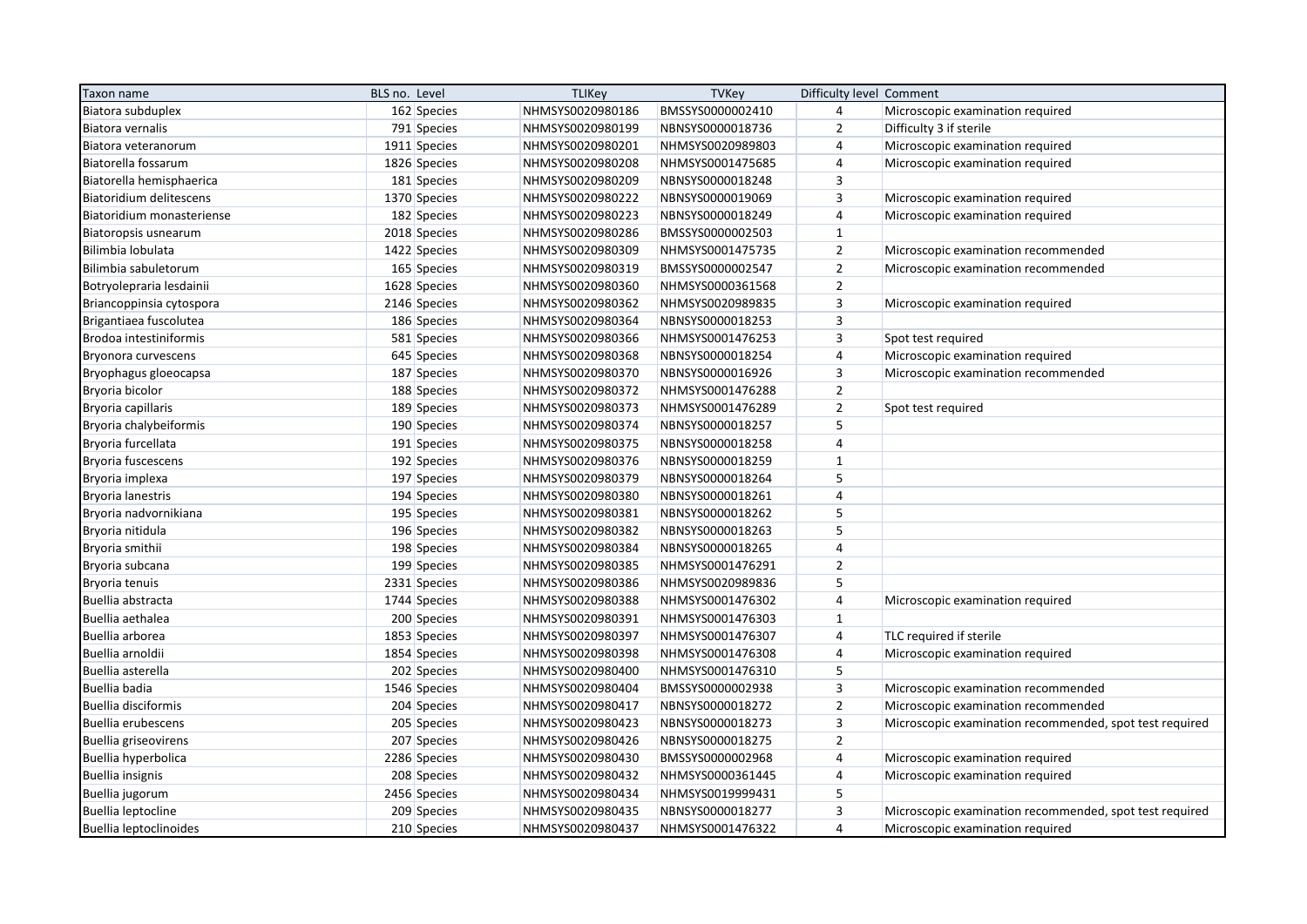| Taxon name                  | BLS no. Level | <b>TLIKey</b>    | TVKey            | Difficulty level Comment |                                                         |
|-----------------------------|---------------|------------------|------------------|--------------------------|---------------------------------------------------------|
| Biatora subduplex           | 162 Species   | NHMSYS0020980186 | BMSSYS0000002410 | $\overline{4}$           | Microscopic examination required                        |
| Biatora vernalis            | 791 Species   | NHMSYS0020980199 | NBNSYS0000018736 | $\overline{2}$           | Difficulty 3 if sterile                                 |
| Biatora veteranorum         | 1911 Species  | NHMSYS0020980201 | NHMSYS0020989803 | $\overline{4}$           | Microscopic examination required                        |
| Biatorella fossarum         | 1826 Species  | NHMSYS0020980208 | NHMSYS0001475685 | $\overline{4}$           | Microscopic examination required                        |
| Biatorella hemisphaerica    | 181 Species   | NHMSYS0020980209 | NBNSYS0000018248 | $\overline{3}$           |                                                         |
| Biatoridium delitescens     | 1370 Species  | NHMSYS0020980222 | NBNSYS0000019069 | $\overline{3}$           | Microscopic examination required                        |
| Biatoridium monasteriense   | 182 Species   | NHMSYS0020980223 | NBNSYS0000018249 | 4                        | Microscopic examination required                        |
| Biatoropsis usnearum        | 2018 Species  | NHMSYS0020980286 | BMSSYS0000002503 | $\mathbf{1}$             |                                                         |
| Bilimbia lobulata           | 1422 Species  | NHMSYS0020980309 | NHMSYS0001475735 | $\overline{2}$           | Microscopic examination recommended                     |
| Bilimbia sabuletorum        | 165 Species   | NHMSYS0020980319 | BMSSYS0000002547 | $\mathbf 2$              | Microscopic examination recommended                     |
| Botryolepraria lesdainii    | 1628 Species  | NHMSYS0020980360 | NHMSYS0000361568 | $\overline{2}$           |                                                         |
| Briancoppinsia cytospora    | 2146 Species  | NHMSYS0020980362 | NHMSYS0020989835 | $\overline{3}$           | Microscopic examination required                        |
| Brigantiaea fuscolutea      | 186 Species   | NHMSYS0020980364 | NBNSYS0000018253 | $\overline{3}$           |                                                         |
| Brodoa intestiniformis      | 581 Species   | NHMSYS0020980366 | NHMSYS0001476253 | $\overline{3}$           | Spot test required                                      |
| Bryonora curvescens         | 645 Species   | NHMSYS0020980368 | NBNSYS0000018254 | $\overline{4}$           | Microscopic examination required                        |
| Bryophagus gloeocapsa       | 187 Species   | NHMSYS0020980370 | NBNSYS0000016926 | $\overline{3}$           | Microscopic examination recommended                     |
| Bryoria bicolor             | 188 Species   | NHMSYS0020980372 | NHMSYS0001476288 | $\overline{2}$           |                                                         |
| Bryoria capillaris          | 189 Species   | NHMSYS0020980373 | NHMSYS0001476289 | $\overline{2}$           | Spot test required                                      |
| Bryoria chalybeiformis      | 190 Species   | NHMSYS0020980374 | NBNSYS0000018257 | 5                        |                                                         |
| Bryoria furcellata          | 191 Species   | NHMSYS0020980375 | NBNSYS0000018258 | $\overline{4}$           |                                                         |
| Bryoria fuscescens          | 192 Species   | NHMSYS0020980376 | NBNSYS0000018259 | $\mathbf{1}$             |                                                         |
| Bryoria implexa             | 197 Species   | NHMSYS0020980379 | NBNSYS0000018264 | 5                        |                                                         |
| <b>Bryoria lanestris</b>    | 194 Species   | NHMSYS0020980380 | NBNSYS0000018261 | $\overline{4}$           |                                                         |
| Bryoria nadvornikiana       | 195 Species   | NHMSYS0020980381 | NBNSYS0000018262 | 5                        |                                                         |
| Bryoria nitidula            | 196 Species   | NHMSYS0020980382 | NBNSYS0000018263 | 5                        |                                                         |
| Bryoria smithii             | 198 Species   | NHMSYS0020980384 | NBNSYS0000018265 | $\overline{4}$           |                                                         |
| Bryoria subcana             | 199 Species   | NHMSYS0020980385 | NHMSYS0001476291 | $\overline{2}$           |                                                         |
| Bryoria tenuis              | 2331 Species  | NHMSYS0020980386 | NHMSYS0020989836 | 5                        |                                                         |
| Buellia abstracta           | 1744 Species  | NHMSYS0020980388 | NHMSYS0001476302 | $\overline{4}$           | Microscopic examination required                        |
| Buellia aethalea            | 200 Species   | NHMSYS0020980391 | NHMSYS0001476303 | $\mathbf{1}$             |                                                         |
| Buellia arborea             | 1853 Species  | NHMSYS0020980397 | NHMSYS0001476307 | $\overline{4}$           | TLC required if sterile                                 |
| Buellia arnoldii            | 1854 Species  | NHMSYS0020980398 | NHMSYS0001476308 | 4                        | Microscopic examination required                        |
| Buellia asterella           | 202 Species   | NHMSYS0020980400 | NHMSYS0001476310 | 5                        |                                                         |
| Buellia badia               | 1546 Species  | NHMSYS0020980404 | BMSSYS0000002938 | $\mathsf 3$              | Microscopic examination recommended                     |
| <b>Buellia disciformis</b>  | 204 Species   | NHMSYS0020980417 | NBNSYS0000018272 | $\overline{2}$           | Microscopic examination recommended                     |
| <b>Buellia erubescens</b>   | 205 Species   | NHMSYS0020980423 | NBNSYS0000018273 | $\overline{3}$           | Microscopic examination recommended, spot test required |
| <b>Buellia griseovirens</b> | 207 Species   | NHMSYS0020980426 | NBNSYS0000018275 | $\overline{2}$           |                                                         |
| Buellia hyperbolica         | 2286 Species  | NHMSYS0020980430 | BMSSYS0000002968 | $\overline{4}$           | Microscopic examination required                        |
| <b>Buellia insignis</b>     | 208 Species   | NHMSYS0020980432 | NHMSYS0000361445 | 4                        | Microscopic examination required                        |
| Buellia jugorum             | 2456 Species  | NHMSYS0020980434 | NHMSYS0019999431 | 5                        |                                                         |
| <b>Buellia leptocline</b>   | 209 Species   | NHMSYS0020980435 | NBNSYS0000018277 | $\overline{3}$           | Microscopic examination recommended, spot test required |
| Buellia leptoclinoides      | 210 Species   | NHMSYS0020980437 | NHMSYS0001476322 | $\overline{4}$           | Microscopic examination required                        |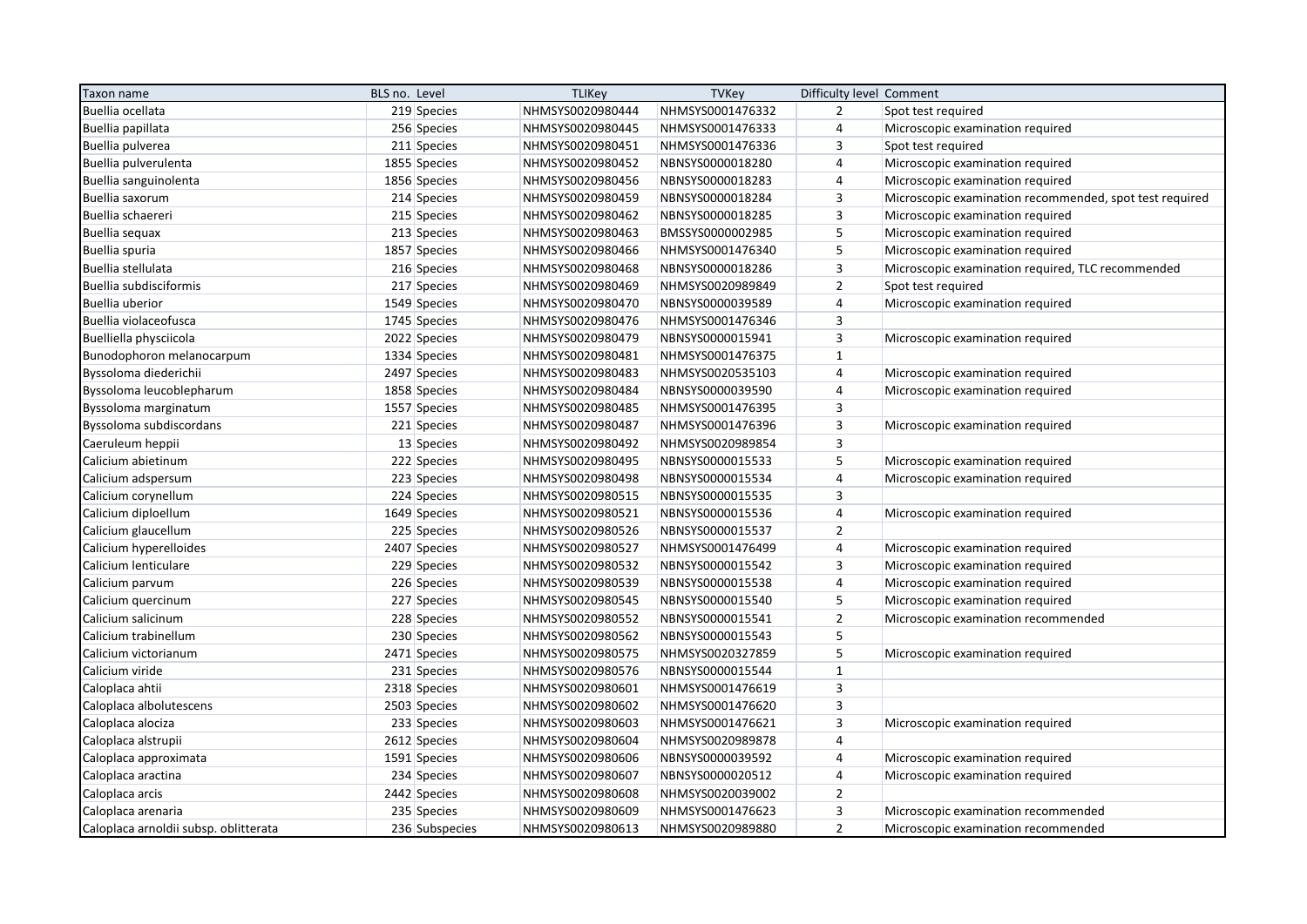| Taxon name                            | BLS no. Level  | <b>TLIKey</b>    | <b>TVKey</b>     | Difficulty level Comment |                                                         |
|---------------------------------------|----------------|------------------|------------------|--------------------------|---------------------------------------------------------|
| Buellia ocellata                      | 219 Species    | NHMSYS0020980444 | NHMSYS0001476332 | $\overline{2}$           | Spot test required                                      |
| Buellia papillata                     | 256 Species    | NHMSYS0020980445 | NHMSYS0001476333 | $\overline{4}$           | Microscopic examination required                        |
| Buellia pulverea                      | 211 Species    | NHMSYS0020980451 | NHMSYS0001476336 | 3                        | Spot test required                                      |
| Buellia pulverulenta                  | 1855 Species   | NHMSYS0020980452 | NBNSYS0000018280 | $\overline{4}$           | Microscopic examination required                        |
| Buellia sanguinolenta                 | 1856 Species   | NHMSYS0020980456 | NBNSYS0000018283 | 4                        | Microscopic examination required                        |
| Buellia saxorum                       | 214 Species    | NHMSYS0020980459 | NBNSYS0000018284 | 3                        | Microscopic examination recommended, spot test required |
| Buellia schaereri                     | 215 Species    | NHMSYS0020980462 | NBNSYS0000018285 | $\mathsf 3$              | Microscopic examination required                        |
| Buellia sequax                        | 213 Species    | NHMSYS0020980463 | BMSSYS0000002985 | 5                        | Microscopic examination required                        |
| Buellia spuria                        | 1857 Species   | NHMSYS0020980466 | NHMSYS0001476340 | 5                        | Microscopic examination required                        |
| Buellia stellulata                    | 216 Species    | NHMSYS0020980468 | NBNSYS0000018286 | 3                        | Microscopic examination required, TLC recommended       |
| Buellia subdisciformis                | 217 Species    | NHMSYS0020980469 | NHMSYS0020989849 | $\overline{2}$           | Spot test required                                      |
| <b>Buellia</b> uberior                | 1549 Species   | NHMSYS0020980470 | NBNSYS0000039589 | $\overline{4}$           | Microscopic examination required                        |
| Buellia violaceofusca                 | 1745 Species   | NHMSYS0020980476 | NHMSYS0001476346 | $\mathsf 3$              |                                                         |
| Buelliella physciicola                | 2022 Species   | NHMSYS0020980479 | NBNSYS0000015941 | 3                        | Microscopic examination required                        |
| Bunodophoron melanocarpum             | 1334 Species   | NHMSYS0020980481 | NHMSYS0001476375 | $\mathbf{1}$             |                                                         |
| Byssoloma diederichii                 | 2497 Species   | NHMSYS0020980483 | NHMSYS0020535103 | $\overline{4}$           | Microscopic examination required                        |
| Byssoloma leucoblepharum              | 1858 Species   | NHMSYS0020980484 | NBNSYS0000039590 | $\overline{4}$           | Microscopic examination required                        |
| Byssoloma marginatum                  | 1557 Species   | NHMSYS0020980485 | NHMSYS0001476395 | $\overline{3}$           |                                                         |
| Byssoloma subdiscordans               | 221 Species    | NHMSYS0020980487 | NHMSYS0001476396 | 3                        | Microscopic examination required                        |
| Caeruleum heppii                      | 13 Species     | NHMSYS0020980492 | NHMSYS0020989854 | 3                        |                                                         |
| Calicium abietinum                    | 222 Species    | NHMSYS0020980495 | NBNSYS0000015533 | 5                        | Microscopic examination required                        |
| Calicium adspersum                    | 223 Species    | NHMSYS0020980498 | NBNSYS0000015534 | $\overline{4}$           | Microscopic examination required                        |
| Calicium corynellum                   | 224 Species    | NHMSYS0020980515 | NBNSYS0000015535 | $\overline{3}$           |                                                         |
| Calicium diploellum                   | 1649 Species   | NHMSYS0020980521 | NBNSYS0000015536 | 4                        | Microscopic examination required                        |
| Calicium glaucellum                   | 225 Species    | NHMSYS0020980526 | NBNSYS0000015537 | $\overline{2}$           |                                                         |
| Calicium hyperelloides                | 2407 Species   | NHMSYS0020980527 | NHMSYS0001476499 | $\overline{4}$           | Microscopic examination required                        |
| Calicium lenticulare                  | 229 Species    | NHMSYS0020980532 | NBNSYS0000015542 | $\mathsf 3$              | Microscopic examination required                        |
| Calicium parvum                       | 226 Species    | NHMSYS0020980539 | NBNSYS0000015538 | $\overline{4}$           | Microscopic examination required                        |
| Calicium quercinum                    | 227 Species    | NHMSYS0020980545 | NBNSYS0000015540 | 5                        | Microscopic examination required                        |
| Calicium salicinum                    | 228 Species    | NHMSYS0020980552 | NBNSYS0000015541 | $\overline{2}$           | Microscopic examination recommended                     |
| Calicium trabinellum                  | 230 Species    | NHMSYS0020980562 | NBNSYS0000015543 | $\sqrt{5}$               |                                                         |
| Calicium victorianum                  | 2471 Species   | NHMSYS0020980575 | NHMSYS0020327859 | 5                        | Microscopic examination required                        |
| Calicium viride                       | 231 Species    | NHMSYS0020980576 | NBNSYS0000015544 | $\mathbf{1}$             |                                                         |
| Caloplaca ahtii                       | 2318 Species   | NHMSYS0020980601 | NHMSYS0001476619 | $\mathsf 3$              |                                                         |
| Caloplaca albolutescens               | 2503 Species   | NHMSYS0020980602 | NHMSYS0001476620 | $\overline{3}$           |                                                         |
| Caloplaca alociza                     | 233 Species    | NHMSYS0020980603 | NHMSYS0001476621 | 3                        | Microscopic examination required                        |
| Caloplaca alstrupii                   | 2612 Species   | NHMSYS0020980604 | NHMSYS0020989878 | $\overline{4}$           |                                                         |
| Caloplaca approximata                 | 1591 Species   | NHMSYS0020980606 | NBNSYS0000039592 | $\overline{4}$           | Microscopic examination required                        |
| Caloplaca aractina                    | 234 Species    | NHMSYS0020980607 | NBNSYS0000020512 | $\overline{4}$           | Microscopic examination required                        |
| Caloplaca arcis                       | 2442 Species   | NHMSYS0020980608 | NHMSYS0020039002 | $\overline{2}$           |                                                         |
| Caloplaca arenaria                    | 235 Species    | NHMSYS0020980609 | NHMSYS0001476623 | $\mathsf 3$              | Microscopic examination recommended                     |
| Caloplaca arnoldii subsp. oblitterata | 236 Subspecies | NHMSYS0020980613 | NHMSYS0020989880 | $\overline{2}$           | Microscopic examination recommended                     |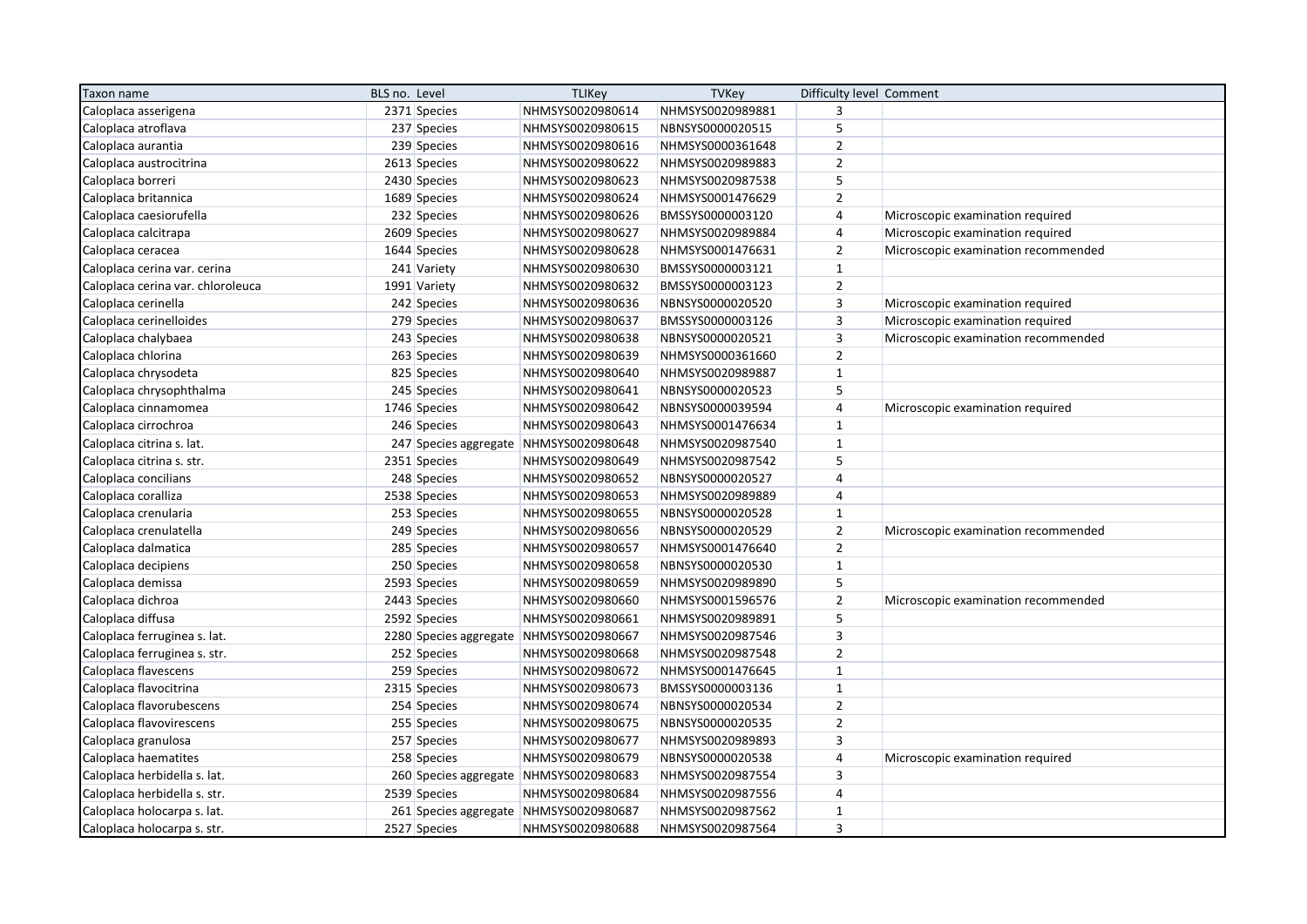| Taxon name                        | BLS no. Level |              | <b>TLIKey</b>                           | <b>TVKey</b>     | Difficulty level Comment |                                     |
|-----------------------------------|---------------|--------------|-----------------------------------------|------------------|--------------------------|-------------------------------------|
| Caloplaca asserigena              |               | 2371 Species | NHMSYS0020980614                        | NHMSYS0020989881 | 3                        |                                     |
| Caloplaca atroflava               |               | 237 Species  | NHMSYS0020980615                        | NBNSYS0000020515 | 5                        |                                     |
| Caloplaca aurantia                |               | 239 Species  | NHMSYS0020980616                        | NHMSYS0000361648 | $\mathbf 2$              |                                     |
| Caloplaca austrocitrina           |               | 2613 Species | NHMSYS0020980622                        | NHMSYS0020989883 | $\overline{2}$           |                                     |
| Caloplaca borreri                 |               | 2430 Species | NHMSYS0020980623                        | NHMSYS0020987538 | 5                        |                                     |
| Caloplaca britannica              |               | 1689 Species | NHMSYS0020980624                        | NHMSYS0001476629 | $\overline{2}$           |                                     |
| Caloplaca caesiorufella           |               | 232 Species  | NHMSYS0020980626                        | BMSSYS0000003120 | $\sqrt{4}$               | Microscopic examination required    |
| Caloplaca calcitrapa              |               | 2609 Species | NHMSYS0020980627                        | NHMSYS0020989884 | $\sqrt{4}$               | Microscopic examination required    |
| Caloplaca ceracea                 |               | 1644 Species | NHMSYS0020980628                        | NHMSYS0001476631 | $\overline{2}$           | Microscopic examination recommended |
| Caloplaca cerina var. cerina      |               | 241 Variety  | NHMSYS0020980630                        | BMSSYS0000003121 | $\mathbf{1}$             |                                     |
| Caloplaca cerina var. chloroleuca |               | 1991 Variety | NHMSYS0020980632                        | BMSSYS0000003123 | $\mathbf 2$              |                                     |
| Caloplaca cerinella               |               | 242 Species  | NHMSYS0020980636                        | NBNSYS0000020520 | 3                        | Microscopic examination required    |
| Caloplaca cerinelloides           |               | 279 Species  | NHMSYS0020980637                        | BMSSYS0000003126 | 3                        | Microscopic examination required    |
| Caloplaca chalybaea               |               | 243 Species  | NHMSYS0020980638                        | NBNSYS0000020521 | $\overline{3}$           | Microscopic examination recommended |
| Caloplaca chlorina                |               | 263 Species  | NHMSYS0020980639                        | NHMSYS0000361660 | $\overline{2}$           |                                     |
| Caloplaca chrysodeta              |               | 825 Species  | NHMSYS0020980640                        | NHMSYS0020989887 | $\mathbf 1$              |                                     |
| Caloplaca chrysophthalma          |               | 245 Species  | NHMSYS0020980641                        | NBNSYS0000020523 | 5                        |                                     |
| Caloplaca cinnamomea              |               | 1746 Species | NHMSYS0020980642                        | NBNSYS0000039594 | $\sqrt{4}$               | Microscopic examination required    |
| Caloplaca cirrochroa              |               | 246 Species  | NHMSYS0020980643                        | NHMSYS0001476634 | $\mathbf{1}$             |                                     |
| Caloplaca citrina s. lat.         |               |              | 247 Species aggregate NHMSYS0020980648  | NHMSYS0020987540 | $\mathbf{1}$             |                                     |
| Caloplaca citrina s. str.         |               | 2351 Species | NHMSYS0020980649                        | NHMSYS0020987542 | 5                        |                                     |
| Caloplaca concilians              |               | 248 Species  | NHMSYS0020980652                        | NBNSYS0000020527 | $\overline{4}$           |                                     |
| Caloplaca coralliza               |               | 2538 Species | NHMSYS0020980653                        | NHMSYS0020989889 | $\overline{4}$           |                                     |
| Caloplaca crenularia              |               | 253 Species  | NHMSYS0020980655                        | NBNSYS0000020528 | $\mathbf{1}$             |                                     |
| Caloplaca crenulatella            |               | 249 Species  | NHMSYS0020980656                        | NBNSYS0000020529 | $\overline{2}$           | Microscopic examination recommended |
| Caloplaca dalmatica               |               | 285 Species  | NHMSYS0020980657                        | NHMSYS0001476640 | $\overline{2}$           |                                     |
| Caloplaca decipiens               |               | 250 Species  | NHMSYS0020980658                        | NBNSYS0000020530 | $\mathbf 1$              |                                     |
| Caloplaca demissa                 |               | 2593 Species | NHMSYS0020980659                        | NHMSYS0020989890 | 5                        |                                     |
| Caloplaca dichroa                 |               | 2443 Species | NHMSYS0020980660                        | NHMSYS0001596576 | $\overline{2}$           | Microscopic examination recommended |
| Caloplaca diffusa                 |               | 2592 Species | NHMSYS0020980661                        | NHMSYS0020989891 | 5                        |                                     |
| Caloplaca ferruginea s. lat.      |               |              | 2280 Species aggregate NHMSYS0020980667 | NHMSYS0020987546 | 3                        |                                     |
| Caloplaca ferruginea s. str.      |               | 252 Species  | NHMSYS0020980668                        | NHMSYS0020987548 | $\overline{2}$           |                                     |
| Caloplaca flavescens              |               | 259 Species  | NHMSYS0020980672                        | NHMSYS0001476645 | $\mathbf{1}$             |                                     |
| Caloplaca flavocitrina            |               | 2315 Species | NHMSYS0020980673                        | BMSSYS0000003136 | $\mathbf{1}$             |                                     |
| Caloplaca flavorubescens          |               | 254 Species  | NHMSYS0020980674                        | NBNSYS0000020534 | $\overline{2}$           |                                     |
| Caloplaca flavovirescens          |               | 255 Species  | NHMSYS0020980675                        | NBNSYS0000020535 | $\mathbf 2$              |                                     |
| Caloplaca granulosa               |               | 257 Species  | NHMSYS0020980677                        | NHMSYS0020989893 | 3                        |                                     |
| Caloplaca haematites              |               | 258 Species  | NHMSYS0020980679                        | NBNSYS0000020538 | $\sqrt{4}$               | Microscopic examination required    |
| Caloplaca herbidella s. lat.      |               |              | 260 Species aggregate NHMSYS0020980683  | NHMSYS0020987554 | 3                        |                                     |
| Caloplaca herbidella s. str.      |               | 2539 Species | NHMSYS0020980684                        | NHMSYS0020987556 | $\overline{4}$           |                                     |
| Caloplaca holocarpa s. lat.       |               |              | 261 Species aggregate NHMSYS0020980687  | NHMSYS0020987562 | $\mathbf{1}$             |                                     |
| Caloplaca holocarpa s. str.       |               | 2527 Species | NHMSYS0020980688                        | NHMSYS0020987564 | $\overline{3}$           |                                     |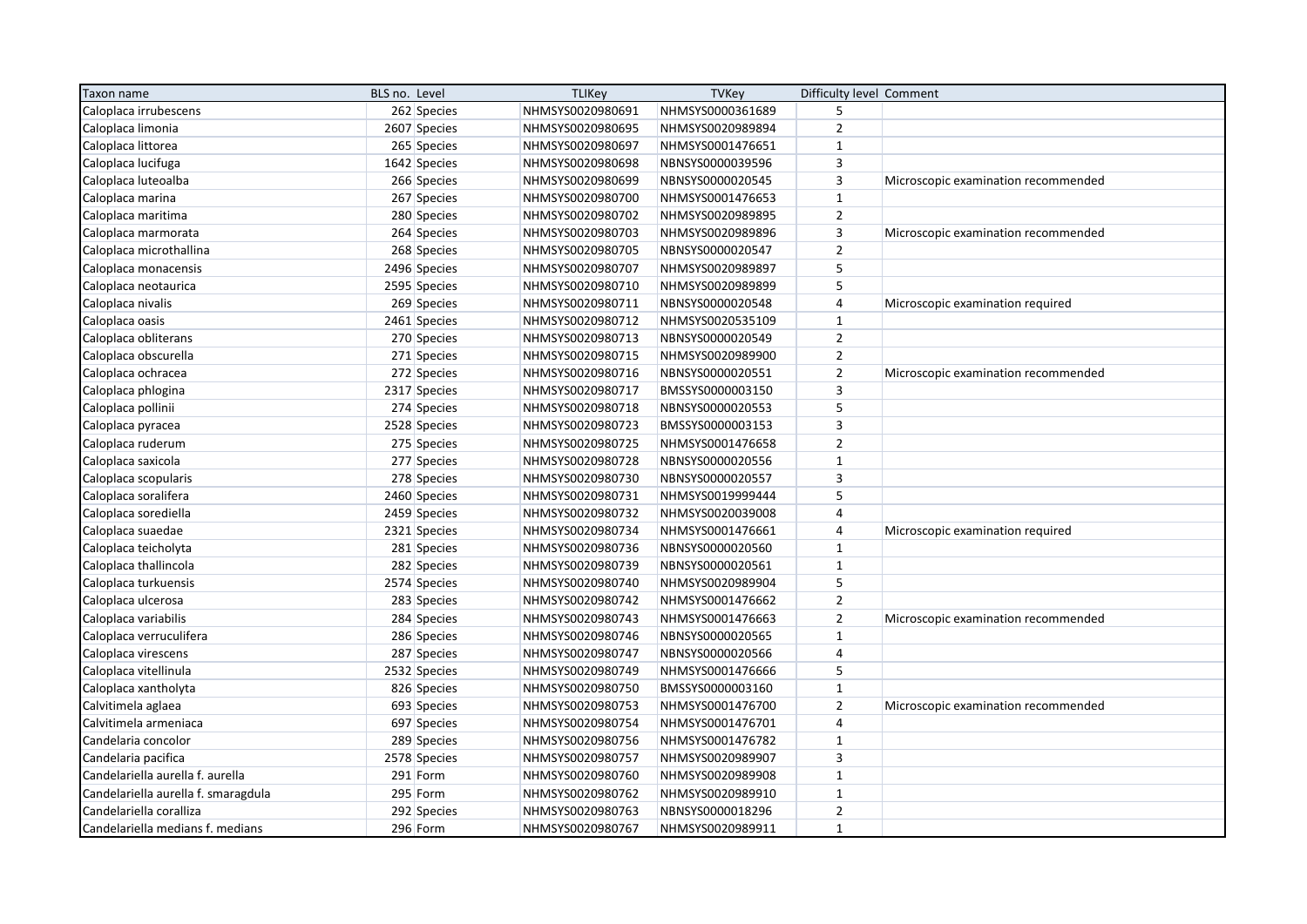| Taxon name                          | BLS no. Level |              | <b>TLIKey</b>    | <b>TVKey</b>     | Difficulty level Comment |                                     |
|-------------------------------------|---------------|--------------|------------------|------------------|--------------------------|-------------------------------------|
| Caloplaca irrubescens               |               | 262 Species  | NHMSYS0020980691 | NHMSYS0000361689 | 5                        |                                     |
| Caloplaca limonia                   |               | 2607 Species | NHMSYS0020980695 | NHMSYS0020989894 | $\overline{2}$           |                                     |
| Caloplaca littorea                  |               | 265 Species  | NHMSYS0020980697 | NHMSYS0001476651 | $\mathbf{1}$             |                                     |
| Caloplaca lucifuga                  |               | 1642 Species | NHMSYS0020980698 | NBNSYS0000039596 | 3                        |                                     |
| Caloplaca luteoalba                 |               | 266 Species  | NHMSYS0020980699 | NBNSYS0000020545 | $\overline{3}$           | Microscopic examination recommended |
| Caloplaca marina                    |               | 267 Species  | NHMSYS0020980700 | NHMSYS0001476653 | $\mathbf{1}$             |                                     |
| Caloplaca maritima                  |               | 280 Species  | NHMSYS0020980702 | NHMSYS0020989895 | $\overline{2}$           |                                     |
| Caloplaca marmorata                 |               | 264 Species  | NHMSYS0020980703 | NHMSYS0020989896 | 3                        | Microscopic examination recommended |
| Caloplaca microthallina             |               | 268 Species  | NHMSYS0020980705 | NBNSYS0000020547 | $\overline{2}$           |                                     |
| Caloplaca monacensis                |               | 2496 Species | NHMSYS0020980707 | NHMSYS0020989897 | 5                        |                                     |
| Caloplaca neotaurica                |               | 2595 Species | NHMSYS0020980710 | NHMSYS0020989899 | 5                        |                                     |
| Caloplaca nivalis                   |               | 269 Species  | NHMSYS0020980711 | NBNSYS0000020548 | $\overline{4}$           | Microscopic examination required    |
| Caloplaca oasis                     |               | 2461 Species | NHMSYS0020980712 | NHMSYS0020535109 | $\mathbf{1}$             |                                     |
| Caloplaca obliterans                |               | 270 Species  | NHMSYS0020980713 | NBNSYS0000020549 | $\overline{2}$           |                                     |
| Caloplaca obscurella                |               | 271 Species  | NHMSYS0020980715 | NHMSYS0020989900 | $\overline{2}$           |                                     |
| Caloplaca ochracea                  |               | 272 Species  | NHMSYS0020980716 | NBNSYS0000020551 | $\mathbf 2$              | Microscopic examination recommended |
| Caloplaca phlogina                  |               | 2317 Species | NHMSYS0020980717 | BMSSYS0000003150 | 3                        |                                     |
| Caloplaca pollinii                  |               | 274 Species  | NHMSYS0020980718 | NBNSYS0000020553 | 5                        |                                     |
| Caloplaca pyracea                   |               | 2528 Species | NHMSYS0020980723 | BMSSYS0000003153 | 3                        |                                     |
| Caloplaca ruderum                   |               | 275 Species  | NHMSYS0020980725 | NHMSYS0001476658 | $\overline{2}$           |                                     |
| Caloplaca saxicola                  |               | 277 Species  | NHMSYS0020980728 | NBNSYS0000020556 | $\mathbf{1}$             |                                     |
| Caloplaca scopularis                |               | 278 Species  | NHMSYS0020980730 | NBNSYS0000020557 | 3                        |                                     |
| Caloplaca soralifera                |               | 2460 Species | NHMSYS0020980731 | NHMSYS0019999444 | 5                        |                                     |
| Caloplaca sorediella                |               | 2459 Species | NHMSYS0020980732 | NHMSYS0020039008 | $\overline{4}$           |                                     |
| Caloplaca suaedae                   |               | 2321 Species | NHMSYS0020980734 | NHMSYS0001476661 | 4                        | Microscopic examination required    |
| Caloplaca teicholyta                |               | 281 Species  | NHMSYS0020980736 | NBNSYS0000020560 | $\mathbf{1}$             |                                     |
| Caloplaca thallincola               |               | 282 Species  | NHMSYS0020980739 | NBNSYS0000020561 | $\mathbf{1}$             |                                     |
| Caloplaca turkuensis                |               | 2574 Species | NHMSYS0020980740 | NHMSYS0020989904 | 5                        |                                     |
| Caloplaca ulcerosa                  |               | 283 Species  | NHMSYS0020980742 | NHMSYS0001476662 | $\overline{2}$           |                                     |
| Caloplaca variabilis                |               | 284 Species  | NHMSYS0020980743 | NHMSYS0001476663 | $\overline{2}$           | Microscopic examination recommended |
| Caloplaca verruculifera             |               | 286 Species  | NHMSYS0020980746 | NBNSYS0000020565 | $\mathbf{1}$             |                                     |
| Caloplaca virescens                 |               | 287 Species  | NHMSYS0020980747 | NBNSYS0000020566 | 4                        |                                     |
| Caloplaca vitellinula               |               | 2532 Species | NHMSYS0020980749 | NHMSYS0001476666 | 5                        |                                     |
| Caloplaca xantholyta                |               | 826 Species  | NHMSYS0020980750 | BMSSYS0000003160 | $\mathbf{1}$             |                                     |
| Calvitimela aglaea                  |               | 693 Species  | NHMSYS0020980753 | NHMSYS0001476700 | $\overline{2}$           | Microscopic examination recommended |
| Calvitimela armeniaca               |               | 697 Species  | NHMSYS0020980754 | NHMSYS0001476701 | 4                        |                                     |
| Candelaria concolor                 |               | 289 Species  | NHMSYS0020980756 | NHMSYS0001476782 | $\mathbf{1}$             |                                     |
| Candelaria pacifica                 |               | 2578 Species | NHMSYS0020980757 | NHMSYS0020989907 | 3                        |                                     |
| Candelariella aurella f. aurella    |               | 291 Form     | NHMSYS0020980760 | NHMSYS0020989908 | $\mathbf{1}$             |                                     |
| Candelariella aurella f. smaragdula |               | 295 Form     | NHMSYS0020980762 | NHMSYS0020989910 | $\mathbf{1}$             |                                     |
| Candelariella coralliza             |               | 292 Species  | NHMSYS0020980763 | NBNSYS0000018296 | $\overline{2}$           |                                     |
| Candelariella medians f. medians    |               | 296 Form     | NHMSYS0020980767 | NHMSYS0020989911 | $\mathbf{1}$             |                                     |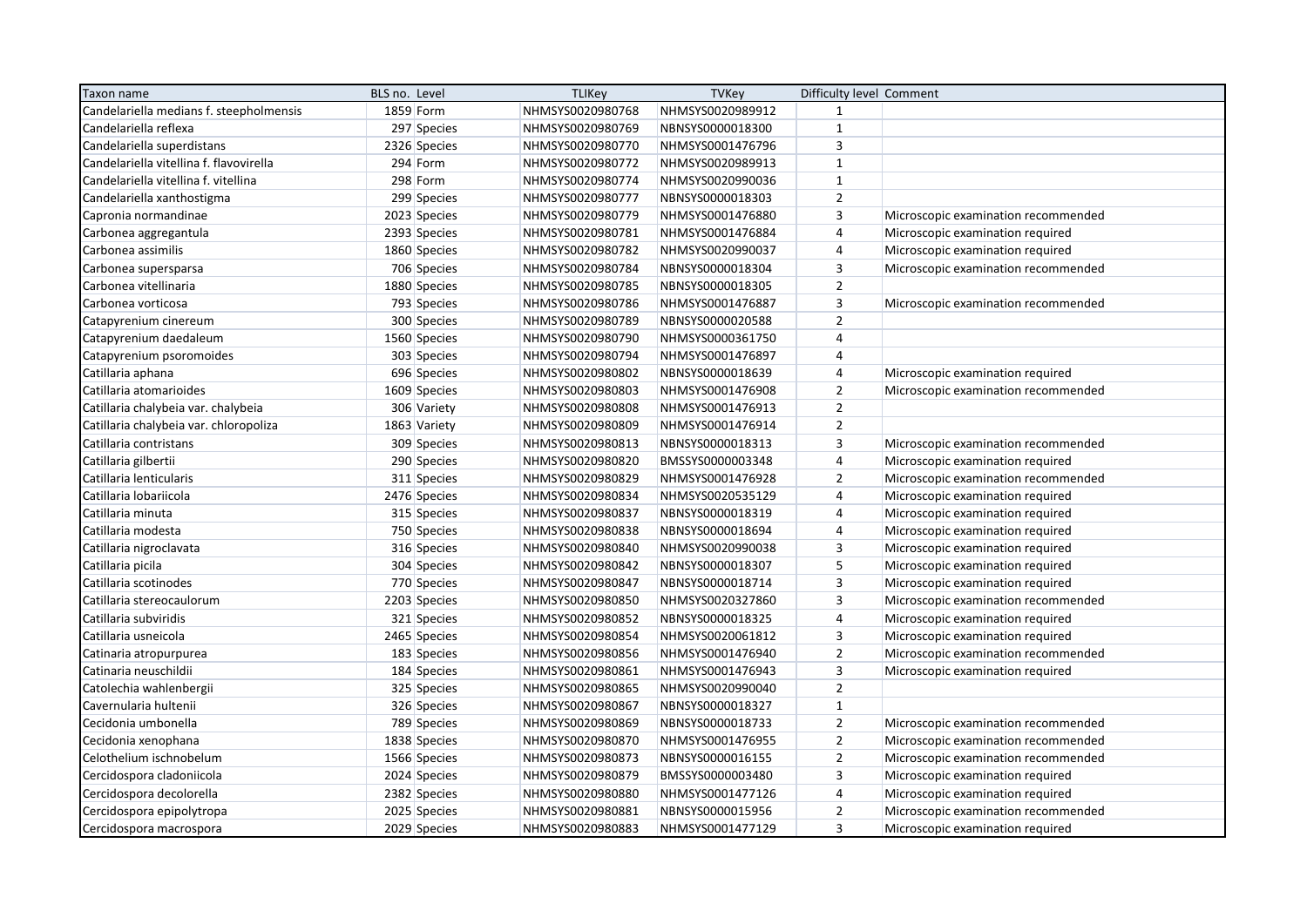| Taxon name                              | BLS no. Level | <b>TLIKey</b>    | <b>TVKey</b>     | Difficulty level Comment |                                     |
|-----------------------------------------|---------------|------------------|------------------|--------------------------|-------------------------------------|
| Candelariella medians f. steepholmensis | 1859 Form     | NHMSYS0020980768 | NHMSYS0020989912 | $\mathbf{1}$             |                                     |
| Candelariella reflexa                   | 297 Species   | NHMSYS0020980769 | NBNSYS0000018300 | $\mathbf{1}$             |                                     |
| Candelariella superdistans              | 2326 Species  | NHMSYS0020980770 | NHMSYS0001476796 | $\overline{\mathbf{3}}$  |                                     |
| Candelariella vitellina f. flavovirella | 294 Form      | NHMSYS0020980772 | NHMSYS0020989913 | $\mathbf{1}$             |                                     |
| Candelariella vitellina f. vitellina    | 298 Form      | NHMSYS0020980774 | NHMSYS0020990036 | $\mathbf{1}$             |                                     |
| Candelariella xanthostigma              | 299 Species   | NHMSYS0020980777 | NBNSYS0000018303 | $\mathbf 2$              |                                     |
| Capronia normandinae                    | 2023 Species  | NHMSYS0020980779 | NHMSYS0001476880 | 3                        | Microscopic examination recommended |
| Carbonea aggregantula                   | 2393 Species  | NHMSYS0020980781 | NHMSYS0001476884 | $\overline{4}$           | Microscopic examination required    |
| Carbonea assimilis                      | 1860 Species  | NHMSYS0020980782 | NHMSYS0020990037 | $\overline{4}$           | Microscopic examination required    |
| Carbonea supersparsa                    | 706 Species   | NHMSYS0020980784 | NBNSYS0000018304 | 3                        | Microscopic examination recommended |
| Carbonea vitellinaria                   | 1880 Species  | NHMSYS0020980785 | NBNSYS0000018305 | $\overline{2}$           |                                     |
| Carbonea vorticosa                      | 793 Species   | NHMSYS0020980786 | NHMSYS0001476887 | 3                        | Microscopic examination recommended |
| Catapyrenium cinereum                   | 300 Species   | NHMSYS0020980789 | NBNSYS0000020588 | $\overline{2}$           |                                     |
| Catapyrenium daedaleum                  | 1560 Species  | NHMSYS0020980790 | NHMSYS0000361750 | 4                        |                                     |
| Catapyrenium psoromoides                | 303 Species   | NHMSYS0020980794 | NHMSYS0001476897 | $\overline{4}$           |                                     |
| Catillaria aphana                       | 696 Species   | NHMSYS0020980802 | NBNSYS0000018639 | $\sqrt{4}$               | Microscopic examination required    |
| Catillaria atomarioides                 | 1609 Species  | NHMSYS0020980803 | NHMSYS0001476908 | $\overline{2}$           | Microscopic examination recommended |
| Catillaria chalybeia var. chalybeia     | 306 Variety   | NHMSYS0020980808 | NHMSYS0001476913 | $\overline{2}$           |                                     |
| Catillaria chalybeia var. chloropoliza  | 1863 Variety  | NHMSYS0020980809 | NHMSYS0001476914 | $\overline{2}$           |                                     |
| Catillaria contristans                  | 309 Species   | NHMSYS0020980813 | NBNSYS0000018313 | $\mathsf 3$              | Microscopic examination recommended |
| Catillaria gilbertii                    | 290 Species   | NHMSYS0020980820 | BMSSYS0000003348 | $\overline{4}$           | Microscopic examination required    |
| Catillaria lenticularis                 | 311 Species   | NHMSYS0020980829 | NHMSYS0001476928 | $\overline{2}$           | Microscopic examination recommended |
| Catillaria lobariicola                  | 2476 Species  | NHMSYS0020980834 | NHMSYS0020535129 | $\overline{4}$           | Microscopic examination required    |
| Catillaria minuta                       | 315 Species   | NHMSYS0020980837 | NBNSYS0000018319 | $\sqrt{4}$               | Microscopic examination required    |
| Catillaria modesta                      | 750 Species   | NHMSYS0020980838 | NBNSYS0000018694 | $\sqrt{4}$               | Microscopic examination required    |
| Catillaria nigroclavata                 | 316 Species   | NHMSYS0020980840 | NHMSYS0020990038 | 3                        | Microscopic examination required    |
| Catillaria picila                       | 304 Species   | NHMSYS0020980842 | NBNSYS0000018307 | 5                        | Microscopic examination required    |
| Catillaria scotinodes                   | 770 Species   | NHMSYS0020980847 | NBNSYS0000018714 | $\overline{\mathbf{3}}$  | Microscopic examination required    |
| Catillaria stereocaulorum               | 2203 Species  | NHMSYS0020980850 | NHMSYS0020327860 | $\overline{3}$           | Microscopic examination recommended |
| Catillaria subviridis                   | 321 Species   | NHMSYS0020980852 | NBNSYS0000018325 | $\sqrt{4}$               | Microscopic examination required    |
| Catillaria usneicola                    | 2465 Species  | NHMSYS0020980854 | NHMSYS0020061812 | $\mathsf 3$              | Microscopic examination required    |
| Catinaria atropurpurea                  | 183 Species   | NHMSYS0020980856 | NHMSYS0001476940 | $\overline{2}$           | Microscopic examination recommended |
| Catinaria neuschildii                   | 184 Species   | NHMSYS0020980861 | NHMSYS0001476943 | 3                        | Microscopic examination required    |
| Catolechia wahlenbergii                 | 325 Species   | NHMSYS0020980865 | NHMSYS0020990040 | $\mathbf 2$              |                                     |
| Cavernularia hultenii                   | 326 Species   | NHMSYS0020980867 | NBNSYS0000018327 | $\mathbf 1$              |                                     |
| Cecidonia umbonella                     | 789 Species   | NHMSYS0020980869 | NBNSYS0000018733 | $\overline{2}$           | Microscopic examination recommended |
| Cecidonia xenophana                     | 1838 Species  | NHMSYS0020980870 | NHMSYS0001476955 | $\mathbf 2$              | Microscopic examination recommended |
| Celothelium ischnobelum                 | 1566 Species  | NHMSYS0020980873 | NBNSYS0000016155 | $\overline{2}$           | Microscopic examination recommended |
| Cercidospora cladoniicola               | 2024 Species  | NHMSYS0020980879 | BMSSYS0000003480 | 3                        | Microscopic examination required    |
| Cercidospora decolorella                | 2382 Species  | NHMSYS0020980880 | NHMSYS0001477126 | $\pmb{4}$                | Microscopic examination required    |
| Cercidospora epipolytropa               | 2025 Species  | NHMSYS0020980881 | NBNSYS0000015956 | $\overline{2}$           | Microscopic examination recommended |
| Cercidospora macrospora                 | 2029 Species  | NHMSYS0020980883 | NHMSYS0001477129 | $\overline{3}$           | Microscopic examination required    |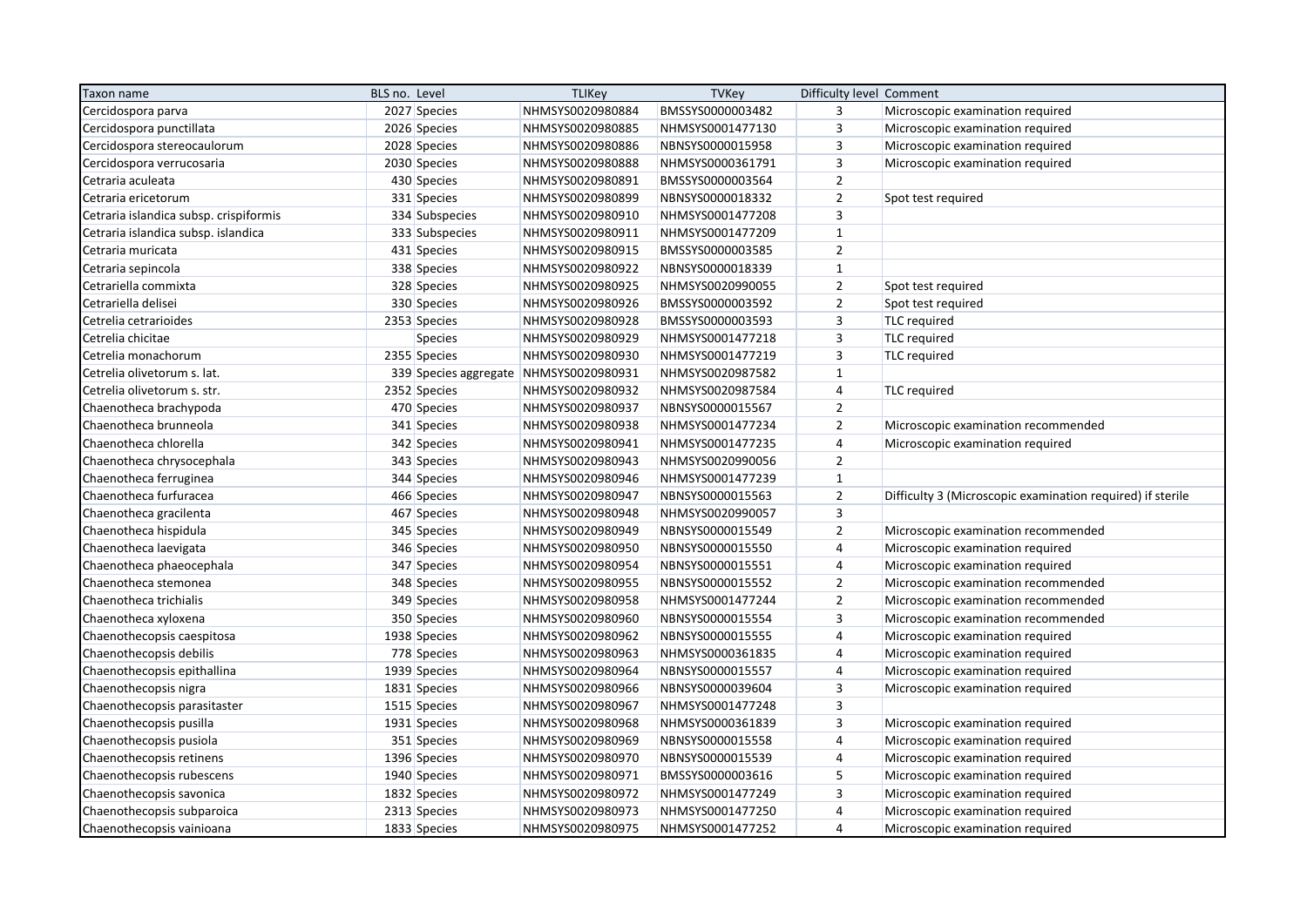| Taxon name                             | BLS no. Level |                | <b>TLIKey</b>                          | TVKey            | Difficulty level Comment |                                                            |
|----------------------------------------|---------------|----------------|----------------------------------------|------------------|--------------------------|------------------------------------------------------------|
| Cercidospora parva                     |               | 2027 Species   | NHMSYS0020980884                       | BMSSYS0000003482 | 3                        | Microscopic examination required                           |
| Cercidospora punctillata               |               | 2026 Species   | NHMSYS0020980885                       | NHMSYS0001477130 | 3                        | Microscopic examination required                           |
| Cercidospora stereocaulorum            |               | 2028 Species   | NHMSYS0020980886                       | NBNSYS0000015958 | 3                        | Microscopic examination required                           |
| Cercidospora verrucosaria              |               | 2030 Species   | NHMSYS0020980888                       | NHMSYS0000361791 | $\mathsf 3$              | Microscopic examination required                           |
| Cetraria aculeata                      |               | 430 Species    | NHMSYS0020980891                       | BMSSYS0000003564 | $\overline{2}$           |                                                            |
| Cetraria ericetorum                    |               | 331 Species    | NHMSYS0020980899                       | NBNSYS0000018332 | $\overline{2}$           | Spot test required                                         |
| Cetraria islandica subsp. crispiformis |               | 334 Subspecies | NHMSYS0020980910                       | NHMSYS0001477208 | $\overline{3}$           |                                                            |
| Cetraria islandica subsp. islandica    |               | 333 Subspecies | NHMSYS0020980911                       | NHMSYS0001477209 | $\mathbf{1}$             |                                                            |
| Cetraria muricata                      |               | 431 Species    | NHMSYS0020980915                       | BMSSYS0000003585 | $\overline{2}$           |                                                            |
| Cetraria sepincola                     |               | 338 Species    | NHMSYS0020980922                       | NBNSYS0000018339 | $\mathbf{1}$             |                                                            |
| Cetrariella commixta                   |               | 328 Species    | NHMSYS0020980925                       | NHMSYS0020990055 | $\overline{2}$           | Spot test required                                         |
| Cetrariella delisei                    |               | 330 Species    | NHMSYS0020980926                       | BMSSYS0000003592 | $\overline{2}$           | Spot test required                                         |
| Cetrelia cetrarioides                  |               | 2353 Species   | NHMSYS0020980928                       | BMSSYS0000003593 | $\mathsf 3$              | TLC required                                               |
| Cetrelia chicitae                      |               | <b>Species</b> | NHMSYS0020980929                       | NHMSYS0001477218 | $\overline{3}$           | TLC required                                               |
| Cetrelia monachorum                    |               | 2355 Species   | NHMSYS0020980930                       | NHMSYS0001477219 | 3                        | <b>TLC</b> required                                        |
| Cetrelia olivetorum s. lat.            |               |                | 339 Species aggregate NHMSYS0020980931 | NHMSYS0020987582 | $\mathbf{1}$             |                                                            |
| Cetrelia olivetorum s. str.            |               | 2352 Species   | NHMSYS0020980932                       | NHMSYS0020987584 | $\overline{\mathbf{r}}$  | <b>TLC</b> required                                        |
| Chaenotheca brachypoda                 |               | 470 Species    | NHMSYS0020980937                       | NBNSYS0000015567 | $\overline{2}$           |                                                            |
| Chaenotheca brunneola                  |               | 341 Species    | NHMSYS0020980938                       | NHMSYS0001477234 | $\overline{2}$           | Microscopic examination recommended                        |
| Chaenotheca chlorella                  |               | 342 Species    | NHMSYS0020980941                       | NHMSYS0001477235 | $\overline{4}$           | Microscopic examination required                           |
| Chaenotheca chrysocephala              |               | 343 Species    | NHMSYS0020980943                       | NHMSYS0020990056 | $\overline{2}$           |                                                            |
| Chaenotheca ferruginea                 |               | 344 Species    | NHMSYS0020980946                       | NHMSYS0001477239 | $\mathbf{1}$             |                                                            |
| Chaenotheca furfuracea                 |               | 466 Species    | NHMSYS0020980947                       | NBNSYS0000015563 | $\overline{2}$           | Difficulty 3 (Microscopic examination required) if sterile |
| Chaenotheca gracilenta                 |               | 467 Species    | NHMSYS0020980948                       | NHMSYS0020990057 | $\overline{3}$           |                                                            |
| Chaenotheca hispidula                  |               | 345 Species    | NHMSYS0020980949                       | NBNSYS0000015549 | $\overline{2}$           | Microscopic examination recommended                        |
| Chaenotheca laevigata                  |               | 346 Species    | NHMSYS0020980950                       | NBNSYS0000015550 | $\overline{4}$           | Microscopic examination required                           |
| Chaenotheca phaeocephala               |               | 347 Species    | NHMSYS0020980954                       | NBNSYS0000015551 | 4                        | Microscopic examination required                           |
| Chaenotheca stemonea                   |               | 348 Species    | NHMSYS0020980955                       | NBNSYS0000015552 | $\mathbf 2$              | Microscopic examination recommended                        |
| Chaenotheca trichialis                 |               | 349 Species    | NHMSYS0020980958                       | NHMSYS0001477244 | $\overline{2}$           | Microscopic examination recommended                        |
| Chaenotheca xyloxena                   |               | 350 Species    | NHMSYS0020980960                       | NBNSYS0000015554 | $\mathsf 3$              | Microscopic examination recommended                        |
| Chaenothecopsis caespitosa             |               | 1938 Species   | NHMSYS0020980962                       | NBNSYS0000015555 | $\overline{4}$           | Microscopic examination required                           |
| Chaenothecopsis debilis                |               | 778 Species    | NHMSYS0020980963                       | NHMSYS0000361835 | 4                        | Microscopic examination required                           |
| Chaenothecopsis epithallina            |               | 1939 Species   | NHMSYS0020980964                       | NBNSYS0000015557 | $\overline{4}$           | Microscopic examination required                           |
| Chaenothecopsis nigra                  |               | 1831 Species   | NHMSYS0020980966                       | NBNSYS0000039604 | 3                        | Microscopic examination required                           |
| Chaenothecopsis parasitaster           |               | 1515 Species   | NHMSYS0020980967                       | NHMSYS0001477248 | 3                        |                                                            |
| Chaenothecopsis pusilla                |               | 1931 Species   | NHMSYS0020980968                       | NHMSYS0000361839 | 3                        | Microscopic examination required                           |
| Chaenothecopsis pusiola                |               | 351 Species    | NHMSYS0020980969                       | NBNSYS0000015558 | $\overline{4}$           | Microscopic examination required                           |
| Chaenothecopsis retinens               |               | 1396 Species   | NHMSYS0020980970                       | NBNSYS0000015539 | $\overline{4}$           | Microscopic examination required                           |
| Chaenothecopsis rubescens              |               | 1940 Species   | NHMSYS0020980971                       | BMSSYS0000003616 | 5                        | Microscopic examination required                           |
| Chaenothecopsis savonica               |               | 1832 Species   | NHMSYS0020980972                       | NHMSYS0001477249 | $\overline{3}$           | Microscopic examination required                           |
| Chaenothecopsis subparoica             |               | 2313 Species   | NHMSYS0020980973                       | NHMSYS0001477250 | $\overline{4}$           | Microscopic examination required                           |
| Chaenothecopsis vainioana              |               | 1833 Species   | NHMSYS0020980975                       | NHMSYS0001477252 | $\overline{4}$           | Microscopic examination required                           |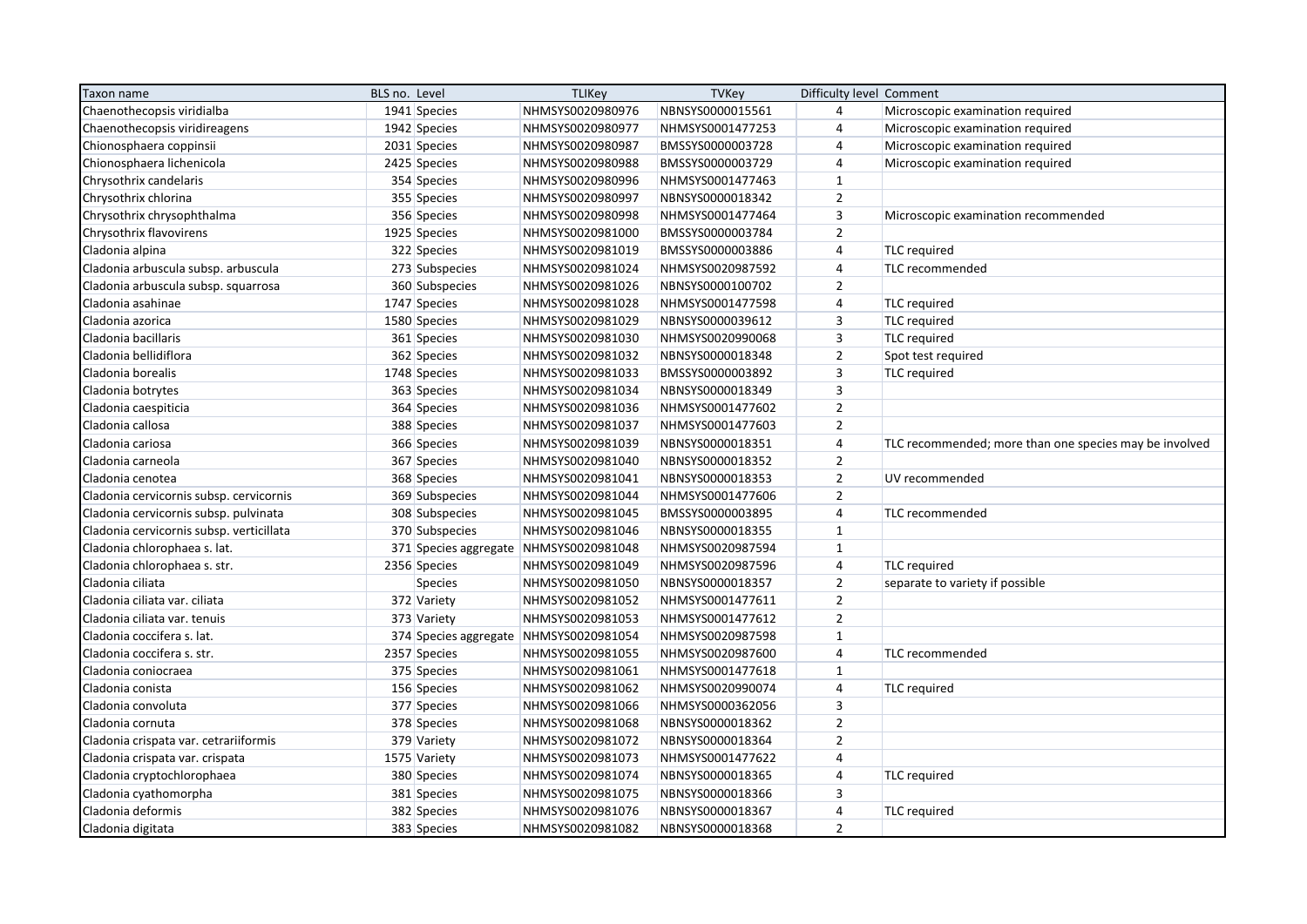| Taxon name                               | BLS no. Level |                | <b>TLIKey</b>                          | TVKey            | Difficulty level Comment |                                                        |
|------------------------------------------|---------------|----------------|----------------------------------------|------------------|--------------------------|--------------------------------------------------------|
| Chaenothecopsis viridialba               |               | 1941 Species   | NHMSYS0020980976                       | NBNSYS0000015561 | $\overline{4}$           | Microscopic examination required                       |
| Chaenothecopsis viridireagens            |               | 1942 Species   | NHMSYS0020980977                       | NHMSYS0001477253 | $\overline{4}$           | Microscopic examination required                       |
| Chionosphaera coppinsii                  |               | 2031 Species   | NHMSYS0020980987                       | BMSSYS0000003728 | $\overline{4}$           | Microscopic examination required                       |
| Chionosphaera lichenicola                |               | 2425 Species   | NHMSYS0020980988                       | BMSSYS0000003729 | $\overline{4}$           | Microscopic examination required                       |
| Chrysothrix candelaris                   |               | 354 Species    | NHMSYS0020980996                       | NHMSYS0001477463 | $\mathbf{1}$             |                                                        |
| Chrysothrix chlorina                     |               | 355 Species    | NHMSYS0020980997                       | NBNSYS0000018342 | $\overline{2}$           |                                                        |
| Chrysothrix chrysophthalma               |               | 356 Species    | NHMSYS0020980998                       | NHMSYS0001477464 | $\overline{3}$           | Microscopic examination recommended                    |
| Chrysothrix flavovirens                  |               | 1925 Species   | NHMSYS0020981000                       | BMSSYS0000003784 | $\overline{2}$           |                                                        |
| Cladonia alpina                          |               | 322 Species    | NHMSYS0020981019                       | BMSSYS0000003886 | 4                        | <b>TLC</b> required                                    |
| Cladonia arbuscula subsp. arbuscula      |               | 273 Subspecies | NHMSYS0020981024                       | NHMSYS0020987592 | $\overline{4}$           | TLC recommended                                        |
| Cladonia arbuscula subsp. squarrosa      |               | 360 Subspecies | NHMSYS0020981026                       | NBNSYS0000100702 | $\overline{2}$           |                                                        |
| Cladonia asahinae                        |               | 1747 Species   | NHMSYS0020981028                       | NHMSYS0001477598 | $\overline{4}$           | <b>TLC</b> required                                    |
| Cladonia azorica                         |               | 1580 Species   | NHMSYS0020981029                       | NBNSYS0000039612 | $\overline{3}$           | <b>TLC</b> required                                    |
| Cladonia bacillaris                      |               | 361 Species    | NHMSYS0020981030                       | NHMSYS0020990068 | 3                        | <b>TLC</b> required                                    |
| Cladonia bellidiflora                    |               | 362 Species    | NHMSYS0020981032                       | NBNSYS0000018348 | $\overline{2}$           | Spot test required                                     |
| Cladonia borealis                        |               | 1748 Species   | NHMSYS0020981033                       | BMSSYS0000003892 | $\mathsf 3$              | TLC required                                           |
| Cladonia botrytes                        |               | 363 Species    | NHMSYS0020981034                       | NBNSYS0000018349 | $\overline{3}$           |                                                        |
| Cladonia caespiticia                     |               | 364 Species    | NHMSYS0020981036                       | NHMSYS0001477602 | $\overline{2}$           |                                                        |
| Cladonia callosa                         |               | 388 Species    | NHMSYS0020981037                       | NHMSYS0001477603 | $\overline{2}$           |                                                        |
| Cladonia cariosa                         |               | 366 Species    | NHMSYS0020981039                       | NBNSYS0000018351 | $\overline{4}$           | TLC recommended; more than one species may be involved |
| Cladonia carneola                        |               | 367 Species    | NHMSYS0020981040                       | NBNSYS0000018352 | $\overline{2}$           |                                                        |
| Cladonia cenotea                         |               | 368 Species    | NHMSYS0020981041                       | NBNSYS0000018353 | $\overline{2}$           | UV recommended                                         |
| Cladonia cervicornis subsp. cervicornis  |               | 369 Subspecies | NHMSYS0020981044                       | NHMSYS0001477606 | $\overline{2}$           |                                                        |
| Cladonia cervicornis subsp. pulvinata    |               | 308 Subspecies | NHMSYS0020981045                       | BMSSYS0000003895 | $\overline{4}$           | TLC recommended                                        |
| Cladonia cervicornis subsp. verticillata |               | 370 Subspecies | NHMSYS0020981046                       | NBNSYS0000018355 | $\mathbf{1}$             |                                                        |
| Cladonia chlorophaea s. lat.             |               |                | 371 Species aggregate NHMSYS0020981048 | NHMSYS0020987594 | $\mathbf{1}$             |                                                        |
| Cladonia chlorophaea s. str.             |               | 2356 Species   | NHMSYS0020981049                       | NHMSYS0020987596 | $\overline{4}$           | <b>TLC</b> required                                    |
| Cladonia ciliata                         |               | <b>Species</b> | NHMSYS0020981050                       | NBNSYS0000018357 | $\overline{2}$           | separate to variety if possible                        |
| Cladonia ciliata var. ciliata            |               | 372 Variety    | NHMSYS0020981052                       | NHMSYS0001477611 | $\overline{2}$           |                                                        |
| Cladonia ciliata var. tenuis             |               | 373 Variety    | NHMSYS0020981053                       | NHMSYS0001477612 | $\overline{2}$           |                                                        |
| Cladonia coccifera s. lat.               |               |                | 374 Species aggregate NHMSYS0020981054 | NHMSYS0020987598 | $\mathbf{1}$             |                                                        |
| Cladonia coccifera s. str.               |               | 2357 Species   | NHMSYS0020981055                       | NHMSYS0020987600 | $\overline{4}$           | TLC recommended                                        |
| Cladonia coniocraea                      |               | 375 Species    | NHMSYS0020981061                       | NHMSYS0001477618 | $\mathbf{1}$             |                                                        |
| Cladonia conista                         |               | 156 Species    | NHMSYS0020981062                       | NHMSYS0020990074 | $\overline{4}$           | <b>TLC</b> required                                    |
| Cladonia convoluta                       |               | 377 Species    | NHMSYS0020981066                       | NHMSYS0000362056 | $\overline{3}$           |                                                        |
| Cladonia cornuta                         |               | 378 Species    | NHMSYS0020981068                       | NBNSYS0000018362 | $\overline{2}$           |                                                        |
| Cladonia crispata var. cetrariiformis    |               | 379 Variety    | NHMSYS0020981072                       | NBNSYS0000018364 | $\overline{2}$           |                                                        |
| Cladonia crispata var. crispata          |               | 1575 Variety   | NHMSYS0020981073                       | NHMSYS0001477622 | $\overline{4}$           |                                                        |
| Cladonia cryptochlorophaea               |               | 380 Species    | NHMSYS0020981074                       | NBNSYS0000018365 | 4                        | <b>TLC</b> required                                    |
| Cladonia cyathomorpha                    |               | 381 Species    | NHMSYS0020981075                       | NBNSYS0000018366 | $\overline{3}$           |                                                        |
| Cladonia deformis                        |               | 382 Species    | NHMSYS0020981076                       | NBNSYS0000018367 | 4                        | <b>TLC</b> required                                    |
| Cladonia digitata                        |               | 383 Species    | NHMSYS0020981082                       | NBNSYS0000018368 | $\overline{2}$           |                                                        |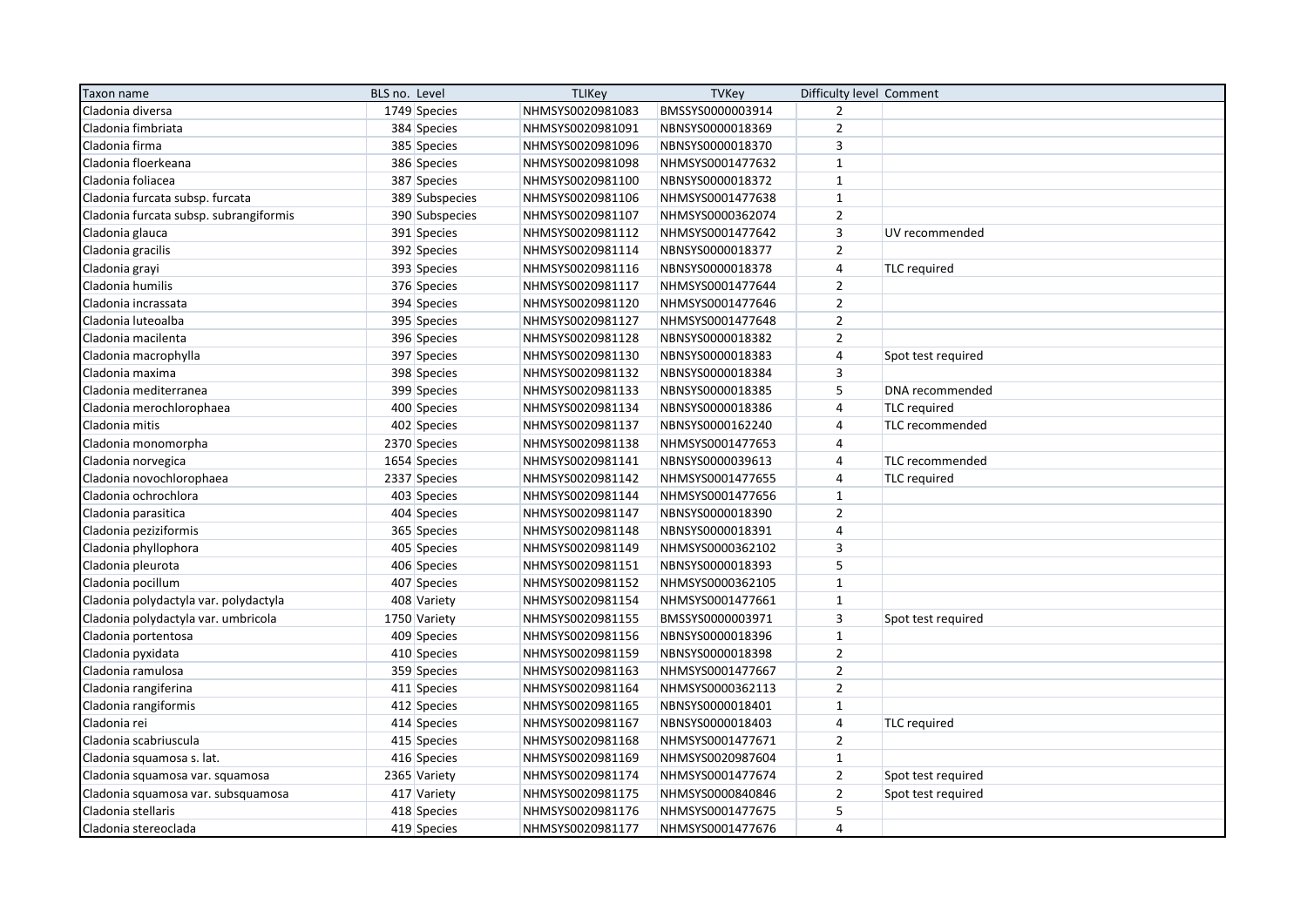| Taxon name                             | BLS no. Level |                | <b>TLIKey</b>    | <b>TVKey</b>     | Difficulty level Comment |                     |
|----------------------------------------|---------------|----------------|------------------|------------------|--------------------------|---------------------|
| Cladonia diversa                       |               | 1749 Species   | NHMSYS0020981083 | BMSSYS0000003914 | $\overline{2}$           |                     |
| Cladonia fimbriata                     |               | 384 Species    | NHMSYS0020981091 | NBNSYS0000018369 | $\overline{2}$           |                     |
| Cladonia firma                         |               | 385 Species    | NHMSYS0020981096 | NBNSYS0000018370 | 3                        |                     |
| Cladonia floerkeana                    |               | 386 Species    | NHMSYS0020981098 | NHMSYS0001477632 | $\mathbf{1}$             |                     |
| Cladonia foliacea                      |               | 387 Species    | NHMSYS0020981100 | NBNSYS0000018372 | $\mathbf{1}$             |                     |
| Cladonia furcata subsp. furcata        |               | 389 Subspecies | NHMSYS0020981106 | NHMSYS0001477638 | $\mathbf{1}$             |                     |
| Cladonia furcata subsp. subrangiformis |               | 390 Subspecies | NHMSYS0020981107 | NHMSYS0000362074 | $\overline{2}$           |                     |
| Cladonia glauca                        |               | 391 Species    | NHMSYS0020981112 | NHMSYS0001477642 | 3                        | UV recommended      |
| Cladonia gracilis                      |               | 392 Species    | NHMSYS0020981114 | NBNSYS0000018377 | $\overline{2}$           |                     |
| Cladonia grayi                         |               | 393 Species    | NHMSYS0020981116 | NBNSYS0000018378 | 4                        | TLC required        |
| Cladonia humilis                       |               | 376 Species    | NHMSYS0020981117 | NHMSYS0001477644 | $\overline{2}$           |                     |
| Cladonia incrassata                    |               | 394 Species    | NHMSYS0020981120 | NHMSYS0001477646 | $\mathbf 2$              |                     |
| Cladonia luteoalba                     |               | 395 Species    | NHMSYS0020981127 | NHMSYS0001477648 | $\overline{2}$           |                     |
| Cladonia macilenta                     |               | 396 Species    | NHMSYS0020981128 | NBNSYS0000018382 | $\overline{2}$           |                     |
| Cladonia macrophylla                   |               | 397 Species    | NHMSYS0020981130 | NBNSYS0000018383 | 4                        | Spot test required  |
| Cladonia maxima                        |               | 398 Species    | NHMSYS0020981132 | NBNSYS0000018384 | 3                        |                     |
| Cladonia mediterranea                  |               | 399 Species    | NHMSYS0020981133 | NBNSYS0000018385 | 5                        | DNA recommended     |
| Cladonia merochlorophaea               |               | 400 Species    | NHMSYS0020981134 | NBNSYS0000018386 | 4                        | <b>TLC</b> required |
| Cladonia mitis                         |               | 402 Species    | NHMSYS0020981137 | NBNSYS0000162240 | $\overline{4}$           | TLC recommended     |
| Cladonia monomorpha                    |               | 2370 Species   | NHMSYS0020981138 | NHMSYS0001477653 | $\overline{4}$           |                     |
| Cladonia norvegica                     |               | 1654 Species   | NHMSYS0020981141 | NBNSYS0000039613 | $\overline{4}$           | TLC recommended     |
| Cladonia novochlorophaea               |               | 2337 Species   | NHMSYS0020981142 | NHMSYS0001477655 | $\overline{4}$           | TLC required        |
| Cladonia ochrochlora                   |               | 403 Species    | NHMSYS0020981144 | NHMSYS0001477656 | $\mathbf{1}$             |                     |
| Cladonia parasitica                    |               | 404 Species    | NHMSYS0020981147 | NBNSYS0000018390 | $\overline{2}$           |                     |
| Cladonia peziziformis                  |               | 365 Species    | NHMSYS0020981148 | NBNSYS0000018391 | 4                        |                     |
| Cladonia phyllophora                   |               | 405 Species    | NHMSYS0020981149 | NHMSYS0000362102 | 3                        |                     |
| Cladonia pleurota                      |               | 406 Species    | NHMSYS0020981151 | NBNSYS0000018393 | 5                        |                     |
| Cladonia pocillum                      |               | 407 Species    | NHMSYS0020981152 | NHMSYS0000362105 | $\mathbf{1}$             |                     |
| Cladonia polydactyla var. polydactyla  |               | 408 Variety    | NHMSYS0020981154 | NHMSYS0001477661 | $\mathbf{1}$             |                     |
| Cladonia polydactyla var. umbricola    |               | 1750 Variety   | NHMSYS0020981155 | BMSSYS0000003971 | 3                        | Spot test required  |
| Cladonia portentosa                    |               | 409 Species    | NHMSYS0020981156 | NBNSYS0000018396 | $\mathbf{1}$             |                     |
| Cladonia pyxidata                      |               | 410 Species    | NHMSYS0020981159 | NBNSYS0000018398 | $\overline{2}$           |                     |
| Cladonia ramulosa                      |               | 359 Species    | NHMSYS0020981163 | NHMSYS0001477667 | $\overline{2}$           |                     |
| Cladonia rangiferina                   |               | 411 Species    | NHMSYS0020981164 | NHMSYS0000362113 | $\overline{2}$           |                     |
| Cladonia rangiformis                   |               | 412 Species    | NHMSYS0020981165 | NBNSYS0000018401 | $\mathbf{1}$             |                     |
| Cladonia rei                           |               | 414 Species    | NHMSYS0020981167 | NBNSYS0000018403 | 4                        | TLC required        |
| Cladonia scabriuscula                  |               | 415 Species    | NHMSYS0020981168 | NHMSYS0001477671 | $\overline{2}$           |                     |
| Cladonia squamosa s. lat.              |               | 416 Species    | NHMSYS0020981169 | NHMSYS0020987604 | $\mathbf{1}$             |                     |
| Cladonia squamosa var. squamosa        |               | 2365 Variety   | NHMSYS0020981174 | NHMSYS0001477674 | $\overline{2}$           | Spot test required  |
| Cladonia squamosa var. subsquamosa     |               | 417 Variety    | NHMSYS0020981175 | NHMSYS0000840846 | $\mathbf 2$              | Spot test required  |
| Cladonia stellaris                     |               | 418 Species    | NHMSYS0020981176 | NHMSYS0001477675 | 5                        |                     |
| Cladonia stereoclada                   |               | 419 Species    | NHMSYS0020981177 | NHMSYS0001477676 | 4                        |                     |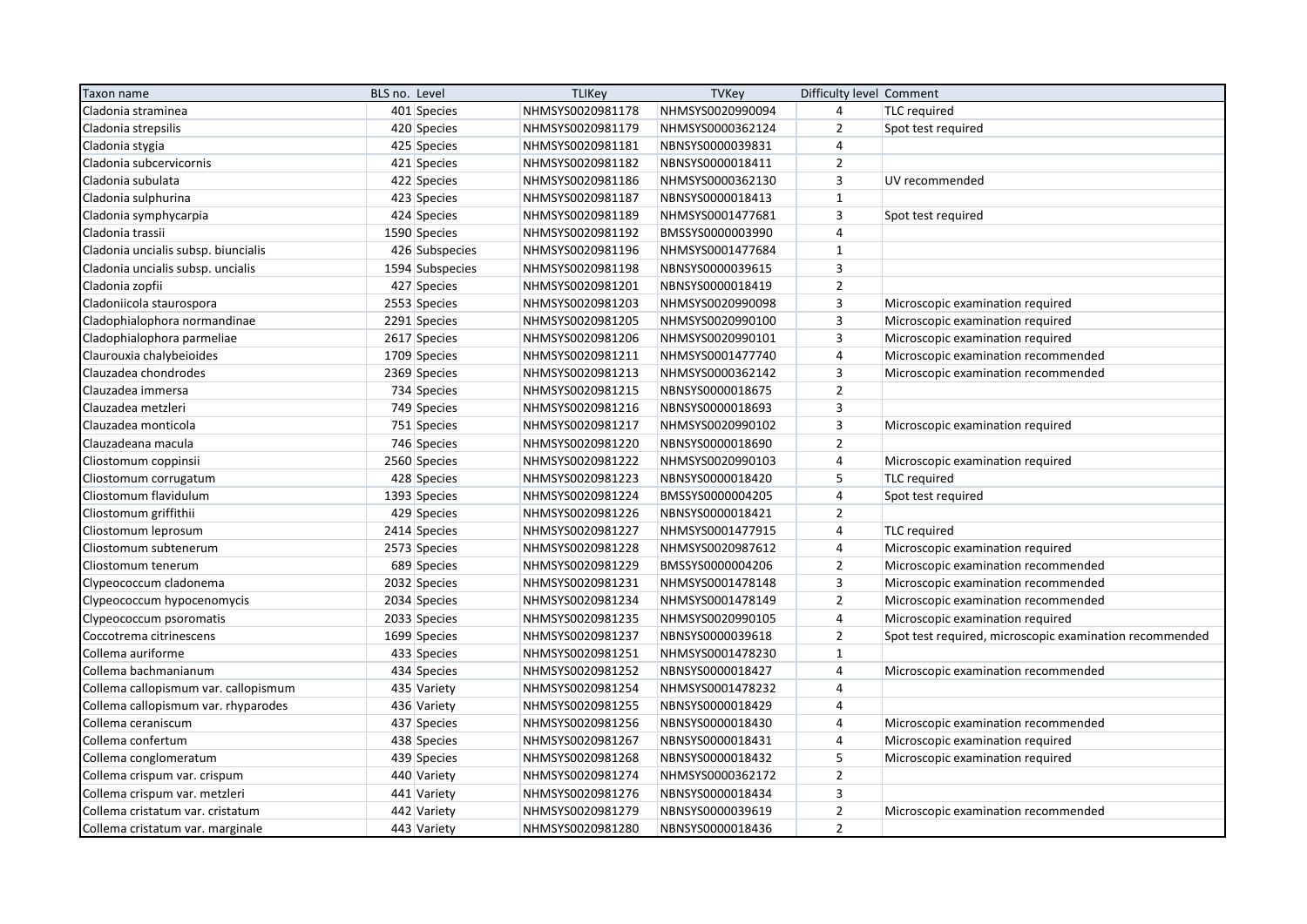| Taxon name                           | BLS no. Level   | <b>TLIKey</b>    | <b>TVKey</b>     | Difficulty level Comment |                                                         |
|--------------------------------------|-----------------|------------------|------------------|--------------------------|---------------------------------------------------------|
| Cladonia straminea                   | 401 Species     | NHMSYS0020981178 | NHMSYS0020990094 | $\overline{4}$           | <b>TLC</b> required                                     |
| Cladonia strepsilis                  | 420 Species     | NHMSYS0020981179 | NHMSYS0000362124 | $\overline{2}$           | Spot test required                                      |
| Cladonia stygia                      | 425 Species     | NHMSYS0020981181 | NBNSYS0000039831 | 4                        |                                                         |
| Cladonia subcervicornis              | 421 Species     | NHMSYS0020981182 | NBNSYS0000018411 | $\overline{2}$           |                                                         |
| Cladonia subulata                    | 422 Species     | NHMSYS0020981186 | NHMSYS0000362130 | $\overline{3}$           | UV recommended                                          |
| Cladonia sulphurina                  | 423 Species     | NHMSYS0020981187 | NBNSYS0000018413 | $\mathbf{1}$             |                                                         |
| Cladonia symphycarpia                | 424 Species     | NHMSYS0020981189 | NHMSYS0001477681 | $\overline{3}$           | Spot test required                                      |
| Cladonia trassii                     | 1590 Species    | NHMSYS0020981192 | BMSSYS0000003990 | $\overline{4}$           |                                                         |
| Cladonia uncialis subsp. biuncialis  | 426 Subspecies  | NHMSYS0020981196 | NHMSYS0001477684 | $\mathbf{1}$             |                                                         |
| Cladonia uncialis subsp. uncialis    | 1594 Subspecies | NHMSYS0020981198 | NBNSYS0000039615 | $\overline{\mathbf{3}}$  |                                                         |
| Cladonia zopfii                      | 427 Species     | NHMSYS0020981201 | NBNSYS0000018419 | $\overline{2}$           |                                                         |
| Cladoniicola staurospora             | 2553 Species    | NHMSYS0020981203 | NHMSYS0020990098 | $\overline{3}$           | Microscopic examination required                        |
| Cladophialophora normandinae         | 2291 Species    | NHMSYS0020981205 | NHMSYS0020990100 | $\overline{3}$           | Microscopic examination required                        |
| Cladophialophora parmeliae           | 2617 Species    | NHMSYS0020981206 | NHMSYS0020990101 | 3                        | Microscopic examination required                        |
| Claurouxia chalybeioides             | 1709 Species    | NHMSYS0020981211 | NHMSYS0001477740 | $\overline{4}$           | Microscopic examination recommended                     |
| Clauzadea chondrodes                 | 2369 Species    | NHMSYS0020981213 | NHMSYS0000362142 | $\overline{3}$           | Microscopic examination recommended                     |
| Clauzadea immersa                    | 734 Species     | NHMSYS0020981215 | NBNSYS0000018675 | $\overline{2}$           |                                                         |
| Clauzadea metzleri                   | 749 Species     | NHMSYS0020981216 | NBNSYS0000018693 | 3                        |                                                         |
| Clauzadea monticola                  | 751 Species     | NHMSYS0020981217 | NHMSYS0020990102 | $\overline{\mathbf{3}}$  | Microscopic examination required                        |
| Clauzadeana macula                   | 746 Species     | NHMSYS0020981220 | NBNSYS0000018690 | $\overline{2}$           |                                                         |
| Cliostomum coppinsii                 | 2560 Species    | NHMSYS0020981222 | NHMSYS0020990103 | 4                        | Microscopic examination required                        |
| Cliostomum corrugatum                | 428 Species     | NHMSYS0020981223 | NBNSYS0000018420 | 5                        | <b>TLC</b> required                                     |
| Cliostomum flavidulum                | 1393 Species    | NHMSYS0020981224 | BMSSYS0000004205 | $\overline{4}$           | Spot test required                                      |
| Cliostomum griffithii                | 429 Species     | NHMSYS0020981226 | NBNSYS0000018421 | $\overline{2}$           |                                                         |
| Cliostomum leprosum                  | 2414 Species    | NHMSYS0020981227 | NHMSYS0001477915 | 4                        | <b>TLC</b> required                                     |
| Cliostomum subtenerum                | 2573 Species    | NHMSYS0020981228 | NHMSYS0020987612 | $\overline{4}$           | Microscopic examination required                        |
| Cliostomum tenerum                   | 689 Species     | NHMSYS0020981229 | BMSSYS0000004206 | $\overline{2}$           | Microscopic examination recommended                     |
| Clypeococcum cladonema               | 2032 Species    | NHMSYS0020981231 | NHMSYS0001478148 | 3                        | Microscopic examination recommended                     |
| Clypeococcum hypocenomycis           | 2034 Species    | NHMSYS0020981234 | NHMSYS0001478149 | $\overline{2}$           | Microscopic examination recommended                     |
| Clypeococcum psoromatis              | 2033 Species    | NHMSYS0020981235 | NHMSYS0020990105 | 4                        | Microscopic examination required                        |
| Coccotrema citrinescens              | 1699 Species    | NHMSYS0020981237 | NBNSYS0000039618 | $\overline{2}$           | Spot test required, microscopic examination recommended |
| Collema auriforme                    | 433 Species     | NHMSYS0020981251 | NHMSYS0001478230 | $\mathbf{1}$             |                                                         |
| Collema bachmanianum                 | 434 Species     | NHMSYS0020981252 | NBNSYS0000018427 | $\overline{4}$           | Microscopic examination recommended                     |
| Collema callopismum var. callopismum | 435 Variety     | NHMSYS0020981254 | NHMSYS0001478232 | 4                        |                                                         |
| Collema callopismum var. rhyparodes  | 436 Variety     | NHMSYS0020981255 | NBNSYS0000018429 | $\overline{4}$           |                                                         |
| Collema ceraniscum                   | 437 Species     | NHMSYS0020981256 | NBNSYS0000018430 | $\overline{4}$           | Microscopic examination recommended                     |
| Collema confertum                    | 438 Species     | NHMSYS0020981267 | NBNSYS0000018431 | 4                        | Microscopic examination required                        |
| Collema conglomeratum                | 439 Species     | NHMSYS0020981268 | NBNSYS0000018432 | 5                        | Microscopic examination required                        |
| Collema crispum var. crispum         | 440 Variety     | NHMSYS0020981274 | NHMSYS0000362172 | $\overline{2}$           |                                                         |
| Collema crispum var. metzleri        | 441 Variety     | NHMSYS0020981276 | NBNSYS0000018434 | $\overline{\mathbf{3}}$  |                                                         |
| Collema cristatum var. cristatum     | 442 Variety     | NHMSYS0020981279 | NBNSYS0000039619 | $\mathbf 2$              | Microscopic examination recommended                     |
| Collema cristatum var. marginale     | 443 Variety     | NHMSYS0020981280 | NBNSYS0000018436 | $\overline{2}$           |                                                         |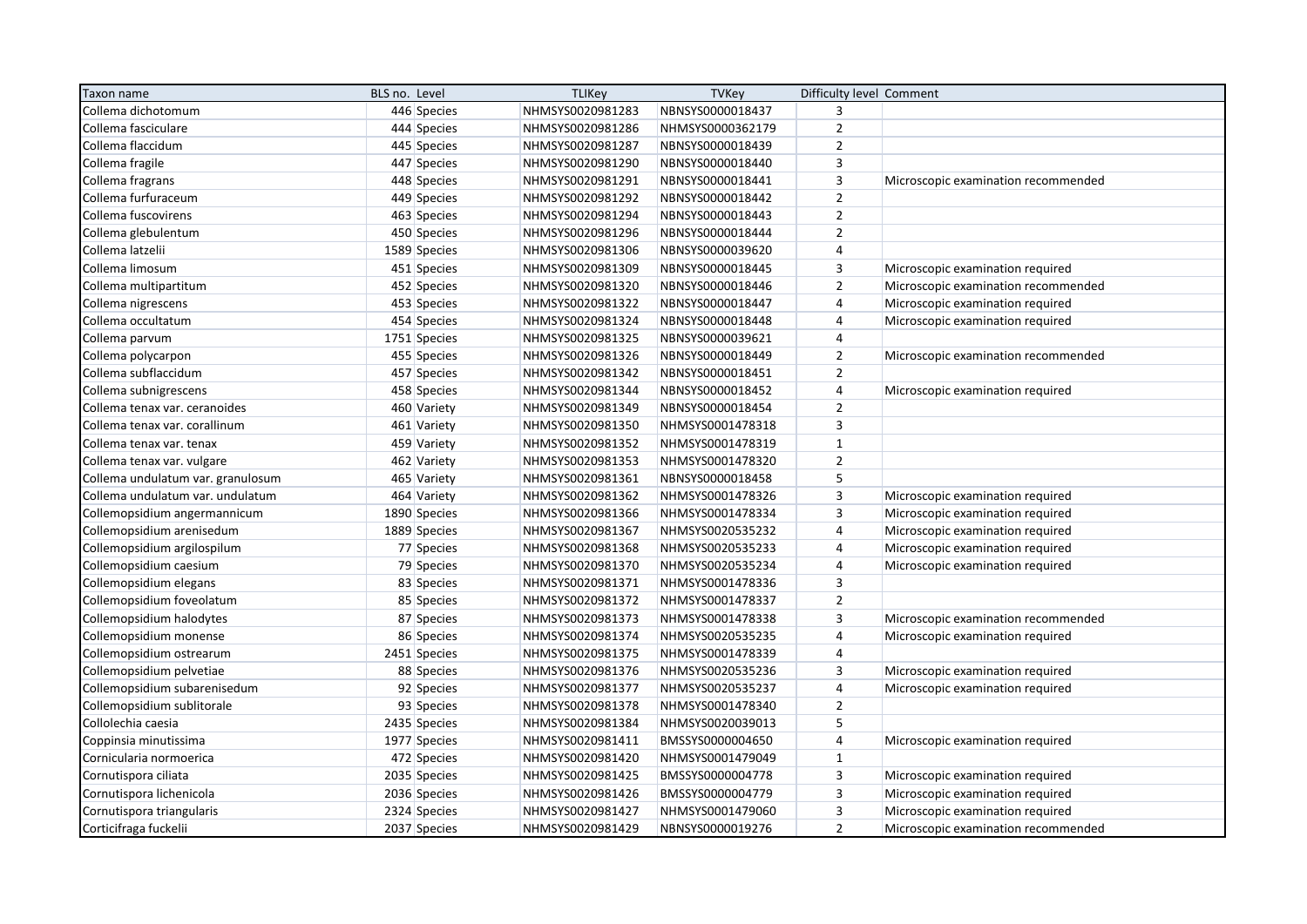| Taxon name                        | BLS no. Level | <b>TLIKey</b>    | <b>TVKey</b>     | Difficulty level Comment |                                     |
|-----------------------------------|---------------|------------------|------------------|--------------------------|-------------------------------------|
| Collema dichotomum                | 446 Species   | NHMSYS0020981283 | NBNSYS0000018437 | 3                        |                                     |
| Collema fasciculare               | 444 Species   | NHMSYS0020981286 | NHMSYS0000362179 | $\overline{2}$           |                                     |
| Collema flaccidum                 | 445 Species   | NHMSYS0020981287 | NBNSYS0000018439 | $\overline{2}$           |                                     |
| Collema fragile                   | 447 Species   | NHMSYS0020981290 | NBNSYS0000018440 | $\overline{\mathbf{3}}$  |                                     |
| Collema fragrans                  | 448 Species   | NHMSYS0020981291 | NBNSYS0000018441 | $\overline{3}$           | Microscopic examination recommended |
| Collema furfuraceum               | 449 Species   | NHMSYS0020981292 | NBNSYS0000018442 | $\overline{2}$           |                                     |
| Collema fuscovirens               | 463 Species   | NHMSYS0020981294 | NBNSYS0000018443 | $\overline{2}$           |                                     |
| Collema glebulentum               | 450 Species   | NHMSYS0020981296 | NBNSYS0000018444 | $\overline{2}$           |                                     |
| Collema latzelii                  | 1589 Species  | NHMSYS0020981306 | NBNSYS0000039620 | $\overline{4}$           |                                     |
| Collema limosum                   | 451 Species   | NHMSYS0020981309 | NBNSYS0000018445 | $\overline{3}$           | Microscopic examination required    |
| Collema multipartitum             | 452 Species   | NHMSYS0020981320 | NBNSYS0000018446 | $\overline{2}$           | Microscopic examination recommended |
| Collema nigrescens                | 453 Species   | NHMSYS0020981322 | NBNSYS0000018447 | $\overline{4}$           | Microscopic examination required    |
| Collema occultatum                | 454 Species   | NHMSYS0020981324 | NBNSYS0000018448 | $\overline{4}$           | Microscopic examination required    |
| Collema parvum                    | 1751 Species  | NHMSYS0020981325 | NBNSYS0000039621 | $\overline{4}$           |                                     |
| Collema polycarpon                | 455 Species   | NHMSYS0020981326 | NBNSYS0000018449 | $\overline{2}$           | Microscopic examination recommended |
| Collema subflaccidum              | 457 Species   | NHMSYS0020981342 | NBNSYS0000018451 | $\overline{2}$           |                                     |
| Collema subnigrescens             | 458 Species   | NHMSYS0020981344 | NBNSYS0000018452 | $\overline{4}$           | Microscopic examination required    |
| Collema tenax var. ceranoides     | 460 Variety   | NHMSYS0020981349 | NBNSYS0000018454 | $\overline{2}$           |                                     |
| Collema tenax var. corallinum     | 461 Variety   | NHMSYS0020981350 | NHMSYS0001478318 | $\overline{\mathbf{3}}$  |                                     |
| Collema tenax var. tenax          | 459 Variety   | NHMSYS0020981352 | NHMSYS0001478319 | $\mathbf{1}$             |                                     |
| Collema tenax var. vulgare        | 462 Variety   | NHMSYS0020981353 | NHMSYS0001478320 | $\overline{2}$           |                                     |
| Collema undulatum var. granulosum | 465 Variety   | NHMSYS0020981361 | NBNSYS0000018458 | 5                        |                                     |
| Collema undulatum var. undulatum  | 464 Variety   | NHMSYS0020981362 | NHMSYS0001478326 | $\overline{3}$           | Microscopic examination required    |
| Collemopsidium angermannicum      | 1890 Species  | NHMSYS0020981366 | NHMSYS0001478334 | $\overline{3}$           | Microscopic examination required    |
| Collemopsidium arenisedum         | 1889 Species  | NHMSYS0020981367 | NHMSYS0020535232 | $\overline{4}$           | Microscopic examination required    |
| Collemopsidium argilospilum       | 77 Species    | NHMSYS0020981368 | NHMSYS0020535233 | $\overline{4}$           | Microscopic examination required    |
| Collemopsidium caesium            | 79 Species    | NHMSYS0020981370 | NHMSYS0020535234 | 4                        | Microscopic examination required    |
| Collemopsidium elegans            | 83 Species    | NHMSYS0020981371 | NHMSYS0001478336 | $\overline{3}$           |                                     |
| Collemopsidium foveolatum         | 85 Species    | NHMSYS0020981372 | NHMSYS0001478337 | $\mathbf 2$              |                                     |
| Collemopsidium halodytes          | 87 Species    | NHMSYS0020981373 | NHMSYS0001478338 | 3                        | Microscopic examination recommended |
| Collemopsidium monense            | 86 Species    | NHMSYS0020981374 | NHMSYS0020535235 | $\overline{4}$           | Microscopic examination required    |
| Collemopsidium ostrearum          | 2451 Species  | NHMSYS0020981375 | NHMSYS0001478339 | $\overline{4}$           |                                     |
| Collemopsidium pelvetiae          | 88 Species    | NHMSYS0020981376 | NHMSYS0020535236 | $\overline{3}$           | Microscopic examination required    |
| Collemopsidium subarenisedum      | 92 Species    | NHMSYS0020981377 | NHMSYS0020535237 | $\overline{4}$           | Microscopic examination required    |
| Collemopsidium sublitorale        | 93 Species    | NHMSYS0020981378 | NHMSYS0001478340 | $\overline{2}$           |                                     |
| Collolechia caesia                | 2435 Species  | NHMSYS0020981384 | NHMSYS0020039013 | 5                        |                                     |
| Coppinsia minutissima             | 1977 Species  | NHMSYS0020981411 | BMSSYS0000004650 | 4                        | Microscopic examination required    |
| Cornicularia normoerica           | 472 Species   | NHMSYS0020981420 | NHMSYS0001479049 | $\mathbf{1}$             |                                     |
| Cornutispora ciliata              | 2035 Species  | NHMSYS0020981425 | BMSSYS0000004778 | $\overline{3}$           | Microscopic examination required    |
| Cornutispora lichenicola          | 2036 Species  | NHMSYS0020981426 | BMSSYS0000004779 | $\mathsf 3$              | Microscopic examination required    |
| Cornutispora triangularis         | 2324 Species  | NHMSYS0020981427 | NHMSYS0001479060 | 3                        | Microscopic examination required    |
| Corticifraga fuckelii             | 2037 Species  | NHMSYS0020981429 | NBNSYS0000019276 | $\overline{2}$           | Microscopic examination recommended |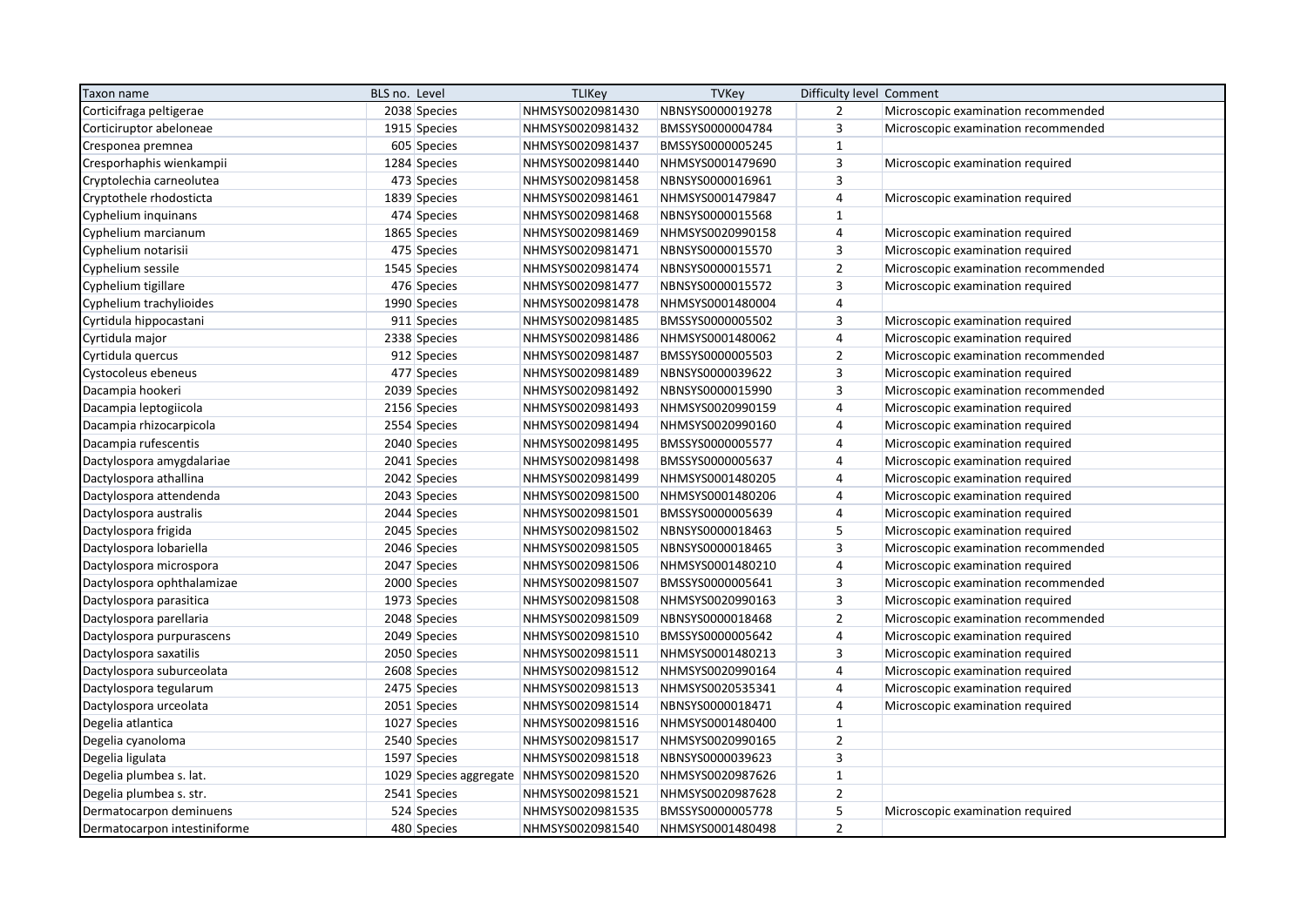| Taxon name                   | BLS no. Level                           | <b>TLIKey</b>    | <b>TVKey</b>     | Difficulty level Comment |                                     |
|------------------------------|-----------------------------------------|------------------|------------------|--------------------------|-------------------------------------|
| Corticifraga peltigerae      | 2038 Species                            | NHMSYS0020981430 | NBNSYS0000019278 | $\overline{2}$           | Microscopic examination recommended |
| Corticiruptor abeloneae      | 1915 Species                            | NHMSYS0020981432 | BMSSYS0000004784 | $\overline{3}$           | Microscopic examination recommended |
| Cresponea premnea            | 605 Species                             | NHMSYS0020981437 | BMSSYS0000005245 | $\mathbf{1}$             |                                     |
| Cresporhaphis wienkampii     | 1284 Species                            | NHMSYS0020981440 | NHMSYS0001479690 | $\overline{3}$           | Microscopic examination required    |
| Cryptolechia carneolutea     | 473 Species                             | NHMSYS0020981458 | NBNSYS0000016961 | $\overline{3}$           |                                     |
| Cryptothele rhodosticta      | 1839 Species                            | NHMSYS0020981461 | NHMSYS0001479847 | $\overline{4}$           | Microscopic examination required    |
| Cyphelium inquinans          | 474 Species                             | NHMSYS0020981468 | NBNSYS0000015568 | $\mathbf{1}$             |                                     |
| Cyphelium marcianum          | 1865 Species                            | NHMSYS0020981469 | NHMSYS0020990158 | $\overline{4}$           | Microscopic examination required    |
| Cyphelium notarisii          | 475 Species                             | NHMSYS0020981471 | NBNSYS0000015570 | $\overline{3}$           | Microscopic examination required    |
| Cyphelium sessile            | 1545 Species                            | NHMSYS0020981474 | NBNSYS0000015571 | $\overline{2}$           | Microscopic examination recommended |
| Cyphelium tigillare          | 476 Species                             | NHMSYS0020981477 | NBNSYS0000015572 | $\overline{3}$           | Microscopic examination required    |
| Cyphelium trachylioides      | 1990 Species                            | NHMSYS0020981478 | NHMSYS0001480004 | $\overline{4}$           |                                     |
| Cyrtidula hippocastani       | 911 Species                             | NHMSYS0020981485 | BMSSYS0000005502 | $\overline{3}$           | Microscopic examination required    |
| Cyrtidula major              | 2338 Species                            | NHMSYS0020981486 | NHMSYS0001480062 | $\overline{4}$           | Microscopic examination required    |
| Cyrtidula quercus            | 912 Species                             | NHMSYS0020981487 | BMSSYS0000005503 | $\overline{2}$           | Microscopic examination recommended |
| Cystocoleus ebeneus          | 477 Species                             | NHMSYS0020981489 | NBNSYS0000039622 | 3                        | Microscopic examination required    |
| Dacampia hookeri             | 2039 Species                            | NHMSYS0020981492 | NBNSYS0000015990 | $\overline{3}$           | Microscopic examination recommended |
| Dacampia leptogiicola        | 2156 Species                            | NHMSYS0020981493 | NHMSYS0020990159 | $\overline{4}$           | Microscopic examination required    |
| Dacampia rhizocarpicola      | 2554 Species                            | NHMSYS0020981494 | NHMSYS0020990160 | $\overline{4}$           | Microscopic examination required    |
| Dacampia rufescentis         | 2040 Species                            | NHMSYS0020981495 | BMSSYS0000005577 | $\overline{4}$           | Microscopic examination required    |
| Dactylospora amygdalariae    | 2041 Species                            | NHMSYS0020981498 | BMSSYS0000005637 | $\overline{4}$           | Microscopic examination required    |
| Dactylospora athallina       | 2042 Species                            | NHMSYS0020981499 | NHMSYS0001480205 | $\overline{4}$           | Microscopic examination required    |
| Dactylospora attendenda      | 2043 Species                            | NHMSYS0020981500 | NHMSYS0001480206 | $\overline{4}$           | Microscopic examination required    |
| Dactylospora australis       | 2044 Species                            | NHMSYS0020981501 | BMSSYS0000005639 | $\overline{4}$           | Microscopic examination required    |
| Dactylospora frigida         | 2045 Species                            | NHMSYS0020981502 | NBNSYS0000018463 | 5                        | Microscopic examination required    |
| Dactylospora lobariella      | 2046 Species                            | NHMSYS0020981505 | NBNSYS0000018465 | $\overline{3}$           | Microscopic examination recommended |
| Dactylospora microspora      | 2047 Species                            | NHMSYS0020981506 | NHMSYS0001480210 | $\overline{4}$           | Microscopic examination required    |
| Dactylospora ophthalamizae   | 2000 Species                            | NHMSYS0020981507 | BMSSYS0000005641 | $\overline{3}$           | Microscopic examination recommended |
| Dactylospora parasitica      | 1973 Species                            | NHMSYS0020981508 | NHMSYS0020990163 | $\overline{3}$           | Microscopic examination required    |
| Dactylospora parellaria      | 2048 Species                            | NHMSYS0020981509 | NBNSYS0000018468 | $\overline{2}$           | Microscopic examination recommended |
| Dactylospora purpurascens    | 2049 Species                            | NHMSYS0020981510 | BMSSYS0000005642 | $\overline{4}$           | Microscopic examination required    |
| Dactylospora saxatilis       | 2050 Species                            | NHMSYS0020981511 | NHMSYS0001480213 | $\overline{3}$           | Microscopic examination required    |
| Dactylospora suburceolata    | 2608 Species                            | NHMSYS0020981512 | NHMSYS0020990164 | $\overline{4}$           | Microscopic examination required    |
| Dactylospora tegularum       | 2475 Species                            | NHMSYS0020981513 | NHMSYS0020535341 | $\overline{4}$           | Microscopic examination required    |
| Dactylospora urceolata       | 2051 Species                            | NHMSYS0020981514 | NBNSYS0000018471 | $\overline{4}$           | Microscopic examination required    |
| Degelia atlantica            | 1027 Species                            | NHMSYS0020981516 | NHMSYS0001480400 | $\mathbf{1}$             |                                     |
| Degelia cyanoloma            | 2540 Species                            | NHMSYS0020981517 | NHMSYS0020990165 | $\overline{2}$           |                                     |
| Degelia ligulata             | 1597 Species                            | NHMSYS0020981518 | NBNSYS0000039623 | $\overline{\mathbf{3}}$  |                                     |
| Degelia plumbea s. lat.      | 1029 Species aggregate NHMSYS0020981520 |                  | NHMSYS0020987626 | $\mathbf{1}$             |                                     |
| Degelia plumbea s. str.      | 2541 Species                            | NHMSYS0020981521 | NHMSYS0020987628 | $\overline{2}$           |                                     |
| Dermatocarpon deminuens      | 524 Species                             | NHMSYS0020981535 | BMSSYS0000005778 | 5                        | Microscopic examination required    |
| Dermatocarpon intestiniforme | 480 Species                             | NHMSYS0020981540 | NHMSYS0001480498 | $\overline{2}$           |                                     |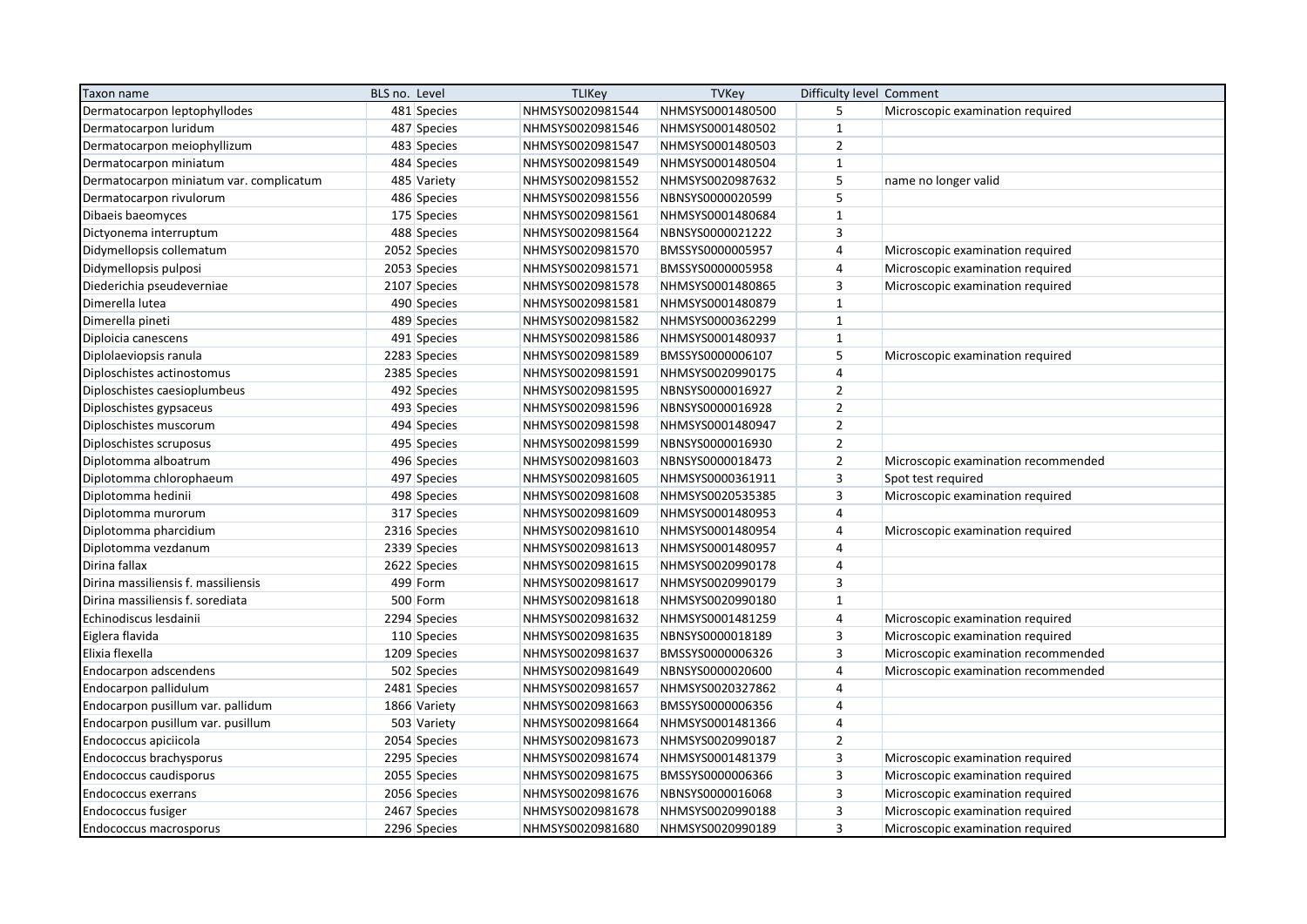| Taxon name                              | BLS no. Level |              | <b>TLIKey</b>    | <b>TVKey</b>     | Difficulty level Comment |                                     |
|-----------------------------------------|---------------|--------------|------------------|------------------|--------------------------|-------------------------------------|
| Dermatocarpon leptophyllodes            |               | 481 Species  | NHMSYS0020981544 | NHMSYS0001480500 | 5                        | Microscopic examination required    |
| Dermatocarpon luridum                   |               | 487 Species  | NHMSYS0020981546 | NHMSYS0001480502 | $\mathbf{1}$             |                                     |
| Dermatocarpon meiophyllizum             |               | 483 Species  | NHMSYS0020981547 | NHMSYS0001480503 | $\overline{2}$           |                                     |
| Dermatocarpon miniatum                  |               | 484 Species  | NHMSYS0020981549 | NHMSYS0001480504 | $\mathbf{1}$             |                                     |
| Dermatocarpon miniatum var. complicatum |               | 485 Variety  | NHMSYS0020981552 | NHMSYS0020987632 | 5                        | name no longer valid                |
| Dermatocarpon rivulorum                 |               | 486 Species  | NHMSYS0020981556 | NBNSYS0000020599 | 5                        |                                     |
| Dibaeis baeomyces                       |               | 175 Species  | NHMSYS0020981561 | NHMSYS0001480684 | $\mathbf{1}$             |                                     |
| Dictyonema interruptum                  |               | 488 Species  | NHMSYS0020981564 | NBNSYS0000021222 | $\overline{\mathbf{3}}$  |                                     |
| Didymellopsis collematum                |               | 2052 Species | NHMSYS0020981570 | BMSSYS0000005957 | $\overline{4}$           | Microscopic examination required    |
| Didymellopsis pulposi                   |               | 2053 Species | NHMSYS0020981571 | BMSSYS0000005958 | $\overline{4}$           | Microscopic examination required    |
| Diederichia pseudeverniae               |               | 2107 Species | NHMSYS0020981578 | NHMSYS0001480865 | 3                        | Microscopic examination required    |
| Dimerella lutea                         |               | 490 Species  | NHMSYS0020981581 | NHMSYS0001480879 | $\mathbf{1}$             |                                     |
| Dimerella pineti                        |               | 489 Species  | NHMSYS0020981582 | NHMSYS0000362299 | $\mathbf{1}$             |                                     |
| Diploicia canescens                     |               | 491 Species  | NHMSYS0020981586 | NHMSYS0001480937 | $\mathbf{1}$             |                                     |
| Diplolaeviopsis ranula                  |               | 2283 Species | NHMSYS0020981589 | BMSSYS0000006107 | 5                        | Microscopic examination required    |
| Diploschistes actinostomus              |               | 2385 Species | NHMSYS0020981591 | NHMSYS0020990175 | $\overline{4}$           |                                     |
| Diploschistes caesioplumbeus            |               | 492 Species  | NHMSYS0020981595 | NBNSYS0000016927 | $\overline{2}$           |                                     |
| Diploschistes gypsaceus                 |               | 493 Species  | NHMSYS0020981596 | NBNSYS0000016928 | $\overline{2}$           |                                     |
| Diploschistes muscorum                  |               | 494 Species  | NHMSYS0020981598 | NHMSYS0001480947 | $\overline{2}$           |                                     |
| Diploschistes scruposus                 |               | 495 Species  | NHMSYS0020981599 | NBNSYS0000016930 | $\overline{2}$           |                                     |
| Diplotomma alboatrum                    |               | 496 Species  | NHMSYS0020981603 | NBNSYS0000018473 | $\overline{2}$           | Microscopic examination recommended |
| Diplotomma chlorophaeum                 |               | 497 Species  | NHMSYS0020981605 | NHMSYS0000361911 | $\overline{3}$           | Spot test required                  |
| Diplotomma hedinii                      |               | 498 Species  | NHMSYS0020981608 | NHMSYS0020535385 | $\overline{3}$           | Microscopic examination required    |
| Diplotomma murorum                      |               | 317 Species  | NHMSYS0020981609 | NHMSYS0001480953 | $\overline{4}$           |                                     |
| Diplotomma pharcidium                   |               | 2316 Species | NHMSYS0020981610 | NHMSYS0001480954 | $\overline{4}$           | Microscopic examination required    |
| Diplotomma vezdanum                     |               | 2339 Species | NHMSYS0020981613 | NHMSYS0001480957 | $\overline{4}$           |                                     |
| Dirina fallax                           |               | 2622 Species | NHMSYS0020981615 | NHMSYS0020990178 | $\overline{4}$           |                                     |
| Dirina massiliensis f. massiliensis     |               | 499 Form     | NHMSYS0020981617 | NHMSYS0020990179 | $\overline{3}$           |                                     |
| Dirina massiliensis f. sorediata        |               | 500 Form     | NHMSYS0020981618 | NHMSYS0020990180 | $\mathbf{1}$             |                                     |
| Echinodiscus lesdainii                  |               | 2294 Species | NHMSYS0020981632 | NHMSYS0001481259 | $\overline{4}$           | Microscopic examination required    |
| Eiglera flavida                         |               | 110 Species  | NHMSYS0020981635 | NBNSYS0000018189 | $\overline{3}$           | Microscopic examination required    |
| Elixia flexella                         |               | 1209 Species | NHMSYS0020981637 | BMSSYS0000006326 | $\overline{3}$           | Microscopic examination recommended |
| Endocarpon adscendens                   |               | 502 Species  | NHMSYS0020981649 | NBNSYS0000020600 | 4                        | Microscopic examination recommended |
| Endocarpon pallidulum                   |               | 2481 Species | NHMSYS0020981657 | NHMSYS0020327862 | $\overline{4}$           |                                     |
| Endocarpon pusillum var. pallidum       |               | 1866 Variety | NHMSYS0020981663 | BMSSYS0000006356 | $\overline{4}$           |                                     |
| Endocarpon pusillum var. pusillum       |               | 503 Variety  | NHMSYS0020981664 | NHMSYS0001481366 | $\overline{4}$           |                                     |
| Endococcus apiciicola                   |               | 2054 Species | NHMSYS0020981673 | NHMSYS0020990187 | $\overline{2}$           |                                     |
| Endococcus brachysporus                 |               | 2295 Species | NHMSYS0020981674 | NHMSYS0001481379 | $\overline{\mathbf{3}}$  | Microscopic examination required    |
| Endococcus caudisporus                  |               | 2055 Species | NHMSYS0020981675 | BMSSYS0000006366 | $\overline{3}$           | Microscopic examination required    |
| Endococcus exerrans                     |               | 2056 Species | NHMSYS0020981676 | NBNSYS0000016068 | $\overline{3}$           | Microscopic examination required    |
| Endococcus fusiger                      |               | 2467 Species | NHMSYS0020981678 | NHMSYS0020990188 | $\overline{3}$           | Microscopic examination required    |
| Endococcus macrosporus                  |               | 2296 Species | NHMSYS0020981680 | NHMSYS0020990189 | $\overline{3}$           | Microscopic examination required    |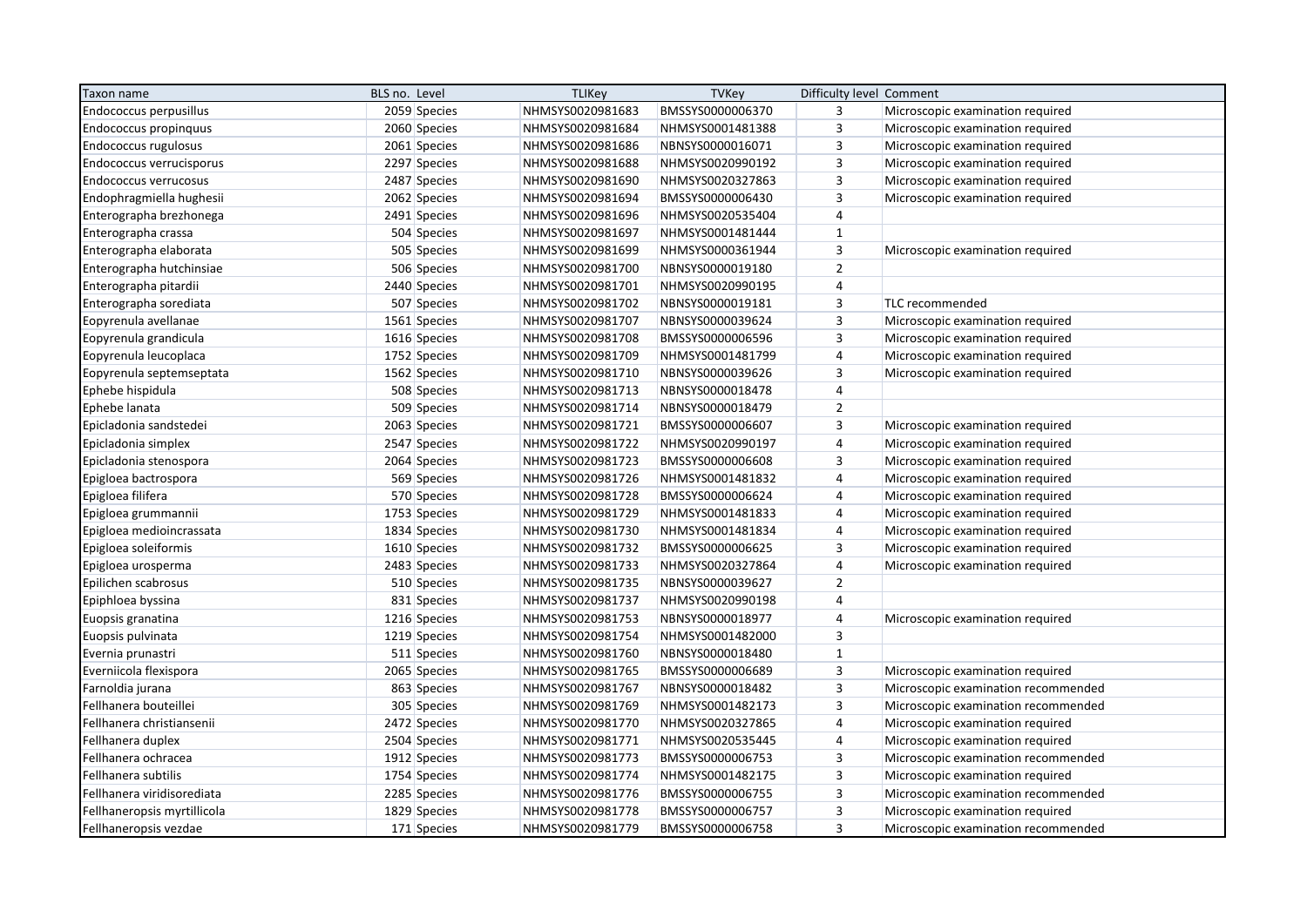| Taxon name                   | BLS no. Level | <b>TLIKey</b>    | <b>TVKey</b>     | Difficulty level Comment |                                     |
|------------------------------|---------------|------------------|------------------|--------------------------|-------------------------------------|
| Endococcus perpusillus       | 2059 Species  | NHMSYS0020981683 | BMSSYS0000006370 | 3                        | Microscopic examination required    |
| Endococcus propinguus        | 2060 Species  | NHMSYS0020981684 | NHMSYS0001481388 | $\overline{3}$           | Microscopic examination required    |
| Endococcus rugulosus         | 2061 Species  | NHMSYS0020981686 | NBNSYS0000016071 | 3                        | Microscopic examination required    |
| Endococcus verrucisporus     | 2297 Species  | NHMSYS0020981688 | NHMSYS0020990192 | $\overline{3}$           | Microscopic examination required    |
| <b>Endococcus verrucosus</b> | 2487 Species  | NHMSYS0020981690 | NHMSYS0020327863 | $\overline{3}$           | Microscopic examination required    |
| Endophragmiella hughesii     | 2062 Species  | NHMSYS0020981694 | BMSSYS0000006430 | $\overline{3}$           | Microscopic examination required    |
| Enterographa brezhonega      | 2491 Species  | NHMSYS0020981696 | NHMSYS0020535404 | $\overline{4}$           |                                     |
| Enterographa crassa          | 504 Species   | NHMSYS0020981697 | NHMSYS0001481444 | $\mathbf{1}$             |                                     |
| Enterographa elaborata       | 505 Species   | NHMSYS0020981699 | NHMSYS0000361944 | $\overline{3}$           | Microscopic examination required    |
| Enterographa hutchinsiae     | 506 Species   | NHMSYS0020981700 | NBNSYS0000019180 | $\overline{2}$           |                                     |
| Enterographa pitardii        | 2440 Species  | NHMSYS0020981701 | NHMSYS0020990195 | $\overline{4}$           |                                     |
| Enterographa sorediata       | 507 Species   | NHMSYS0020981702 | NBNSYS0000019181 | 3                        | TLC recommended                     |
| Eopyrenula avellanae         | 1561 Species  | NHMSYS0020981707 | NBNSYS0000039624 | $\overline{3}$           | Microscopic examination required    |
| Eopyrenula grandicula        | 1616 Species  | NHMSYS0020981708 | BMSSYS0000006596 | $\overline{3}$           | Microscopic examination required    |
| Eopyrenula leucoplaca        | 1752 Species  | NHMSYS0020981709 | NHMSYS0001481799 | $\overline{4}$           | Microscopic examination required    |
| Eopyrenula septemseptata     | 1562 Species  | NHMSYS0020981710 | NBNSYS0000039626 | $\overline{3}$           | Microscopic examination required    |
| Ephebe hispidula             | 508 Species   | NHMSYS0020981713 | NBNSYS0000018478 | $\overline{4}$           |                                     |
| Ephebe lanata                | 509 Species   | NHMSYS0020981714 | NBNSYS0000018479 | $\overline{2}$           |                                     |
| Epicladonia sandstedei       | 2063 Species  | NHMSYS0020981721 | BMSSYS0000006607 | $\overline{3}$           | Microscopic examination required    |
| Epicladonia simplex          | 2547 Species  | NHMSYS0020981722 | NHMSYS0020990197 | $\overline{4}$           | Microscopic examination required    |
| Epicladonia stenospora       | 2064 Species  | NHMSYS0020981723 | BMSSYS0000006608 | $\overline{3}$           | Microscopic examination required    |
| Epigloea bactrospora         | 569 Species   | NHMSYS0020981726 | NHMSYS0001481832 | $\overline{4}$           | Microscopic examination required    |
| Epigloea filifera            | 570 Species   | NHMSYS0020981728 | BMSSYS0000006624 | $\overline{4}$           | Microscopic examination required    |
| Epigloea grummannii          | 1753 Species  | NHMSYS0020981729 | NHMSYS0001481833 | $\overline{4}$           | Microscopic examination required    |
| Epigloea medioincrassata     | 1834 Species  | NHMSYS0020981730 | NHMSYS0001481834 | $\overline{4}$           | Microscopic examination required    |
| Epigloea soleiformis         | 1610 Species  | NHMSYS0020981732 | BMSSYS0000006625 | $\overline{\mathbf{3}}$  | Microscopic examination required    |
| Epigloea urosperma           | 2483 Species  | NHMSYS0020981733 | NHMSYS0020327864 | $\overline{4}$           | Microscopic examination required    |
| Epilichen scabrosus          | 510 Species   | NHMSYS0020981735 | NBNSYS0000039627 | $\overline{2}$           |                                     |
| Epiphloea byssina            | 831 Species   | NHMSYS0020981737 | NHMSYS0020990198 | $\overline{4}$           |                                     |
| Euopsis granatina            | 1216 Species  | NHMSYS0020981753 | NBNSYS0000018977 | $\overline{4}$           | Microscopic examination required    |
| Euopsis pulvinata            | 1219 Species  | NHMSYS0020981754 | NHMSYS0001482000 | $\overline{3}$           |                                     |
| Evernia prunastri            | 511 Species   | NHMSYS0020981760 | NBNSYS0000018480 | $\mathbf{1}$             |                                     |
| Everniicola flexispora       | 2065 Species  | NHMSYS0020981765 | BMSSYS0000006689 | $\overline{3}$           | Microscopic examination required    |
| Farnoldia jurana             | 863 Species   | NHMSYS0020981767 | NBNSYS0000018482 | $\overline{3}$           | Microscopic examination recommended |
| Fellhanera bouteillei        | 305 Species   | NHMSYS0020981769 | NHMSYS0001482173 | $\overline{3}$           | Microscopic examination recommended |
| Fellhanera christiansenii    | 2472 Species  | NHMSYS0020981770 | NHMSYS0020327865 | $\overline{4}$           | Microscopic examination required    |
| Fellhanera duplex            | 2504 Species  | NHMSYS0020981771 | NHMSYS0020535445 | $\overline{4}$           | Microscopic examination required    |
| Fellhanera ochracea          | 1912 Species  | NHMSYS0020981773 | BMSSYS0000006753 | $\overline{3}$           | Microscopic examination recommended |
| Fellhanera subtilis          | 1754 Species  | NHMSYS0020981774 | NHMSYS0001482175 | $\overline{3}$           | Microscopic examination required    |
| Fellhanera viridisorediata   | 2285 Species  | NHMSYS0020981776 | BMSSYS0000006755 | $\overline{3}$           | Microscopic examination recommended |
| Fellhaneropsis myrtillicola  | 1829 Species  | NHMSYS0020981778 | BMSSYS0000006757 | $\overline{3}$           | Microscopic examination required    |
| Fellhaneropsis vezdae        | 171 Species   | NHMSYS0020981779 | BMSSYS0000006758 | $\overline{3}$           | Microscopic examination recommended |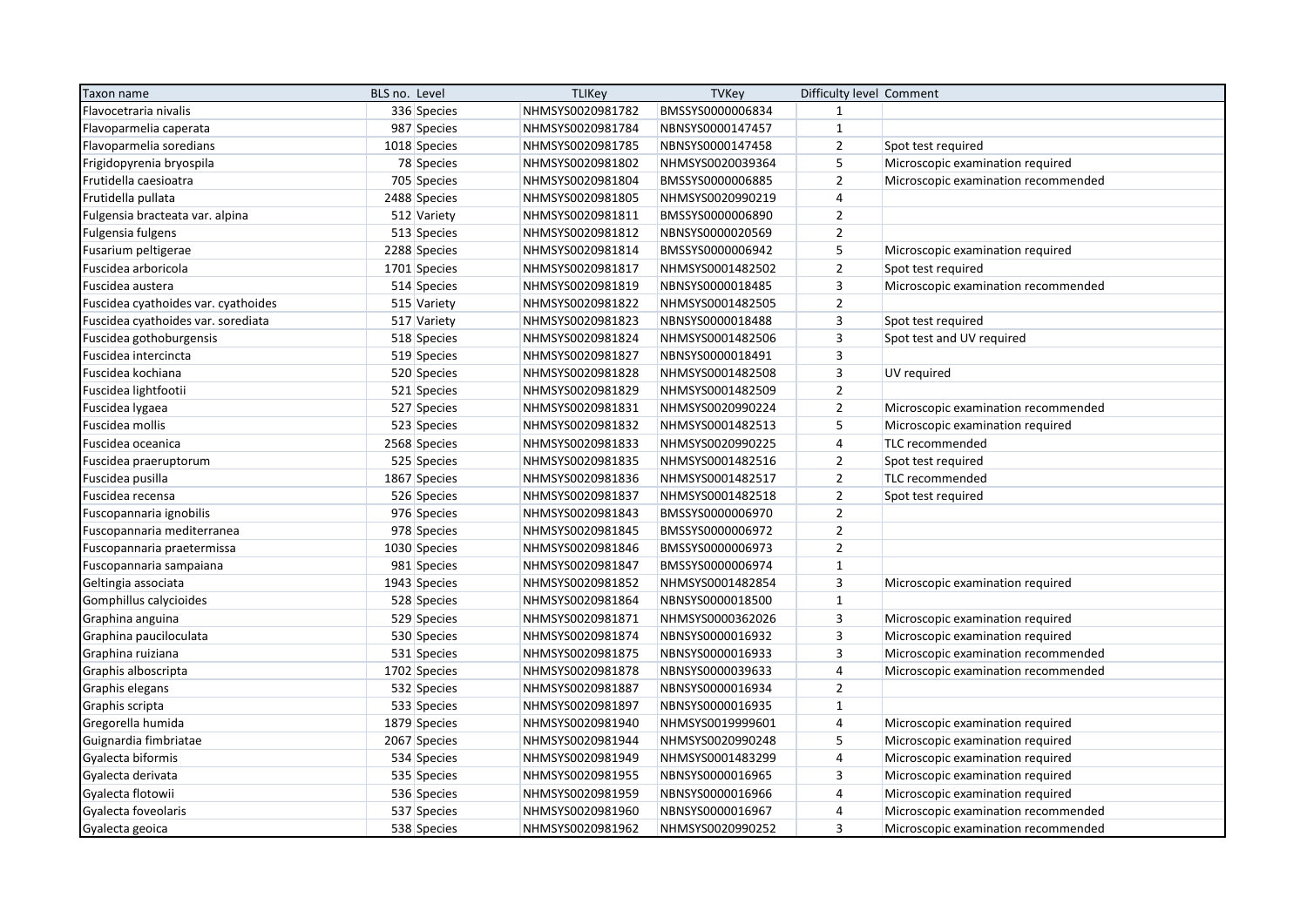| Taxon name                          | BLS no. Level | <b>TLIKey</b>    | <b>TVKey</b>     | Difficulty level Comment |                                     |
|-------------------------------------|---------------|------------------|------------------|--------------------------|-------------------------------------|
| Flavocetraria nivalis               | 336 Species   | NHMSYS0020981782 | BMSSYS0000006834 | $\mathbf{1}$             |                                     |
| Flavoparmelia caperata              | 987 Species   | NHMSYS0020981784 | NBNSYS0000147457 | $\mathbf 1$              |                                     |
| Flavoparmelia soredians             | 1018 Species  | NHMSYS0020981785 | NBNSYS0000147458 | $\overline{2}$           | Spot test required                  |
| Frigidopyrenia bryospila            | 78 Species    | NHMSYS0020981802 | NHMSYS0020039364 | 5                        | Microscopic examination required    |
| Frutidella caesioatra               | 705 Species   | NHMSYS0020981804 | BMSSYS0000006885 | $\overline{2}$           | Microscopic examination recommended |
| Frutidella pullata                  | 2488 Species  | NHMSYS0020981805 | NHMSYS0020990219 | $\overline{4}$           |                                     |
| Fulgensia bracteata var. alpina     | 512 Variety   | NHMSYS0020981811 | BMSSYS0000006890 | $\overline{2}$           |                                     |
| Fulgensia fulgens                   | 513 Species   | NHMSYS0020981812 | NBNSYS0000020569 | $\overline{2}$           |                                     |
| Fusarium peltigerae                 | 2288 Species  | NHMSYS0020981814 | BMSSYS0000006942 | 5                        | Microscopic examination required    |
| Fuscidea arboricola                 | 1701 Species  | NHMSYS0020981817 | NHMSYS0001482502 | $\mathbf 2$              | Spot test required                  |
| Fuscidea austera                    | 514 Species   | NHMSYS0020981819 | NBNSYS0000018485 | 3                        | Microscopic examination recommended |
| Fuscidea cyathoides var. cyathoides | 515 Variety   | NHMSYS0020981822 | NHMSYS0001482505 | $\overline{2}$           |                                     |
| Fuscidea cyathoides var. sorediata  | 517 Variety   | NHMSYS0020981823 | NBNSYS0000018488 | $\mathsf 3$              | Spot test required                  |
| Fuscidea gothoburgensis             | 518 Species   | NHMSYS0020981824 | NHMSYS0001482506 | $\overline{3}$           | Spot test and UV required           |
| Fuscidea intercincta                | 519 Species   | NHMSYS0020981827 | NBNSYS0000018491 | $\overline{3}$           |                                     |
| Fuscidea kochiana                   | 520 Species   | NHMSYS0020981828 | NHMSYS0001482508 | $\overline{3}$           | UV required                         |
| Fuscidea lightfootii                | 521 Species   | NHMSYS0020981829 | NHMSYS0001482509 | $\overline{2}$           |                                     |
| Fuscidea lygaea                     | 527 Species   | NHMSYS0020981831 | NHMSYS0020990224 | $\overline{2}$           | Microscopic examination recommended |
| Fuscidea mollis                     | 523 Species   | NHMSYS0020981832 | NHMSYS0001482513 | 5                        | Microscopic examination required    |
| Fuscidea oceanica                   | 2568 Species  | NHMSYS0020981833 | NHMSYS0020990225 | $\overline{4}$           | TLC recommended                     |
| Fuscidea praeruptorum               | 525 Species   | NHMSYS0020981835 | NHMSYS0001482516 | $\overline{2}$           | Spot test required                  |
| Fuscidea pusilla                    | 1867 Species  | NHMSYS0020981836 | NHMSYS0001482517 | $\overline{2}$           | TLC recommended                     |
| Fuscidea recensa                    | 526 Species   | NHMSYS0020981837 | NHMSYS0001482518 | $\overline{2}$           | Spot test required                  |
| Fuscopannaria ignobilis             | 976 Species   | NHMSYS0020981843 | BMSSYS0000006970 | $\overline{2}$           |                                     |
| Fuscopannaria mediterranea          | 978 Species   | NHMSYS0020981845 | BMSSYS0000006972 | $\mathbf 2$              |                                     |
| Fuscopannaria praetermissa          | 1030 Species  | NHMSYS0020981846 | BMSSYS0000006973 | $\overline{2}$           |                                     |
| Fuscopannaria sampaiana             | 981 Species   | NHMSYS0020981847 | BMSSYS0000006974 | $\mathbf{1}$             |                                     |
| Geltingia associata                 | 1943 Species  | NHMSYS0020981852 | NHMSYS0001482854 | $\overline{\mathbf{3}}$  | Microscopic examination required    |
| Gomphillus calycioides              | 528 Species   | NHMSYS0020981864 | NBNSYS0000018500 | $\mathbf{1}$             |                                     |
| Graphina anguina                    | 529 Species   | NHMSYS0020981871 | NHMSYS0000362026 | $\overline{3}$           | Microscopic examination required    |
| Graphina pauciloculata              | 530 Species   | NHMSYS0020981874 | NBNSYS0000016932 | $\overline{\mathbf{3}}$  | Microscopic examination required    |
| Graphina ruiziana                   | 531 Species   | NHMSYS0020981875 | NBNSYS0000016933 | $\overline{3}$           | Microscopic examination recommended |
| Graphis alboscripta                 | 1702 Species  | NHMSYS0020981878 | NBNSYS0000039633 | $\overline{4}$           | Microscopic examination recommended |
| Graphis elegans                     | 532 Species   | NHMSYS0020981887 | NBNSYS0000016934 | $\overline{2}$           |                                     |
| Graphis scripta                     | 533 Species   | NHMSYS0020981897 | NBNSYS0000016935 | $\mathbf{1}$             |                                     |
| Gregorella humida                   | 1879 Species  | NHMSYS0020981940 | NHMSYS0019999601 | 4                        | Microscopic examination required    |
| Guignardia fimbriatae               | 2067 Species  | NHMSYS0020981944 | NHMSYS0020990248 | 5                        | Microscopic examination required    |
| Gyalecta biformis                   | 534 Species   | NHMSYS0020981949 | NHMSYS0001483299 | $\overline{4}$           | Microscopic examination required    |
| Gyalecta derivata                   | 535 Species   | NHMSYS0020981955 | NBNSYS0000016965 | 3                        | Microscopic examination required    |
| Gyalecta flotowii                   | 536 Species   | NHMSYS0020981959 | NBNSYS0000016966 | 4                        | Microscopic examination required    |
| Gyalecta foveolaris                 | 537 Species   | NHMSYS0020981960 | NBNSYS0000016967 | 4                        | Microscopic examination recommended |
| Gyalecta geoica                     | 538 Species   | NHMSYS0020981962 | NHMSYS0020990252 | $\overline{3}$           | Microscopic examination recommended |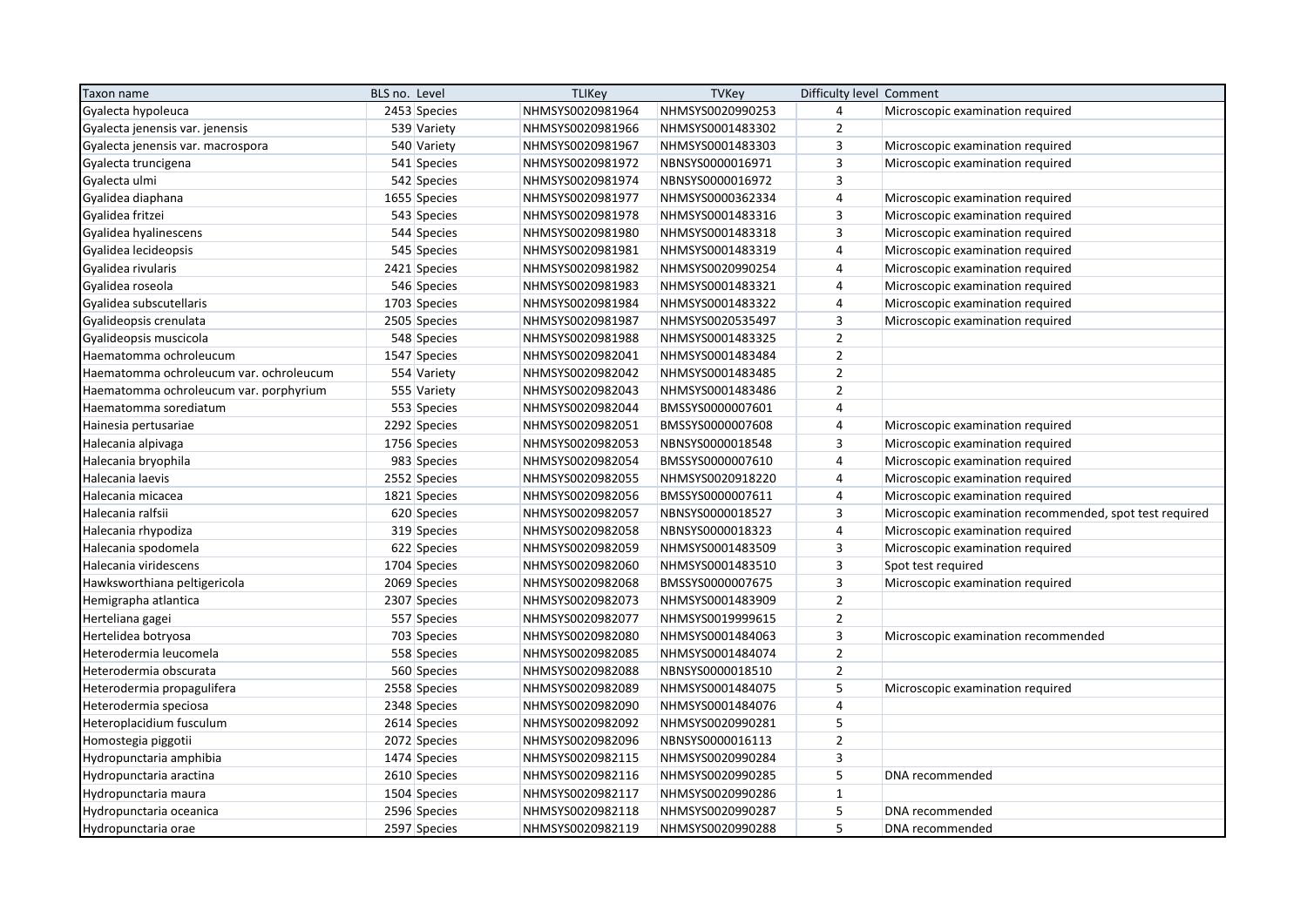| Taxon name                              | BLS no. Level |              | <b>TLIKey</b>    | <b>TVKey</b>     | Difficulty level Comment |                                                         |
|-----------------------------------------|---------------|--------------|------------------|------------------|--------------------------|---------------------------------------------------------|
| Gyalecta hypoleuca                      |               | 2453 Species | NHMSYS0020981964 | NHMSYS0020990253 | $\overline{4}$           | Microscopic examination required                        |
| Gyalecta jenensis var. jenensis         |               | 539 Variety  | NHMSYS0020981966 | NHMSYS0001483302 | $\overline{2}$           |                                                         |
| Gyalecta jenensis var. macrospora       |               | 540 Variety  | NHMSYS0020981967 | NHMSYS0001483303 | $\overline{3}$           | Microscopic examination required                        |
| Gyalecta truncigena                     |               | 541 Species  | NHMSYS0020981972 | NBNSYS0000016971 | $\overline{3}$           | Microscopic examination required                        |
| Gyalecta ulmi                           |               | 542 Species  | NHMSYS0020981974 | NBNSYS0000016972 | $\overline{3}$           |                                                         |
| Gyalidea diaphana                       |               | 1655 Species | NHMSYS0020981977 | NHMSYS0000362334 | $\overline{4}$           | Microscopic examination required                        |
| Gyalidea fritzei                        |               | 543 Species  | NHMSYS0020981978 | NHMSYS0001483316 | $\overline{3}$           | Microscopic examination required                        |
| Gyalidea hyalinescens                   |               | 544 Species  | NHMSYS0020981980 | NHMSYS0001483318 | $\overline{3}$           | Microscopic examination required                        |
| Gyalidea lecideopsis                    |               | 545 Species  | NHMSYS0020981981 | NHMSYS0001483319 | $\overline{4}$           | Microscopic examination required                        |
| Gyalidea rivularis                      |               | 2421 Species | NHMSYS0020981982 | NHMSYS0020990254 | $\overline{4}$           | Microscopic examination required                        |
| Gyalidea roseola                        |               | 546 Species  | NHMSYS0020981983 | NHMSYS0001483321 | $\overline{4}$           | Microscopic examination required                        |
| Gyalidea subscutellaris                 |               | 1703 Species | NHMSYS0020981984 | NHMSYS0001483322 | $\overline{4}$           | Microscopic examination required                        |
| Gyalideopsis crenulata                  |               | 2505 Species | NHMSYS0020981987 | NHMSYS0020535497 | $\overline{\mathbf{3}}$  | Microscopic examination required                        |
| Gyalideopsis muscicola                  |               | 548 Species  | NHMSYS0020981988 | NHMSYS0001483325 | $\overline{2}$           |                                                         |
| Haematomma ochroleucum                  |               | 1547 Species | NHMSYS0020982041 | NHMSYS0001483484 | $\overline{2}$           |                                                         |
| Haematomma ochroleucum var. ochroleucum |               | 554 Variety  | NHMSYS0020982042 | NHMSYS0001483485 | $\overline{2}$           |                                                         |
| Haematomma ochroleucum var. porphyrium  |               | 555 Variety  | NHMSYS0020982043 | NHMSYS0001483486 | $\overline{2}$           |                                                         |
| Haematomma sorediatum                   |               | 553 Species  | NHMSYS0020982044 | BMSSYS0000007601 | $\overline{4}$           |                                                         |
| Hainesia pertusariae                    |               | 2292 Species | NHMSYS0020982051 | BMSSYS0000007608 | $\overline{4}$           | Microscopic examination required                        |
| Halecania alpivaga                      |               | 1756 Species | NHMSYS0020982053 | NBNSYS0000018548 | $\overline{3}$           | Microscopic examination required                        |
| Halecania bryophila                     |               | 983 Species  | NHMSYS0020982054 | BMSSYS0000007610 | $\overline{4}$           | Microscopic examination required                        |
| Halecania laevis                        |               | 2552 Species | NHMSYS0020982055 | NHMSYS0020918220 | $\overline{4}$           | Microscopic examination required                        |
| Halecania micacea                       |               | 1821 Species | NHMSYS0020982056 | BMSSYS0000007611 | $\overline{4}$           | Microscopic examination required                        |
| Halecania ralfsii                       |               | 620 Species  | NHMSYS0020982057 | NBNSYS0000018527 | $\overline{\mathbf{3}}$  | Microscopic examination recommended, spot test required |
| Halecania rhypodiza                     |               | 319 Species  | NHMSYS0020982058 | NBNSYS0000018323 | $\overline{4}$           | Microscopic examination required                        |
| Halecania spodomela                     |               | 622 Species  | NHMSYS0020982059 | NHMSYS0001483509 | $\overline{3}$           | Microscopic examination required                        |
| Halecania viridescens                   |               | 1704 Species | NHMSYS0020982060 | NHMSYS0001483510 | $\overline{3}$           | Spot test required                                      |
| Hawksworthiana peltigericola            |               | 2069 Species | NHMSYS0020982068 | BMSSYS0000007675 | $\overline{3}$           | Microscopic examination required                        |
| Hemigrapha atlantica                    |               | 2307 Species | NHMSYS0020982073 | NHMSYS0001483909 | $\overline{2}$           |                                                         |
| Herteliana gagei                        |               | 557 Species  | NHMSYS0020982077 | NHMSYS0019999615 | $\overline{2}$           |                                                         |
| Hertelidea botryosa                     |               | 703 Species  | NHMSYS0020982080 | NHMSYS0001484063 | $\overline{\mathbf{3}}$  | Microscopic examination recommended                     |
| Heterodermia leucomela                  |               | 558 Species  | NHMSYS0020982085 | NHMSYS0001484074 | $\overline{2}$           |                                                         |
| Heterodermia obscurata                  |               | 560 Species  | NHMSYS0020982088 | NBNSYS0000018510 | $\overline{2}$           |                                                         |
| Heterodermia propagulifera              |               | 2558 Species | NHMSYS0020982089 | NHMSYS0001484075 | 5                        | Microscopic examination required                        |
| Heterodermia speciosa                   |               | 2348 Species | NHMSYS0020982090 | NHMSYS0001484076 | $\overline{4}$           |                                                         |
| Heteroplacidium fusculum                |               | 2614 Species | NHMSYS0020982092 | NHMSYS0020990281 | 5                        |                                                         |
| Homostegia piggotii                     |               | 2072 Species | NHMSYS0020982096 | NBNSYS0000016113 | $\overline{2}$           |                                                         |
| Hydropunctaria amphibia                 |               | 1474 Species | NHMSYS0020982115 | NHMSYS0020990284 | $\overline{3}$           |                                                         |
| Hydropunctaria aractina                 |               | 2610 Species | NHMSYS0020982116 | NHMSYS0020990285 | 5                        | DNA recommended                                         |
| Hydropunctaria maura                    |               | 1504 Species | NHMSYS0020982117 | NHMSYS0020990286 | $\mathbf{1}$             |                                                         |
| Hydropunctaria oceanica                 |               | 2596 Species | NHMSYS0020982118 | NHMSYS0020990287 | 5                        | DNA recommended                                         |
| Hydropunctaria orae                     |               | 2597 Species | NHMSYS0020982119 | NHMSYS0020990288 | 5                        | DNA recommended                                         |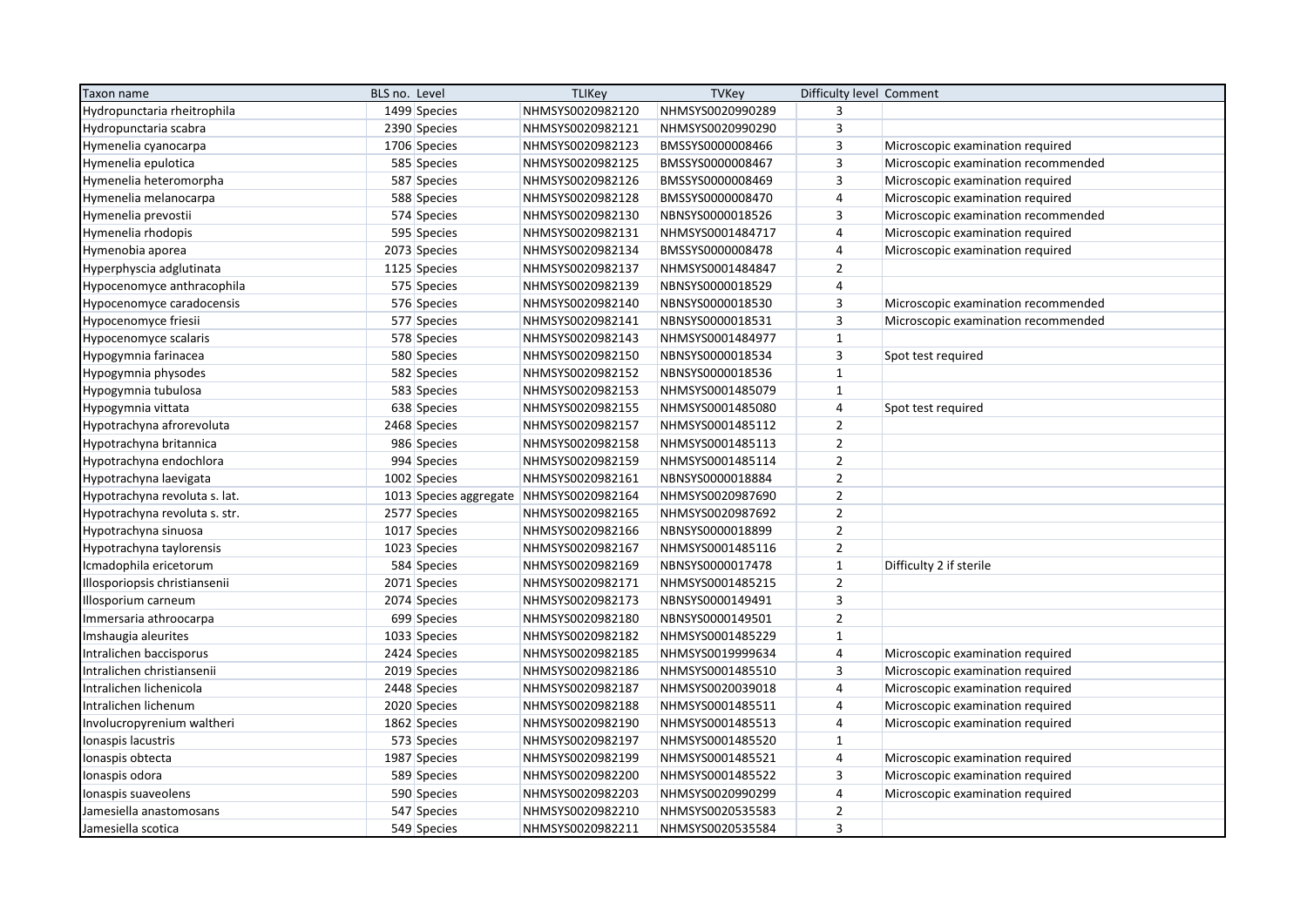| Taxon name                    | BLS no. Level                           | <b>TLIKey</b>    | <b>TVKey</b>     | Difficulty level Comment |                                     |
|-------------------------------|-----------------------------------------|------------------|------------------|--------------------------|-------------------------------------|
| Hydropunctaria rheitrophila   | 1499 Species                            | NHMSYS0020982120 | NHMSYS0020990289 | $\overline{3}$           |                                     |
| Hydropunctaria scabra         | 2390 Species                            | NHMSYS0020982121 | NHMSYS0020990290 | $\overline{3}$           |                                     |
| Hymenelia cyanocarpa          | 1706 Species                            | NHMSYS0020982123 | BMSSYS0000008466 | $\overline{3}$           | Microscopic examination required    |
| Hymenelia epulotica           | 585 Species                             | NHMSYS0020982125 | BMSSYS0000008467 | $\overline{\mathbf{3}}$  | Microscopic examination recommended |
| Hymenelia heteromorpha        | 587 Species                             | NHMSYS0020982126 | BMSSYS0000008469 | $\overline{3}$           | Microscopic examination required    |
| Hymenelia melanocarpa         | 588 Species                             | NHMSYS0020982128 | BMSSYS0000008470 | $\overline{4}$           | Microscopic examination required    |
| Hymenelia prevostii           | 574 Species                             | NHMSYS0020982130 | NBNSYS0000018526 | $\overline{3}$           | Microscopic examination recommended |
| Hymenelia rhodopis            | 595 Species                             | NHMSYS0020982131 | NHMSYS0001484717 | 4                        | Microscopic examination required    |
| Hymenobia aporea              | 2073 Species                            | NHMSYS0020982134 | BMSSYS0000008478 | $\overline{4}$           | Microscopic examination required    |
| Hyperphyscia adglutinata      | 1125 Species                            | NHMSYS0020982137 | NHMSYS0001484847 | $\overline{2}$           |                                     |
| Hypocenomyce anthracophila    | 575 Species                             | NHMSYS0020982139 | NBNSYS0000018529 | 4                        |                                     |
| Hypocenomyce caradocensis     | 576 Species                             | NHMSYS0020982140 | NBNSYS0000018530 | 3                        | Microscopic examination recommended |
| Hypocenomyce friesii          | 577 Species                             | NHMSYS0020982141 | NBNSYS0000018531 | $\overline{3}$           | Microscopic examination recommended |
| Hypocenomyce scalaris         | 578 Species                             | NHMSYS0020982143 | NHMSYS0001484977 | $\mathbf{1}$             |                                     |
| Hypogymnia farinacea          | 580 Species                             | NHMSYS0020982150 | NBNSYS0000018534 | $\overline{\mathbf{3}}$  | Spot test required                  |
| Hypogymnia physodes           | 582 Species                             | NHMSYS0020982152 | NBNSYS0000018536 | $\mathbf{1}$             |                                     |
| Hypogymnia tubulosa           | 583 Species                             | NHMSYS0020982153 | NHMSYS0001485079 | $\mathbf{1}$             |                                     |
| Hypogymnia vittata            | 638 Species                             | NHMSYS0020982155 | NHMSYS0001485080 | 4                        | Spot test required                  |
| Hypotrachyna afrorevoluta     | 2468 Species                            | NHMSYS0020982157 | NHMSYS0001485112 | $\overline{2}$           |                                     |
| Hypotrachyna britannica       | 986 Species                             | NHMSYS0020982158 | NHMSYS0001485113 | $\overline{2}$           |                                     |
| Hypotrachyna endochlora       | 994 Species                             | NHMSYS0020982159 | NHMSYS0001485114 | $\overline{2}$           |                                     |
| Hypotrachyna laevigata        | 1002 Species                            | NHMSYS0020982161 | NBNSYS0000018884 | $\overline{2}$           |                                     |
| Hypotrachyna revoluta s. lat. | 1013 Species aggregate NHMSYS0020982164 |                  | NHMSYS0020987690 | $\overline{2}$           |                                     |
| Hypotrachyna revoluta s. str. | 2577 Species                            | NHMSYS0020982165 | NHMSYS0020987692 | $\overline{2}$           |                                     |
| Hypotrachyna sinuosa          | 1017 Species                            | NHMSYS0020982166 | NBNSYS0000018899 | $\mathbf 2$              |                                     |
| Hypotrachyna taylorensis      | 1023 Species                            | NHMSYS0020982167 | NHMSYS0001485116 | $\overline{2}$           |                                     |
| Icmadophila ericetorum        | 584 Species                             | NHMSYS0020982169 | NBNSYS0000017478 | $\mathbf{1}$             | Difficulty 2 if sterile             |
| Illosporiopsis christiansenii | 2071 Species                            | NHMSYS0020982171 | NHMSYS0001485215 | $\overline{2}$           |                                     |
| Illosporium carneum           | 2074 Species                            | NHMSYS0020982173 | NBNSYS0000149491 | $\overline{\mathbf{3}}$  |                                     |
| Immersaria athroocarpa        | 699 Species                             | NHMSYS0020982180 | NBNSYS0000149501 | $\overline{2}$           |                                     |
| Imshaugia aleurites           | 1033 Species                            | NHMSYS0020982182 | NHMSYS0001485229 | $\mathbf{1}$             |                                     |
| Intralichen baccisporus       | 2424 Species                            | NHMSYS0020982185 | NHMSYS0019999634 | $\overline{4}$           | Microscopic examination required    |
| Intralichen christiansenii    | 2019 Species                            | NHMSYS0020982186 | NHMSYS0001485510 | $\overline{3}$           | Microscopic examination required    |
| Intralichen lichenicola       | 2448 Species                            | NHMSYS0020982187 | NHMSYS0020039018 | 4                        | Microscopic examination required    |
| Intralichen lichenum          | 2020 Species                            | NHMSYS0020982188 | NHMSYS0001485511 | $\overline{4}$           | Microscopic examination required    |
| Involucropyrenium waltheri    | 1862 Species                            | NHMSYS0020982190 | NHMSYS0001485513 | $\overline{4}$           | Microscopic examination required    |
| Ionaspis lacustris            | 573 Species                             | NHMSYS0020982197 | NHMSYS0001485520 | $\mathbf{1}$             |                                     |
| Ionaspis obtecta              | 1987 Species                            | NHMSYS0020982199 | NHMSYS0001485521 | 4                        | Microscopic examination required    |
| Ionaspis odora                | 589 Species                             | NHMSYS0020982200 | NHMSYS0001485522 | $\overline{3}$           | Microscopic examination required    |
| Ionaspis suaveolens           | 590 Species                             | NHMSYS0020982203 | NHMSYS0020990299 | 4                        | Microscopic examination required    |
| Jamesiella anastomosans       | 547 Species                             | NHMSYS0020982210 | NHMSYS0020535583 | $\overline{2}$           |                                     |
| Jamesiella scotica            | 549 Species                             | NHMSYS0020982211 | NHMSYS0020535584 | $\overline{3}$           |                                     |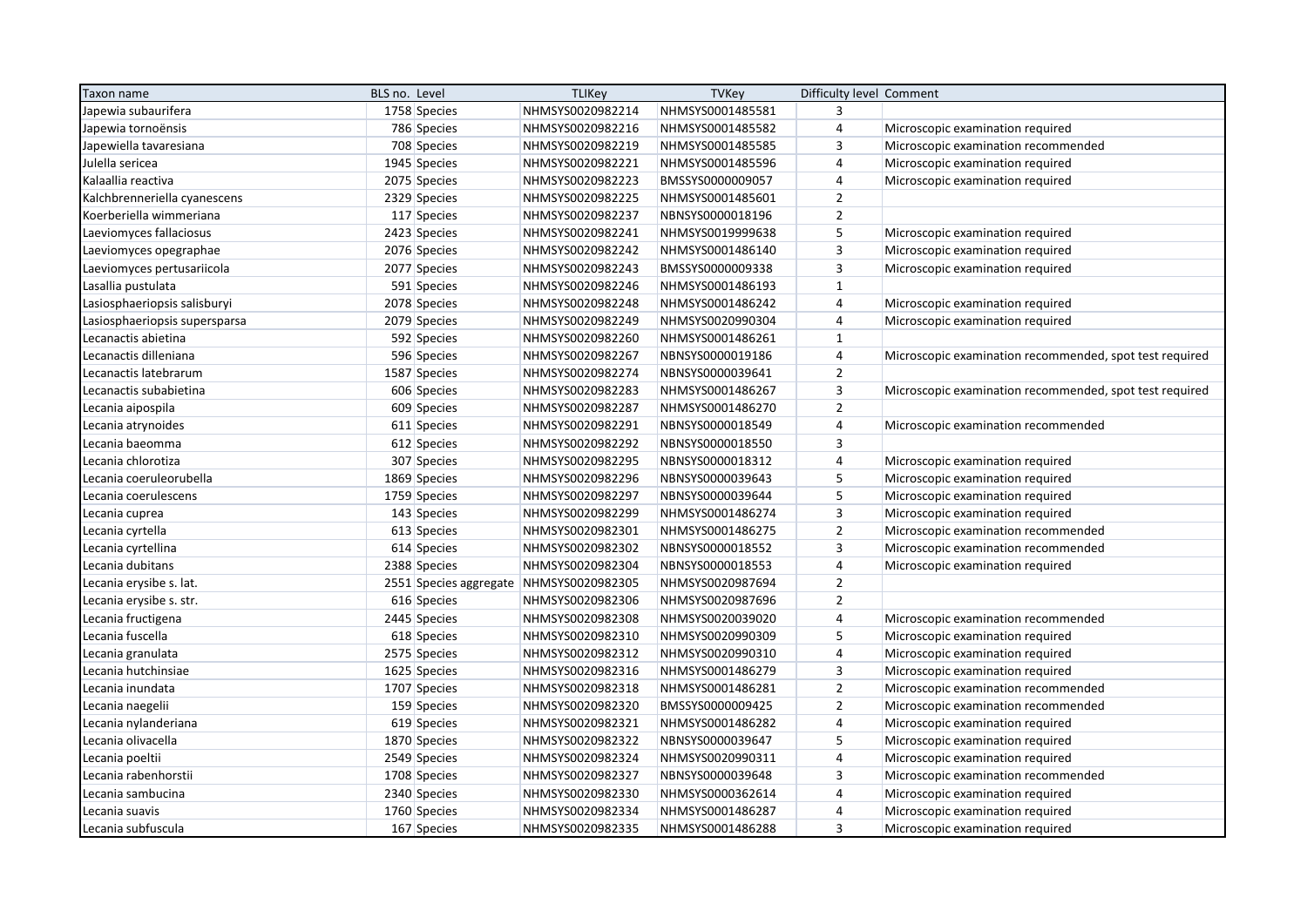| Taxon name                    | BLS no. Level                           | <b>TLIKey</b>    | <b>TVKey</b>     | Difficulty level Comment |                                                         |
|-------------------------------|-----------------------------------------|------------------|------------------|--------------------------|---------------------------------------------------------|
| Japewia subaurifera           | 1758 Species                            | NHMSYS0020982214 | NHMSYS0001485581 | 3                        |                                                         |
| Japewia tornoënsis            | 786 Species                             | NHMSYS0020982216 | NHMSYS0001485582 | $\overline{4}$           | Microscopic examination required                        |
| Japewiella tavaresiana        | 708 Species                             | NHMSYS0020982219 | NHMSYS0001485585 | $\overline{3}$           | Microscopic examination recommended                     |
| Julella sericea               | 1945 Species                            | NHMSYS0020982221 | NHMSYS0001485596 | $\overline{4}$           | Microscopic examination required                        |
| Kalaallia reactiva            | 2075 Species                            | NHMSYS0020982223 | BMSSYS0000009057 | $\overline{4}$           | Microscopic examination required                        |
| Kalchbrenneriella cyanescens  | 2329 Species                            | NHMSYS0020982225 | NHMSYS0001485601 | $\overline{2}$           |                                                         |
| Koerberiella wimmeriana       | 117 Species                             | NHMSYS0020982237 | NBNSYS0000018196 | $\overline{2}$           |                                                         |
| Laeviomyces fallaciosus       | 2423 Species                            | NHMSYS0020982241 | NHMSYS0019999638 | 5                        | Microscopic examination required                        |
| Laeviomyces opegraphae        | 2076 Species                            | NHMSYS0020982242 | NHMSYS0001486140 | $\overline{3}$           | Microscopic examination required                        |
| Laeviomyces pertusariicola    | 2077 Species                            | NHMSYS0020982243 | BMSSYS0000009338 | $\overline{3}$           | Microscopic examination required                        |
| Lasallia pustulata            | 591 Species                             | NHMSYS0020982246 | NHMSYS0001486193 | $\mathbf{1}$             |                                                         |
| Lasiosphaeriopsis salisburyi  | 2078 Species                            | NHMSYS0020982248 | NHMSYS0001486242 | $\overline{4}$           | Microscopic examination required                        |
| Lasiosphaeriopsis supersparsa | 2079 Species                            | NHMSYS0020982249 | NHMSYS0020990304 | $\overline{4}$           | Microscopic examination required                        |
| Lecanactis abietina           | 592 Species                             | NHMSYS0020982260 | NHMSYS0001486261 | $\mathbf{1}$             |                                                         |
| Lecanactis dilleniana         | 596 Species                             | NHMSYS0020982267 | NBNSYS0000019186 | $\overline{4}$           | Microscopic examination recommended, spot test required |
| Lecanactis latebrarum         | 1587 Species                            | NHMSYS0020982274 | NBNSYS0000039641 | $\overline{2}$           |                                                         |
| Lecanactis subabietina        | 606 Species                             | NHMSYS0020982283 | NHMSYS0001486267 | $\overline{3}$           | Microscopic examination recommended, spot test required |
| Lecania aipospila             | 609 Species                             | NHMSYS0020982287 | NHMSYS0001486270 | $\overline{2}$           |                                                         |
| Lecania atrynoides            | 611 Species                             | NHMSYS0020982291 | NBNSYS0000018549 | $\overline{4}$           | Microscopic examination recommended                     |
| Lecania baeomma               | 612 Species                             | NHMSYS0020982292 | NBNSYS0000018550 | $\overline{3}$           |                                                         |
| Lecania chlorotiza            | 307 Species                             | NHMSYS0020982295 | NBNSYS0000018312 | $\overline{4}$           | Microscopic examination required                        |
| Lecania coeruleorubella       | 1869 Species                            | NHMSYS0020982296 | NBNSYS0000039643 | 5                        | Microscopic examination required                        |
| Lecania coerulescens          | 1759 Species                            | NHMSYS0020982297 | NBNSYS0000039644 | $\sqrt{5}$               | Microscopic examination required                        |
| Lecania cuprea                | 143 Species                             | NHMSYS0020982299 | NHMSYS0001486274 | $\overline{\mathbf{3}}$  | Microscopic examination required                        |
| Lecania cyrtella              | 613 Species                             | NHMSYS0020982301 | NHMSYS0001486275 | $\overline{2}$           | Microscopic examination recommended                     |
| Lecania cyrtellina            | 614 Species                             | NHMSYS0020982302 | NBNSYS0000018552 | $\overline{3}$           | Microscopic examination recommended                     |
| Lecania dubitans              | 2388 Species                            | NHMSYS0020982304 | NBNSYS0000018553 | $\overline{4}$           | Microscopic examination required                        |
| Lecania erysibe s. lat.       | 2551 Species aggregate NHMSYS0020982305 |                  | NHMSYS0020987694 | $\overline{2}$           |                                                         |
| Lecania erysibe s. str.       | 616 Species                             | NHMSYS0020982306 | NHMSYS0020987696 | $\overline{2}$           |                                                         |
| Lecania fructigena            | 2445 Species                            | NHMSYS0020982308 | NHMSYS0020039020 | $\overline{4}$           | Microscopic examination recommended                     |
| Lecania fuscella              | 618 Species                             | NHMSYS0020982310 | NHMSYS0020990309 | 5                        | Microscopic examination required                        |
| Lecania granulata             | 2575 Species                            | NHMSYS0020982312 | NHMSYS0020990310 | $\overline{4}$           | Microscopic examination required                        |
| Lecania hutchinsiae           | 1625 Species                            | NHMSYS0020982316 | NHMSYS0001486279 | $\overline{3}$           | Microscopic examination required                        |
| Lecania inundata              | 1707 Species                            | NHMSYS0020982318 | NHMSYS0001486281 | $\overline{2}$           | Microscopic examination recommended                     |
| Lecania naegelii              | 159 Species                             | NHMSYS0020982320 | BMSSYS0000009425 | $\overline{2}$           | Microscopic examination recommended                     |
| Lecania nylanderiana          | 619 Species                             | NHMSYS0020982321 | NHMSYS0001486282 | $\overline{4}$           | Microscopic examination required                        |
| Lecania olivacella            | 1870 Species                            | NHMSYS0020982322 | NBNSYS0000039647 | 5                        | Microscopic examination required                        |
| Lecania poeltii               | 2549 Species                            | NHMSYS0020982324 | NHMSYS0020990311 | $\overline{4}$           | Microscopic examination required                        |
| Lecania rabenhorstii          | 1708 Species                            | NHMSYS0020982327 | NBNSYS0000039648 | 3                        | Microscopic examination recommended                     |
| Lecania sambucina             | 2340 Species                            | NHMSYS0020982330 | NHMSYS0000362614 | 4                        | Microscopic examination required                        |
| Lecania suavis                | 1760 Species                            | NHMSYS0020982334 | NHMSYS0001486287 | $\overline{4}$           | Microscopic examination required                        |
| Lecania subfuscula            | 167 Species                             | NHMSYS0020982335 | NHMSYS0001486288 | $\overline{3}$           | Microscopic examination required                        |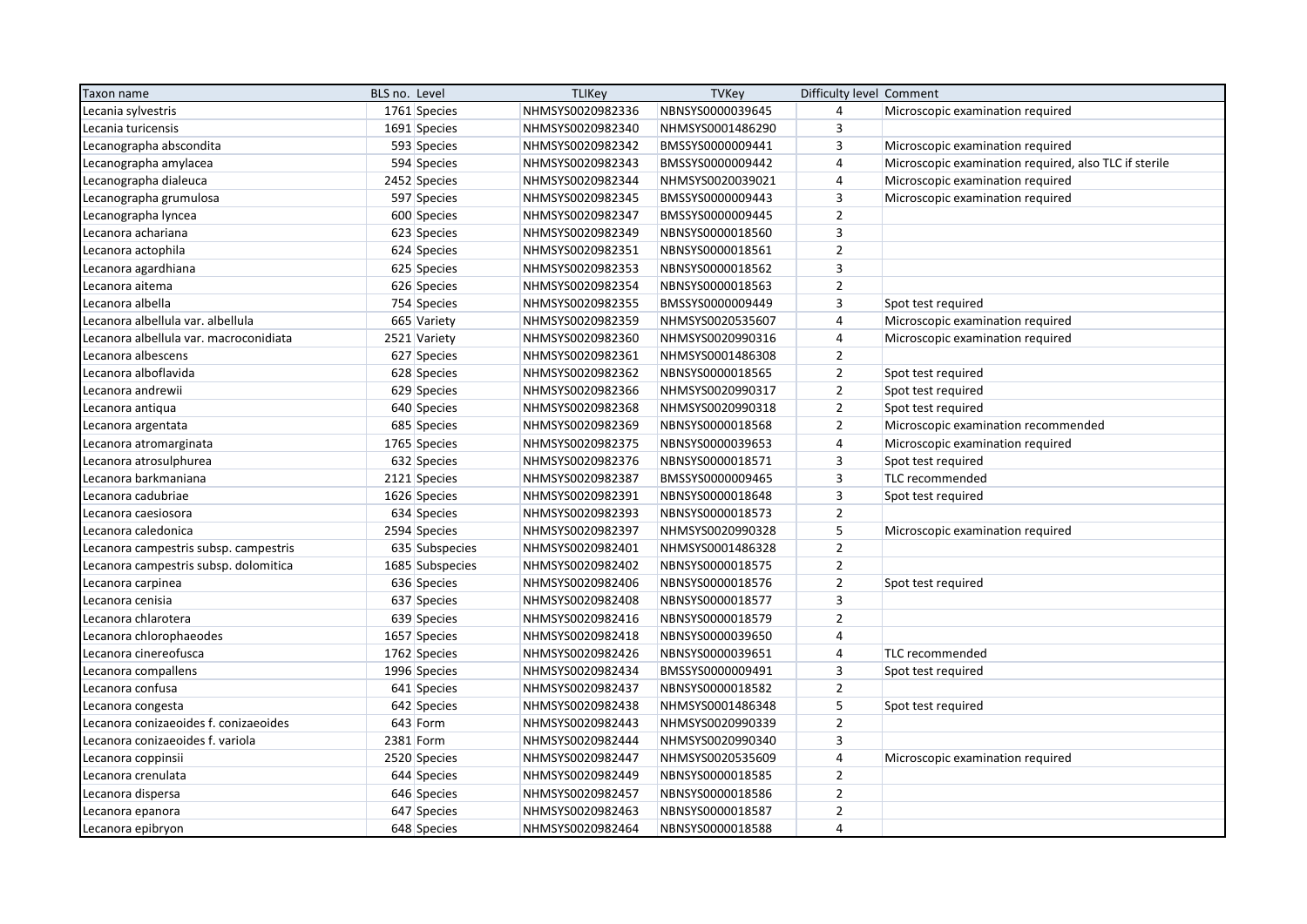| Taxon name                             | BLS no. Level   | <b>TLIKey</b>    | <b>TVKey</b>     | Difficulty level Comment |                                                       |
|----------------------------------------|-----------------|------------------|------------------|--------------------------|-------------------------------------------------------|
| Lecania sylvestris                     | 1761 Species    | NHMSYS0020982336 | NBNSYS0000039645 | $\overline{4}$           | Microscopic examination required                      |
| Lecania turicensis                     | 1691 Species    | NHMSYS0020982340 | NHMSYS0001486290 | $\overline{3}$           |                                                       |
| Lecanographa abscondita                | 593 Species     | NHMSYS0020982342 | BMSSYS0000009441 | $\overline{3}$           | Microscopic examination required                      |
| Lecanographa amylacea                  | 594 Species     | NHMSYS0020982343 | BMSSYS0000009442 | $\overline{4}$           | Microscopic examination required, also TLC if sterile |
| Lecanographa dialeuca                  | 2452 Species    | NHMSYS0020982344 | NHMSYS0020039021 | $\overline{4}$           | Microscopic examination required                      |
| Lecanographa grumulosa                 | 597 Species     | NHMSYS0020982345 | BMSSYS0000009443 | 3                        | Microscopic examination required                      |
| Lecanographa lyncea                    | 600 Species     | NHMSYS0020982347 | BMSSYS0000009445 | $\overline{2}$           |                                                       |
| Lecanora achariana                     | 623 Species     | NHMSYS0020982349 | NBNSYS0000018560 | $\overline{\mathbf{3}}$  |                                                       |
| Lecanora actophila                     | 624 Species     | NHMSYS0020982351 | NBNSYS0000018561 | $\overline{2}$           |                                                       |
| Lecanora agardhiana                    | 625 Species     | NHMSYS0020982353 | NBNSYS0000018562 | $\overline{3}$           |                                                       |
| Lecanora aitema                        | 626 Species     | NHMSYS0020982354 | NBNSYS0000018563 | $\overline{2}$           |                                                       |
| Lecanora albella                       | 754 Species     | NHMSYS0020982355 | BMSSYS0000009449 | $\overline{3}$           | Spot test required                                    |
| Lecanora albellula var. albellula      | 665 Variety     | NHMSYS0020982359 | NHMSYS0020535607 | $\overline{4}$           | Microscopic examination required                      |
| Lecanora albellula var. macroconidiata | 2521 Variety    | NHMSYS0020982360 | NHMSYS0020990316 | $\overline{4}$           | Microscopic examination required                      |
| Lecanora albescens                     | 627 Species     | NHMSYS0020982361 | NHMSYS0001486308 | $\overline{2}$           |                                                       |
| Lecanora alboflavida                   | 628 Species     | NHMSYS0020982362 | NBNSYS0000018565 | $\overline{2}$           | Spot test required                                    |
| Lecanora andrewii                      | 629 Species     | NHMSYS0020982366 | NHMSYS0020990317 | $\mathbf 2$              | Spot test required                                    |
| Lecanora antiqua                       | 640 Species     | NHMSYS0020982368 | NHMSYS0020990318 | $\overline{2}$           | Spot test required                                    |
| Lecanora argentata                     | 685 Species     | NHMSYS0020982369 | NBNSYS0000018568 | $\overline{2}$           | Microscopic examination recommended                   |
| Lecanora atromarginata                 | 1765 Species    | NHMSYS0020982375 | NBNSYS0000039653 | $\overline{4}$           | Microscopic examination required                      |
| Lecanora atrosulphurea                 | 632 Species     | NHMSYS0020982376 | NBNSYS0000018571 | $\overline{3}$           | Spot test required                                    |
| Lecanora barkmaniana                   | 2121 Species    | NHMSYS0020982387 | BMSSYS0000009465 | $\overline{3}$           | TLC recommended                                       |
| Lecanora cadubriae                     | 1626 Species    | NHMSYS0020982391 | NBNSYS0000018648 | $\overline{3}$           | Spot test required                                    |
| Lecanora caesiosora                    | 634 Species     | NHMSYS0020982393 | NBNSYS0000018573 | $\overline{2}$           |                                                       |
| Lecanora caledonica                    | 2594 Species    | NHMSYS0020982397 | NHMSYS0020990328 | 5                        | Microscopic examination required                      |
| Lecanora campestris subsp. campestris  | 635 Subspecies  | NHMSYS0020982401 | NHMSYS0001486328 | $\overline{2}$           |                                                       |
| Lecanora campestris subsp. dolomitica  | 1685 Subspecies | NHMSYS0020982402 | NBNSYS0000018575 | $\overline{2}$           |                                                       |
| Lecanora carpinea                      | 636 Species     | NHMSYS0020982406 | NBNSYS0000018576 | $\overline{2}$           | Spot test required                                    |
| Lecanora cenisia                       | 637 Species     | NHMSYS0020982408 | NBNSYS0000018577 | $\overline{3}$           |                                                       |
| Lecanora chlarotera                    | 639 Species     | NHMSYS0020982416 | NBNSYS0000018579 | $\overline{2}$           |                                                       |
| Lecanora chlorophaeodes                | 1657 Species    | NHMSYS0020982418 | NBNSYS0000039650 | $\overline{4}$           |                                                       |
| Lecanora cinereofusca                  | 1762 Species    | NHMSYS0020982426 | NBNSYS0000039651 | $\overline{4}$           | TLC recommended                                       |
| Lecanora compallens                    | 1996 Species    | NHMSYS0020982434 | BMSSYS0000009491 | $\overline{3}$           | Spot test required                                    |
| Lecanora confusa                       | 641 Species     | NHMSYS0020982437 | NBNSYS0000018582 | $\overline{2}$           |                                                       |
| Lecanora congesta                      | 642 Species     | NHMSYS0020982438 | NHMSYS0001486348 | 5                        | Spot test required                                    |
| Lecanora conizaeoides f. conizaeoides  | 643 Form        | NHMSYS0020982443 | NHMSYS0020990339 | $\overline{2}$           |                                                       |
| Lecanora conizaeoides f. variola       | 2381 Form       | NHMSYS0020982444 | NHMSYS0020990340 | $\overline{3}$           |                                                       |
| Lecanora coppinsii                     | 2520 Species    | NHMSYS0020982447 | NHMSYS0020535609 | $\overline{4}$           | Microscopic examination required                      |
| Lecanora crenulata                     | 644 Species     | NHMSYS0020982449 | NBNSYS0000018585 | $\overline{2}$           |                                                       |
| Lecanora dispersa                      | 646 Species     | NHMSYS0020982457 | NBNSYS0000018586 | $\mathbf 2$              |                                                       |
| Lecanora epanora                       | 647 Species     | NHMSYS0020982463 | NBNSYS0000018587 | $\overline{2}$           |                                                       |
| Lecanora epibryon                      | 648 Species     | NHMSYS0020982464 | NBNSYS0000018588 | $\overline{4}$           |                                                       |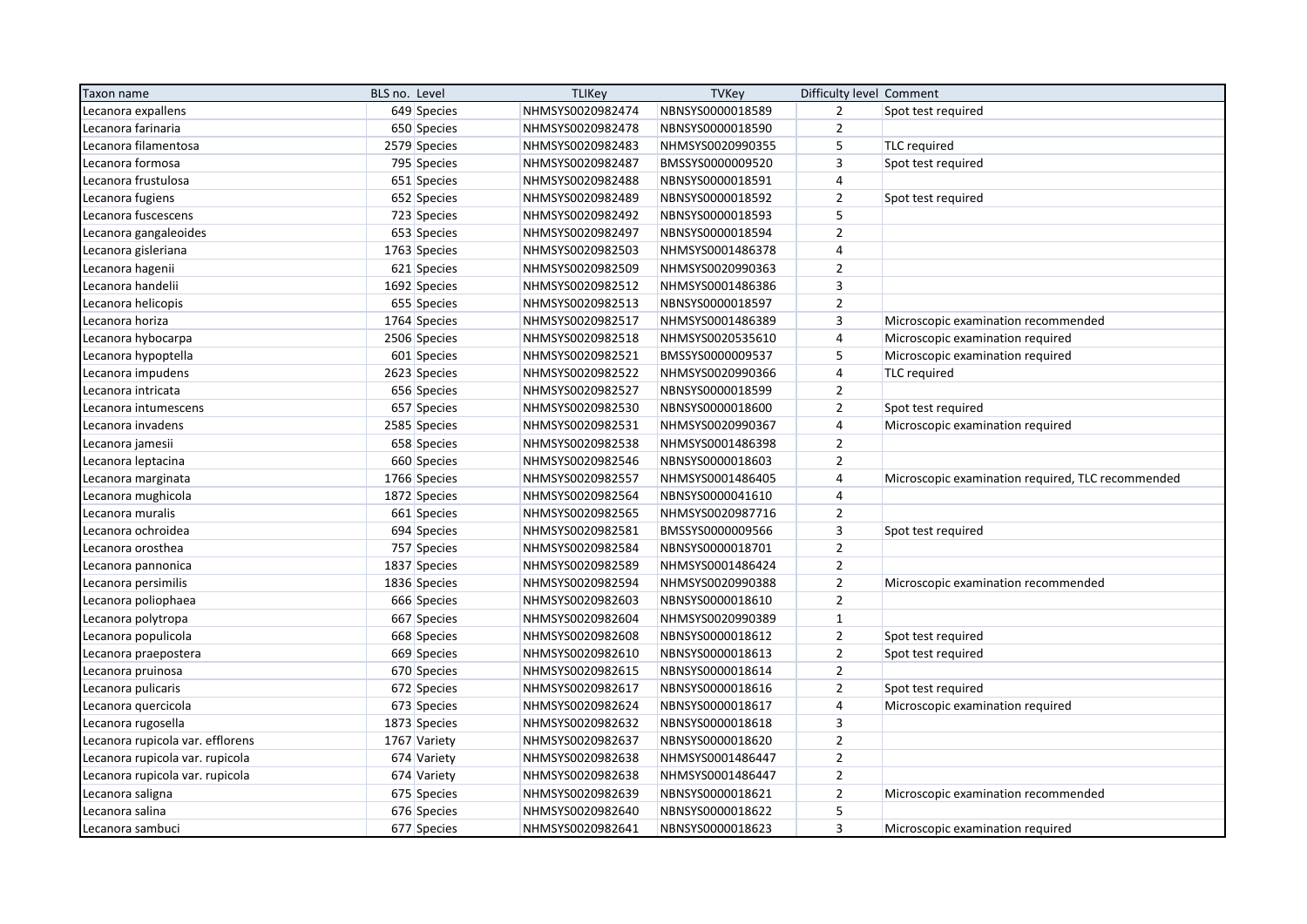| Taxon name                       | BLS no. Level | <b>TLIKey</b>    | <b>TVKey</b>     | Difficulty level Comment |                                                   |
|----------------------------------|---------------|------------------|------------------|--------------------------|---------------------------------------------------|
| Lecanora expallens               | 649 Species   | NHMSYS0020982474 | NBNSYS0000018589 | $\overline{2}$           | Spot test required                                |
| Lecanora farinaria               | 650 Species   | NHMSYS0020982478 | NBNSYS0000018590 | $\overline{2}$           |                                                   |
| Lecanora filamentosa             | 2579 Species  | NHMSYS0020982483 | NHMSYS0020990355 | 5                        | <b>TLC</b> required                               |
| Lecanora formosa                 | 795 Species   | NHMSYS0020982487 | BMSSYS0000009520 | $\overline{3}$           | Spot test required                                |
| Lecanora frustulosa              | 651 Species   | NHMSYS0020982488 | NBNSYS0000018591 | $\overline{4}$           |                                                   |
| Lecanora fugiens                 | 652 Species   | NHMSYS0020982489 | NBNSYS0000018592 | $\overline{2}$           | Spot test required                                |
| Lecanora fuscescens              | 723 Species   | NHMSYS0020982492 | NBNSYS0000018593 | 5                        |                                                   |
| Lecanora gangaleoides            | 653 Species   | NHMSYS0020982497 | NBNSYS0000018594 | $\overline{2}$           |                                                   |
| Lecanora gisleriana              | 1763 Species  | NHMSYS0020982503 | NHMSYS0001486378 | $\overline{4}$           |                                                   |
| Lecanora hagenii                 | 621 Species   | NHMSYS0020982509 | NHMSYS0020990363 | $\overline{2}$           |                                                   |
| Lecanora handelii                | 1692 Species  | NHMSYS0020982512 | NHMSYS0001486386 | $\overline{\mathbf{3}}$  |                                                   |
| Lecanora helicopis               | 655 Species   | NHMSYS0020982513 | NBNSYS0000018597 | $\overline{2}$           |                                                   |
| Lecanora horiza                  | 1764 Species  | NHMSYS0020982517 | NHMSYS0001486389 | $\overline{3}$           | Microscopic examination recommended               |
| Lecanora hybocarpa               | 2506 Species  | NHMSYS0020982518 | NHMSYS0020535610 | $\overline{4}$           | Microscopic examination required                  |
| Lecanora hypoptella              | 601 Species   | NHMSYS0020982521 | BMSSYS0000009537 | 5                        | Microscopic examination required                  |
| Lecanora impudens                | 2623 Species  | NHMSYS0020982522 | NHMSYS0020990366 | 4                        | <b>TLC</b> required                               |
| Lecanora intricata               | 656 Species   | NHMSYS0020982527 | NBNSYS0000018599 | $\overline{2}$           |                                                   |
| Lecanora intumescens             | 657 Species   | NHMSYS0020982530 | NBNSYS0000018600 | $\overline{2}$           | Spot test required                                |
| Lecanora invadens                | 2585 Species  | NHMSYS0020982531 | NHMSYS0020990367 | $\overline{4}$           | Microscopic examination required                  |
| Lecanora jamesii                 | 658 Species   | NHMSYS0020982538 | NHMSYS0001486398 | $\overline{2}$           |                                                   |
| Lecanora leptacina               | 660 Species   | NHMSYS0020982546 | NBNSYS0000018603 | $\overline{2}$           |                                                   |
| Lecanora marginata               | 1766 Species  | NHMSYS0020982557 | NHMSYS0001486405 | $\overline{4}$           | Microscopic examination required, TLC recommended |
| Lecanora mughicola               | 1872 Species  | NHMSYS0020982564 | NBNSYS0000041610 | $\overline{\mathbf{r}}$  |                                                   |
| Lecanora muralis                 | 661 Species   | NHMSYS0020982565 | NHMSYS0020987716 | $\mathbf 2$              |                                                   |
| Lecanora ochroidea               | 694 Species   | NHMSYS0020982581 | BMSSYS0000009566 | $\overline{3}$           | Spot test required                                |
| Lecanora orosthea                | 757 Species   | NHMSYS0020982584 | NBNSYS0000018701 | $\overline{2}$           |                                                   |
| Lecanora pannonica               | 1837 Species  | NHMSYS0020982589 | NHMSYS0001486424 | $\overline{2}$           |                                                   |
| Lecanora persimilis              | 1836 Species  | NHMSYS0020982594 | NHMSYS0020990388 | $\overline{2}$           | Microscopic examination recommended               |
| Lecanora poliophaea              | 666 Species   | NHMSYS0020982603 | NBNSYS0000018610 | $\overline{2}$           |                                                   |
| Lecanora polytropa               | 667 Species   | NHMSYS0020982604 | NHMSYS0020990389 | $\mathbf 1$              |                                                   |
| Lecanora populicola              | 668 Species   | NHMSYS0020982608 | NBNSYS0000018612 | $\mathbf 2$              | Spot test required                                |
| Lecanora praepostera             | 669 Species   | NHMSYS0020982610 | NBNSYS0000018613 | $\overline{2}$           | Spot test required                                |
| Lecanora pruinosa                | 670 Species   | NHMSYS0020982615 | NBNSYS0000018614 | $\overline{2}$           |                                                   |
| Lecanora pulicaris               | 672 Species   | NHMSYS0020982617 | NBNSYS0000018616 | $\mathbf 2$              | Spot test required                                |
| Lecanora quercicola              | 673 Species   | NHMSYS0020982624 | NBNSYS0000018617 | 4                        | Microscopic examination required                  |
| Lecanora rugosella               | 1873 Species  | NHMSYS0020982632 | NBNSYS0000018618 | 3                        |                                                   |
| Lecanora rupicola var. efflorens | 1767 Variety  | NHMSYS0020982637 | NBNSYS0000018620 | $\overline{2}$           |                                                   |
| Lecanora rupicola var. rupicola  | 674 Variety   | NHMSYS0020982638 | NHMSYS0001486447 | $\mathbf 2$              |                                                   |
| Lecanora rupicola var. rupicola  | 674 Variety   | NHMSYS0020982638 | NHMSYS0001486447 | $\overline{2}$           |                                                   |
| Lecanora saligna                 | 675 Species   | NHMSYS0020982639 | NBNSYS0000018621 | $\mathbf 2$              | Microscopic examination recommended               |
| Lecanora salina                  | 676 Species   | NHMSYS0020982640 | NBNSYS0000018622 | 5                        |                                                   |
| Lecanora sambuci                 | 677 Species   | NHMSYS0020982641 | NBNSYS0000018623 | $\overline{3}$           | Microscopic examination required                  |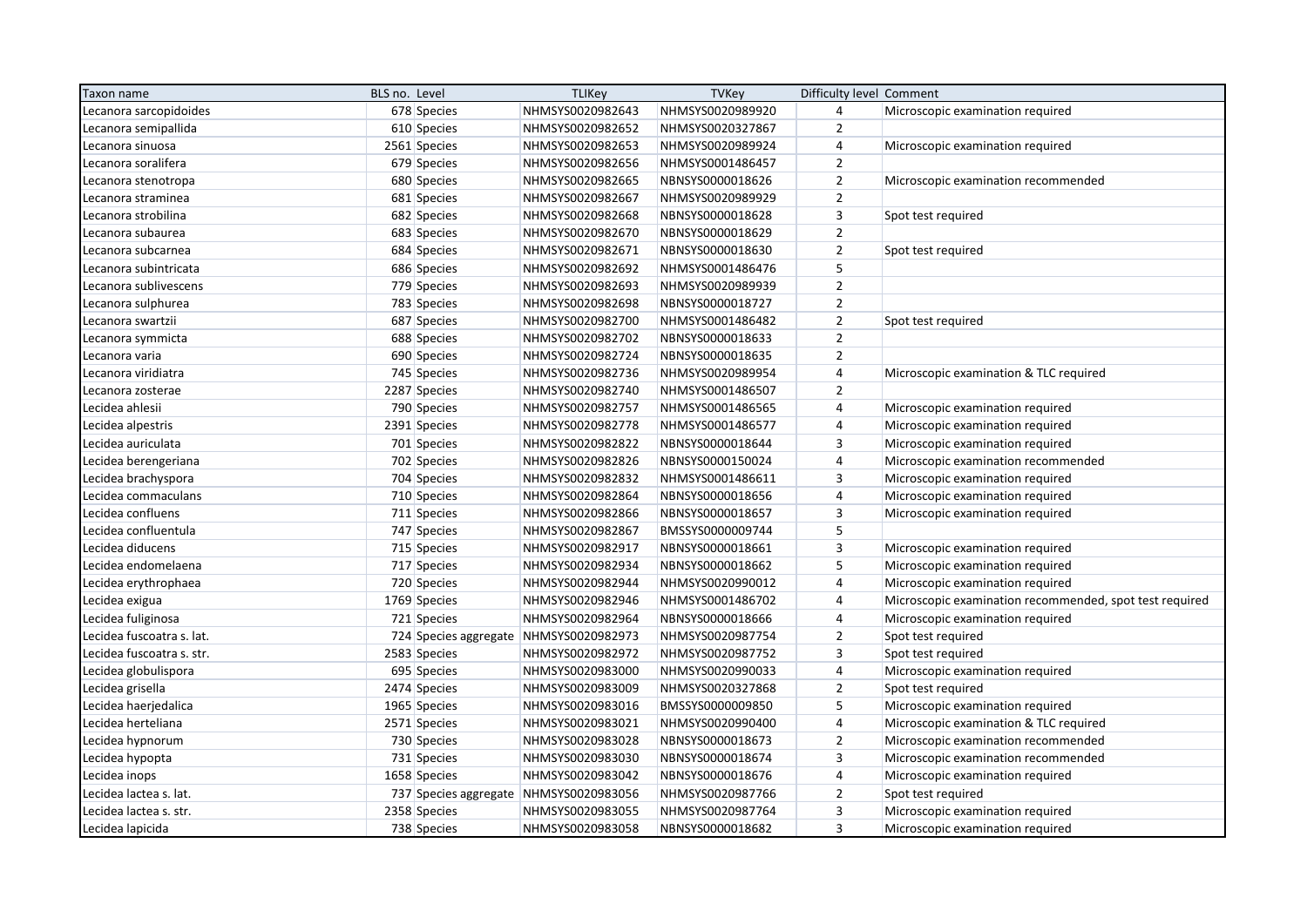| Taxon name                | BLS no. Level | <b>TLIKey</b>                          | <b>TVKey</b>     | Difficulty level Comment |                                                         |
|---------------------------|---------------|----------------------------------------|------------------|--------------------------|---------------------------------------------------------|
| Lecanora sarcopidoides    | 678 Species   | NHMSYS0020982643                       | NHMSYS0020989920 | $\overline{4}$           | Microscopic examination required                        |
| Lecanora semipallida      | 610 Species   | NHMSYS0020982652                       | NHMSYS0020327867 | $\overline{2}$           |                                                         |
| Lecanora sinuosa          | 2561 Species  | NHMSYS0020982653                       | NHMSYS0020989924 | $\overline{4}$           | Microscopic examination required                        |
| Lecanora soralifera       | 679 Species   | NHMSYS0020982656                       | NHMSYS0001486457 | $\overline{2}$           |                                                         |
| Lecanora stenotropa       | 680 Species   | NHMSYS0020982665                       | NBNSYS0000018626 | $\overline{2}$           | Microscopic examination recommended                     |
| Lecanora straminea        | 681 Species   | NHMSYS0020982667                       | NHMSYS0020989929 | $\overline{2}$           |                                                         |
| Lecanora strobilina       | 682 Species   | NHMSYS0020982668                       | NBNSYS0000018628 | $\mathbf{3}$             | Spot test required                                      |
| Lecanora subaurea         | 683 Species   | NHMSYS0020982670                       | NBNSYS0000018629 | $\overline{2}$           |                                                         |
| Lecanora subcarnea        | 684 Species   | NHMSYS0020982671                       | NBNSYS0000018630 | $\overline{2}$           | Spot test required                                      |
| Lecanora subintricata     | 686 Species   | NHMSYS0020982692                       | NHMSYS0001486476 | 5                        |                                                         |
| Lecanora sublivescens     | 779 Species   | NHMSYS0020982693                       | NHMSYS0020989939 | $\overline{2}$           |                                                         |
| Lecanora sulphurea        | 783 Species   | NHMSYS0020982698                       | NBNSYS0000018727 | $\overline{2}$           |                                                         |
| Lecanora swartzii         | 687 Species   | NHMSYS0020982700                       | NHMSYS0001486482 | $\overline{2}$           | Spot test required                                      |
| Lecanora symmicta         | 688 Species   | NHMSYS0020982702                       | NBNSYS0000018633 | $\overline{2}$           |                                                         |
| Lecanora varia            | 690 Species   | NHMSYS0020982724                       | NBNSYS0000018635 | $\overline{2}$           |                                                         |
| Lecanora viridiatra       | 745 Species   | NHMSYS0020982736                       | NHMSYS0020989954 | $\overline{\mathbf{r}}$  | Microscopic examination & TLC required                  |
| Lecanora zosterae         | 2287 Species  | NHMSYS0020982740                       | NHMSYS0001486507 | $\overline{2}$           |                                                         |
| Lecidea ahlesii           | 790 Species   | NHMSYS0020982757                       | NHMSYS0001486565 | $\overline{4}$           | Microscopic examination required                        |
| Lecidea alpestris         | 2391 Species  | NHMSYS0020982778                       | NHMSYS0001486577 | $\overline{4}$           | Microscopic examination required                        |
| Lecidea auriculata        | 701 Species   | NHMSYS0020982822                       | NBNSYS0000018644 | $\overline{3}$           | Microscopic examination required                        |
| Lecidea berengeriana      | 702 Species   | NHMSYS0020982826                       | NBNSYS0000150024 | $\overline{4}$           | Microscopic examination recommended                     |
| Lecidea brachyspora       | 704 Species   | NHMSYS0020982832                       | NHMSYS0001486611 | $\overline{3}$           | Microscopic examination required                        |
| Lecidea commaculans       | 710 Species   | NHMSYS0020982864                       | NBNSYS0000018656 | $\overline{4}$           | Microscopic examination required                        |
| Lecidea confluens         | 711 Species   | NHMSYS0020982866                       | NBNSYS0000018657 | 3                        | Microscopic examination required                        |
| Lecidea confluentula      | 747 Species   | NHMSYS0020982867                       | BMSSYS0000009744 | 5                        |                                                         |
| Lecidea diducens          | 715 Species   | NHMSYS0020982917                       | NBNSYS0000018661 | $\overline{3}$           | Microscopic examination required                        |
| Lecidea endomelaena       | 717 Species   | NHMSYS0020982934                       | NBNSYS0000018662 | 5                        | Microscopic examination required                        |
| Lecidea erythrophaea      | 720 Species   | NHMSYS0020982944                       | NHMSYS0020990012 | $\overline{4}$           | Microscopic examination required                        |
| Lecidea exigua            | 1769 Species  | NHMSYS0020982946                       | NHMSYS0001486702 | $\overline{4}$           | Microscopic examination recommended, spot test required |
| Lecidea fuliginosa        | 721 Species   | NHMSYS0020982964                       | NBNSYS0000018666 | $\overline{4}$           | Microscopic examination required                        |
| Lecidea fuscoatra s. lat. |               | 724 Species aggregate NHMSYS0020982973 | NHMSYS0020987754 | $\overline{2}$           | Spot test required                                      |
| Lecidea fuscoatra s. str. | 2583 Species  | NHMSYS0020982972                       | NHMSYS0020987752 | $\overline{3}$           | Spot test required                                      |
| Lecidea globulispora      | 695 Species   | NHMSYS0020983000                       | NHMSYS0020990033 | $\overline{4}$           | Microscopic examination required                        |
| Lecidea grisella          | 2474 Species  | NHMSYS0020983009                       | NHMSYS0020327868 | $\overline{2}$           | Spot test required                                      |
| Lecidea haerjedalica      | 1965 Species  | NHMSYS0020983016                       | BMSSYS0000009850 | 5                        | Microscopic examination required                        |
| Lecidea herteliana        | 2571 Species  | NHMSYS0020983021                       | NHMSYS0020990400 | $\overline{4}$           | Microscopic examination & TLC required                  |
| Lecidea hypnorum          | 730 Species   | NHMSYS0020983028                       | NBNSYS0000018673 | $\overline{2}$           | Microscopic examination recommended                     |
| Lecidea hypopta           | 731 Species   | NHMSYS0020983030                       | NBNSYS0000018674 | $\overline{3}$           | Microscopic examination recommended                     |
| Lecidea inops             | 1658 Species  | NHMSYS0020983042                       | NBNSYS0000018676 | $\overline{4}$           | Microscopic examination required                        |
| Lecidea lactea s. lat.    |               | 737 Species aggregate NHMSYS0020983056 | NHMSYS0020987766 | $\overline{2}$           | Spot test required                                      |
| Lecidea lactea s. str.    | 2358 Species  | NHMSYS0020983055                       | NHMSYS0020987764 | $\overline{3}$           | Microscopic examination required                        |
| Lecidea lapicida          | 738 Species   | NHMSYS0020983058                       | NBNSYS0000018682 | $\overline{3}$           | Microscopic examination required                        |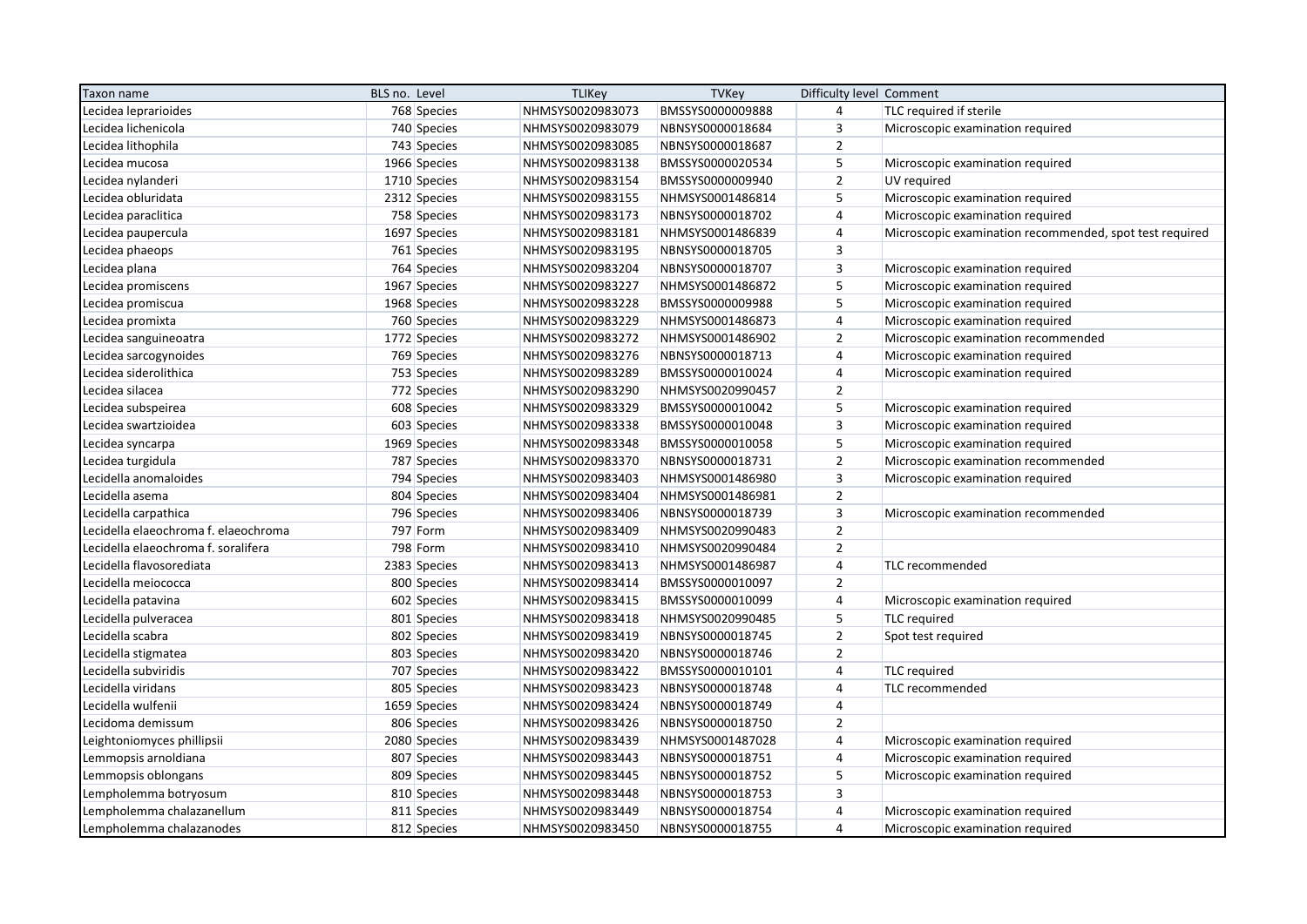| Taxon name                           | BLS no. Level | <b>TLIKey</b>    | <b>TVKey</b>     | Difficulty level Comment |                                                         |
|--------------------------------------|---------------|------------------|------------------|--------------------------|---------------------------------------------------------|
| Lecidea leprarioides                 | 768 Species   | NHMSYS0020983073 | BMSSYS0000009888 | 4                        | TLC required if sterile                                 |
| Lecidea lichenicola                  | 740 Species   | NHMSYS0020983079 | NBNSYS0000018684 | 3                        | Microscopic examination required                        |
| Lecidea lithophila                   | 743 Species   | NHMSYS0020983085 | NBNSYS0000018687 | $\overline{2}$           |                                                         |
| Lecidea mucosa                       | 1966 Species  | NHMSYS0020983138 | BMSSYS0000020534 | 5                        | Microscopic examination required                        |
| Lecidea nylanderi                    | 1710 Species  | NHMSYS0020983154 | BMSSYS0000009940 | $\overline{2}$           | UV required                                             |
| Lecidea obluridata                   | 2312 Species  | NHMSYS0020983155 | NHMSYS0001486814 | 5                        | Microscopic examination required                        |
| Lecidea paraclitica                  | 758 Species   | NHMSYS0020983173 | NBNSYS0000018702 | $\overline{4}$           | Microscopic examination required                        |
| Lecidea paupercula                   | 1697 Species  | NHMSYS0020983181 | NHMSYS0001486839 | $\overline{4}$           | Microscopic examination recommended, spot test required |
| Lecidea phaeops                      | 761 Species   | NHMSYS0020983195 | NBNSYS0000018705 | $\overline{3}$           |                                                         |
| Lecidea plana                        | 764 Species   | NHMSYS0020983204 | NBNSYS0000018707 | 3                        | Microscopic examination required                        |
| Lecidea promiscens                   | 1967 Species  | NHMSYS0020983227 | NHMSYS0001486872 | 5                        | Microscopic examination required                        |
| Lecidea promiscua                    | 1968 Species  | NHMSYS0020983228 | BMSSYS0000009988 | 5                        | Microscopic examination required                        |
| Lecidea promixta                     | 760 Species   | NHMSYS0020983229 | NHMSYS0001486873 | 4                        | Microscopic examination required                        |
| Lecidea sanguineoatra                | 1772 Species  | NHMSYS0020983272 | NHMSYS0001486902 | $\overline{2}$           | Microscopic examination recommended                     |
| Lecidea sarcogynoides                | 769 Species   | NHMSYS0020983276 | NBNSYS0000018713 | $\overline{4}$           | Microscopic examination required                        |
| Lecidea siderolithica                | 753 Species   | NHMSYS0020983289 | BMSSYS0000010024 | $\overline{4}$           | Microscopic examination required                        |
| Lecidea silacea                      | 772 Species   | NHMSYS0020983290 | NHMSYS0020990457 | $\overline{2}$           |                                                         |
| Lecidea subspeirea                   | 608 Species   | NHMSYS0020983329 | BMSSYS0000010042 | 5                        | Microscopic examination required                        |
| Lecidea swartzioidea                 | 603 Species   | NHMSYS0020983338 | BMSSYS0000010048 | $\overline{3}$           | Microscopic examination required                        |
| Lecidea syncarpa                     | 1969 Species  | NHMSYS0020983348 | BMSSYS0000010058 | 5                        | Microscopic examination required                        |
| Lecidea turgidula                    | 787 Species   | NHMSYS0020983370 | NBNSYS0000018731 | $\overline{2}$           | Microscopic examination recommended                     |
| Lecidella anomaloides                | 794 Species   | NHMSYS0020983403 | NHMSYS0001486980 | $\overline{3}$           | Microscopic examination required                        |
| Lecidella asema                      | 804 Species   | NHMSYS0020983404 | NHMSYS0001486981 | $\overline{2}$           |                                                         |
| Lecidella carpathica                 | 796 Species   | NHMSYS0020983406 | NBNSYS0000018739 | $\overline{3}$           | Microscopic examination recommended                     |
| Lecidella elaeochroma f. elaeochroma | 797 Form      | NHMSYS0020983409 | NHMSYS0020990483 | $\overline{2}$           |                                                         |
| Lecidella elaeochroma f. soralifera  | 798 Form      | NHMSYS0020983410 | NHMSYS0020990484 | $\overline{2}$           |                                                         |
| Lecidella flavosorediata             | 2383 Species  | NHMSYS0020983413 | NHMSYS0001486987 | $\overline{4}$           | TLC recommended                                         |
| Lecidella meiococca                  | 800 Species   | NHMSYS0020983414 | BMSSYS0000010097 | $\overline{2}$           |                                                         |
| Lecidella patavina                   | 602 Species   | NHMSYS0020983415 | BMSSYS0000010099 | $\overline{4}$           | Microscopic examination required                        |
| Lecidella pulveracea                 | 801 Species   | NHMSYS0020983418 | NHMSYS0020990485 | 5                        | <b>TLC</b> required                                     |
| Lecidella scabra                     | 802 Species   | NHMSYS0020983419 | NBNSYS0000018745 | $\overline{2}$           | Spot test required                                      |
| Lecidella stigmatea                  | 803 Species   | NHMSYS0020983420 | NBNSYS0000018746 | $\overline{2}$           |                                                         |
| Lecidella subviridis                 | 707 Species   | NHMSYS0020983422 | BMSSYS0000010101 | $\overline{4}$           | <b>TLC</b> required                                     |
| Lecidella viridans                   | 805 Species   | NHMSYS0020983423 | NBNSYS0000018748 | $\overline{4}$           | TLC recommended                                         |
| Lecidella wulfenii                   | 1659 Species  | NHMSYS0020983424 | NBNSYS0000018749 | $\overline{4}$           |                                                         |
| Lecidoma demissum                    | 806 Species   | NHMSYS0020983426 | NBNSYS0000018750 | $\overline{2}$           |                                                         |
| Leightoniomyces phillipsii           | 2080 Species  | NHMSYS0020983439 | NHMSYS0001487028 | $\overline{4}$           | Microscopic examination required                        |
| Lemmopsis arnoldiana                 | 807 Species   | NHMSYS0020983443 | NBNSYS0000018751 | $\overline{4}$           | Microscopic examination required                        |
| Lemmopsis oblongans                  | 809 Species   | NHMSYS0020983445 | NBNSYS0000018752 | 5                        | Microscopic examination required                        |
| Lempholemma botryosum                | 810 Species   | NHMSYS0020983448 | NBNSYS0000018753 | $\mathsf 3$              |                                                         |
| Lempholemma chalazanellum            | 811 Species   | NHMSYS0020983449 | NBNSYS0000018754 | $\overline{4}$           | Microscopic examination required                        |
| Lempholemma chalazanodes             | 812 Species   | NHMSYS0020983450 | NBNSYS0000018755 | $\overline{4}$           | Microscopic examination required                        |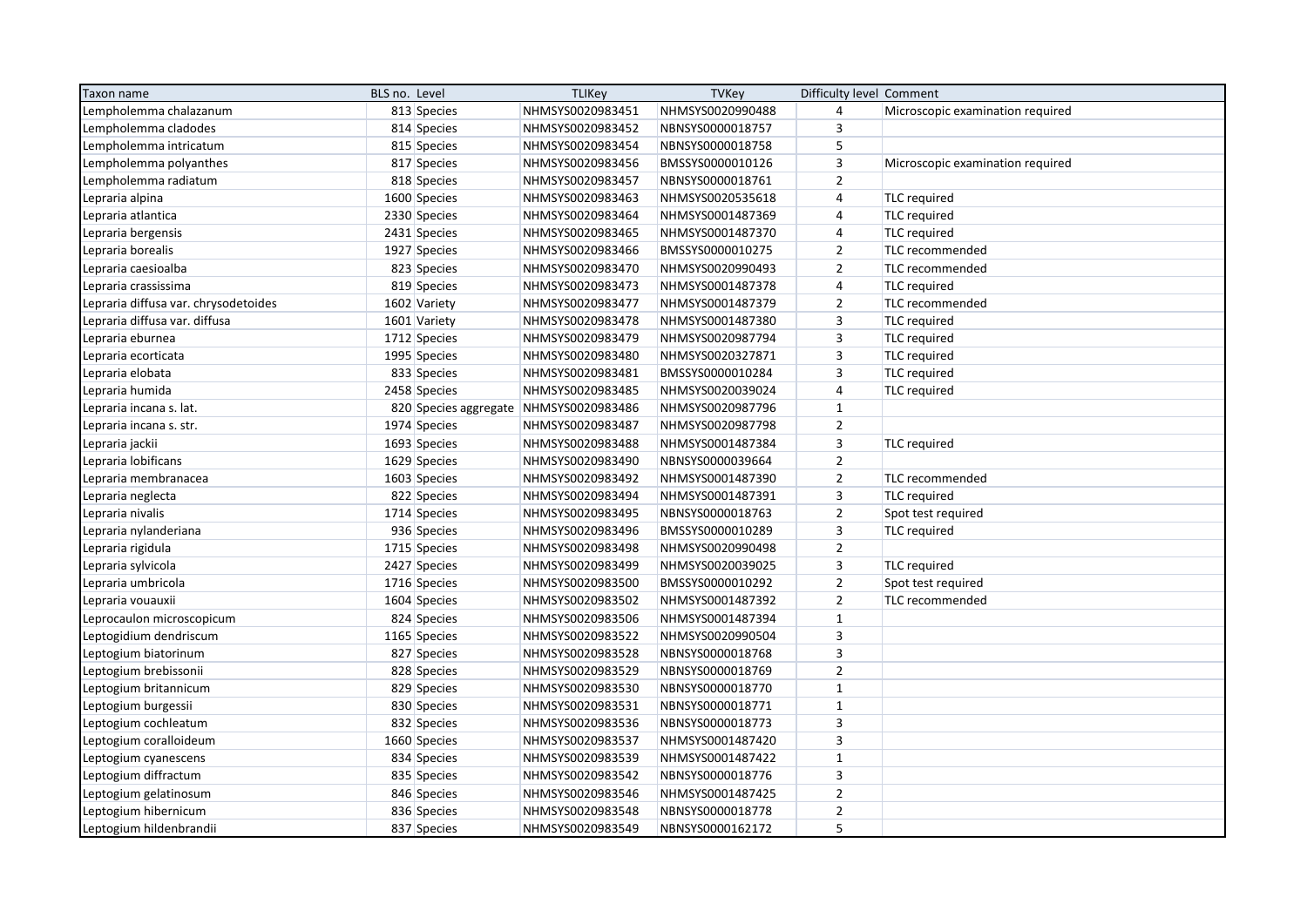| Taxon name                          | BLS no. Level |              | <b>TLIKey</b>                          | <b>TVKey</b>     | Difficulty level Comment |                                  |
|-------------------------------------|---------------|--------------|----------------------------------------|------------------|--------------------------|----------------------------------|
| Lempholemma chalazanum              |               | 813 Species  | NHMSYS0020983451                       | NHMSYS0020990488 | $\sqrt{4}$               | Microscopic examination required |
| Lempholemma cladodes                |               | 814 Species  | NHMSYS0020983452                       | NBNSYS0000018757 | 3                        |                                  |
| Lempholemma intricatum              |               | 815 Species  | NHMSYS0020983454                       | NBNSYS0000018758 | 5                        |                                  |
| Lempholemma polyanthes              |               | 817 Species  | NHMSYS0020983456                       | BMSSYS0000010126 | 3                        | Microscopic examination required |
| Lempholemma radiatum                |               | 818 Species  | NHMSYS0020983457                       | NBNSYS0000018761 | $\mathbf 2$              |                                  |
| Lepraria alpina                     |               | 1600 Species | NHMSYS0020983463                       | NHMSYS0020535618 | $\sqrt{4}$               | <b>TLC</b> required              |
| Lepraria atlantica                  |               | 2330 Species | NHMSYS0020983464                       | NHMSYS0001487369 | $\sqrt{4}$               | TLC required                     |
| Lepraria bergensis                  |               | 2431 Species | NHMSYS0020983465                       | NHMSYS0001487370 | $\sqrt{4}$               | <b>TLC</b> required              |
| Lepraria borealis                   |               | 1927 Species | NHMSYS0020983466                       | BMSSYS0000010275 | $\overline{2}$           | TLC recommended                  |
| Lepraria caesioalba                 |               | 823 Species  | NHMSYS0020983470                       | NHMSYS0020990493 | $\mathbf 2$              | TLC recommended                  |
| Lepraria crassissima                |               | 819 Species  | NHMSYS0020983473                       | NHMSYS0001487378 | 4                        | <b>TLC</b> required              |
| epraria diffusa var. chrysodetoides |               | 1602 Variety | NHMSYS0020983477                       | NHMSYS0001487379 | $\overline{2}$           | TLC recommended                  |
| Lepraria diffusa var. diffusa       |               | 1601 Variety | NHMSYS0020983478                       | NHMSYS0001487380 | 3                        | <b>TLC</b> required              |
| Lepraria eburnea                    |               | 1712 Species | NHMSYS0020983479                       | NHMSYS0020987794 | 3                        | TLC required                     |
| Lepraria ecorticata                 |               | 1995 Species | NHMSYS0020983480                       | NHMSYS0020327871 | $\mathsf 3$              | <b>TLC</b> required              |
| Lepraria elobata                    |               | 833 Species  | NHMSYS0020983481                       | BMSSYS0000010284 | $\mathsf 3$              | <b>TLC</b> required              |
| Lepraria humida                     |               | 2458 Species | NHMSYS0020983485                       | NHMSYS0020039024 | $\sqrt{4}$               | <b>TLC</b> required              |
| Lepraria incana s. lat.             |               |              | 820 Species aggregate NHMSYS0020983486 | NHMSYS0020987796 | $\mathbf{1}$             |                                  |
| epraria incana s. str.              |               | 1974 Species | NHMSYS0020983487                       | NHMSYS0020987798 | $\mathbf 2$              |                                  |
| Lepraria jackii                     |               | 1693 Species | NHMSYS0020983488                       | NHMSYS0001487384 | $\mathsf 3$              | <b>TLC</b> required              |
| Lepraria lobificans                 |               | 1629 Species | NHMSYS0020983490                       | NBNSYS0000039664 | $\overline{2}$           |                                  |
| Lepraria membranacea                |               | 1603 Species | NHMSYS0020983492                       | NHMSYS0001487390 | $\overline{2}$           | TLC recommended                  |
| Lepraria neglecta                   |               | 822 Species  | NHMSYS0020983494                       | NHMSYS0001487391 | $\overline{\mathbf{3}}$  | <b>TLC</b> required              |
| Lepraria nivalis                    |               | 1714 Species | NHMSYS0020983495                       | NBNSYS0000018763 | $\mathbf 2$              | Spot test required               |
| epraria nylanderiana                |               | 936 Species  | NHMSYS0020983496                       | BMSSYS0000010289 | $\mathsf 3$              | TLC required                     |
| Lepraria rigidula                   |               | 1715 Species | NHMSYS0020983498                       | NHMSYS0020990498 | $\overline{2}$           |                                  |
| Lepraria sylvicola                  |               | 2427 Species | NHMSYS0020983499                       | NHMSYS0020039025 | 3                        | <b>TLC</b> required              |
| Lepraria umbricola                  |               | 1716 Species | NHMSYS0020983500                       | BMSSYS0000010292 | $\overline{2}$           | Spot test required               |
| Lepraria vouauxii                   |               | 1604 Species | NHMSYS0020983502                       | NHMSYS0001487392 | $\overline{2}$           | TLC recommended                  |
| eprocaulon microscopicum            |               | 824 Species  | NHMSYS0020983506                       | NHMSYS0001487394 | $\mathbf 1$              |                                  |
| Leptogidium dendriscum              |               | 1165 Species | NHMSYS0020983522                       | NHMSYS0020990504 | $\mathsf 3$              |                                  |
| Leptogium biatorinum                |               | 827 Species  | NHMSYS0020983528                       | NBNSYS0000018768 | $\overline{\mathbf{3}}$  |                                  |
| eptogium brebissonii                |               | 828 Species  | NHMSYS0020983529                       | NBNSYS0000018769 | $\overline{2}$           |                                  |
| Leptogium britannicum               |               | 829 Species  | NHMSYS0020983530                       | NBNSYS0000018770 | $\mathbf 1$              |                                  |
| Leptogium burgessii                 |               | 830 Species  | NHMSYS0020983531                       | NBNSYS0000018771 | $\mathbf 1$              |                                  |
| Leptogium cochleatum                |               | 832 Species  | NHMSYS0020983536                       | NBNSYS0000018773 | 3                        |                                  |
| Leptogium coralloideum              |               | 1660 Species | NHMSYS0020983537                       | NHMSYS0001487420 | 3                        |                                  |
| Leptogium cyanescens                |               | 834 Species  | NHMSYS0020983539                       | NHMSYS0001487422 | $\mathbf{1}$             |                                  |
| Leptogium diffractum                |               | 835 Species  | NHMSYS0020983542                       | NBNSYS0000018776 | $\mathsf 3$              |                                  |
| Leptogium gelatinosum               |               | 846 Species  | NHMSYS0020983546                       | NHMSYS0001487425 | $\mathbf 2$              |                                  |
| Leptogium hibernicum                |               | 836 Species  | NHMSYS0020983548                       | NBNSYS0000018778 | $\overline{2}$           |                                  |
| Leptogium hildenbrandii             |               | 837 Species  | NHMSYS0020983549                       | NBNSYS0000162172 | 5                        |                                  |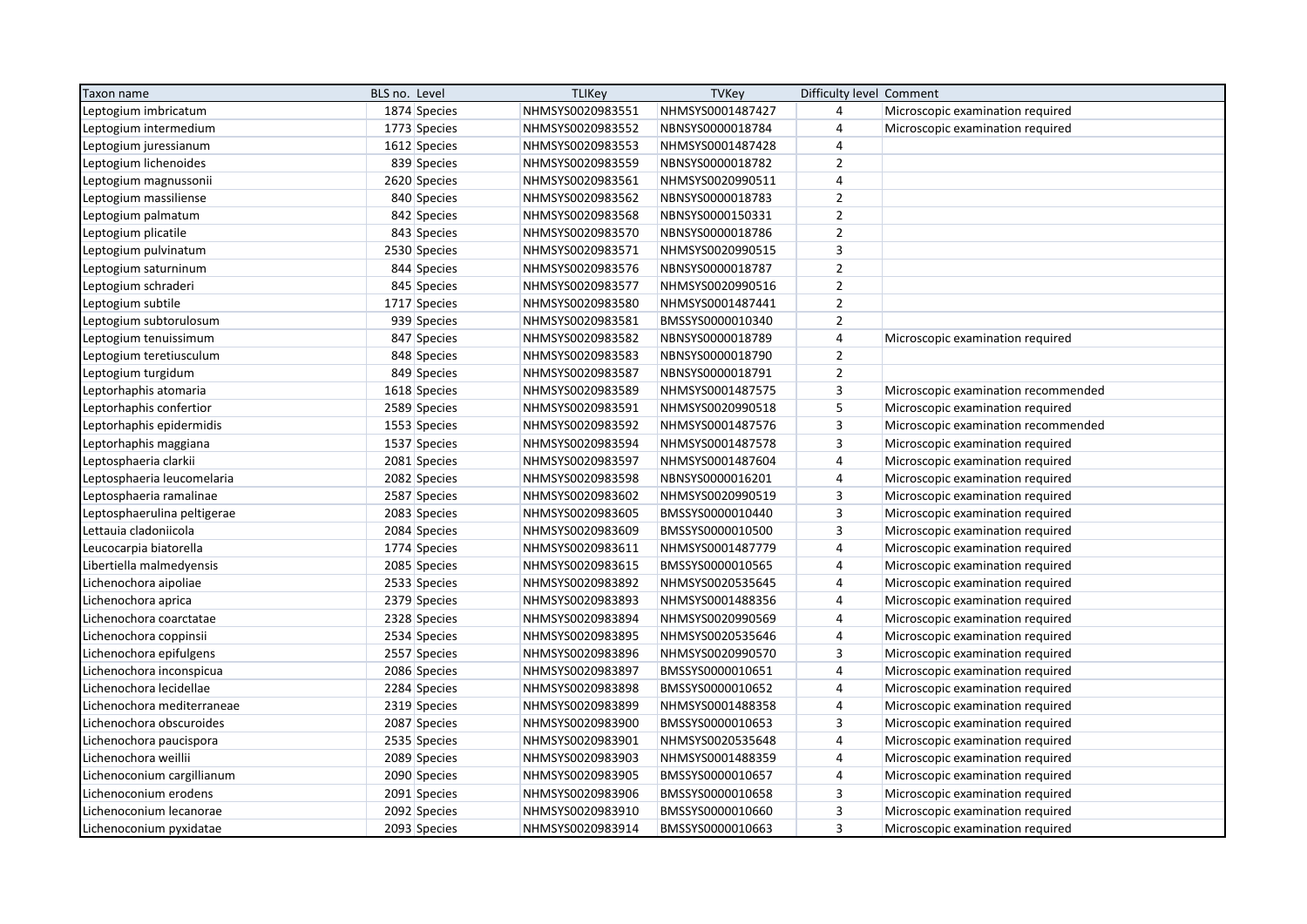| Taxon name                 | BLS no. Level |              | <b>TLIKey</b>    | <b>TVKey</b>     | Difficulty level Comment |                                     |
|----------------------------|---------------|--------------|------------------|------------------|--------------------------|-------------------------------------|
| eptogium imbricatum.       |               | 1874 Species | NHMSYS0020983551 | NHMSYS0001487427 | 4                        | Microscopic examination required    |
| eptogium intermedium       |               | 1773 Species | NHMSYS0020983552 | NBNSYS0000018784 | $\overline{4}$           | Microscopic examination required    |
| Leptogium juressianum      |               | 1612 Species | NHMSYS0020983553 | NHMSYS0001487428 | $\overline{4}$           |                                     |
| Leptogium lichenoides      |               | 839 Species  | NHMSYS0020983559 | NBNSYS0000018782 | $\overline{2}$           |                                     |
| Leptogium magnussonii      |               | 2620 Species | NHMSYS0020983561 | NHMSYS0020990511 | $\overline{4}$           |                                     |
| eptogium massiliense       |               | 840 Species  | NHMSYS0020983562 | NBNSYS0000018783 | $\overline{2}$           |                                     |
| eptogium palmatum          |               | 842 Species  | NHMSYS0020983568 | NBNSYS0000150331 | $\mathbf 2$              |                                     |
| Leptogium plicatile        |               | 843 Species  | NHMSYS0020983570 | NBNSYS0000018786 | $\mathbf 2$              |                                     |
| Leptogium pulvinatum       |               | 2530 Species | NHMSYS0020983571 | NHMSYS0020990515 | 3                        |                                     |
| Leptogium saturninum       |               | 844 Species  | NHMSYS0020983576 | NBNSYS0000018787 | $\overline{2}$           |                                     |
| Leptogium schraderi        |               | 845 Species  | NHMSYS0020983577 | NHMSYS0020990516 | $\mathbf 2$              |                                     |
| Leptogium subtile          |               | 1717 Species | NHMSYS0020983580 | NHMSYS0001487441 | $\overline{2}$           |                                     |
| eptogium subtorulosum.     |               | 939 Species  | NHMSYS0020983581 | BMSSYS0000010340 | $\overline{2}$           |                                     |
| Leptogium tenuissimum      |               | 847 Species  | NHMSYS0020983582 | NBNSYS0000018789 | $\overline{4}$           | Microscopic examination required    |
| Leptogium teretiusculum    |               | 848 Species  | NHMSYS0020983583 | NBNSYS0000018790 | $\overline{2}$           |                                     |
| Leptogium turgidum         |               | 849 Species  | NHMSYS0020983587 | NBNSYS0000018791 | $\overline{2}$           |                                     |
| eptorhaphis atomaria       |               | 1618 Species | NHMSYS0020983589 | NHMSYS0001487575 | 3                        | Microscopic examination recommended |
| eptorhaphis confertior     |               | 2589 Species | NHMSYS0020983591 | NHMSYS0020990518 | 5                        | Microscopic examination required    |
| eptorhaphis epidermidis    |               | 1553 Species | NHMSYS0020983592 | NHMSYS0001487576 | $\overline{\mathbf{3}}$  | Microscopic examination recommended |
| eptorhaphis maggiana.      |               | 1537 Species | NHMSYS0020983594 | NHMSYS0001487578 | 3                        | Microscopic examination required    |
| eptosphaeria clarkii       |               | 2081 Species | NHMSYS0020983597 | NHMSYS0001487604 | $\overline{4}$           | Microscopic examination required    |
| eptosphaeria leucomelaria  |               | 2082 Species | NHMSYS0020983598 | NBNSYS0000016201 | $\sqrt{4}$               | Microscopic examination required    |
| eptosphaeria ramalinae     |               | 2587 Species | NHMSYS0020983602 | NHMSYS0020990519 | 3                        | Microscopic examination required    |
| eptosphaerulina peltigerae |               | 2083 Species | NHMSYS0020983605 | BMSSYS0000010440 | 3                        | Microscopic examination required    |
| Lettauia cladoniicola      |               | 2084 Species | NHMSYS0020983609 | BMSSYS0000010500 | 3                        | Microscopic examination required    |
| Leucocarpia biatorella     |               | 1774 Species | NHMSYS0020983611 | NHMSYS0001487779 | $\sqrt{4}$               | Microscopic examination required    |
| ibertiella malmedyensis    |               | 2085 Species | NHMSYS0020983615 | BMSSYS0000010565 | 4                        | Microscopic examination required    |
| Lichenochora aipoliae      |               | 2533 Species | NHMSYS0020983892 | NHMSYS0020535645 | $\overline{4}$           | Microscopic examination required    |
| Lichenochora aprica        |               | 2379 Species | NHMSYS0020983893 | NHMSYS0001488356 | $\sqrt{4}$               | Microscopic examination required    |
| Lichenochora coarctatae    |               | 2328 Species | NHMSYS0020983894 | NHMSYS0020990569 | 4                        | Microscopic examination required    |
| Lichenochora coppinsii     |               | 2534 Species | NHMSYS0020983895 | NHMSYS0020535646 | $\sqrt{4}$               | Microscopic examination required    |
| Lichenochora epifulgens    |               | 2557 Species | NHMSYS0020983896 | NHMSYS0020990570 | 3                        | Microscopic examination required    |
| ichenochora inconspicua    |               | 2086 Species | NHMSYS0020983897 | BMSSYS0000010651 | $\sqrt{4}$               | Microscopic examination required    |
| ichenochora lecidellae.    |               | 2284 Species | NHMSYS0020983898 | BMSSYS0000010652 | 4                        | Microscopic examination required    |
| ichenochora mediterraneae  |               | 2319 Species | NHMSYS0020983899 | NHMSYS0001488358 | $\sqrt{4}$               | Microscopic examination required    |
| Lichenochora obscuroides   |               | 2087 Species | NHMSYS0020983900 | BMSSYS0000010653 | 3                        | Microscopic examination required    |
| Lichenochora paucispora    |               | 2535 Species | NHMSYS0020983901 | NHMSYS0020535648 | $\sqrt{4}$               | Microscopic examination required    |
| ichenochora weillii        |               | 2089 Species | NHMSYS0020983903 | NHMSYS0001488359 | $\overline{4}$           | Microscopic examination required    |
| Lichenoconium cargillianum |               | 2090 Species | NHMSYS0020983905 | BMSSYS0000010657 | 4                        | Microscopic examination required    |
| Lichenoconium erodens      |               | 2091 Species | NHMSYS0020983906 | BMSSYS0000010658 | $\mathsf 3$              | Microscopic examination required    |
| Lichenoconium lecanorae    |               | 2092 Species | NHMSYS0020983910 | BMSSYS0000010660 | $\mathsf 3$              | Microscopic examination required    |
| Lichenoconium pyxidatae    |               | 2093 Species | NHMSYS0020983914 | BMSSYS0000010663 | $\overline{3}$           | Microscopic examination required    |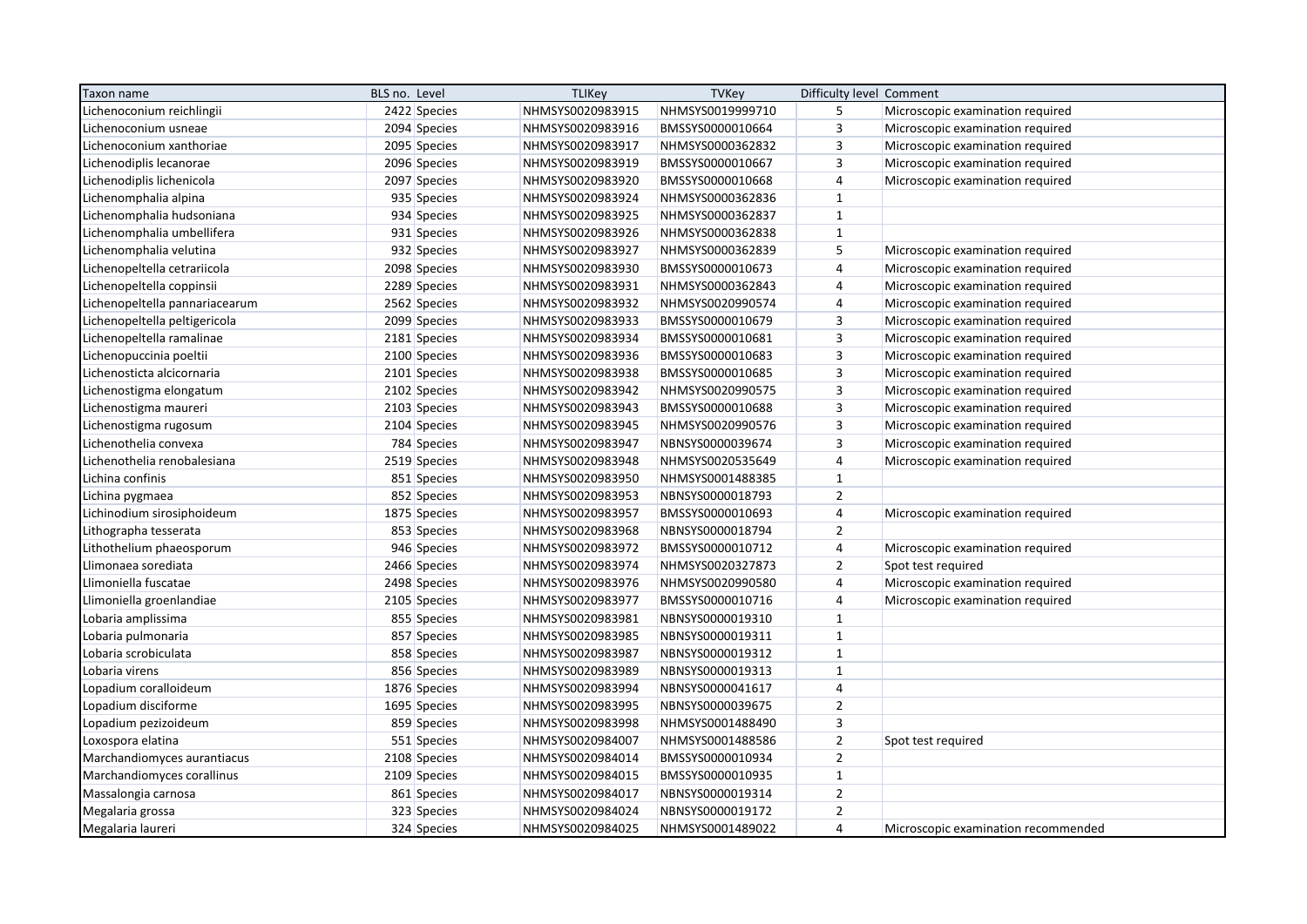| Taxon name                     | BLS no. Level |              | <b>TLIKey</b>    | <b>TVKey</b>     | Difficulty level Comment  |                                     |
|--------------------------------|---------------|--------------|------------------|------------------|---------------------------|-------------------------------------|
| ichenoconium reichlingii       |               | 2422 Species | NHMSYS0020983915 | NHMSYS0019999710 | 5                         | Microscopic examination required    |
| ichenoconium usneae            |               | 2094 Species | NHMSYS0020983916 | BMSSYS0000010664 | 3                         | Microscopic examination required    |
| ichenoconium xanthoriae        |               | 2095 Species | NHMSYS0020983917 | NHMSYS0000362832 | 3                         | Microscopic examination required    |
| Lichenodiplis lecanorae        |               | 2096 Species | NHMSYS0020983919 | BMSSYS0000010667 | $\overline{\mathbf{3}}$   | Microscopic examination required    |
| Lichenodiplis lichenicola      |               | 2097 Species | NHMSYS0020983920 | BMSSYS0000010668 | $\overline{4}$            | Microscopic examination required    |
| Lichenomphalia alpina          |               | 935 Species  | NHMSYS0020983924 | NHMSYS0000362836 | $\mathbf{1}$              |                                     |
| ichenomphalia hudsoniana       |               | 934 Species  | NHMSYS0020983925 | NHMSYS0000362837 | $\mathbf 1$               |                                     |
| Lichenomphalia umbellifera     |               | 931 Species  | NHMSYS0020983926 | NHMSYS0000362838 | $\mathbf{1}$              |                                     |
| Lichenomphalia velutina        |               | 932 Species  | NHMSYS0020983927 | NHMSYS0000362839 | 5                         | Microscopic examination required    |
| Lichenopeltella cetrariicola   |               | 2098 Species | NHMSYS0020983930 | BMSSYS0000010673 | $\sqrt{4}$                | Microscopic examination required    |
| Lichenopeltella coppinsii      |               | 2289 Species | NHMSYS0020983931 | NHMSYS0000362843 | $\overline{4}$            | Microscopic examination required    |
| ichenopeltella pannariacearum. |               | 2562 Species | NHMSYS0020983932 | NHMSYS0020990574 | $\sqrt{4}$                | Microscopic examination required    |
| Lichenopeltella peltigericola  |               | 2099 Species | NHMSYS0020983933 | BMSSYS0000010679 | 3                         | Microscopic examination required    |
| Lichenopeltella ramalinae      |               | 2181 Species | NHMSYS0020983934 | BMSSYS0000010681 | 3                         | Microscopic examination required    |
| Lichenopuccinia poeltii        |               | 2100 Species | NHMSYS0020983936 | BMSSYS0000010683 | 3                         | Microscopic examination required    |
| ichenosticta alcicornaria      |               | 2101 Species | NHMSYS0020983938 | BMSSYS0000010685 | $\ensuremath{\mathsf{3}}$ | Microscopic examination required    |
| ichenostigma elongatum.        |               | 2102 Species | NHMSYS0020983942 | NHMSYS0020990575 | $\mathsf 3$               | Microscopic examination required    |
| Lichenostigma maureri          |               | 2103 Species | NHMSYS0020983943 | BMSSYS0000010688 | 3                         | Microscopic examination required    |
| ichenostigma rugosum.          |               | 2104 Species | NHMSYS0020983945 | NHMSYS0020990576 | $\overline{\mathbf{3}}$   | Microscopic examination required    |
| ichenothelia convexa           |               | 784 Species  | NHMSYS0020983947 | NBNSYS0000039674 | $\mathsf 3$               | Microscopic examination required    |
| Lichenothelia renobalesiana    |               | 2519 Species | NHMSYS0020983948 | NHMSYS0020535649 | $\overline{4}$            | Microscopic examination required    |
| Lichina confinis               |               | 851 Species  | NHMSYS0020983950 | NHMSYS0001488385 | $\mathbf{1}$              |                                     |
| Lichina pygmaea                |               | 852 Species  | NHMSYS0020983953 | NBNSYS0000018793 | $\overline{2}$            |                                     |
| Lichinodium sirosiphoideum     |               | 1875 Species | NHMSYS0020983957 | BMSSYS0000010693 | $\sqrt{4}$                | Microscopic examination required    |
| Lithographa tesserata          |               | 853 Species  | NHMSYS0020983968 | NBNSYS0000018794 | $\overline{2}$            |                                     |
| ithothelium phaeosporum.       |               | 946 Species  | NHMSYS0020983972 | BMSSYS0000010712 | $\overline{4}$            | Microscopic examination required    |
| limonaea sorediata             |               | 2466 Species | NHMSYS0020983974 | NHMSYS0020327873 | $\overline{2}$            | Spot test required                  |
| limoniella fuscatae            |               | 2498 Species | NHMSYS0020983976 | NHMSYS0020990580 | $\overline{4}$            | Microscopic examination required    |
| limoniella groenlandiae        |               | 2105 Species | NHMSYS0020983977 | BMSSYS0000010716 | $\overline{4}$            | Microscopic examination required    |
| obaria amplissima              |               | 855 Species  | NHMSYS0020983981 | NBNSYS0000019310 | $\mathbf 1$               |                                     |
| Lobaria pulmonaria             |               | 857 Species  | NHMSYS0020983985 | NBNSYS0000019311 | $\mathbf{1}$              |                                     |
| obaria scrobiculata            |               | 858 Species  | NHMSYS0020983987 | NBNSYS0000019312 | $\mathbf{1}$              |                                     |
| obaria virens                  |               | 856 Species  | NHMSYS0020983989 | NBNSYS0000019313 | $\mathbf{1}$              |                                     |
| opadium coralloideum.          |               | 1876 Species | NHMSYS0020983994 | NBNSYS0000041617 | $\sqrt{4}$                |                                     |
| Lopadium disciforme            |               | 1695 Species | NHMSYS0020983995 | NBNSYS0000039675 | $\overline{2}$            |                                     |
| Lopadium pezizoideum           |               | 859 Species  | NHMSYS0020983998 | NHMSYS0001488490 | 3                         |                                     |
| Loxospora elatina              |               | 551 Species  | NHMSYS0020984007 | NHMSYS0001488586 | $\mathbf 2$               | Spot test required                  |
| Marchandiomyces aurantiacus    |               | 2108 Species | NHMSYS0020984014 | BMSSYS0000010934 | $\overline{2}$            |                                     |
| Marchandiomyces corallinus     |               | 2109 Species | NHMSYS0020984015 | BMSSYS0000010935 | $\mathbf{1}$              |                                     |
| Massalongia carnosa            |               | 861 Species  | NHMSYS0020984017 | NBNSYS0000019314 | $\mathbf 2$               |                                     |
| Megalaria grossa               |               | 323 Species  | NHMSYS0020984024 | NBNSYS0000019172 | $\overline{2}$            |                                     |
| Megalaria laureri              |               | 324 Species  | NHMSYS0020984025 | NHMSYS0001489022 | $\overline{4}$            | Microscopic examination recommended |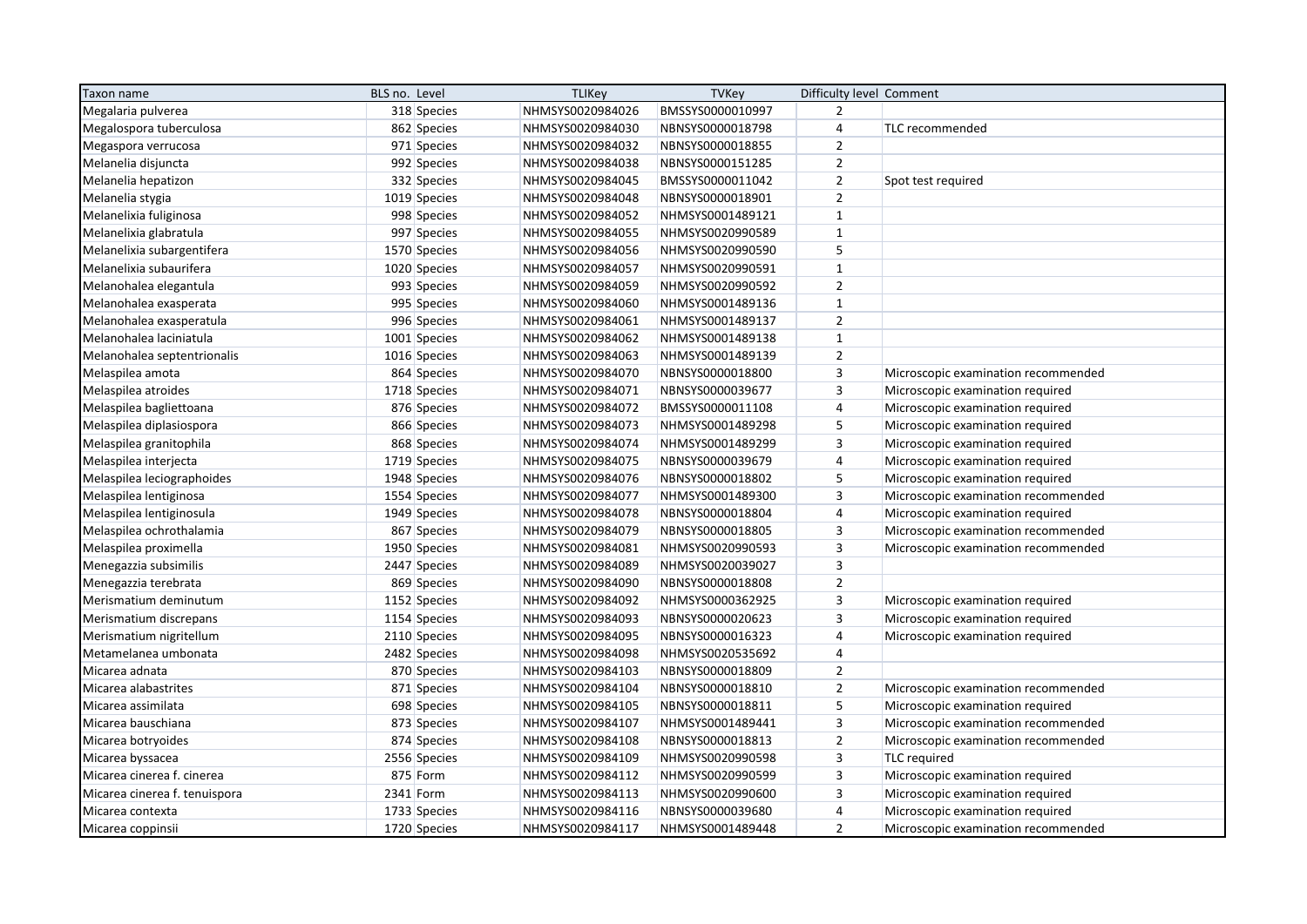| Taxon name                    | BLS no. Level | <b>TLIKey</b>    | <b>TVKey</b>     | Difficulty level Comment |                                     |
|-------------------------------|---------------|------------------|------------------|--------------------------|-------------------------------------|
| Megalaria pulverea            | 318 Species   | NHMSYS0020984026 | BMSSYS0000010997 | $\overline{2}$           |                                     |
| Megalospora tuberculosa       | 862 Species   | NHMSYS0020984030 | NBNSYS0000018798 | $\overline{4}$           | TLC recommended                     |
| Megaspora verrucosa           | 971 Species   | NHMSYS0020984032 | NBNSYS0000018855 | $\overline{2}$           |                                     |
| Melanelia disjuncta           | 992 Species   | NHMSYS0020984038 | NBNSYS0000151285 | $\overline{2}$           |                                     |
| Melanelia hepatizon           | 332 Species   | NHMSYS0020984045 | BMSSYS0000011042 | $\overline{2}$           | Spot test required                  |
| Melanelia stygia              | 1019 Species  | NHMSYS0020984048 | NBNSYS0000018901 | $\overline{2}$           |                                     |
| Melanelixia fuliginosa        | 998 Species   | NHMSYS0020984052 | NHMSYS0001489121 | $\mathbf{1}$             |                                     |
| Melanelixia glabratula        | 997 Species   | NHMSYS0020984055 | NHMSYS0020990589 | $\mathbf{1}$             |                                     |
| Melanelixia subargentifera    | 1570 Species  | NHMSYS0020984056 | NHMSYS0020990590 | 5                        |                                     |
| Melanelixia subaurifera       | 1020 Species  | NHMSYS0020984057 | NHMSYS0020990591 | $\mathbf{1}$             |                                     |
| Melanohalea elegantula        | 993 Species   | NHMSYS0020984059 | NHMSYS0020990592 | $\overline{2}$           |                                     |
| Melanohalea exasperata        | 995 Species   | NHMSYS0020984060 | NHMSYS0001489136 | $\mathbf{1}$             |                                     |
| Melanohalea exasperatula      | 996 Species   | NHMSYS0020984061 | NHMSYS0001489137 | $\overline{2}$           |                                     |
| Melanohalea laciniatula       | 1001 Species  | NHMSYS0020984062 | NHMSYS0001489138 | $\mathbf{1}$             |                                     |
| Melanohalea septentrionalis   | 1016 Species  | NHMSYS0020984063 | NHMSYS0001489139 | $\overline{2}$           |                                     |
| Melaspilea amota              | 864 Species   | NHMSYS0020984070 | NBNSYS0000018800 | $\mathbf{3}$             | Microscopic examination recommended |
| Melaspilea atroides           | 1718 Species  | NHMSYS0020984071 | NBNSYS0000039677 | $\mathsf 3$              | Microscopic examination required    |
| Melaspilea bagliettoana       | 876 Species   | NHMSYS0020984072 | BMSSYS0000011108 | $\overline{4}$           | Microscopic examination required    |
| Melaspilea diplasiospora      | 866 Species   | NHMSYS0020984073 | NHMSYS0001489298 | 5                        | Microscopic examination required    |
| Melaspilea granitophila       | 868 Species   | NHMSYS0020984074 | NHMSYS0001489299 | $\overline{3}$           | Microscopic examination required    |
| Melaspilea interjecta         | 1719 Species  | NHMSYS0020984075 | NBNSYS0000039679 | 4                        | Microscopic examination required    |
| Melaspilea leciographoides    | 1948 Species  | NHMSYS0020984076 | NBNSYS0000018802 | 5                        | Microscopic examination required    |
| Melaspilea lentiginosa        | 1554 Species  | NHMSYS0020984077 | NHMSYS0001489300 | $\mathsf 3$              | Microscopic examination recommended |
| Melaspilea lentiginosula      | 1949 Species  | NHMSYS0020984078 | NBNSYS0000018804 | $\overline{4}$           | Microscopic examination required    |
| Melaspilea ochrothalamia      | 867 Species   | NHMSYS0020984079 | NBNSYS0000018805 | 3                        | Microscopic examination recommended |
| Melaspilea proximella         | 1950 Species  | NHMSYS0020984081 | NHMSYS0020990593 | $\overline{3}$           | Microscopic examination recommended |
| Menegazzia subsimilis         | 2447 Species  | NHMSYS0020984089 | NHMSYS0020039027 | $\mathsf 3$              |                                     |
| Menegazzia terebrata          | 869 Species   | NHMSYS0020984090 | NBNSYS0000018808 | $\overline{2}$           |                                     |
| Merismatium deminutum         | 1152 Species  | NHMSYS0020984092 | NHMSYS0000362925 | $\overline{3}$           | Microscopic examination required    |
| Merismatium discrepans        | 1154 Species  | NHMSYS0020984093 | NBNSYS0000020623 | $\overline{3}$           | Microscopic examination required    |
| Merismatium nigritellum       | 2110 Species  | NHMSYS0020984095 | NBNSYS0000016323 | $\overline{4}$           | Microscopic examination required    |
| Metamelanea umbonata          | 2482 Species  | NHMSYS0020984098 | NHMSYS0020535692 | $\overline{4}$           |                                     |
| Micarea adnata                | 870 Species   | NHMSYS0020984103 | NBNSYS0000018809 | $\overline{2}$           |                                     |
| Micarea alabastrites          | 871 Species   | NHMSYS0020984104 | NBNSYS0000018810 | $\overline{2}$           | Microscopic examination recommended |
| Micarea assimilata            | 698 Species   | NHMSYS0020984105 | NBNSYS0000018811 | 5                        | Microscopic examination required    |
| Micarea bauschiana            | 873 Species   | NHMSYS0020984107 | NHMSYS0001489441 | 3                        | Microscopic examination recommended |
| Micarea botryoides            | 874 Species   | NHMSYS0020984108 | NBNSYS0000018813 | $\mathbf 2$              | Microscopic examination recommended |
| Micarea byssacea              | 2556 Species  | NHMSYS0020984109 | NHMSYS0020990598 | $\mathsf 3$              | <b>TLC</b> required                 |
| Micarea cinerea f. cinerea    | 875 Form      | NHMSYS0020984112 | NHMSYS0020990599 | $\overline{3}$           | Microscopic examination required    |
| Micarea cinerea f. tenuispora | 2341 Form     | NHMSYS0020984113 | NHMSYS0020990600 | $\mathsf 3$              | Microscopic examination required    |
| Micarea contexta              | 1733 Species  | NHMSYS0020984116 | NBNSYS0000039680 | 4                        | Microscopic examination required    |
| Micarea coppinsii             | 1720 Species  | NHMSYS0020984117 | NHMSYS0001489448 | $\overline{2}$           | Microscopic examination recommended |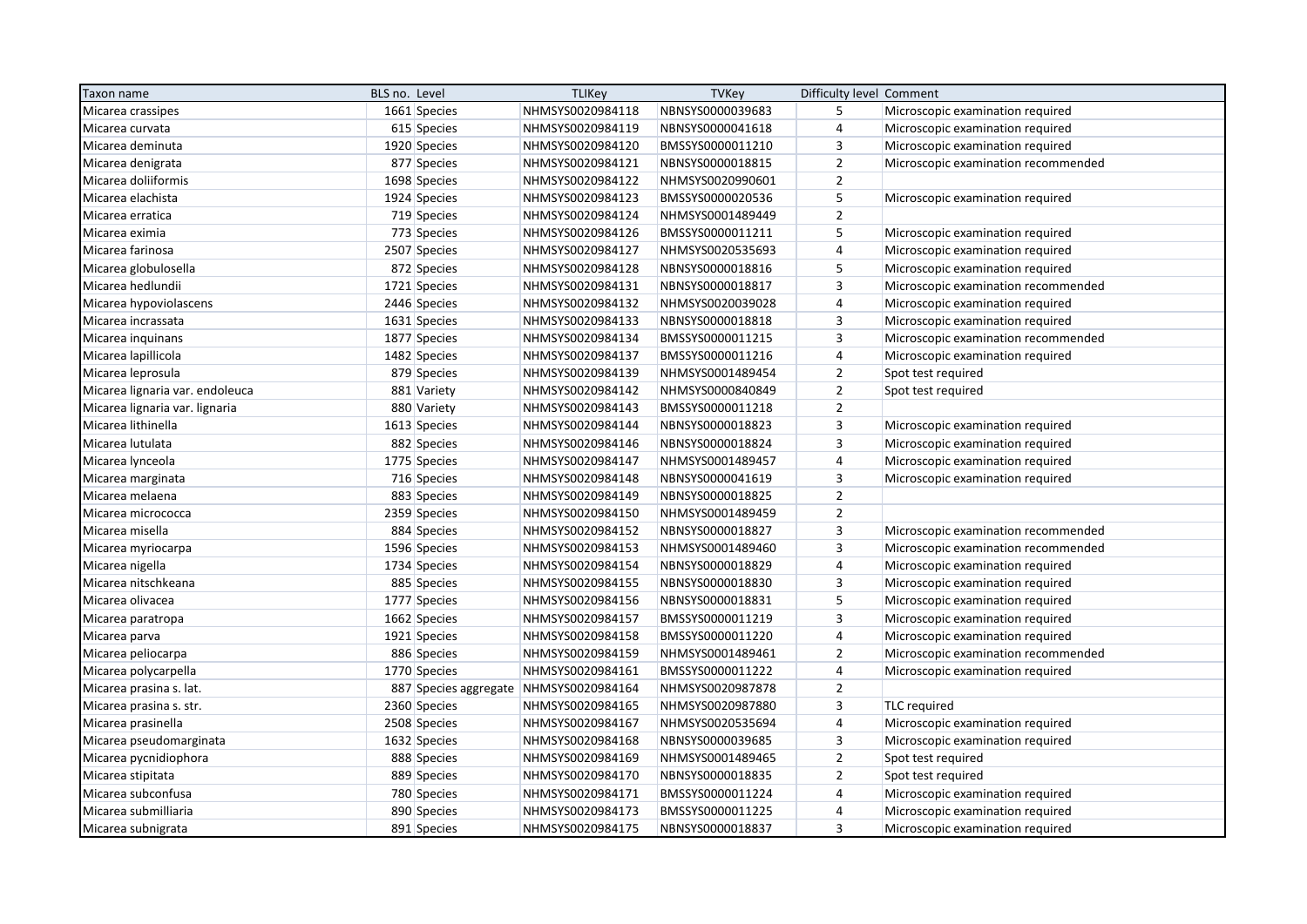| Taxon name                      | BLS no. Level |              | <b>TLIKey</b>                          | <b>TVKey</b>     | Difficulty level Comment |                                     |
|---------------------------------|---------------|--------------|----------------------------------------|------------------|--------------------------|-------------------------------------|
| Micarea crassipes               |               | 1661 Species | NHMSYS0020984118                       | NBNSYS0000039683 | 5                        | Microscopic examination required    |
| Micarea curvata                 |               | 615 Species  | NHMSYS0020984119                       | NBNSYS0000041618 | 4                        | Microscopic examination required    |
| Micarea deminuta                |               | 1920 Species | NHMSYS0020984120                       | BMSSYS0000011210 | 3                        | Microscopic examination required    |
| Micarea denigrata               |               | 877 Species  | NHMSYS0020984121                       | NBNSYS0000018815 | $\overline{2}$           | Microscopic examination recommended |
| Micarea doliiformis             |               | 1698 Species | NHMSYS0020984122                       | NHMSYS0020990601 | $\overline{2}$           |                                     |
| Micarea elachista               |               | 1924 Species | NHMSYS0020984123                       | BMSSYS0000020536 | 5                        | Microscopic examination required    |
| Micarea erratica                |               | 719 Species  | NHMSYS0020984124                       | NHMSYS0001489449 | $\overline{2}$           |                                     |
| Micarea eximia                  |               | 773 Species  | NHMSYS0020984126                       | BMSSYS0000011211 | 5                        | Microscopic examination required    |
| Micarea farinosa                |               | 2507 Species | NHMSYS0020984127                       | NHMSYS0020535693 | 4                        | Microscopic examination required    |
| Micarea globulosella            |               | 872 Species  | NHMSYS0020984128                       | NBNSYS0000018816 | 5                        | Microscopic examination required    |
| Micarea hedlundii               |               | 1721 Species | NHMSYS0020984131                       | NBNSYS0000018817 | $\overline{3}$           | Microscopic examination recommended |
| Micarea hypoviolascens          |               | 2446 Species | NHMSYS0020984132                       | NHMSYS0020039028 | $\overline{4}$           | Microscopic examination required    |
| Micarea incrassata              |               | 1631 Species | NHMSYS0020984133                       | NBNSYS0000018818 | $\overline{3}$           | Microscopic examination required    |
| Micarea inquinans               |               | 1877 Species | NHMSYS0020984134                       | BMSSYS0000011215 | 3                        | Microscopic examination recommended |
| Micarea lapillicola             |               | 1482 Species | NHMSYS0020984137                       | BMSSYS0000011216 | $\overline{4}$           | Microscopic examination required    |
| Micarea leprosula               |               | 879 Species  | NHMSYS0020984139                       | NHMSYS0001489454 | $\overline{2}$           | Spot test required                  |
| Micarea lignaria var. endoleuca |               | 881 Variety  | NHMSYS0020984142                       | NHMSYS0000840849 | $\overline{2}$           | Spot test required                  |
| Micarea lignaria var. lignaria  |               | 880 Variety  | NHMSYS0020984143                       | BMSSYS0000011218 | $\overline{2}$           |                                     |
| Micarea lithinella              |               | 1613 Species | NHMSYS0020984144                       | NBNSYS0000018823 | 3                        | Microscopic examination required    |
| Micarea lutulata                |               | 882 Species  | NHMSYS0020984146                       | NBNSYS0000018824 | $\overline{3}$           | Microscopic examination required    |
| Micarea lynceola                |               | 1775 Species | NHMSYS0020984147                       | NHMSYS0001489457 | 4                        | Microscopic examination required    |
| Micarea marginata               |               | 716 Species  | NHMSYS0020984148                       | NBNSYS0000041619 | $\overline{3}$           | Microscopic examination required    |
| Micarea melaena                 |               | 883 Species  | NHMSYS0020984149                       | NBNSYS0000018825 | $\overline{2}$           |                                     |
| Micarea micrococca              |               | 2359 Species | NHMSYS0020984150                       | NHMSYS0001489459 | $\overline{2}$           |                                     |
| Micarea misella                 |               | 884 Species  | NHMSYS0020984152                       | NBNSYS0000018827 | $\overline{3}$           | Microscopic examination recommended |
| Micarea myriocarpa              |               | 1596 Species | NHMSYS0020984153                       | NHMSYS0001489460 | 3                        | Microscopic examination recommended |
| Micarea nigella                 |               | 1734 Species | NHMSYS0020984154                       | NBNSYS0000018829 | $\overline{4}$           | Microscopic examination required    |
| Micarea nitschkeana             |               | 885 Species  | NHMSYS0020984155                       | NBNSYS0000018830 | 3                        | Microscopic examination required    |
| Micarea olivacea                |               | 1777 Species | NHMSYS0020984156                       | NBNSYS0000018831 | 5                        | Microscopic examination required    |
| Micarea paratropa               |               | 1662 Species | NHMSYS0020984157                       | BMSSYS0000011219 | 3                        | Microscopic examination required    |
| Micarea parva                   |               | 1921 Species | NHMSYS0020984158                       | BMSSYS0000011220 | 4                        | Microscopic examination required    |
| Micarea peliocarpa              |               | 886 Species  | NHMSYS0020984159                       | NHMSYS0001489461 | $\overline{2}$           | Microscopic examination recommended |
| Micarea polycarpella            |               | 1770 Species | NHMSYS0020984161                       | BMSSYS0000011222 | 4                        | Microscopic examination required    |
| Micarea prasina s. lat.         |               |              | 887 Species aggregate NHMSYS0020984164 | NHMSYS0020987878 | $\mathbf 2$              |                                     |
| Micarea prasina s. str.         |               | 2360 Species | NHMSYS0020984165                       | NHMSYS0020987880 | 3                        | TLC required                        |
| Micarea prasinella              |               | 2508 Species | NHMSYS0020984167                       | NHMSYS0020535694 | $\overline{4}$           | Microscopic examination required    |
| Micarea pseudomarginata         |               | 1632 Species | NHMSYS0020984168                       | NBNSYS0000039685 | 3                        | Microscopic examination required    |
| Micarea pycnidiophora           |               | 888 Species  | NHMSYS0020984169                       | NHMSYS0001489465 | $\overline{2}$           | Spot test required                  |
| Micarea stipitata               |               | 889 Species  | NHMSYS0020984170                       | NBNSYS0000018835 | $\overline{2}$           | Spot test required                  |
| Micarea subconfusa              |               | 780 Species  | NHMSYS0020984171                       | BMSSYS0000011224 | $\overline{4}$           | Microscopic examination required    |
| Micarea submilliaria            |               | 890 Species  | NHMSYS0020984173                       | BMSSYS0000011225 | 4                        | Microscopic examination required    |
| Micarea subnigrata              |               | 891 Species  | NHMSYS0020984175                       | NBNSYS0000018837 | 3                        | Microscopic examination required    |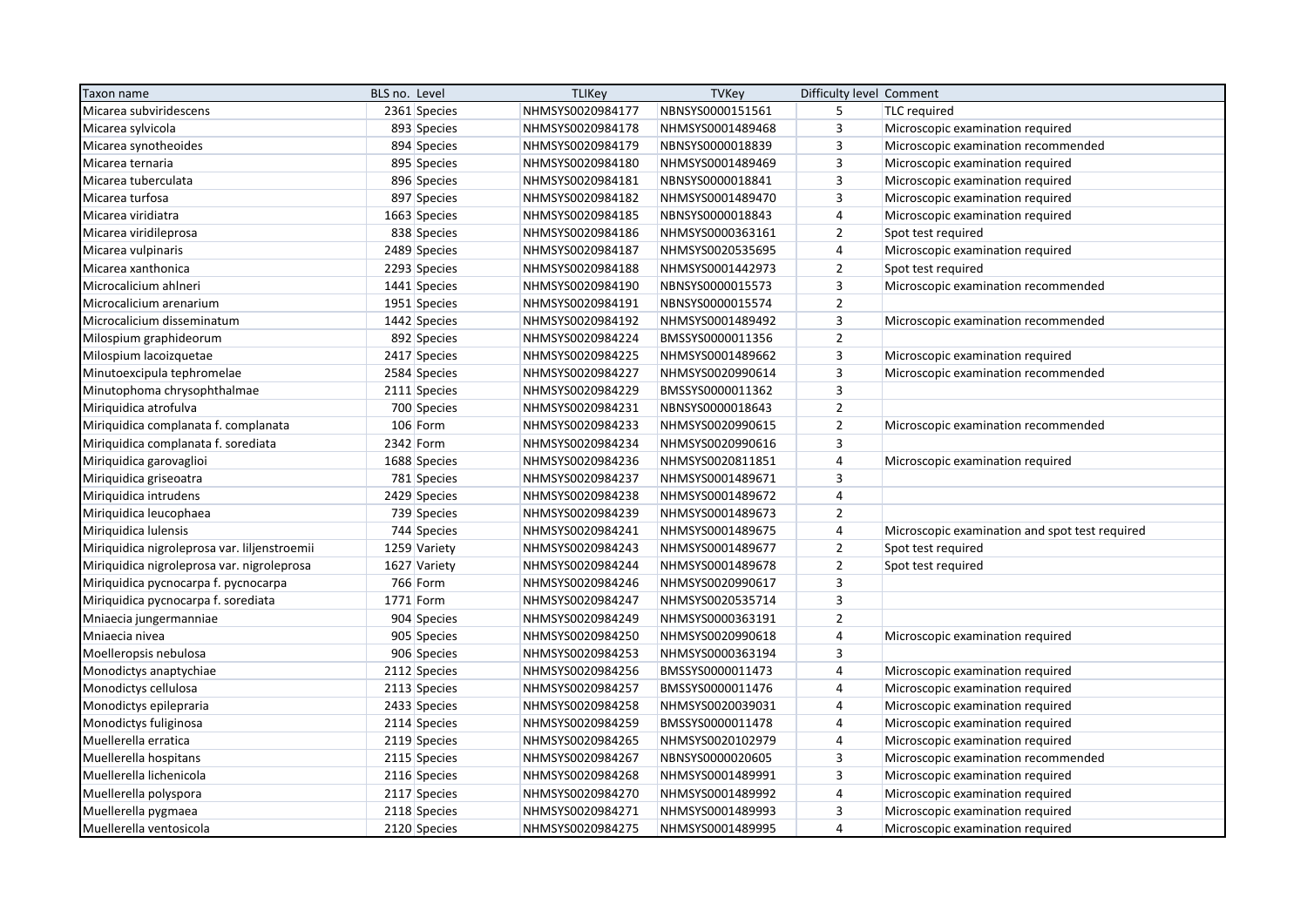| Taxon name                                   | BLS no. Level | <b>TLIKey</b>    | <b>TVKey</b>     | Difficulty level Comment |                                                |
|----------------------------------------------|---------------|------------------|------------------|--------------------------|------------------------------------------------|
| Micarea subviridescens                       | 2361 Species  | NHMSYS0020984177 | NBNSYS0000151561 | 5                        | <b>TLC</b> required                            |
| Micarea sylvicola                            | 893 Species   | NHMSYS0020984178 | NHMSYS0001489468 | $\overline{3}$           | Microscopic examination required               |
| Micarea synotheoides                         | 894 Species   | NHMSYS0020984179 | NBNSYS0000018839 | $\overline{3}$           | Microscopic examination recommended            |
| Micarea ternaria                             | 895 Species   | NHMSYS0020984180 | NHMSYS0001489469 | $\overline{\mathbf{3}}$  | Microscopic examination required               |
| Micarea tuberculata                          | 896 Species   | NHMSYS0020984181 | NBNSYS0000018841 | $\overline{3}$           | Microscopic examination required               |
| Micarea turfosa                              | 897 Species   | NHMSYS0020984182 | NHMSYS0001489470 | $\overline{3}$           | Microscopic examination required               |
| Micarea viridiatra                           | 1663 Species  | NHMSYS0020984185 | NBNSYS0000018843 | $\overline{4}$           | Microscopic examination required               |
| Micarea viridileprosa                        | 838 Species   | NHMSYS0020984186 | NHMSYS0000363161 | $\overline{2}$           | Spot test required                             |
| Micarea vulpinaris                           | 2489 Species  | NHMSYS0020984187 | NHMSYS0020535695 | $\overline{4}$           | Microscopic examination required               |
| Micarea xanthonica                           | 2293 Species  | NHMSYS0020984188 | NHMSYS0001442973 | $\overline{2}$           | Spot test required                             |
| Microcalicium ahlneri                        | 1441 Species  | NHMSYS0020984190 | NBNSYS0000015573 | 3                        | Microscopic examination recommended            |
| Microcalicium arenarium                      | 1951 Species  | NHMSYS0020984191 | NBNSYS0000015574 | $\overline{2}$           |                                                |
| Microcalicium disseminatum                   | 1442 Species  | NHMSYS0020984192 | NHMSYS0001489492 | $\overline{3}$           | Microscopic examination recommended            |
| Milospium graphideorum                       | 892 Species   | NHMSYS0020984224 | BMSSYS0000011356 | $\overline{2}$           |                                                |
| Milospium lacoizquetae                       | 2417 Species  | NHMSYS0020984225 | NHMSYS0001489662 | $\overline{3}$           | Microscopic examination required               |
| Minutoexcipula tephromelae                   | 2584 Species  | NHMSYS0020984227 | NHMSYS0020990614 | $\overline{3}$           | Microscopic examination recommended            |
| Minutophoma chrysophthalmae                  | 2111 Species  | NHMSYS0020984229 | BMSSYS0000011362 | $\overline{\mathbf{3}}$  |                                                |
| Miriquidica atrofulva                        | 700 Species   | NHMSYS0020984231 | NBNSYS0000018643 | $\overline{2}$           |                                                |
| Miriquidica complanata f. complanata         | 106 Form      | NHMSYS0020984233 | NHMSYS0020990615 | $\overline{2}$           | Microscopic examination recommended            |
| Miriquidica complanata f. sorediata          | 2342 Form     | NHMSYS0020984234 | NHMSYS0020990616 | $\overline{3}$           |                                                |
| Miriquidica garovaglioi                      | 1688 Species  | NHMSYS0020984236 | NHMSYS0020811851 | 4                        | Microscopic examination required               |
| Miriquidica griseoatra                       | 781 Species   | NHMSYS0020984237 | NHMSYS0001489671 | $\overline{3}$           |                                                |
| Miriquidica intrudens                        | 2429 Species  | NHMSYS0020984238 | NHMSYS0001489672 | $\overline{4}$           |                                                |
| Miriquidica leucophaea                       | 739 Species   | NHMSYS0020984239 | NHMSYS0001489673 | $\overline{2}$           |                                                |
| Miriquidica lulensis                         | 744 Species   | NHMSYS0020984241 | NHMSYS0001489675 | $\overline{4}$           | Microscopic examination and spot test required |
| Miriquidica nigroleprosa var. liljenstroemii | 1259 Variety  | NHMSYS0020984243 | NHMSYS0001489677 | $\overline{2}$           | Spot test required                             |
| Miriquidica nigroleprosa var. nigroleprosa   | 1627 Variety  | NHMSYS0020984244 | NHMSYS0001489678 | $\overline{2}$           | Spot test required                             |
| Miriquidica pycnocarpa f. pycnocarpa         | 766 Form      | NHMSYS0020984246 | NHMSYS0020990617 | $\overline{\mathbf{3}}$  |                                                |
| Miriquidica pycnocarpa f. sorediata          | 1771 Form     | NHMSYS0020984247 | NHMSYS0020535714 | $\overline{3}$           |                                                |
| Mniaecia jungermanniae                       | 904 Species   | NHMSYS0020984249 | NHMSYS0000363191 | $\overline{2}$           |                                                |
| Mniaecia nivea                               | 905 Species   | NHMSYS0020984250 | NHMSYS0020990618 | $\overline{4}$           | Microscopic examination required               |
| Moelleropsis nebulosa                        | 906 Species   | NHMSYS0020984253 | NHMSYS0000363194 | $\overline{3}$           |                                                |
| Monodictys anaptychiae                       | 2112 Species  | NHMSYS0020984256 | BMSSYS0000011473 | $\overline{4}$           | Microscopic examination required               |
| Monodictys cellulosa                         | 2113 Species  | NHMSYS0020984257 | BMSSYS0000011476 | 4                        | Microscopic examination required               |
| Monodictys epilepraria                       | 2433 Species  | NHMSYS0020984258 | NHMSYS0020039031 | 4                        | Microscopic examination required               |
| Monodictys fuliginosa                        | 2114 Species  | NHMSYS0020984259 | BMSSYS0000011478 | $\overline{4}$           | Microscopic examination required               |
| Muellerella erratica                         | 2119 Species  | NHMSYS0020984265 | NHMSYS0020102979 | 4                        | Microscopic examination required               |
| Muellerella hospitans                        | 2115 Species  | NHMSYS0020984267 | NBNSYS0000020605 | $\overline{\mathbf{3}}$  | Microscopic examination recommended            |
| Muellerella lichenicola                      | 2116 Species  | NHMSYS0020984268 | NHMSYS0001489991 | $\overline{3}$           | Microscopic examination required               |
| Muellerella polyspora                        | 2117 Species  | NHMSYS0020984270 | NHMSYS0001489992 | 4                        | Microscopic examination required               |
| Muellerella pygmaea                          | 2118 Species  | NHMSYS0020984271 | NHMSYS0001489993 | $\overline{3}$           | Microscopic examination required               |
| Muellerella ventosicola                      | 2120 Species  | NHMSYS0020984275 | NHMSYS0001489995 | $\overline{4}$           | Microscopic examination required               |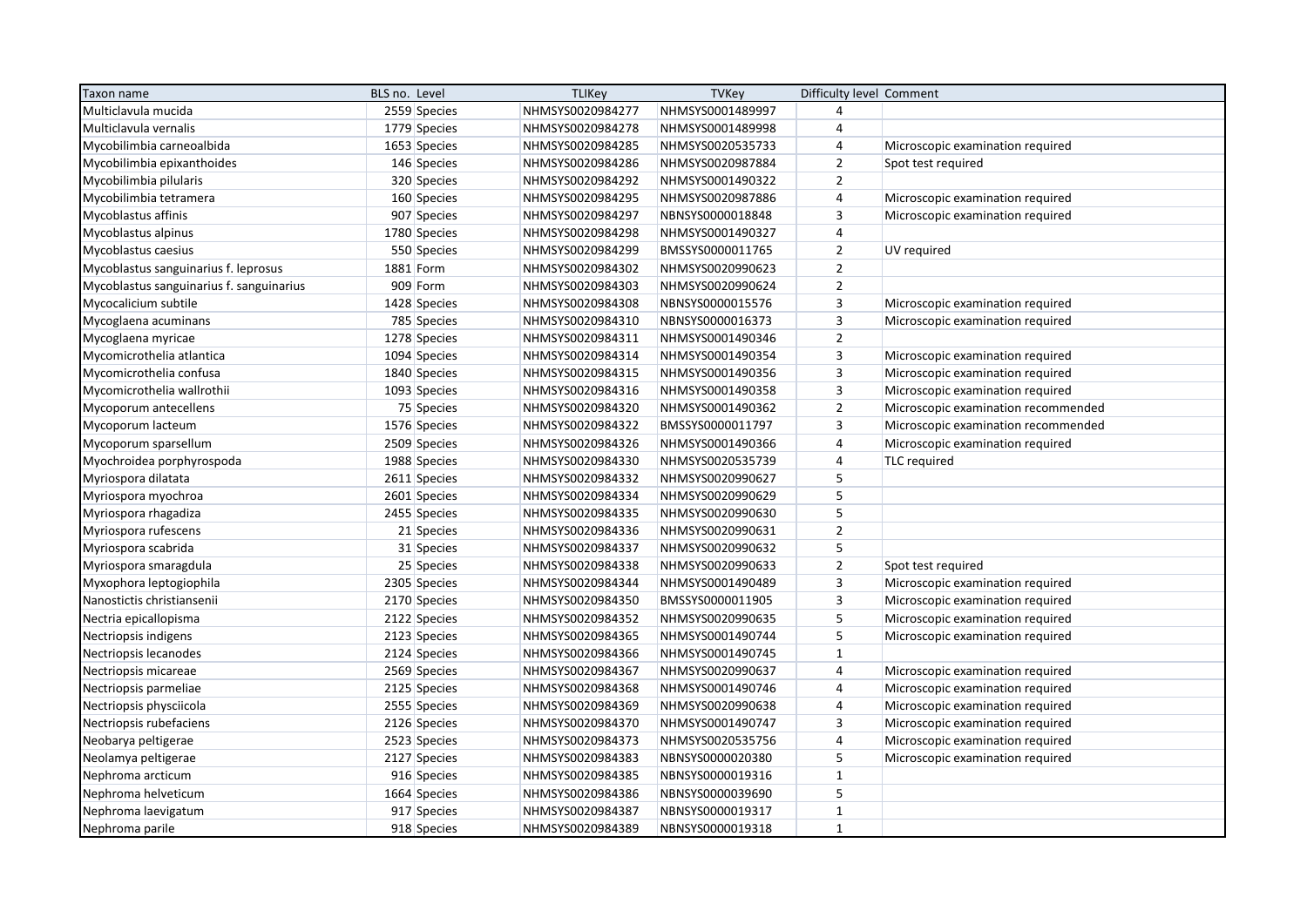| Taxon name                               | BLS no. Level | <b>TLIKey</b>    | <b>TVKey</b>     | Difficulty level Comment |                                     |
|------------------------------------------|---------------|------------------|------------------|--------------------------|-------------------------------------|
| Multiclavula mucida                      | 2559 Species  | NHMSYS0020984277 | NHMSYS0001489997 | $\overline{4}$           |                                     |
| Multiclavula vernalis                    | 1779 Species  | NHMSYS0020984278 | NHMSYS0001489998 | $\overline{4}$           |                                     |
| Mycobilimbia carneoalbida                | 1653 Species  | NHMSYS0020984285 | NHMSYS0020535733 | $\overline{4}$           | Microscopic examination required    |
| Mycobilimbia epixanthoides               | 146 Species   | NHMSYS0020984286 | NHMSYS0020987884 | $\overline{2}$           | Spot test required                  |
| Mycobilimbia pilularis                   | 320 Species   | NHMSYS0020984292 | NHMSYS0001490322 | $\overline{2}$           |                                     |
| Mycobilimbia tetramera                   | 160 Species   | NHMSYS0020984295 | NHMSYS0020987886 | $\overline{4}$           | Microscopic examination required    |
| Mycoblastus affinis                      | 907 Species   | NHMSYS0020984297 | NBNSYS0000018848 | $\overline{3}$           | Microscopic examination required    |
| Mycoblastus alpinus                      | 1780 Species  | NHMSYS0020984298 | NHMSYS0001490327 | $\overline{\mathbf{4}}$  |                                     |
| Mycoblastus caesius                      | 550 Species   | NHMSYS0020984299 | BMSSYS0000011765 | $\overline{2}$           | UV required                         |
| Mycoblastus sanguinarius f. leprosus     | 1881 Form     | NHMSYS0020984302 | NHMSYS0020990623 | $\overline{2}$           |                                     |
| Mycoblastus sanguinarius f. sanguinarius | 909 Form      | NHMSYS0020984303 | NHMSYS0020990624 | $\overline{2}$           |                                     |
| Mycocalicium subtile                     | 1428 Species  | NHMSYS0020984308 | NBNSYS0000015576 | $\overline{3}$           | Microscopic examination required    |
| Mycoglaena acuminans                     | 785 Species   | NHMSYS0020984310 | NBNSYS0000016373 | $\overline{3}$           | Microscopic examination required    |
| Mycoglaena myricae                       | 1278 Species  | NHMSYS0020984311 | NHMSYS0001490346 | $\overline{2}$           |                                     |
| Mycomicrothelia atlantica                | 1094 Species  | NHMSYS0020984314 | NHMSYS0001490354 | $\overline{\mathbf{3}}$  | Microscopic examination required    |
| Mycomicrothelia confusa                  | 1840 Species  | NHMSYS0020984315 | NHMSYS0001490356 | $\mathsf 3$              | Microscopic examination required    |
| Mycomicrothelia wallrothii               | 1093 Species  | NHMSYS0020984316 | NHMSYS0001490358 | $\overline{3}$           | Microscopic examination required    |
| Mycoporum antecellens                    | 75 Species    | NHMSYS0020984320 | NHMSYS0001490362 | $\overline{2}$           | Microscopic examination recommended |
| Mycoporum lacteum                        | 1576 Species  | NHMSYS0020984322 | BMSSYS0000011797 | $\overline{\mathbf{3}}$  | Microscopic examination recommended |
| Mycoporum sparsellum                     | 2509 Species  | NHMSYS0020984326 | NHMSYS0001490366 | 4                        | Microscopic examination required    |
| Myochroidea porphyrospoda                | 1988 Species  | NHMSYS0020984330 | NHMSYS0020535739 | $\overline{4}$           | TLC required                        |
| Myriospora dilatata                      | 2611 Species  | NHMSYS0020984332 | NHMSYS0020990627 | 5                        |                                     |
| Myriospora myochroa                      | 2601 Species  | NHMSYS0020984334 | NHMSYS0020990629 | 5                        |                                     |
| Myriospora rhagadiza                     | 2455 Species  | NHMSYS0020984335 | NHMSYS0020990630 | 5                        |                                     |
| Myriospora rufescens                     | 21 Species    | NHMSYS0020984336 | NHMSYS0020990631 | $\overline{2}$           |                                     |
| Myriospora scabrida                      | 31 Species    | NHMSYS0020984337 | NHMSYS0020990632 | 5                        |                                     |
| Myriospora smaragdula                    | 25 Species    | NHMSYS0020984338 | NHMSYS0020990633 | $\overline{2}$           | Spot test required                  |
| Myxophora leptogiophila                  | 2305 Species  | NHMSYS0020984344 | NHMSYS0001490489 | $\overline{3}$           | Microscopic examination required    |
| Nanostictis christiansenii               | 2170 Species  | NHMSYS0020984350 | BMSSYS0000011905 | $\overline{\mathbf{3}}$  | Microscopic examination required    |
| Nectria epicallopisma                    | 2122 Species  | NHMSYS0020984352 | NHMSYS0020990635 | 5                        | Microscopic examination required    |
| Nectriopsis indigens                     | 2123 Species  | NHMSYS0020984365 | NHMSYS0001490744 | 5                        | Microscopic examination required    |
| Nectriopsis lecanodes                    | 2124 Species  | NHMSYS0020984366 | NHMSYS0001490745 | $\mathbf{1}$             |                                     |
| Nectriopsis micareae                     | 2569 Species  | NHMSYS0020984367 | NHMSYS0020990637 | $\overline{4}$           | Microscopic examination required    |
| Nectriopsis parmeliae                    | 2125 Species  | NHMSYS0020984368 | NHMSYS0001490746 | 4                        | Microscopic examination required    |
| Nectriopsis physciicola                  | 2555 Species  | NHMSYS0020984369 | NHMSYS0020990638 | $\overline{4}$           | Microscopic examination required    |
| Nectriopsis rubefaciens                  | 2126 Species  | NHMSYS0020984370 | NHMSYS0001490747 | $\overline{3}$           | Microscopic examination required    |
| Neobarya peltigerae                      | 2523 Species  | NHMSYS0020984373 | NHMSYS0020535756 | 4                        | Microscopic examination required    |
| Neolamya peltigerae                      | 2127 Species  | NHMSYS0020984383 | NBNSYS0000020380 | 5                        | Microscopic examination required    |
| Nephroma arcticum                        | 916 Species   | NHMSYS0020984385 | NBNSYS0000019316 | $\mathbf{1}$             |                                     |
| Nephroma helveticum                      | 1664 Species  | NHMSYS0020984386 | NBNSYS0000039690 | 5                        |                                     |
| Nephroma laevigatum                      | 917 Species   | NHMSYS0020984387 | NBNSYS0000019317 | $\mathbf{1}$             |                                     |
| Nephroma parile                          | 918 Species   | NHMSYS0020984389 | NBNSYS0000019318 | $\mathbf{1}$             |                                     |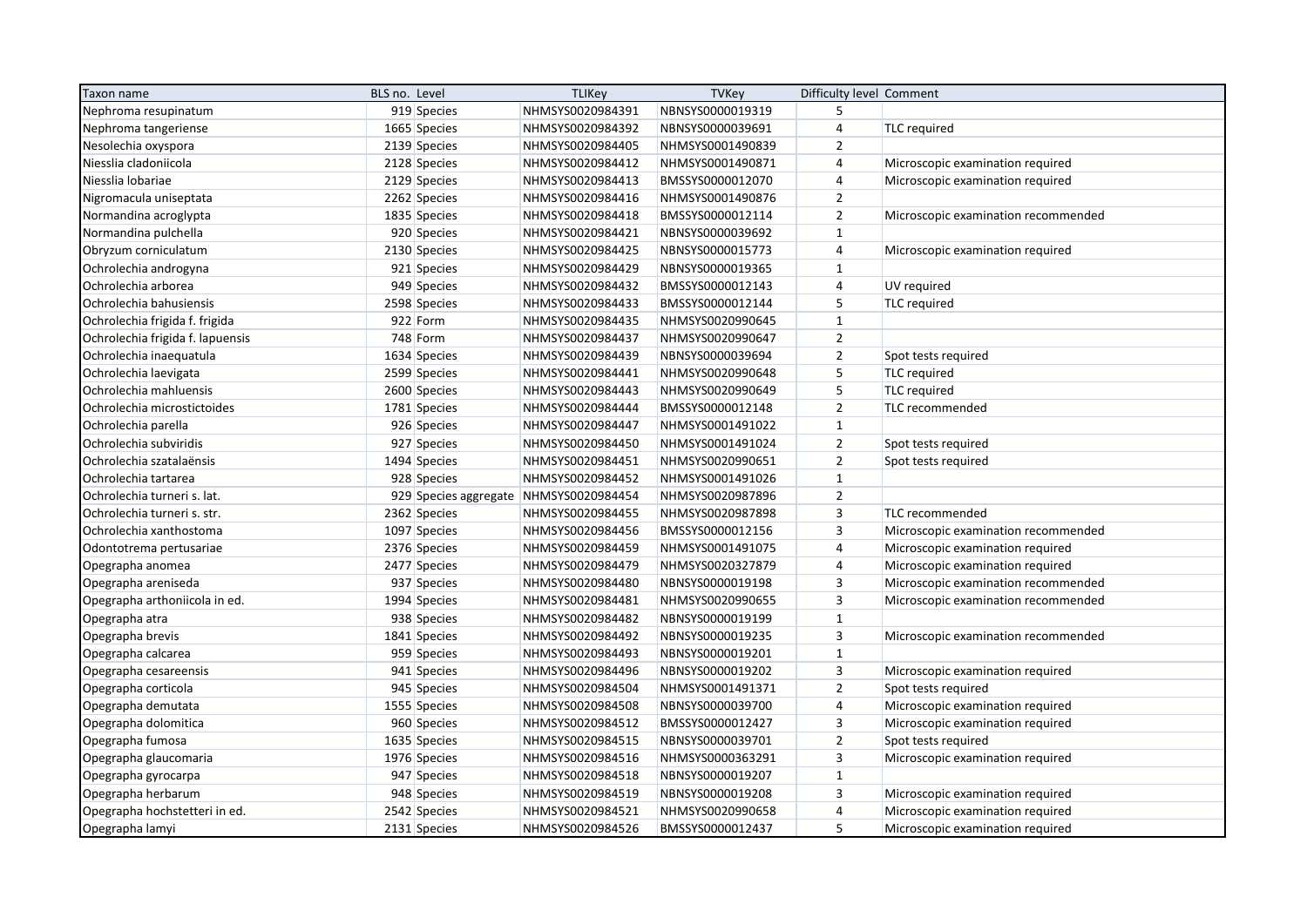| Taxon name                       | BLS no. Level                          | <b>TLIKey</b>    | <b>TVKey</b>     | Difficulty level Comment |                                     |
|----------------------------------|----------------------------------------|------------------|------------------|--------------------------|-------------------------------------|
| Nephroma resupinatum             | 919 Species                            | NHMSYS0020984391 | NBNSYS0000019319 | 5                        |                                     |
| Nephroma tangeriense             | 1665 Species                           | NHMSYS0020984392 | NBNSYS0000039691 | $\overline{4}$           | <b>TLC</b> required                 |
| Nesolechia oxyspora              | 2139 Species                           | NHMSYS0020984405 | NHMSYS0001490839 | $\overline{2}$           |                                     |
| Niesslia cladoniicola            | 2128 Species                           | NHMSYS0020984412 | NHMSYS0001490871 | $\overline{4}$           | Microscopic examination required    |
| Niesslia lobariae                | 2129 Species                           | NHMSYS0020984413 | BMSSYS0000012070 | $\overline{4}$           | Microscopic examination required    |
| Nigromacula uniseptata           | 2262 Species                           | NHMSYS0020984416 | NHMSYS0001490876 | $\overline{2}$           |                                     |
| Normandina acroglypta            | 1835 Species                           | NHMSYS0020984418 | BMSSYS0000012114 | $\overline{2}$           | Microscopic examination recommended |
| Normandina pulchella             | 920 Species                            | NHMSYS0020984421 | NBNSYS0000039692 | $\mathbf{1}$             |                                     |
| Obryzum corniculatum             | 2130 Species                           | NHMSYS0020984425 | NBNSYS0000015773 | $\overline{4}$           | Microscopic examination required    |
| Ochrolechia androgyna            | 921 Species                            | NHMSYS0020984429 | NBNSYS0000019365 | $\mathbf{1}$             |                                     |
| Ochrolechia arborea              | 949 Species                            | NHMSYS0020984432 | BMSSYS0000012143 | 4                        | UV required                         |
| Ochrolechia bahusiensis          | 2598 Species                           | NHMSYS0020984433 | BMSSYS0000012144 | 5                        | <b>TLC</b> required                 |
| Ochrolechia frigida f. frigida   | 922 Form                               | NHMSYS0020984435 | NHMSYS0020990645 | $\mathbf{1}$             |                                     |
| Ochrolechia frigida f. lapuensis | 748 Form                               | NHMSYS0020984437 | NHMSYS0020990647 | $\overline{2}$           |                                     |
| Ochrolechia inaequatula          | 1634 Species                           | NHMSYS0020984439 | NBNSYS0000039694 | $\overline{2}$           | Spot tests required                 |
| Ochrolechia laevigata            | 2599 Species                           | NHMSYS0020984441 | NHMSYS0020990648 | 5                        | <b>TLC</b> required                 |
| Ochrolechia mahluensis           | 2600 Species                           | NHMSYS0020984443 | NHMSYS0020990649 | 5                        | <b>TLC</b> required                 |
| Ochrolechia microstictoides      | 1781 Species                           | NHMSYS0020984444 | BMSSYS0000012148 | $\overline{2}$           | TLC recommended                     |
| Ochrolechia parella              | 926 Species                            | NHMSYS0020984447 | NHMSYS0001491022 | $\mathbf{1}$             |                                     |
| Ochrolechia subviridis           | 927 Species                            | NHMSYS0020984450 | NHMSYS0001491024 | $\overline{2}$           | Spot tests required                 |
| Ochrolechia szatalaënsis         | 1494 Species                           | NHMSYS0020984451 | NHMSYS0020990651 | $\overline{2}$           | Spot tests required                 |
| Ochrolechia tartarea             | 928 Species                            | NHMSYS0020984452 | NHMSYS0001491026 | $\mathbf{1}$             |                                     |
| Ochrolechia turneri s. lat.      | 929 Species aggregate NHMSYS0020984454 |                  | NHMSYS0020987896 | $\overline{2}$           |                                     |
| Ochrolechia turneri s. str.      | 2362 Species                           | NHMSYS0020984455 | NHMSYS0020987898 | $\overline{3}$           | TLC recommended                     |
| Ochrolechia xanthostoma          | 1097 Species                           | NHMSYS0020984456 | BMSSYS0000012156 | $\overline{3}$           | Microscopic examination recommended |
| Odontotrema pertusariae          | 2376 Species                           | NHMSYS0020984459 | NHMSYS0001491075 | 4                        | Microscopic examination required    |
| Opegrapha anomea                 | 2477 Species                           | NHMSYS0020984479 | NHMSYS0020327879 | 4                        | Microscopic examination required    |
| Opegrapha areniseda              | 937 Species                            | NHMSYS0020984480 | NBNSYS0000019198 | $\overline{3}$           | Microscopic examination recommended |
| Opegrapha arthoniicola in ed.    | 1994 Species                           | NHMSYS0020984481 | NHMSYS0020990655 | $\overline{3}$           | Microscopic examination recommended |
| Opegrapha atra                   | 938 Species                            | NHMSYS0020984482 | NBNSYS0000019199 | $\mathbf{1}$             |                                     |
| Opegrapha brevis                 | 1841 Species                           | NHMSYS0020984492 | NBNSYS0000019235 | $\mathsf 3$              | Microscopic examination recommended |
| Opegrapha calcarea               | 959 Species                            | NHMSYS0020984493 | NBNSYS0000019201 | $\mathbf{1}$             |                                     |
| Opegrapha cesareensis            | 941 Species                            | NHMSYS0020984496 | NBNSYS0000019202 | 3                        | Microscopic examination required    |
| Opegrapha corticola              | 945 Species                            | NHMSYS0020984504 | NHMSYS0001491371 | $\overline{2}$           | Spot tests required                 |
| Opegrapha demutata               | 1555 Species                           | NHMSYS0020984508 | NBNSYS0000039700 | $\overline{4}$           | Microscopic examination required    |
| Opegrapha dolomitica             | 960 Species                            | NHMSYS0020984512 | BMSSYS0000012427 | 3                        | Microscopic examination required    |
| Opegrapha fumosa                 | 1635 Species                           | NHMSYS0020984515 | NBNSYS0000039701 | $\overline{2}$           | Spot tests required                 |
| Opegrapha glaucomaria            | 1976 Species                           | NHMSYS0020984516 | NHMSYS0000363291 | $\overline{3}$           | Microscopic examination required    |
| Opegrapha gyrocarpa              | 947 Species                            | NHMSYS0020984518 | NBNSYS0000019207 | $\mathbf{1}$             |                                     |
| Opegrapha herbarum               | 948 Species                            | NHMSYS0020984519 | NBNSYS0000019208 | 3                        | Microscopic examination required    |
| Opegrapha hochstetteri in ed.    | 2542 Species                           | NHMSYS0020984521 | NHMSYS0020990658 | $\overline{4}$           | Microscopic examination required    |
| Opegrapha lamyi                  | 2131 Species                           | NHMSYS0020984526 | BMSSYS0000012437 | 5                        | Microscopic examination required    |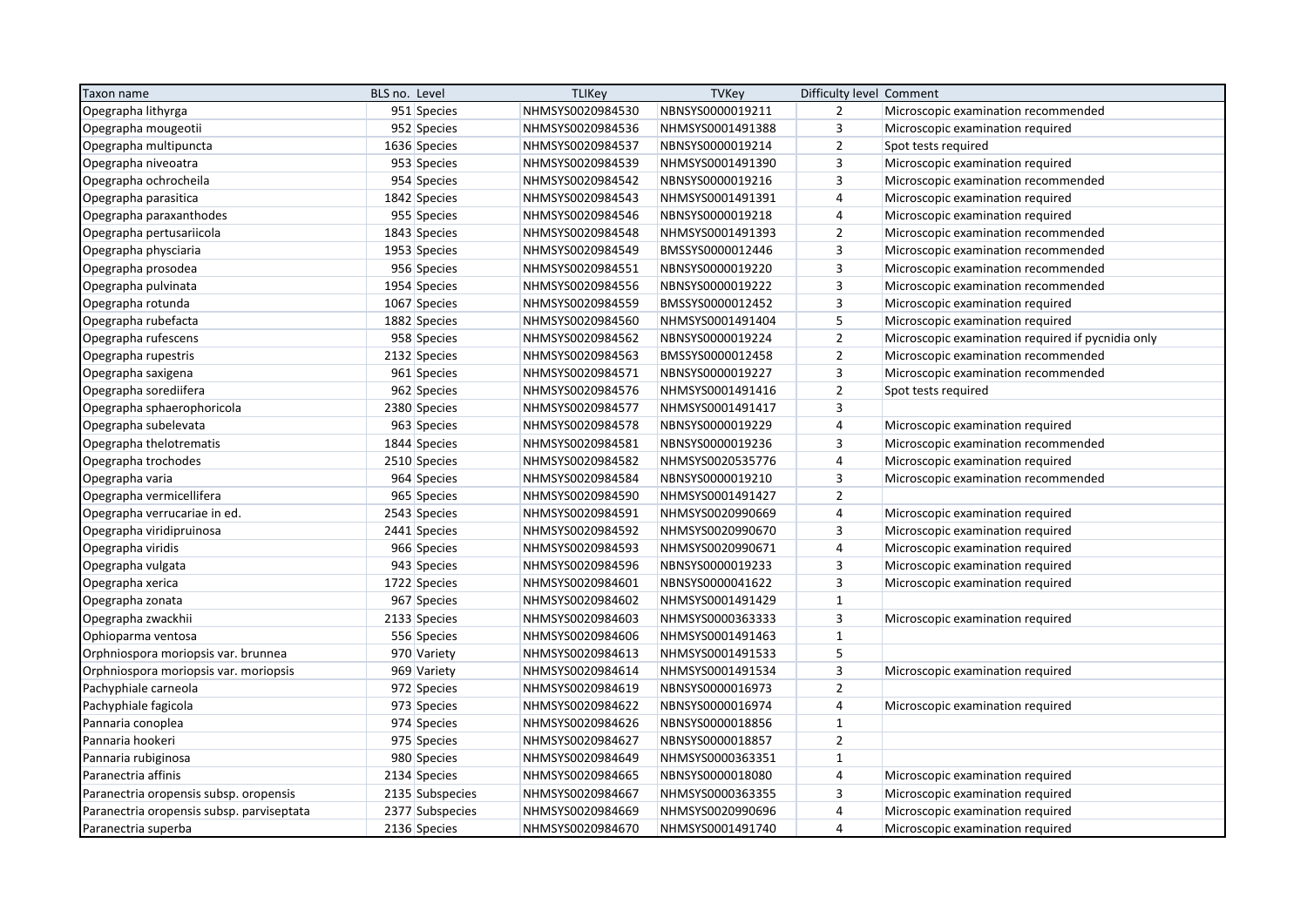| Taxon name                                | BLS no. Level   | <b>TLIKey</b>    | <b>TVKey</b>     | Difficulty level Comment |                                                   |
|-------------------------------------------|-----------------|------------------|------------------|--------------------------|---------------------------------------------------|
| Opegrapha lithyrga                        | 951 Species     | NHMSYS0020984530 | NBNSYS0000019211 | 2                        | Microscopic examination recommended               |
| Opegrapha mougeotii                       | 952 Species     | NHMSYS0020984536 | NHMSYS0001491388 | 3                        | Microscopic examination required                  |
| Opegrapha multipuncta                     | 1636 Species    | NHMSYS0020984537 | NBNSYS0000019214 | $\overline{2}$           | Spot tests required                               |
| Opegrapha niveoatra                       | 953 Species     | NHMSYS0020984539 | NHMSYS0001491390 | $\overline{3}$           | Microscopic examination required                  |
| Opegrapha ochrocheila                     | 954 Species     | NHMSYS0020984542 | NBNSYS0000019216 | $\overline{3}$           | Microscopic examination recommended               |
| Opegrapha parasitica                      | 1842 Species    | NHMSYS0020984543 | NHMSYS0001491391 | $\overline{4}$           | Microscopic examination required                  |
| Opegrapha paraxanthodes                   | 955 Species     | NHMSYS0020984546 | NBNSYS0000019218 | $\overline{4}$           | Microscopic examination required                  |
| Opegrapha pertusariicola                  | 1843 Species    | NHMSYS0020984548 | NHMSYS0001491393 | $\overline{2}$           | Microscopic examination recommended               |
| Opegrapha physciaria                      | 1953 Species    | NHMSYS0020984549 | BMSSYS0000012446 | $\overline{3}$           | Microscopic examination recommended               |
| Opegrapha prosodea                        | 956 Species     | NHMSYS0020984551 | NBNSYS0000019220 | $\overline{3}$           | Microscopic examination recommended               |
| Opegrapha pulvinata                       | 1954 Species    | NHMSYS0020984556 | NBNSYS0000019222 | 3                        | Microscopic examination recommended               |
| Opegrapha rotunda                         | 1067 Species    | NHMSYS0020984559 | BMSSYS0000012452 | 3                        | Microscopic examination required                  |
| Opegrapha rubefacta                       | 1882 Species    | NHMSYS0020984560 | NHMSYS0001491404 | $\sqrt{5}$               | Microscopic examination required                  |
| Opegrapha rufescens                       | 958 Species     | NHMSYS0020984562 | NBNSYS0000019224 | $\overline{2}$           | Microscopic examination required if pycnidia only |
| Opegrapha rupestris                       | 2132 Species    | NHMSYS0020984563 | BMSSYS0000012458 | $\overline{2}$           | Microscopic examination recommended               |
| Opegrapha saxigena                        | 961 Species     | NHMSYS0020984571 | NBNSYS0000019227 | $\overline{3}$           | Microscopic examination recommended               |
| Opegrapha sorediifera                     | 962 Species     | NHMSYS0020984576 | NHMSYS0001491416 | $\overline{2}$           | Spot tests required                               |
| Opegrapha sphaerophoricola                | 2380 Species    | NHMSYS0020984577 | NHMSYS0001491417 | $\overline{3}$           |                                                   |
| Opegrapha subelevata                      | 963 Species     | NHMSYS0020984578 | NBNSYS0000019229 | $\overline{4}$           | Microscopic examination required                  |
| Opegrapha thelotrematis                   | 1844 Species    | NHMSYS0020984581 | NBNSYS0000019236 | $\overline{3}$           | Microscopic examination recommended               |
| Opegrapha trochodes                       | 2510 Species    | NHMSYS0020984582 | NHMSYS0020535776 | $\overline{4}$           | Microscopic examination required                  |
| Opegrapha varia                           | 964 Species     | NHMSYS0020984584 | NBNSYS0000019210 | $\overline{3}$           | Microscopic examination recommended               |
| Opegrapha vermicellifera                  | 965 Species     | NHMSYS0020984590 | NHMSYS0001491427 | $\overline{2}$           |                                                   |
| Opegrapha verrucariae in ed.              | 2543 Species    | NHMSYS0020984591 | NHMSYS0020990669 | $\overline{4}$           | Microscopic examination required                  |
| Opegrapha viridipruinosa                  | 2441 Species    | NHMSYS0020984592 | NHMSYS0020990670 | 3                        | Microscopic examination required                  |
| Opegrapha viridis                         | 966 Species     | NHMSYS0020984593 | NHMSYS0020990671 | $\overline{4}$           | Microscopic examination required                  |
| Opegrapha vulgata                         | 943 Species     | NHMSYS0020984596 | NBNSYS0000019233 | $\overline{3}$           | Microscopic examination required                  |
| Opegrapha xerica                          | 1722 Species    | NHMSYS0020984601 | NBNSYS0000041622 | $\overline{3}$           | Microscopic examination required                  |
| Opegrapha zonata                          | 967 Species     | NHMSYS0020984602 | NHMSYS0001491429 | $\mathbf{1}$             |                                                   |
| Opegrapha zwackhii                        | 2133 Species    | NHMSYS0020984603 | NHMSYS0000363333 | $\overline{3}$           | Microscopic examination required                  |
| Ophioparma ventosa                        | 556 Species     | NHMSYS0020984606 | NHMSYS0001491463 | $\mathbf{1}$             |                                                   |
| Orphniospora moriopsis var. brunnea       | 970 Variety     | NHMSYS0020984613 | NHMSYS0001491533 | 5                        |                                                   |
| Orphniospora moriopsis var. moriopsis     | 969 Variety     | NHMSYS0020984614 | NHMSYS0001491534 | $\overline{3}$           | Microscopic examination required                  |
| Pachyphiale carneola                      | 972 Species     | NHMSYS0020984619 | NBNSYS0000016973 | $\overline{2}$           |                                                   |
| Pachyphiale fagicola                      | 973 Species     | NHMSYS0020984622 | NBNSYS0000016974 | $\overline{4}$           | Microscopic examination required                  |
| Pannaria conoplea                         | 974 Species     | NHMSYS0020984626 | NBNSYS0000018856 | $\mathbf{1}$             |                                                   |
| Pannaria hookeri                          | 975 Species     | NHMSYS0020984627 | NBNSYS0000018857 | $\overline{2}$           |                                                   |
| Pannaria rubiginosa                       | 980 Species     | NHMSYS0020984649 | NHMSYS0000363351 | $\mathbf{1}$             |                                                   |
| Paranectria affinis                       | 2134 Species    | NHMSYS0020984665 | NBNSYS0000018080 | $\overline{4}$           | Microscopic examination required                  |
| Paranectria oropensis subsp. oropensis    | 2135 Subspecies | NHMSYS0020984667 | NHMSYS0000363355 | $\overline{3}$           | Microscopic examination required                  |
| Paranectria oropensis subsp. parviseptata | 2377 Subspecies | NHMSYS0020984669 | NHMSYS0020990696 | $\overline{4}$           | Microscopic examination required                  |
| Paranectria superba                       | 2136 Species    | NHMSYS0020984670 | NHMSYS0001491740 | $\overline{4}$           | Microscopic examination required                  |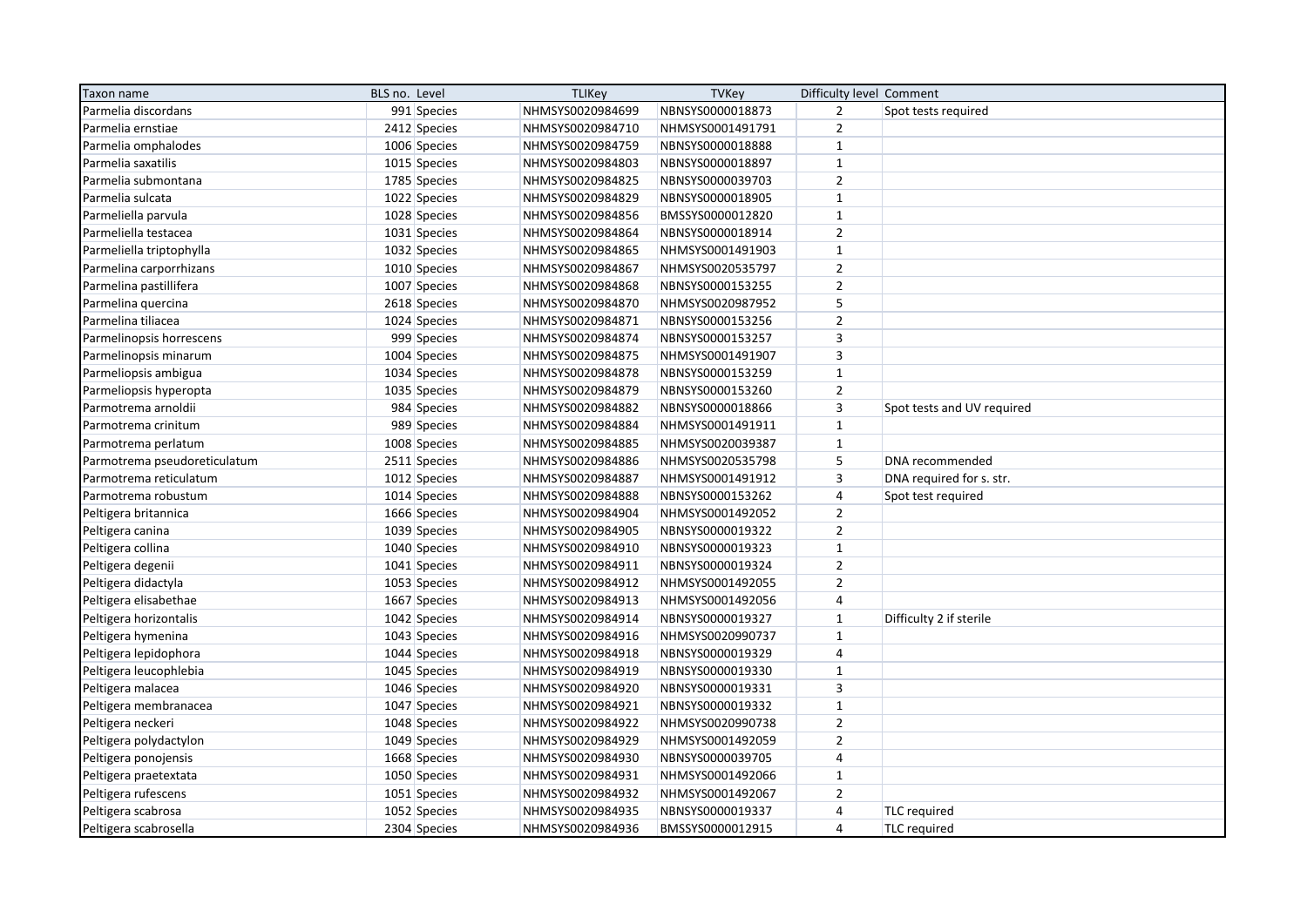| Taxon name                   | BLS no. Level | <b>TLIKey</b>    | <b>TVKey</b>     | Difficulty level Comment |                            |
|------------------------------|---------------|------------------|------------------|--------------------------|----------------------------|
| Parmelia discordans          | 991 Species   | NHMSYS0020984699 | NBNSYS0000018873 | $\mathbf 2$              | Spot tests required        |
| Parmelia ernstiae            | 2412 Species  | NHMSYS0020984710 | NHMSYS0001491791 | $\overline{2}$           |                            |
| Parmelia omphalodes          | 1006 Species  | NHMSYS0020984759 | NBNSYS0000018888 | $\mathbf 1$              |                            |
| Parmelia saxatilis           | 1015 Species  | NHMSYS0020984803 | NBNSYS0000018897 | $\mathbf{1}$             |                            |
| Parmelia submontana          | 1785 Species  | NHMSYS0020984825 | NBNSYS0000039703 | $\overline{2}$           |                            |
| Parmelia sulcata             | 1022 Species  | NHMSYS0020984829 | NBNSYS0000018905 | $\mathbf{1}$             |                            |
| Parmeliella parvula          | 1028 Species  | NHMSYS0020984856 | BMSSYS0000012820 | $\mathbf 1$              |                            |
| Parmeliella testacea         | 1031 Species  | NHMSYS0020984864 | NBNSYS0000018914 | $\mathbf 2$              |                            |
| Parmeliella triptophylla     | 1032 Species  | NHMSYS0020984865 | NHMSYS0001491903 | $\mathbf{1}$             |                            |
| Parmelina carporrhizans      | 1010 Species  | NHMSYS0020984867 | NHMSYS0020535797 | $\overline{2}$           |                            |
| Parmelina pastillifera       | 1007 Species  | NHMSYS0020984868 | NBNSYS0000153255 | $\overline{2}$           |                            |
| Parmelina quercina           | 2618 Species  | NHMSYS0020984870 | NHMSYS0020987952 | 5                        |                            |
| Parmelina tiliacea           | 1024 Species  | NHMSYS0020984871 | NBNSYS0000153256 | $\mathbf 2$              |                            |
| Parmelinopsis horrescens     | 999 Species   | NHMSYS0020984874 | NBNSYS0000153257 | 3                        |                            |
| Parmelinopsis minarum        | 1004 Species  | NHMSYS0020984875 | NHMSYS0001491907 | 3                        |                            |
| Parmeliopsis ambigua         | 1034 Species  | NHMSYS0020984878 | NBNSYS0000153259 | $\mathbf 1$              |                            |
| Parmeliopsis hyperopta       | 1035 Species  | NHMSYS0020984879 | NBNSYS0000153260 | $\overline{2}$           |                            |
| Parmotrema arnoldii          | 984 Species   | NHMSYS0020984882 | NBNSYS0000018866 | 3                        | Spot tests and UV required |
| Parmotrema crinitum          | 989 Species   | NHMSYS0020984884 | NHMSYS0001491911 | $\mathbf{1}$             |                            |
| Parmotrema perlatum          | 1008 Species  | NHMSYS0020984885 | NHMSYS0020039387 | $\mathbf 1$              |                            |
| Parmotrema pseudoreticulatum | 2511 Species  | NHMSYS0020984886 | NHMSYS0020535798 | 5                        | DNA recommended            |
| Parmotrema reticulatum       | 1012 Species  | NHMSYS0020984887 | NHMSYS0001491912 | 3                        | DNA required for s. str.   |
| Parmotrema robustum          | 1014 Species  | NHMSYS0020984888 | NBNSYS0000153262 | $\sqrt{4}$               | Spot test required         |
| Peltigera britannica         | 1666 Species  | NHMSYS0020984904 | NHMSYS0001492052 | $\mathbf 2$              |                            |
| Peltigera canina             | 1039 Species  | NHMSYS0020984905 | NBNSYS0000019322 | $\overline{2}$           |                            |
| Peltigera collina            | 1040 Species  | NHMSYS0020984910 | NBNSYS0000019323 | $\mathbf{1}$             |                            |
| Peltigera degenii            | 1041 Species  | NHMSYS0020984911 | NBNSYS0000019324 | $\overline{2}$           |                            |
| Peltigera didactyla          | 1053 Species  | NHMSYS0020984912 | NHMSYS0001492055 | $\overline{2}$           |                            |
| Peltigera elisabethae        | 1667 Species  | NHMSYS0020984913 | NHMSYS0001492056 | $\sqrt{4}$               |                            |
| Peltigera horizontalis       | 1042 Species  | NHMSYS0020984914 | NBNSYS0000019327 | $\mathbf 1$              | Difficulty 2 if sterile    |
| Peltigera hymenina           | 1043 Species  | NHMSYS0020984916 | NHMSYS0020990737 | $\mathbf{1}$             |                            |
| Peltigera lepidophora        | 1044 Species  | NHMSYS0020984918 | NBNSYS0000019329 | $\pmb{4}$                |                            |
| Peltigera leucophlebia       | 1045 Species  | NHMSYS0020984919 | NBNSYS0000019330 | $\mathbf{1}$             |                            |
| Peltigera malacea            | 1046 Species  | NHMSYS0020984920 | NBNSYS0000019331 | 3                        |                            |
| Peltigera membranacea        | 1047 Species  | NHMSYS0020984921 | NBNSYS0000019332 | $\mathbf{1}$             |                            |
| Peltigera neckeri            | 1048 Species  | NHMSYS0020984922 | NHMSYS0020990738 | $\mathbf 2$              |                            |
| Peltigera polydactylon       | 1049 Species  | NHMSYS0020984929 | NHMSYS0001492059 | $\overline{2}$           |                            |
| Peltigera ponojensis         | 1668 Species  | NHMSYS0020984930 | NBNSYS0000039705 | $\sqrt{4}$               |                            |
| Peltigera praetextata        | 1050 Species  | NHMSYS0020984931 | NHMSYS0001492066 | $\mathbf 1$              |                            |
| Peltigera rufescens          | 1051 Species  | NHMSYS0020984932 | NHMSYS0001492067 | $\overline{2}$           |                            |
| Peltigera scabrosa           | 1052 Species  | NHMSYS0020984935 | NBNSYS0000019337 | 4                        | <b>TLC</b> required        |
| Peltigera scabrosella        | 2304 Species  | NHMSYS0020984936 | BMSSYS0000012915 | $\overline{4}$           | <b>TLC</b> required        |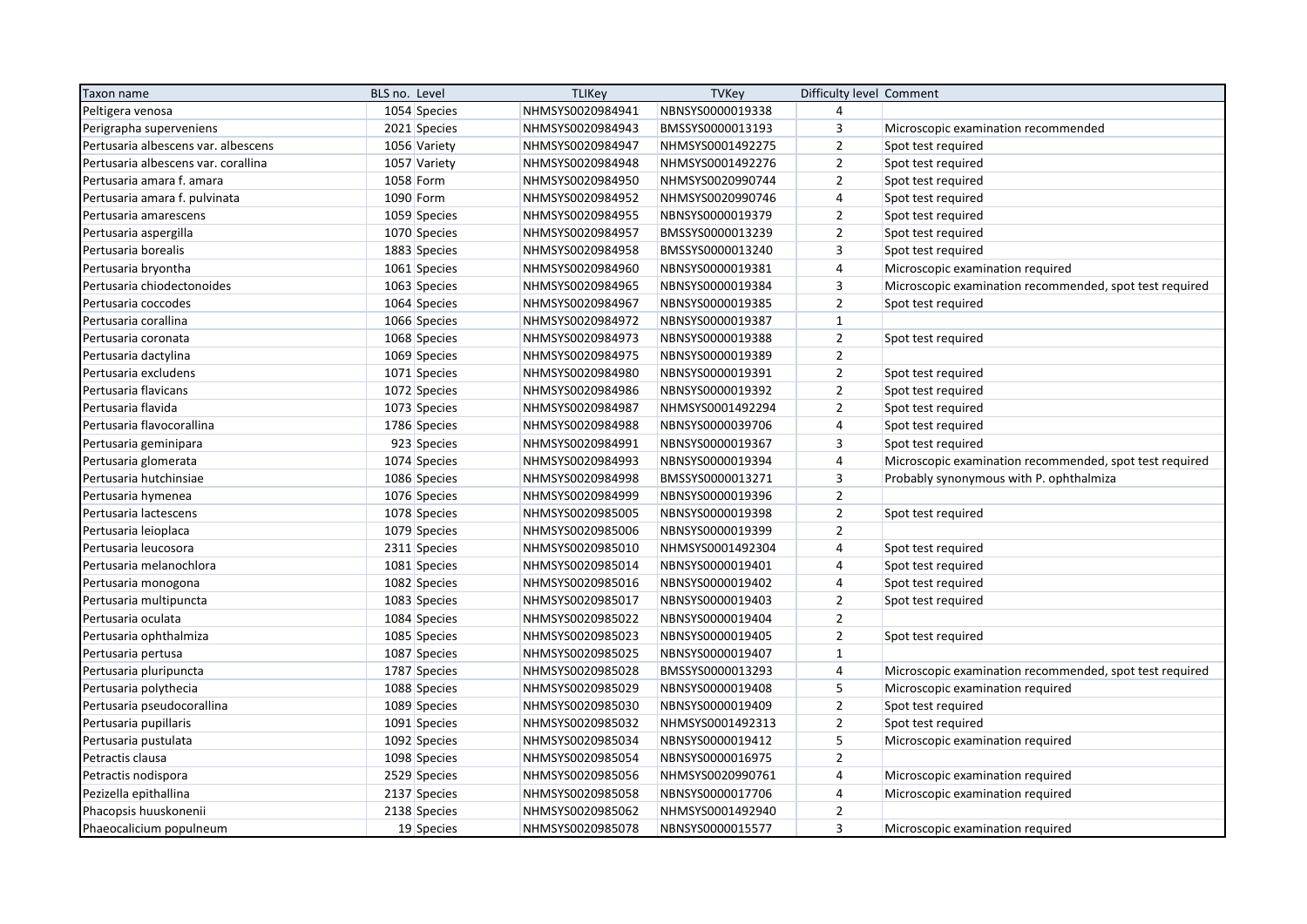| Taxon name                          | BLS no. Level | <b>TLIKey</b>    | <b>TVKey</b>     | Difficulty level Comment |                                                         |
|-------------------------------------|---------------|------------------|------------------|--------------------------|---------------------------------------------------------|
| Peltigera venosa                    | 1054 Species  | NHMSYS0020984941 | NBNSYS0000019338 | $\overline{4}$           |                                                         |
| Perigrapha superveniens             | 2021 Species  | NHMSYS0020984943 | BMSSYS0000013193 | $\overline{3}$           | Microscopic examination recommended                     |
| Pertusaria albescens var. albescens | 1056 Variety  | NHMSYS0020984947 | NHMSYS0001492275 | $\overline{2}$           | Spot test required                                      |
| Pertusaria albescens var. corallina | 1057 Variety  | NHMSYS0020984948 | NHMSYS0001492276 | $\overline{2}$           | Spot test required                                      |
| Pertusaria amara f. amara           | 1058 Form     | NHMSYS0020984950 | NHMSYS0020990744 | $\overline{2}$           | Spot test required                                      |
| Pertusaria amara f. pulvinata       | 1090 Form     | NHMSYS0020984952 | NHMSYS0020990746 | $\overline{4}$           | Spot test required                                      |
| Pertusaria amarescens               | 1059 Species  | NHMSYS0020984955 | NBNSYS0000019379 | $\overline{2}$           | Spot test required                                      |
| Pertusaria aspergilla               | 1070 Species  | NHMSYS0020984957 | BMSSYS0000013239 | $\overline{2}$           | Spot test required                                      |
| Pertusaria borealis                 | 1883 Species  | NHMSYS0020984958 | BMSSYS0000013240 | $\mathsf 3$              | Spot test required                                      |
| Pertusaria bryontha                 | 1061 Species  | NHMSYS0020984960 | NBNSYS0000019381 | $\overline{4}$           | Microscopic examination required                        |
| Pertusaria chiodectonoides          | 1063 Species  | NHMSYS0020984965 | NBNSYS0000019384 | $\overline{3}$           | Microscopic examination recommended, spot test required |
| Pertusaria coccodes                 | 1064 Species  | NHMSYS0020984967 | NBNSYS0000019385 | $\overline{2}$           | Spot test required                                      |
| Pertusaria corallina                | 1066 Species  | NHMSYS0020984972 | NBNSYS0000019387 | $\mathbf 1$              |                                                         |
| Pertusaria coronata                 | 1068 Species  | NHMSYS0020984973 | NBNSYS0000019388 | $\mathbf 2$              | Spot test required                                      |
| Pertusaria dactylina                | 1069 Species  | NHMSYS0020984975 | NBNSYS0000019389 | $\overline{2}$           |                                                         |
| Pertusaria excludens                | 1071 Species  | NHMSYS0020984980 | NBNSYS0000019391 | $\overline{2}$           | Spot test required                                      |
| Pertusaria flavicans                | 1072 Species  | NHMSYS0020984986 | NBNSYS0000019392 | $\overline{2}$           | Spot test required                                      |
| Pertusaria flavida                  | 1073 Species  | NHMSYS0020984987 | NHMSYS0001492294 | $\overline{2}$           | Spot test required                                      |
| Pertusaria flavocorallina           | 1786 Species  | NHMSYS0020984988 | NBNSYS0000039706 | $\overline{4}$           | Spot test required                                      |
| Pertusaria geminipara               | 923 Species   | NHMSYS0020984991 | NBNSYS0000019367 | $\mathsf 3$              | Spot test required                                      |
| Pertusaria glomerata                | 1074 Species  | NHMSYS0020984993 | NBNSYS0000019394 | 4                        | Microscopic examination recommended, spot test required |
| Pertusaria hutchinsiae              | 1086 Species  | NHMSYS0020984998 | BMSSYS0000013271 | 3                        | Probably synonymous with P. ophthalmiza                 |
| Pertusaria hymenea                  | 1076 Species  | NHMSYS0020984999 | NBNSYS0000019396 | $\mathbf 2$              |                                                         |
| Pertusaria lactescens               | 1078 Species  | NHMSYS0020985005 | NBNSYS0000019398 | $\overline{2}$           | Spot test required                                      |
| Pertusaria leioplaca                | 1079 Species  | NHMSYS0020985006 | NBNSYS0000019399 | $\overline{2}$           |                                                         |
| Pertusaria leucosora                | 2311 Species  | NHMSYS0020985010 | NHMSYS0001492304 | $\overline{4}$           | Spot test required                                      |
| Pertusaria melanochlora             | 1081 Species  | NHMSYS0020985014 | NBNSYS0000019401 | $\overline{4}$           | Spot test required                                      |
| Pertusaria monogona                 | 1082 Species  | NHMSYS0020985016 | NBNSYS0000019402 | $\overline{4}$           | Spot test required                                      |
| Pertusaria multipuncta              | 1083 Species  | NHMSYS0020985017 | NBNSYS0000019403 | $\overline{2}$           | Spot test required                                      |
| Pertusaria oculata                  | 1084 Species  | NHMSYS0020985022 | NBNSYS0000019404 | $\overline{2}$           |                                                         |
| Pertusaria ophthalmiza              | 1085 Species  | NHMSYS0020985023 | NBNSYS0000019405 | $\overline{2}$           | Spot test required                                      |
| Pertusaria pertusa                  | 1087 Species  | NHMSYS0020985025 | NBNSYS0000019407 | $\mathbf{1}$             |                                                         |
| Pertusaria pluripuncta              | 1787 Species  | NHMSYS0020985028 | BMSSYS0000013293 | $\overline{4}$           | Microscopic examination recommended, spot test required |
| Pertusaria polythecia               | 1088 Species  | NHMSYS0020985029 | NBNSYS0000019408 | 5                        | Microscopic examination required                        |
| Pertusaria pseudocorallina          | 1089 Species  | NHMSYS0020985030 | NBNSYS0000019409 | $\overline{2}$           | Spot test required                                      |
| Pertusaria pupillaris               | 1091 Species  | NHMSYS0020985032 | NHMSYS0001492313 | $\overline{2}$           | Spot test required                                      |
| Pertusaria pustulata                | 1092 Species  | NHMSYS0020985034 | NBNSYS0000019412 | 5                        | Microscopic examination required                        |
| Petractis clausa                    | 1098 Species  | NHMSYS0020985054 | NBNSYS0000016975 | $\overline{2}$           |                                                         |
| Petractis nodispora                 | 2529 Species  | NHMSYS0020985056 | NHMSYS0020990761 | 4                        | Microscopic examination required                        |
| Pezizella epithallina               | 2137 Species  | NHMSYS0020985058 | NBNSYS0000017706 | 4                        | Microscopic examination required                        |
| Phacopsis huuskonenii               | 2138 Species  | NHMSYS0020985062 | NHMSYS0001492940 | $\overline{2}$           |                                                         |
| Phaeocalicium populneum             | 19 Species    | NHMSYS0020985078 | NBNSYS0000015577 | $\overline{3}$           | Microscopic examination required                        |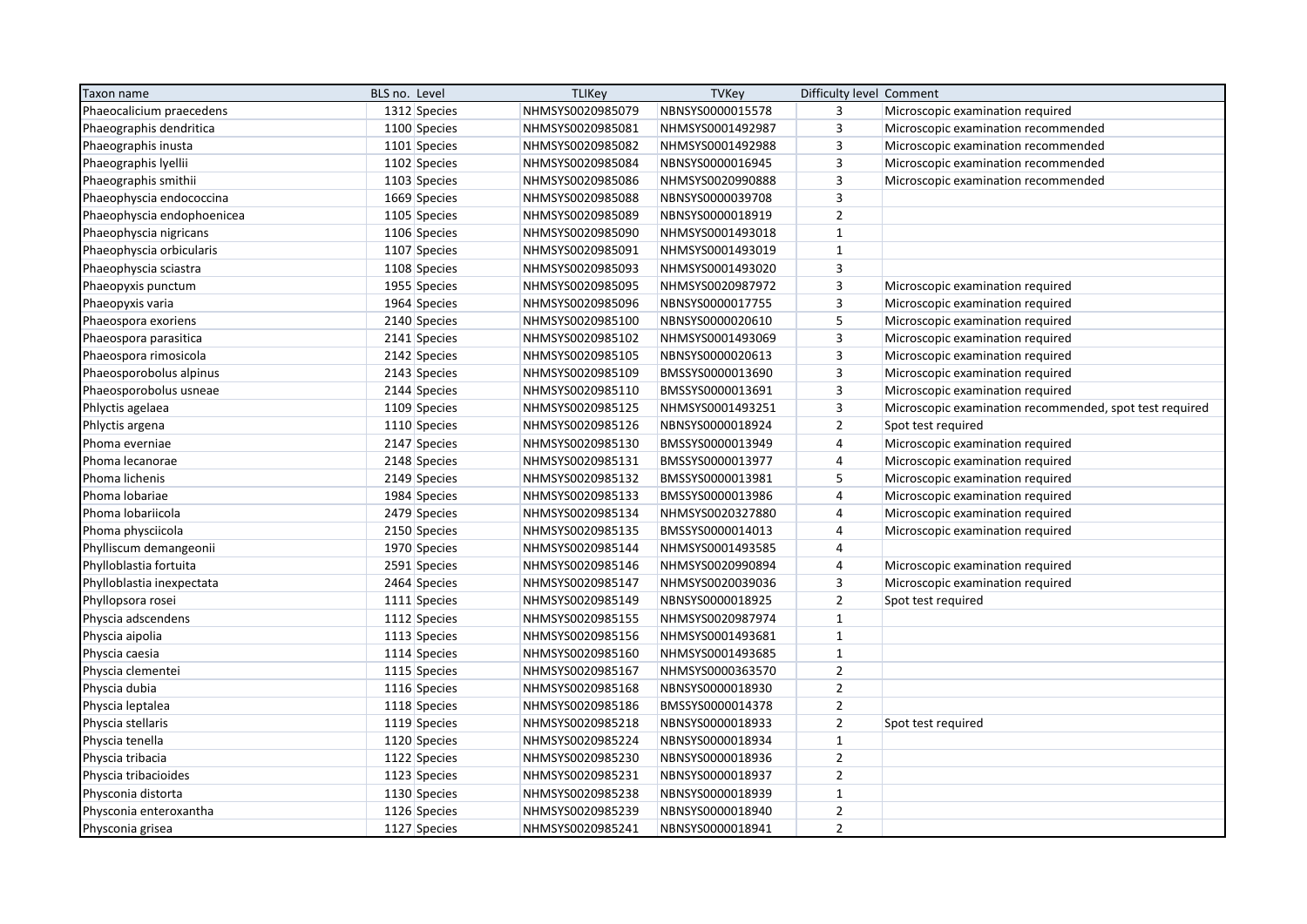| Taxon name                 | BLS no. Level | <b>TLIKey</b>    | <b>TVKey</b>     | Difficulty level Comment |                                                         |
|----------------------------|---------------|------------------|------------------|--------------------------|---------------------------------------------------------|
| Phaeocalicium praecedens   | 1312 Species  | NHMSYS0020985079 | NBNSYS0000015578 | 3                        | Microscopic examination required                        |
| Phaeographis dendritica    | 1100 Species  | NHMSYS0020985081 | NHMSYS0001492987 | 3                        | Microscopic examination recommended                     |
| Phaeographis inusta        | 1101 Species  | NHMSYS0020985082 | NHMSYS0001492988 | 3                        | Microscopic examination recommended                     |
| Phaeographis lyellii       | 1102 Species  | NHMSYS0020985084 | NBNSYS0000016945 | $\mathsf 3$              | Microscopic examination recommended                     |
| Phaeographis smithii       | 1103 Species  | NHMSYS0020985086 | NHMSYS0020990888 | $\overline{\mathbf{3}}$  | Microscopic examination recommended                     |
| Phaeophyscia endococcina   | 1669 Species  | NHMSYS0020985088 | NBNSYS0000039708 | 3                        |                                                         |
| Phaeophyscia endophoenicea | 1105 Species  | NHMSYS0020985089 | NBNSYS0000018919 | $\overline{2}$           |                                                         |
| Phaeophyscia nigricans     | 1106 Species  | NHMSYS0020985090 | NHMSYS0001493018 | $\mathbf{1}$             |                                                         |
| Phaeophyscia orbicularis   | 1107 Species  | NHMSYS0020985091 | NHMSYS0001493019 | $\mathbf 1$              |                                                         |
| Phaeophyscia sciastra      | 1108 Species  | NHMSYS0020985093 | NHMSYS0001493020 | $\overline{3}$           |                                                         |
| Phaeopyxis punctum         | 1955 Species  | NHMSYS0020985095 | NHMSYS0020987972 | $\overline{3}$           | Microscopic examination required                        |
| Phaeopyxis varia           | 1964 Species  | NHMSYS0020985096 | NBNSYS0000017755 | $\mathsf 3$              | Microscopic examination required                        |
| Phaeospora exoriens        | 2140 Species  | NHMSYS0020985100 | NBNSYS0000020610 | 5                        | Microscopic examination required                        |
| Phaeospora parasitica      | 2141 Species  | NHMSYS0020985102 | NHMSYS0001493069 | 3                        | Microscopic examination required                        |
| Phaeospora rimosicola      | 2142 Species  | NHMSYS0020985105 | NBNSYS0000020613 | 3                        | Microscopic examination required                        |
| Phaeosporobolus alpinus    | 2143 Species  | NHMSYS0020985109 | BMSSYS0000013690 | $\mathsf 3$              | Microscopic examination required                        |
| Phaeosporobolus usneae     | 2144 Species  | NHMSYS0020985110 | BMSSYS0000013691 | $\mathsf 3$              | Microscopic examination required                        |
| Phlyctis agelaea           | 1109 Species  | NHMSYS0020985125 | NHMSYS0001493251 | 3                        | Microscopic examination recommended, spot test required |
| Phlyctis argena            | 1110 Species  | NHMSYS0020985126 | NBNSYS0000018924 | $\overline{2}$           | Spot test required                                      |
| Phoma everniae             | 2147 Species  | NHMSYS0020985130 | BMSSYS0000013949 | 4                        | Microscopic examination required                        |
| Phoma lecanorae            | 2148 Species  | NHMSYS0020985131 | BMSSYS0000013977 | 4                        | Microscopic examination required                        |
| Phoma lichenis             | 2149 Species  | NHMSYS0020985132 | BMSSYS0000013981 | 5                        | Microscopic examination required                        |
| Phoma lobariae             | 1984 Species  | NHMSYS0020985133 | BMSSYS0000013986 | $\overline{4}$           | Microscopic examination required                        |
| Phoma lobariicola          | 2479 Species  | NHMSYS0020985134 | NHMSYS0020327880 | 4                        | Microscopic examination required                        |
| Phoma physciicola          | 2150 Species  | NHMSYS0020985135 | BMSSYS0000014013 | $\overline{4}$           | Microscopic examination required                        |
| Phylliscum demangeonii     | 1970 Species  | NHMSYS0020985144 | NHMSYS0001493585 | $\overline{4}$           |                                                         |
| Phylloblastia fortuita     | 2591 Species  | NHMSYS0020985146 | NHMSYS0020990894 | 4                        | Microscopic examination required                        |
| Phylloblastia inexpectata  | 2464 Species  | NHMSYS0020985147 | NHMSYS0020039036 | $\overline{3}$           | Microscopic examination required                        |
| Phyllopsora rosei          | 1111 Species  | NHMSYS0020985149 | NBNSYS0000018925 | $\overline{2}$           | Spot test required                                      |
| Physcia adscendens         | 1112 Species  | NHMSYS0020985155 | NHMSYS0020987974 | $\mathbf{1}$             |                                                         |
| Physcia aipolia            | 1113 Species  | NHMSYS0020985156 | NHMSYS0001493681 | $\mathbf{1}$             |                                                         |
| Physcia caesia             | 1114 Species  | NHMSYS0020985160 | NHMSYS0001493685 | $\mathbf{1}$             |                                                         |
| Physcia clementei          | 1115 Species  | NHMSYS0020985167 | NHMSYS0000363570 | $\overline{2}$           |                                                         |
| Physcia dubia              | 1116 Species  | NHMSYS0020985168 | NBNSYS0000018930 | $\overline{2}$           |                                                         |
| Physcia leptalea           | 1118 Species  | NHMSYS0020985186 | BMSSYS0000014378 | $\overline{2}$           |                                                         |
| Physcia stellaris          | 1119 Species  | NHMSYS0020985218 | NBNSYS0000018933 | $\overline{2}$           | Spot test required                                      |
| Physcia tenella            | 1120 Species  | NHMSYS0020985224 | NBNSYS0000018934 | $\mathbf{1}$             |                                                         |
| Physcia tribacia           | 1122 Species  | NHMSYS0020985230 | NBNSYS0000018936 | $\overline{2}$           |                                                         |
| Physcia tribacioides       | 1123 Species  | NHMSYS0020985231 | NBNSYS0000018937 | $\overline{2}$           |                                                         |
| Physconia distorta         | 1130 Species  | NHMSYS0020985238 | NBNSYS0000018939 | $\mathbf{1}$             |                                                         |
| Physconia enteroxantha     | 1126 Species  | NHMSYS0020985239 | NBNSYS0000018940 | $\overline{2}$           |                                                         |
| Physconia grisea           | 1127 Species  | NHMSYS0020985241 | NBNSYS0000018941 | $\overline{2}$           |                                                         |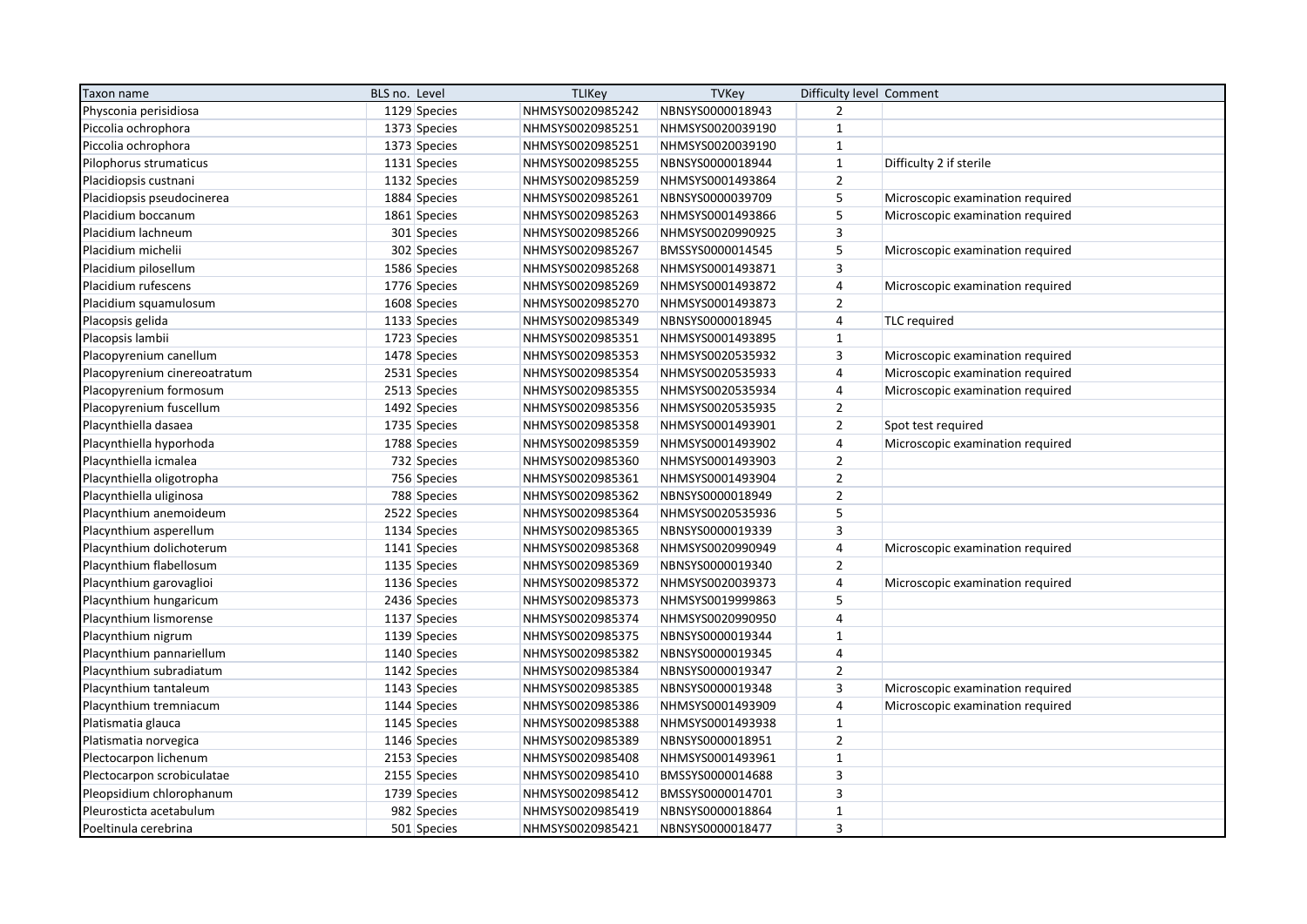| Taxon name                   | BLS no. Level | <b>TLIKey</b>    | <b>TVKey</b>     | Difficulty level Comment |                                  |
|------------------------------|---------------|------------------|------------------|--------------------------|----------------------------------|
| Physconia perisidiosa        | 1129 Species  | NHMSYS0020985242 | NBNSYS0000018943 | $\overline{2}$           |                                  |
| Piccolia ochrophora          | 1373 Species  | NHMSYS0020985251 | NHMSYS0020039190 | $\mathbf 1$              |                                  |
| Piccolia ochrophora          | 1373 Species  | NHMSYS0020985251 | NHMSYS0020039190 | $\mathbf 1$              |                                  |
| Pilophorus strumaticus       | 1131 Species  | NHMSYS0020985255 | NBNSYS0000018944 | $\mathbf 1$              | Difficulty 2 if sterile          |
| Placidiopsis custnani        | 1132 Species  | NHMSYS0020985259 | NHMSYS0001493864 | $\overline{2}$           |                                  |
| Placidiopsis pseudocinerea   | 1884 Species  | NHMSYS0020985261 | NBNSYS0000039709 | 5                        | Microscopic examination required |
| Placidium boccanum           | 1861 Species  | NHMSYS0020985263 | NHMSYS0001493866 | 5                        | Microscopic examination required |
| Placidium lachneum           | 301 Species   | NHMSYS0020985266 | NHMSYS0020990925 | $\overline{\mathbf{3}}$  |                                  |
| Placidium michelii           | 302 Species   | NHMSYS0020985267 | BMSSYS0000014545 | 5                        | Microscopic examination required |
| Placidium pilosellum         | 1586 Species  | NHMSYS0020985268 | NHMSYS0001493871 | $\overline{3}$           |                                  |
| Placidium rufescens          | 1776 Species  | NHMSYS0020985269 | NHMSYS0001493872 | $\overline{4}$           | Microscopic examination required |
| Placidium squamulosum        | 1608 Species  | NHMSYS0020985270 | NHMSYS0001493873 | $\overline{2}$           |                                  |
| Placopsis gelida             | 1133 Species  | NHMSYS0020985349 | NBNSYS0000018945 | $\overline{4}$           | <b>TLC</b> required              |
| Placopsis lambii             | 1723 Species  | NHMSYS0020985351 | NHMSYS0001493895 | $\mathbf{1}$             |                                  |
| Placopyrenium canellum       | 1478 Species  | NHMSYS0020985353 | NHMSYS0020535932 | $\mathsf 3$              | Microscopic examination required |
| Placopyrenium cinereoatratum | 2531 Species  | NHMSYS0020985354 | NHMSYS0020535933 | $\sqrt{4}$               | Microscopic examination required |
| Placopyrenium formosum       | 2513 Species  | NHMSYS0020985355 | NHMSYS0020535934 | $\sqrt{4}$               | Microscopic examination required |
| Placopyrenium fuscellum      | 1492 Species  | NHMSYS0020985356 | NHMSYS0020535935 | $\overline{2}$           |                                  |
| Placynthiella dasaea         | 1735 Species  | NHMSYS0020985358 | NHMSYS0001493901 | $\overline{2}$           | Spot test required               |
| Placynthiella hyporhoda      | 1788 Species  | NHMSYS0020985359 | NHMSYS0001493902 | $\overline{4}$           | Microscopic examination required |
| Placynthiella icmalea        | 732 Species   | NHMSYS0020985360 | NHMSYS0001493903 | $\overline{2}$           |                                  |
| Placynthiella oligotropha    | 756 Species   | NHMSYS0020985361 | NHMSYS0001493904 | $\overline{2}$           |                                  |
| Placynthiella uliginosa      | 788 Species   | NHMSYS0020985362 | NBNSYS0000018949 | $\overline{2}$           |                                  |
| Placynthium anemoideum       | 2522 Species  | NHMSYS0020985364 | NHMSYS0020535936 | 5                        |                                  |
| Placynthium asperellum       | 1134 Species  | NHMSYS0020985365 | NBNSYS0000019339 | $\overline{3}$           |                                  |
| Placynthium dolichoterum     | 1141 Species  | NHMSYS0020985368 | NHMSYS0020990949 | $\overline{4}$           | Microscopic examination required |
| Placynthium flabellosum      | 1135 Species  | NHMSYS0020985369 | NBNSYS0000019340 | $\overline{2}$           |                                  |
| Placynthium garovaglioi      | 1136 Species  | NHMSYS0020985372 | NHMSYS0020039373 | $\overline{4}$           | Microscopic examination required |
| Placynthium hungaricum       | 2436 Species  | NHMSYS0020985373 | NHMSYS0019999863 | 5                        |                                  |
| Placynthium lismorense       | 1137 Species  | NHMSYS0020985374 | NHMSYS0020990950 | $\overline{4}$           |                                  |
| Placynthium nigrum           | 1139 Species  | NHMSYS0020985375 | NBNSYS0000019344 | $\mathbf{1}$             |                                  |
| Placynthium pannariellum     | 1140 Species  | NHMSYS0020985382 | NBNSYS0000019345 | $\overline{4}$           |                                  |
| Placynthium subradiatum      | 1142 Species  | NHMSYS0020985384 | NBNSYS0000019347 | $\mathbf 2$              |                                  |
| Placynthium tantaleum        | 1143 Species  | NHMSYS0020985385 | NBNSYS0000019348 | 3                        | Microscopic examination required |
| Placynthium tremniacum       | 1144 Species  | NHMSYS0020985386 | NHMSYS0001493909 | $\overline{4}$           | Microscopic examination required |
| Platismatia glauca           | 1145 Species  | NHMSYS0020985388 | NHMSYS0001493938 | $\mathbf{1}$             |                                  |
| Platismatia norvegica        | 1146 Species  | NHMSYS0020985389 | NBNSYS0000018951 | $\overline{2}$           |                                  |
| Plectocarpon lichenum        | 2153 Species  | NHMSYS0020985408 | NHMSYS0001493961 | $\mathbf 1$              |                                  |
| Plectocarpon scrobiculatae   | 2155 Species  | NHMSYS0020985410 | BMSSYS0000014688 | $\mathsf 3$              |                                  |
| Pleopsidium chlorophanum     | 1739 Species  | NHMSYS0020985412 | BMSSYS0000014701 | $\overline{\mathbf{3}}$  |                                  |
| Pleurosticta acetabulum      | 982 Species   | NHMSYS0020985419 | NBNSYS0000018864 | $\mathbf 1$              |                                  |
| Poeltinula cerebrina         | 501 Species   | NHMSYS0020985421 | NBNSYS0000018477 | $\overline{3}$           |                                  |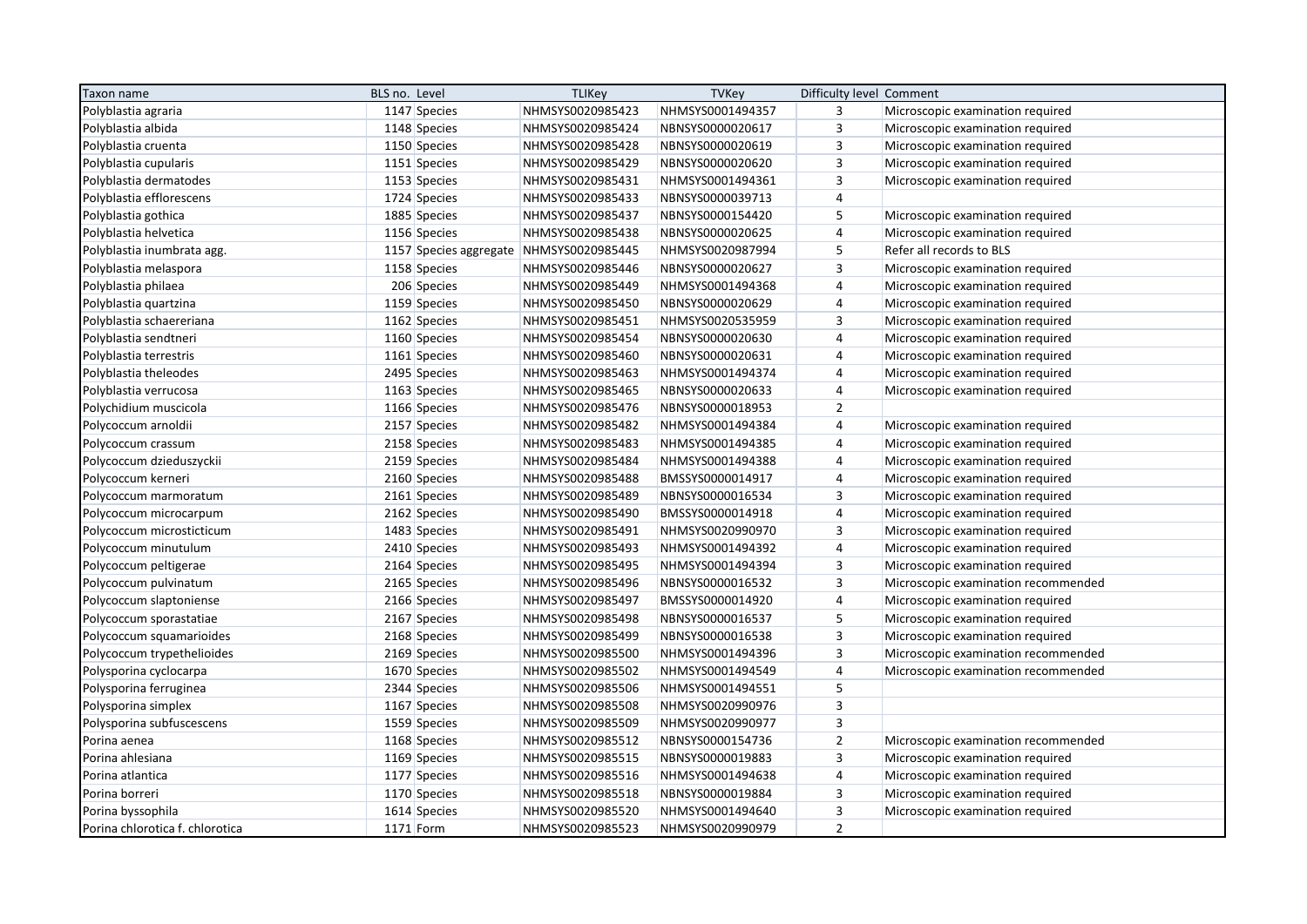| Taxon name                      | BLS no. Level                           | <b>TLIKey</b>    | <b>TVKey</b>     | Difficulty level Comment |                                     |
|---------------------------------|-----------------------------------------|------------------|------------------|--------------------------|-------------------------------------|
| Polyblastia agraria             | 1147 Species                            | NHMSYS0020985423 | NHMSYS0001494357 | 3                        | Microscopic examination required    |
| Polyblastia albida              | 1148 Species                            | NHMSYS0020985424 | NBNSYS0000020617 | 3                        | Microscopic examination required    |
| Polyblastia cruenta             | 1150 Species                            | NHMSYS0020985428 | NBNSYS0000020619 | 3                        | Microscopic examination required    |
| Polyblastia cupularis           | 1151 Species                            | NHMSYS0020985429 | NBNSYS0000020620 | $\overline{3}$           | Microscopic examination required    |
| Polyblastia dermatodes          | 1153 Species                            | NHMSYS0020985431 | NHMSYS0001494361 | $\overline{3}$           | Microscopic examination required    |
| Polyblastia efflorescens        | 1724 Species                            | NHMSYS0020985433 | NBNSYS0000039713 | $\overline{4}$           |                                     |
| Polyblastia gothica             | 1885 Species                            | NHMSYS0020985437 | NBNSYS0000154420 | 5                        | Microscopic examination required    |
| Polyblastia helvetica           | 1156 Species                            | NHMSYS0020985438 | NBNSYS0000020625 | $\overline{4}$           | Microscopic examination required    |
| Polyblastia inumbrata agg.      | 1157 Species aggregate NHMSYS0020985445 |                  | NHMSYS0020987994 | 5                        | Refer all records to BLS            |
| Polyblastia melaspora           | 1158 Species                            | NHMSYS0020985446 | NBNSYS0000020627 | 3                        | Microscopic examination required    |
| Polyblastia philaea             | 206 Species                             | NHMSYS0020985449 | NHMSYS0001494368 | $\overline{4}$           | Microscopic examination required    |
| Polyblastia quartzina           | 1159 Species                            | NHMSYS0020985450 | NBNSYS0000020629 | $\overline{4}$           | Microscopic examination required    |
| Polyblastia schaereriana        | 1162 Species                            | NHMSYS0020985451 | NHMSYS0020535959 | 3                        | Microscopic examination required    |
| Polyblastia sendtneri           | 1160 Species                            | NHMSYS0020985454 | NBNSYS0000020630 | $\overline{4}$           | Microscopic examination required    |
| Polyblastia terrestris          | 1161 Species                            | NHMSYS0020985460 | NBNSYS0000020631 | $\overline{4}$           | Microscopic examination required    |
| Polyblastia theleodes           | 2495 Species                            | NHMSYS0020985463 | NHMSYS0001494374 | $\overline{4}$           | Microscopic examination required    |
| Polyblastia verrucosa           | 1163 Species                            | NHMSYS0020985465 | NBNSYS0000020633 | $\overline{4}$           | Microscopic examination required    |
| Polychidium muscicola           | 1166 Species                            | NHMSYS0020985476 | NBNSYS0000018953 | $\overline{2}$           |                                     |
| Polycoccum arnoldii             | 2157 Species                            | NHMSYS0020985482 | NHMSYS0001494384 | $\overline{4}$           | Microscopic examination required    |
| Polycoccum crassum              | 2158 Species                            | NHMSYS0020985483 | NHMSYS0001494385 | $\overline{4}$           | Microscopic examination required    |
| Polycoccum dzieduszyckii        | 2159 Species                            | NHMSYS0020985484 | NHMSYS0001494388 | $\overline{4}$           | Microscopic examination required    |
| Polycoccum kerneri              | 2160 Species                            | NHMSYS0020985488 | BMSSYS0000014917 | $\overline{4}$           | Microscopic examination required    |
| Polycoccum marmoratum           | 2161 Species                            | NHMSYS0020985489 | NBNSYS0000016534 | 3                        | Microscopic examination required    |
| Polycoccum microcarpum          | 2162 Species                            | NHMSYS0020985490 | BMSSYS0000014918 | $\overline{4}$           | Microscopic examination required    |
| Polycoccum microsticticum       | 1483 Species                            | NHMSYS0020985491 | NHMSYS0020990970 | $\overline{3}$           | Microscopic examination required    |
| Polycoccum minutulum            | 2410 Species                            | NHMSYS0020985493 | NHMSYS0001494392 | $\overline{4}$           | Microscopic examination required    |
| Polycoccum peltigerae           | 2164 Species                            | NHMSYS0020985495 | NHMSYS0001494394 | 3                        | Microscopic examination required    |
| Polycoccum pulvinatum           | 2165 Species                            | NHMSYS0020985496 | NBNSYS0000016532 | 3                        | Microscopic examination recommended |
| Polycoccum slaptoniense         | 2166 Species                            | NHMSYS0020985497 | BMSSYS0000014920 | $\overline{4}$           | Microscopic examination required    |
| Polycoccum sporastatiae         | 2167 Species                            | NHMSYS0020985498 | NBNSYS0000016537 | 5                        | Microscopic examination required    |
| Polycoccum squamarioides        | 2168 Species                            | NHMSYS0020985499 | NBNSYS0000016538 | 3                        | Microscopic examination required    |
| Polycoccum trypethelioides      | 2169 Species                            | NHMSYS0020985500 | NHMSYS0001494396 | $\overline{3}$           | Microscopic examination recommended |
| Polysporina cyclocarpa          | 1670 Species                            | NHMSYS0020985502 | NHMSYS0001494549 | $\overline{4}$           | Microscopic examination recommended |
| Polysporina ferruginea          | 2344 Species                            | NHMSYS0020985506 | NHMSYS0001494551 | 5                        |                                     |
| Polysporina simplex             | 1167 Species                            | NHMSYS0020985508 | NHMSYS0020990976 | $\overline{3}$           |                                     |
| Polysporina subfuscescens       | 1559 Species                            | NHMSYS0020985509 | NHMSYS0020990977 | $\overline{3}$           |                                     |
| Porina aenea                    | 1168 Species                            | NHMSYS0020985512 | NBNSYS0000154736 | $\overline{2}$           | Microscopic examination recommended |
| Porina ahlesiana                | 1169 Species                            | NHMSYS0020985515 | NBNSYS0000019883 | 3                        | Microscopic examination required    |
| Porina atlantica                | 1177 Species                            | NHMSYS0020985516 | NHMSYS0001494638 | $\overline{4}$           | Microscopic examination required    |
| Porina borreri                  | 1170 Species                            | NHMSYS0020985518 | NBNSYS0000019884 | $\mathbf{3}$             | Microscopic examination required    |
| Porina byssophila               | 1614 Species                            | NHMSYS0020985520 | NHMSYS0001494640 | 3                        | Microscopic examination required    |
| Porina chlorotica f. chlorotica | $1171$ Form                             | NHMSYS0020985523 | NHMSYS0020990979 | $\overline{2}$           |                                     |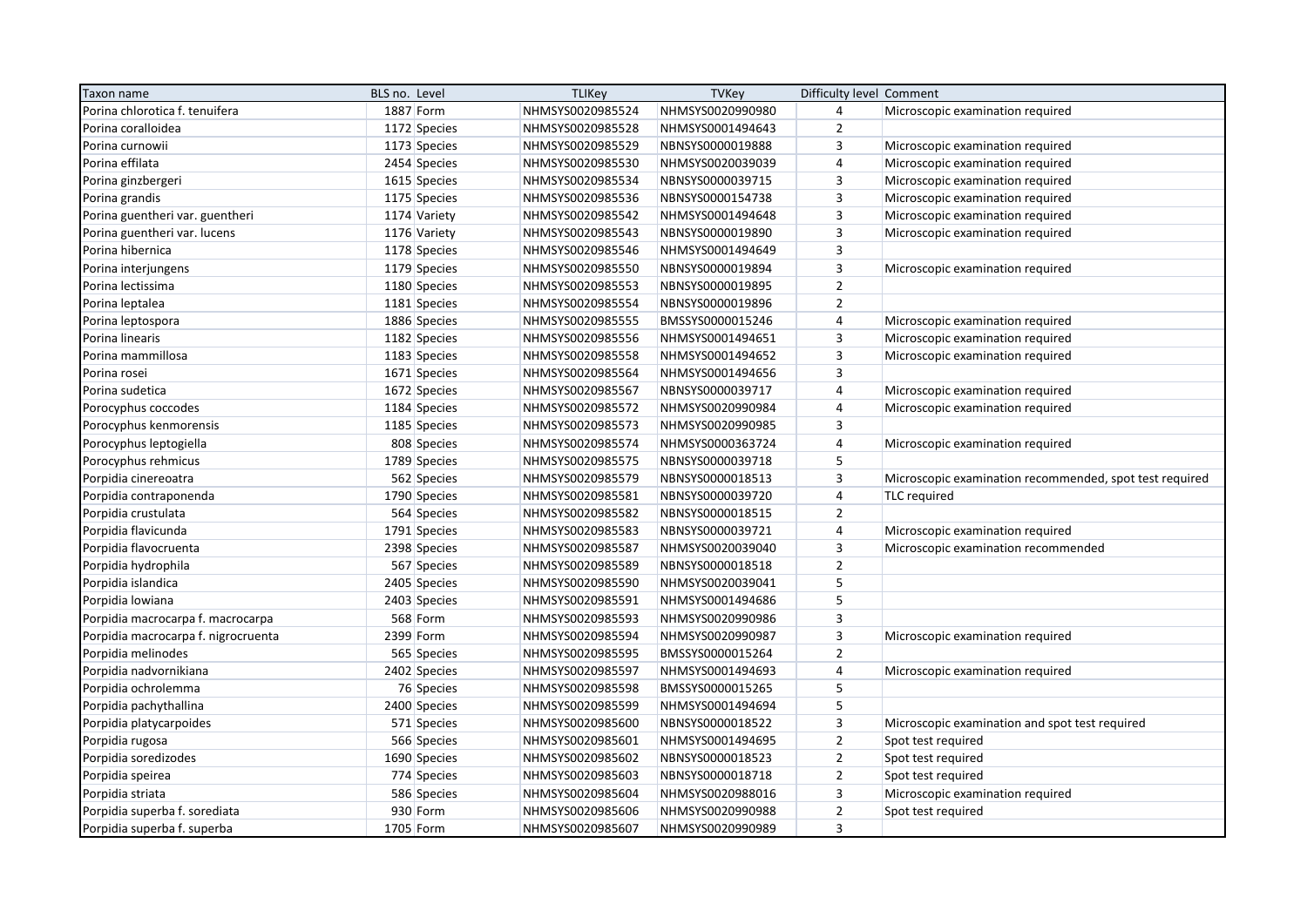| Taxon name                          | BLS no. Level | <b>TLIKey</b>    | <b>TVKey</b>     | Difficulty level Comment |                                                         |
|-------------------------------------|---------------|------------------|------------------|--------------------------|---------------------------------------------------------|
| Porina chlorotica f. tenuifera      | 1887 Form     | NHMSYS0020985524 | NHMSYS0020990980 | $\overline{4}$           | Microscopic examination required                        |
| Porina coralloidea                  | 1172 Species  | NHMSYS0020985528 | NHMSYS0001494643 | $\overline{2}$           |                                                         |
| Porina curnowii                     | 1173 Species  | NHMSYS0020985529 | NBNSYS0000019888 | 3                        | Microscopic examination required                        |
| Porina effilata                     | 2454 Species  | NHMSYS0020985530 | NHMSYS0020039039 | $\overline{4}$           | Microscopic examination required                        |
| Porina ginzbergeri                  | 1615 Species  | NHMSYS0020985534 | NBNSYS0000039715 | 3                        | Microscopic examination required                        |
| Porina grandis                      | 1175 Species  | NHMSYS0020985536 | NBNSYS0000154738 | $\mathsf 3$              | Microscopic examination required                        |
| Porina guentheri var. guentheri     | 1174 Variety  | NHMSYS0020985542 | NHMSYS0001494648 | $\overline{3}$           | Microscopic examination required                        |
| Porina guentheri var. lucens        | 1176 Variety  | NHMSYS0020985543 | NBNSYS0000019890 | 3                        | Microscopic examination required                        |
| Porina hibernica                    | 1178 Species  | NHMSYS0020985546 | NHMSYS0001494649 | $\overline{3}$           |                                                         |
| Porina interjungens                 | 1179 Species  | NHMSYS0020985550 | NBNSYS0000019894 | $\mathsf 3$              | Microscopic examination required                        |
| Porina lectissima                   | 1180 Species  | NHMSYS0020985553 | NBNSYS0000019895 | $\overline{2}$           |                                                         |
| Porina leptalea                     | 1181 Species  | NHMSYS0020985554 | NBNSYS0000019896 | $\overline{2}$           |                                                         |
| Porina leptospora                   | 1886 Species  | NHMSYS0020985555 | BMSSYS0000015246 | 4                        | Microscopic examination required                        |
| Porina linearis                     | 1182 Species  | NHMSYS0020985556 | NHMSYS0001494651 | 3                        | Microscopic examination required                        |
| Porina mammillosa                   | 1183 Species  | NHMSYS0020985558 | NHMSYS0001494652 | 3                        | Microscopic examination required                        |
| Porina rosei                        | 1671 Species  | NHMSYS0020985564 | NHMSYS0001494656 | $\overline{3}$           |                                                         |
| Porina sudetica                     | 1672 Species  | NHMSYS0020985567 | NBNSYS0000039717 | $\overline{4}$           | Microscopic examination required                        |
| Porocyphus coccodes                 | 1184 Species  | NHMSYS0020985572 | NHMSYS0020990984 | $\overline{4}$           | Microscopic examination required                        |
| Porocyphus kenmorensis              | 1185 Species  | NHMSYS0020985573 | NHMSYS0020990985 | 3                        |                                                         |
| Porocyphus leptogiella              | 808 Species   | NHMSYS0020985574 | NHMSYS0000363724 | $\overline{4}$           | Microscopic examination required                        |
| Porocyphus rehmicus                 | 1789 Species  | NHMSYS0020985575 | NBNSYS0000039718 | 5                        |                                                         |
| Porpidia cinereoatra                | 562 Species   | NHMSYS0020985579 | NBNSYS0000018513 | 3                        | Microscopic examination recommended, spot test required |
| Porpidia contraponenda              | 1790 Species  | NHMSYS0020985581 | NBNSYS0000039720 | $\overline{4}$           | TLC required                                            |
| Porpidia crustulata                 | 564 Species   | NHMSYS0020985582 | NBNSYS0000018515 | $\mathbf 2$              |                                                         |
| Porpidia flavicunda                 | 1791 Species  | NHMSYS0020985583 | NBNSYS0000039721 | $\overline{4}$           | Microscopic examination required                        |
| Porpidia flavocruenta               | 2398 Species  | NHMSYS0020985587 | NHMSYS0020039040 | $\overline{3}$           | Microscopic examination recommended                     |
| Porpidia hydrophila                 | 567 Species   | NHMSYS0020985589 | NBNSYS0000018518 | $\overline{2}$           |                                                         |
| Porpidia islandica                  | 2405 Species  | NHMSYS0020985590 | NHMSYS0020039041 | 5                        |                                                         |
| Porpidia lowiana                    | 2403 Species  | NHMSYS0020985591 | NHMSYS0001494686 | 5                        |                                                         |
| Porpidia macrocarpa f. macrocarpa   | 568 Form      | NHMSYS0020985593 | NHMSYS0020990986 | $\overline{3}$           |                                                         |
| Porpidia macrocarpa f. nigrocruenta | 2399 Form     | NHMSYS0020985594 | NHMSYS0020990987 | $\mathsf 3$              | Microscopic examination required                        |
| Porpidia melinodes                  | 565 Species   | NHMSYS0020985595 | BMSSYS0000015264 | $\overline{2}$           |                                                         |
| Porpidia nadvornikiana              | 2402 Species  | NHMSYS0020985597 | NHMSYS0001494693 | $\overline{4}$           | Microscopic examination required                        |
| Porpidia ochrolemma                 | 76 Species    | NHMSYS0020985598 | BMSSYS0000015265 | 5                        |                                                         |
| Porpidia pachythallina              | 2400 Species  | NHMSYS0020985599 | NHMSYS0001494694 | 5                        |                                                         |
| Porpidia platycarpoides             | 571 Species   | NHMSYS0020985600 | NBNSYS0000018522 | 3                        | Microscopic examination and spot test required          |
| Porpidia rugosa                     | 566 Species   | NHMSYS0020985601 | NHMSYS0001494695 | $\overline{2}$           | Spot test required                                      |
| Porpidia soredizodes                | 1690 Species  | NHMSYS0020985602 | NBNSYS0000018523 | $\mathbf 2$              | Spot test required                                      |
| Porpidia speirea                    | 774 Species   | NHMSYS0020985603 | NBNSYS0000018718 | $\overline{2}$           | Spot test required                                      |
| Porpidia striata                    | 586 Species   | NHMSYS0020985604 | NHMSYS0020988016 | $\overline{\mathbf{3}}$  | Microscopic examination required                        |
| Porpidia superba f. sorediata       | 930 Form      | NHMSYS0020985606 | NHMSYS0020990988 | $\overline{2}$           | Spot test required                                      |
| Porpidia superba f. superba         | 1705 Form     | NHMSYS0020985607 | NHMSYS0020990989 | $\overline{3}$           |                                                         |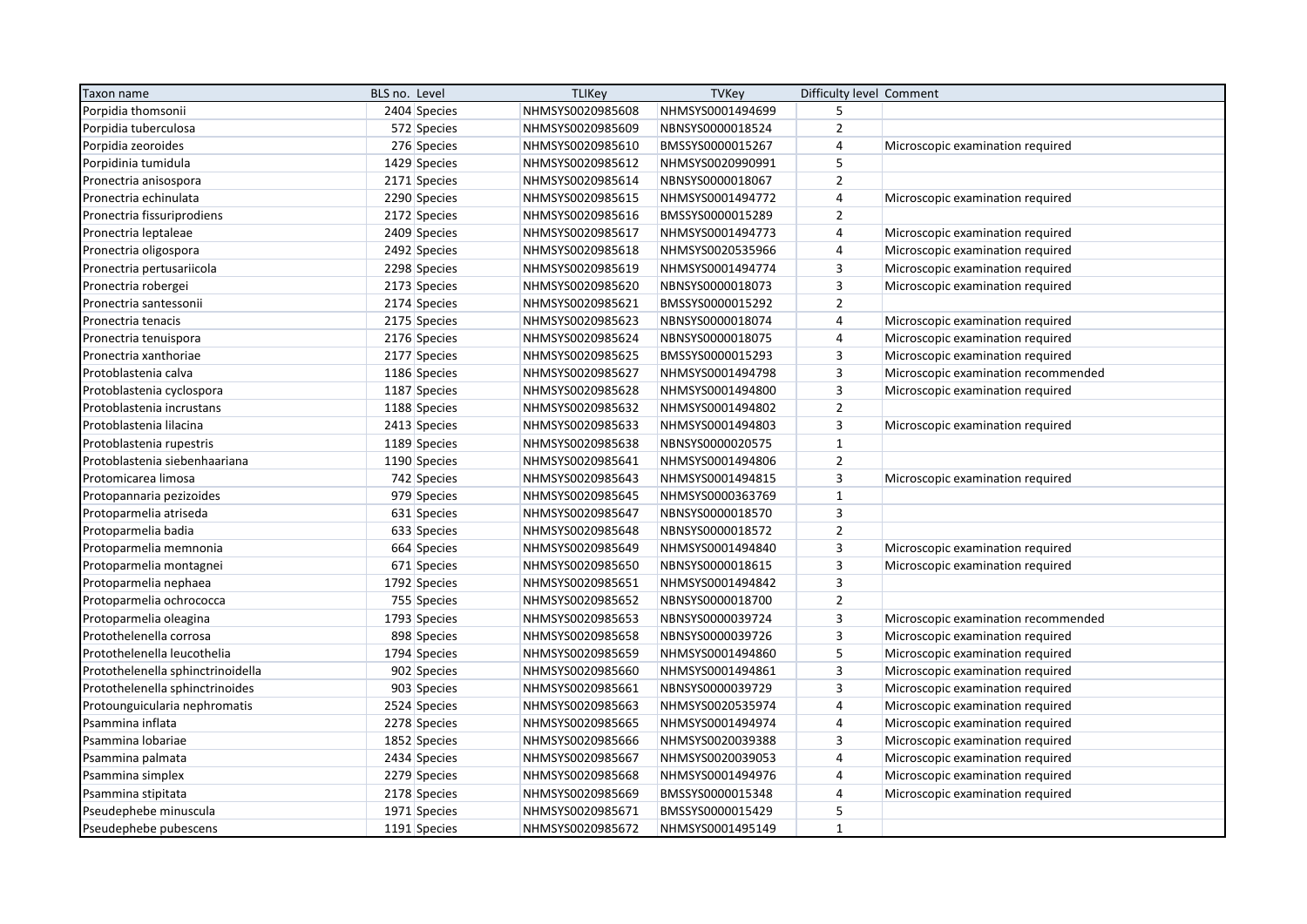| Taxon name                        | BLS no. Level | <b>TLIKey</b>    | <b>TVKey</b>     | Difficulty level Comment |                                     |
|-----------------------------------|---------------|------------------|------------------|--------------------------|-------------------------------------|
| Porpidia thomsonii                | 2404 Species  | NHMSYS0020985608 | NHMSYS0001494699 | 5                        |                                     |
| Porpidia tuberculosa              | 572 Species   | NHMSYS0020985609 | NBNSYS0000018524 | $\overline{2}$           |                                     |
| Porpidia zeoroides                | 276 Species   | NHMSYS0020985610 | BMSSYS0000015267 | $\overline{4}$           | Microscopic examination required    |
| Porpidinia tumidula               | 1429 Species  | NHMSYS0020985612 | NHMSYS0020990991 | 5                        |                                     |
| Pronectria anisospora             | 2171 Species  | NHMSYS0020985614 | NBNSYS0000018067 | $\overline{2}$           |                                     |
| Pronectria echinulata             | 2290 Species  | NHMSYS0020985615 | NHMSYS0001494772 | $\overline{4}$           | Microscopic examination required    |
| Pronectria fissuriprodiens        | 2172 Species  | NHMSYS0020985616 | BMSSYS0000015289 | $\overline{2}$           |                                     |
| Pronectria leptaleae              | 2409 Species  | NHMSYS0020985617 | NHMSYS0001494773 | $\overline{4}$           | Microscopic examination required    |
| Pronectria oligospora             | 2492 Species  | NHMSYS0020985618 | NHMSYS0020535966 | $\overline{4}$           | Microscopic examination required    |
| Pronectria pertusariicola         | 2298 Species  | NHMSYS0020985619 | NHMSYS0001494774 | 3                        | Microscopic examination required    |
| Pronectria robergei               | 2173 Species  | NHMSYS0020985620 | NBNSYS0000018073 | $\overline{3}$           | Microscopic examination required    |
| Pronectria santessonii            | 2174 Species  | NHMSYS0020985621 | BMSSYS0000015292 | $\overline{2}$           |                                     |
| Pronectria tenacis                | 2175 Species  | NHMSYS0020985623 | NBNSYS0000018074 | $\overline{4}$           | Microscopic examination required    |
| Pronectria tenuispora             | 2176 Species  | NHMSYS0020985624 | NBNSYS0000018075 | $\overline{4}$           | Microscopic examination required    |
| Pronectria xanthoriae             | 2177 Species  | NHMSYS0020985625 | BMSSYS0000015293 | 3                        | Microscopic examination required    |
| Protoblastenia calva              | 1186 Species  | NHMSYS0020985627 | NHMSYS0001494798 | $\mathbf{3}$             | Microscopic examination recommended |
| Protoblastenia cyclospora         | 1187 Species  | NHMSYS0020985628 | NHMSYS0001494800 | $\overline{3}$           | Microscopic examination required    |
| Protoblastenia incrustans         | 1188 Species  | NHMSYS0020985632 | NHMSYS0001494802 | $\overline{2}$           |                                     |
| Protoblastenia lilacina           | 2413 Species  | NHMSYS0020985633 | NHMSYS0001494803 | $\overline{3}$           | Microscopic examination required    |
| Protoblastenia rupestris          | 1189 Species  | NHMSYS0020985638 | NBNSYS0000020575 | $\mathbf{1}$             |                                     |
| Protoblastenia siebenhaariana     | 1190 Species  | NHMSYS0020985641 | NHMSYS0001494806 | $\overline{2}$           |                                     |
| Protomicarea limosa               | 742 Species   | NHMSYS0020985643 | NHMSYS0001494815 | $\overline{3}$           | Microscopic examination required    |
| Protopannaria pezizoides          | 979 Species   | NHMSYS0020985645 | NHMSYS0000363769 | $\mathbf{1}$             |                                     |
| Protoparmelia atriseda            | 631 Species   | NHMSYS0020985647 | NBNSYS0000018570 | $\overline{\mathbf{3}}$  |                                     |
| Protoparmelia badia               | 633 Species   | NHMSYS0020985648 | NBNSYS0000018572 | $\overline{2}$           |                                     |
| Protoparmelia memnonia            | 664 Species   | NHMSYS0020985649 | NHMSYS0001494840 | $\overline{3}$           | Microscopic examination required    |
| Protoparmelia montagnei           | 671 Species   | NHMSYS0020985650 | NBNSYS0000018615 | $\overline{3}$           | Microscopic examination required    |
| Protoparmelia nephaea             | 1792 Species  | NHMSYS0020985651 | NHMSYS0001494842 | $\overline{3}$           |                                     |
| Protoparmelia ochrococca          | 755 Species   | NHMSYS0020985652 | NBNSYS0000018700 | $\mathbf 2$              |                                     |
| Protoparmelia oleagina            | 1793 Species  | NHMSYS0020985653 | NBNSYS0000039724 | $\overline{3}$           | Microscopic examination recommended |
| Protothelenella corrosa           | 898 Species   | NHMSYS0020985658 | NBNSYS0000039726 | $\overline{3}$           | Microscopic examination required    |
| Protothelenella leucothelia       | 1794 Species  | NHMSYS0020985659 | NHMSYS0001494860 | $\sqrt{5}$               | Microscopic examination required    |
| Protothelenella sphinctrinoidella | 902 Species   | NHMSYS0020985660 | NHMSYS0001494861 | $\overline{3}$           | Microscopic examination required    |
| Protothelenella sphinctrinoides   | 903 Species   | NHMSYS0020985661 | NBNSYS0000039729 | 3                        | Microscopic examination required    |
| Protounguicularia nephromatis     | 2524 Species  | NHMSYS0020985663 | NHMSYS0020535974 | $\overline{4}$           | Microscopic examination required    |
| Psammina inflata                  | 2278 Species  | NHMSYS0020985665 | NHMSYS0001494974 | $\overline{4}$           | Microscopic examination required    |
| Psammina lobariae                 | 1852 Species  | NHMSYS0020985666 | NHMSYS0020039388 | 3                        | Microscopic examination required    |
| Psammina palmata                  | 2434 Species  | NHMSYS0020985667 | NHMSYS0020039053 | $\overline{4}$           | Microscopic examination required    |
| Psammina simplex                  | 2279 Species  | NHMSYS0020985668 | NHMSYS0001494976 | $\overline{4}$           | Microscopic examination required    |
| Psammina stipitata                | 2178 Species  | NHMSYS0020985669 | BMSSYS0000015348 | $\overline{4}$           | Microscopic examination required    |
| Pseudephebe minuscula             | 1971 Species  | NHMSYS0020985671 | BMSSYS0000015429 | 5                        |                                     |
| Pseudephebe pubescens             | 1191 Species  | NHMSYS0020985672 | NHMSYS0001495149 | $\mathbf{1}$             |                                     |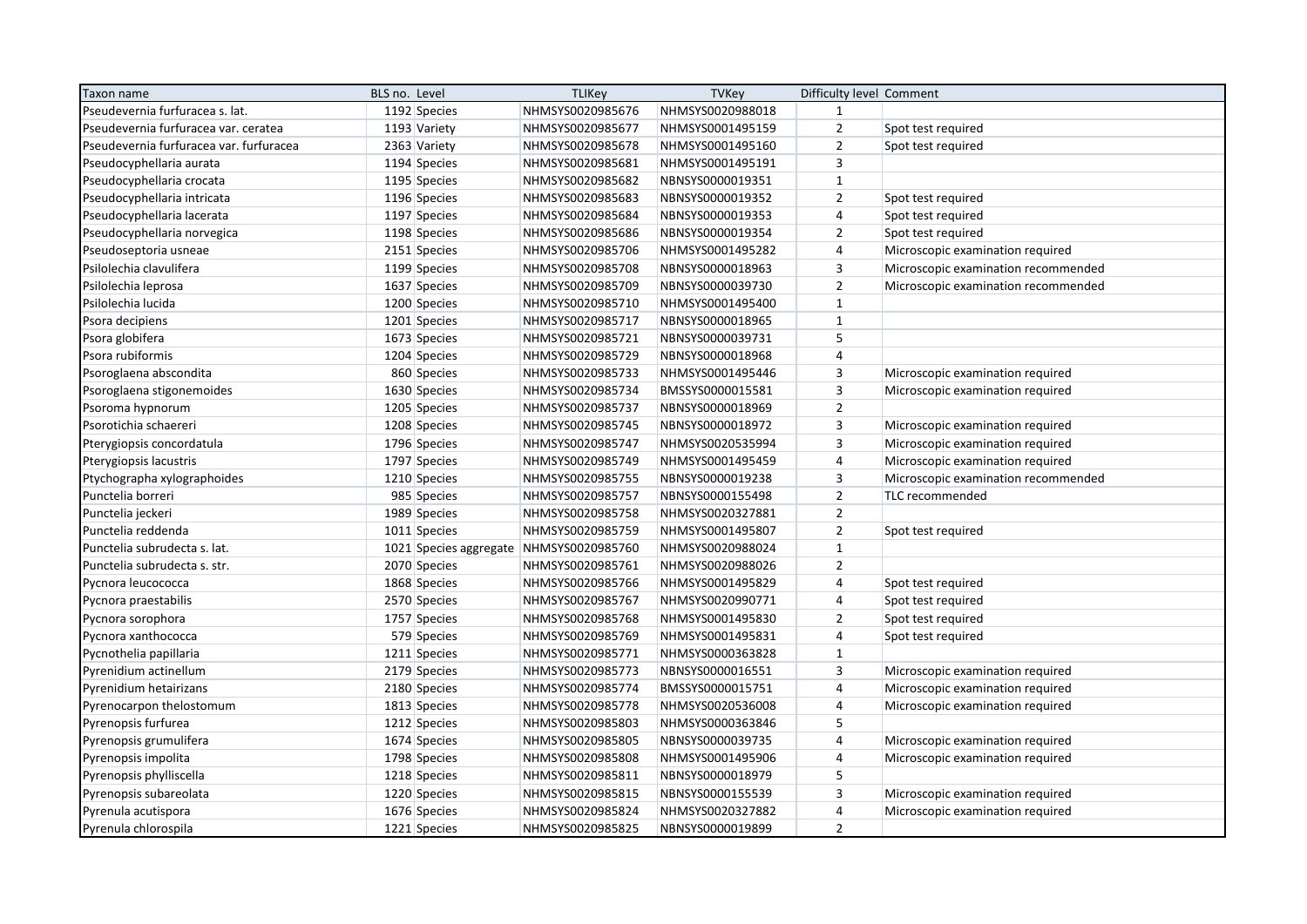| Taxon name                              | BLS no. Level |              | <b>TLIKey</b>                           | <b>TVKey</b>     | Difficulty level Comment |                                     |
|-----------------------------------------|---------------|--------------|-----------------------------------------|------------------|--------------------------|-------------------------------------|
| Pseudevernia furfuracea s. lat.         |               | 1192 Species | NHMSYS0020985676                        | NHMSYS0020988018 | $\mathbf{1}$             |                                     |
| Pseudevernia furfuracea var. ceratea    |               | 1193 Variety | NHMSYS0020985677                        | NHMSYS0001495159 | $\mathbf 2$              | Spot test required                  |
| Pseudevernia furfuracea var. furfuracea |               | 2363 Variety | NHMSYS0020985678                        | NHMSYS0001495160 | $\overline{2}$           | Spot test required                  |
| Pseudocyphellaria aurata                |               | 1194 Species | NHMSYS0020985681                        | NHMSYS0001495191 | 3                        |                                     |
| Pseudocyphellaria crocata               |               | 1195 Species | NHMSYS0020985682                        | NBNSYS0000019351 | $\mathbf 1$              |                                     |
| Pseudocyphellaria intricata             |               | 1196 Species | NHMSYS0020985683                        | NBNSYS0000019352 | $\mathbf 2$              | Spot test required                  |
| Pseudocyphellaria lacerata              |               | 1197 Species | NHMSYS0020985684                        | NBNSYS0000019353 | 4                        | Spot test required                  |
| Pseudocyphellaria norvegica             |               | 1198 Species | NHMSYS0020985686                        | NBNSYS0000019354 | $\overline{2}$           | Spot test required                  |
| Pseudoseptoria usneae                   |               | 2151 Species | NHMSYS0020985706                        | NHMSYS0001495282 | $\sqrt{4}$               | Microscopic examination required    |
| Psilolechia clavulifera                 |               | 1199 Species | NHMSYS0020985708                        | NBNSYS0000018963 | 3                        | Microscopic examination recommended |
| Psilolechia leprosa                     |               | 1637 Species | NHMSYS0020985709                        | NBNSYS0000039730 | $\overline{2}$           | Microscopic examination recommended |
| Psilolechia lucida                      |               | 1200 Species | NHMSYS0020985710                        | NHMSYS0001495400 | $\mathbf 1$              |                                     |
| Psora decipiens                         |               | 1201 Species | NHMSYS0020985717                        | NBNSYS0000018965 | $\mathbf 1$              |                                     |
| Psora globifera                         |               | 1673 Species | NHMSYS0020985721                        | NBNSYS0000039731 | 5                        |                                     |
| Psora rubiformis                        |               | 1204 Species | NHMSYS0020985729                        | NBNSYS0000018968 | $\overline{4}$           |                                     |
| Psoroglaena abscondita                  |               | 860 Species  | NHMSYS0020985733                        | NHMSYS0001495446 | $\mathsf 3$              | Microscopic examination required    |
| Psoroglaena stigonemoides               |               | 1630 Species | NHMSYS0020985734                        | BMSSYS0000015581 | 3                        | Microscopic examination required    |
| Psoroma hypnorum                        |               | 1205 Species | NHMSYS0020985737                        | NBNSYS0000018969 | $\mathbf 2$              |                                     |
| Psorotichia schaereri                   |               | 1208 Species | NHMSYS0020985745                        | NBNSYS0000018972 | $\mathsf 3$              | Microscopic examination required    |
| Pterygiopsis concordatula               |               | 1796 Species | NHMSYS0020985747                        | NHMSYS0020535994 | 3                        | Microscopic examination required    |
| Pterygiopsis lacustris                  |               | 1797 Species | NHMSYS0020985749                        | NHMSYS0001495459 | $\overline{4}$           | Microscopic examination required    |
| Ptychographa xylographoides             |               | 1210 Species | NHMSYS0020985755                        | NBNSYS0000019238 | 3                        | Microscopic examination recommended |
| Punctelia borreri                       |               | 985 Species  | NHMSYS0020985757                        | NBNSYS0000155498 | $\overline{2}$           | TLC recommended                     |
| Punctelia jeckeri                       |               | 1989 Species | NHMSYS0020985758                        | NHMSYS0020327881 | $\overline{2}$           |                                     |
| Punctelia reddenda                      |               | 1011 Species | NHMSYS0020985759                        | NHMSYS0001495807 | $\mathbf 2$              | Spot test required                  |
| Punctelia subrudecta s. lat.            |               |              | 1021 Species aggregate NHMSYS0020985760 | NHMSYS0020988024 | $\mathbf{1}$             |                                     |
| Punctelia subrudecta s. str.            |               | 2070 Species | NHMSYS0020985761                        | NHMSYS0020988026 | $\overline{2}$           |                                     |
| Pycnora leucococca                      |               | 1868 Species | NHMSYS0020985766                        | NHMSYS0001495829 | $\sqrt{4}$               | Spot test required                  |
| Pycnora praestabilis                    |               | 2570 Species | NHMSYS0020985767                        | NHMSYS0020990771 | $\sqrt{4}$               | Spot test required                  |
| Pycnora sorophora                       |               | 1757 Species | NHMSYS0020985768                        | NHMSYS0001495830 | $\overline{2}$           | Spot test required                  |
| Pycnora xanthococca                     |               | 579 Species  | NHMSYS0020985769                        | NHMSYS0001495831 | $\sqrt{4}$               | Spot test required                  |
| Pycnothelia papillaria                  |               | 1211 Species | NHMSYS0020985771                        | NHMSYS0000363828 | $\mathbf 1$              |                                     |
| Pyrenidium actinellum                   |               | 2179 Species | NHMSYS0020985773                        | NBNSYS0000016551 | 3                        | Microscopic examination required    |
| Pyrenidium hetairizans                  |               | 2180 Species | NHMSYS0020985774                        | BMSSYS0000015751 | $\sqrt{4}$               | Microscopic examination required    |
| Pyrenocarpon thelostomum                |               | 1813 Species | NHMSYS0020985778                        | NHMSYS0020536008 | $\sqrt{4}$               | Microscopic examination required    |
| Pyrenopsis furfurea                     |               | 1212 Species | NHMSYS0020985803                        | NHMSYS0000363846 | 5                        |                                     |
| Pyrenopsis grumulifera                  |               | 1674 Species | NHMSYS0020985805                        | NBNSYS0000039735 | $\overline{4}$           | Microscopic examination required    |
| Pyrenopsis impolita                     |               | 1798 Species | NHMSYS0020985808                        | NHMSYS0001495906 | $\sqrt{4}$               | Microscopic examination required    |
| Pyrenopsis phylliscella                 |               | 1218 Species | NHMSYS0020985811                        | NBNSYS0000018979 | 5                        |                                     |
| Pyrenopsis subareolata                  |               | 1220 Species | NHMSYS0020985815                        | NBNSYS0000155539 | $\mathsf 3$              | Microscopic examination required    |
| Pyrenula acutispora                     |               | 1676 Species | NHMSYS0020985824                        | NHMSYS0020327882 | $\sqrt{4}$               | Microscopic examination required    |
| Pyrenula chlorospila                    |               | 1221 Species | NHMSYS0020985825                        | NBNSYS0000019899 | $\overline{2}$           |                                     |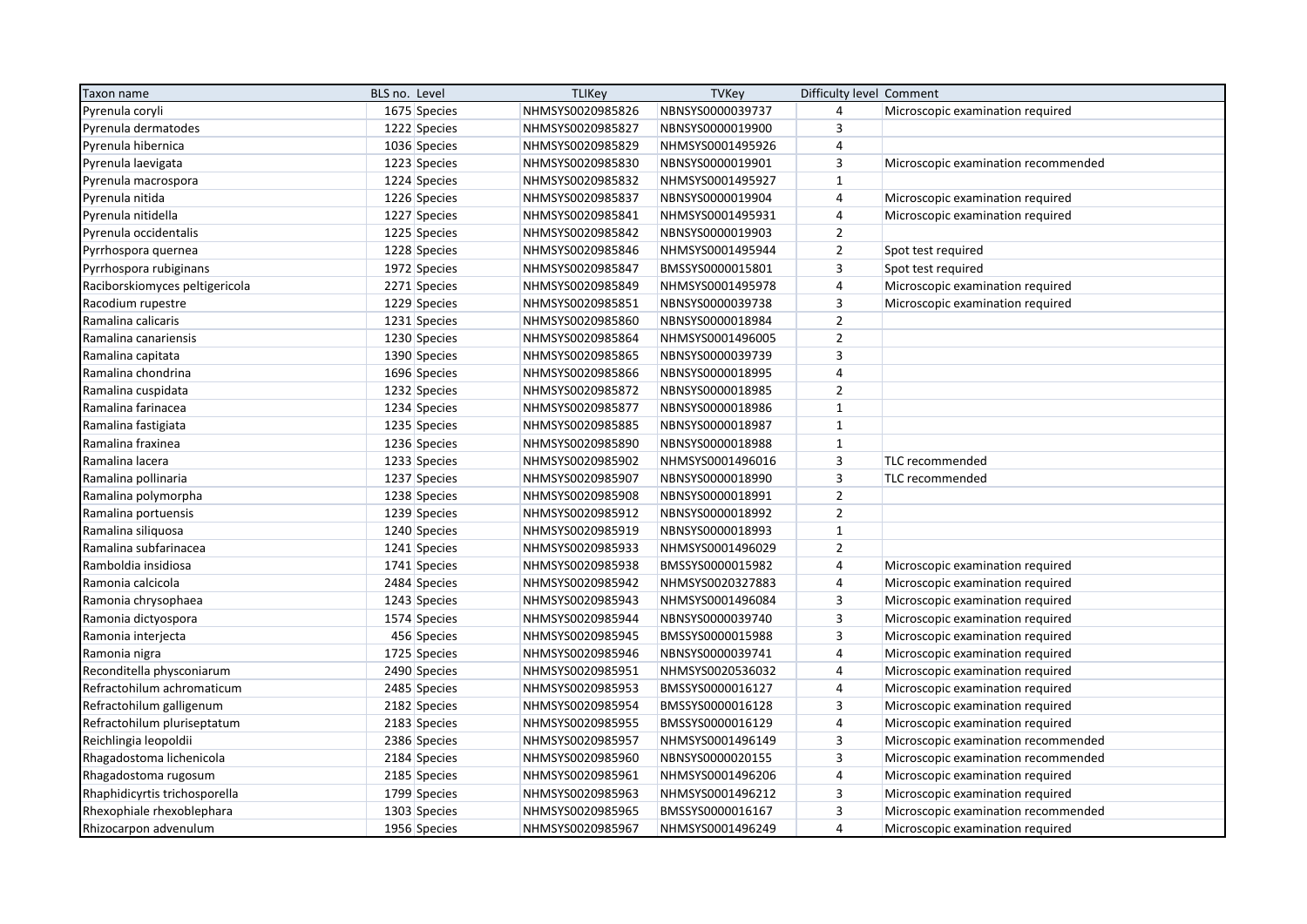| Taxon name                     | BLS no. Level |              | <b>TLIKey</b>    | <b>TVKey</b>     | Difficulty level Comment |                                     |
|--------------------------------|---------------|--------------|------------------|------------------|--------------------------|-------------------------------------|
| Pyrenula coryli                |               | 1675 Species | NHMSYS0020985826 | NBNSYS0000039737 | 4                        | Microscopic examination required    |
| Pyrenula dermatodes            |               | 1222 Species | NHMSYS0020985827 | NBNSYS0000019900 | 3                        |                                     |
| Pyrenula hibernica             |               | 1036 Species | NHMSYS0020985829 | NHMSYS0001495926 | 4                        |                                     |
| Pyrenula laevigata             |               | 1223 Species | NHMSYS0020985830 | NBNSYS0000019901 | $\overline{3}$           | Microscopic examination recommended |
| Pyrenula macrospora            |               | 1224 Species | NHMSYS0020985832 | NHMSYS0001495927 | $\mathbf{1}$             |                                     |
| Pyrenula nitida                |               | 1226 Species | NHMSYS0020985837 | NBNSYS0000019904 | 4                        | Microscopic examination required    |
| Pyrenula nitidella             |               | 1227 Species | NHMSYS0020985841 | NHMSYS0001495931 | 4                        | Microscopic examination required    |
| Pyrenula occidentalis          |               | 1225 Species | NHMSYS0020985842 | NBNSYS0000019903 | $\overline{2}$           |                                     |
| Pyrrhospora quernea            |               | 1228 Species | NHMSYS0020985846 | NHMSYS0001495944 | $\overline{2}$           | Spot test required                  |
| Pyrrhospora rubiginans         |               | 1972 Species | NHMSYS0020985847 | BMSSYS0000015801 | 3                        | Spot test required                  |
| Raciborskiomyces peltigericola |               | 2271 Species | NHMSYS0020985849 | NHMSYS0001495978 | $\overline{4}$           | Microscopic examination required    |
| Racodium rupestre              |               | 1229 Species | NHMSYS0020985851 | NBNSYS0000039738 | $\overline{3}$           | Microscopic examination required    |
| Ramalina calicaris             |               | 1231 Species | NHMSYS0020985860 | NBNSYS0000018984 | $\overline{2}$           |                                     |
| Ramalina canariensis           |               | 1230 Species | NHMSYS0020985864 | NHMSYS0001496005 | $\overline{2}$           |                                     |
| Ramalina capitata              |               | 1390 Species | NHMSYS0020985865 | NBNSYS0000039739 | $\overline{\mathbf{3}}$  |                                     |
| Ramalina chondrina             |               | 1696 Species | NHMSYS0020985866 | NBNSYS0000018995 | $\overline{4}$           |                                     |
| Ramalina cuspidata             |               | 1232 Species | NHMSYS0020985872 | NBNSYS0000018985 | $\overline{2}$           |                                     |
| Ramalina farinacea             |               | 1234 Species | NHMSYS0020985877 | NBNSYS0000018986 | $\mathbf{1}$             |                                     |
| Ramalina fastigiata            |               | 1235 Species | NHMSYS0020985885 | NBNSYS0000018987 | $\mathbf{1}$             |                                     |
| Ramalina fraxinea              |               | 1236 Species | NHMSYS0020985890 | NBNSYS0000018988 | $\mathbf 1$              |                                     |
| Ramalina lacera                |               | 1233 Species | NHMSYS0020985902 | NHMSYS0001496016 | $\overline{\mathbf{3}}$  | TLC recommended                     |
| Ramalina pollinaria            |               | 1237 Species | NHMSYS0020985907 | NBNSYS0000018990 | $\overline{3}$           | TLC recommended                     |
| Ramalina polymorpha            |               | 1238 Species | NHMSYS0020985908 | NBNSYS0000018991 | $\overline{2}$           |                                     |
| Ramalina portuensis            |               | 1239 Species | NHMSYS0020985912 | NBNSYS0000018992 | $\overline{2}$           |                                     |
| Ramalina siliquosa             |               | 1240 Species | NHMSYS0020985919 | NBNSYS0000018993 | $\mathbf{1}$             |                                     |
| Ramalina subfarinacea          |               | 1241 Species | NHMSYS0020985933 | NHMSYS0001496029 | $\overline{2}$           |                                     |
| Ramboldia insidiosa            |               | 1741 Species | NHMSYS0020985938 | BMSSYS0000015982 | $\overline{4}$           | Microscopic examination required    |
| Ramonia calcicola              |               | 2484 Species | NHMSYS0020985942 | NHMSYS0020327883 | $\overline{4}$           | Microscopic examination required    |
| Ramonia chrysophaea            |               | 1243 Species | NHMSYS0020985943 | NHMSYS0001496084 | $\overline{3}$           | Microscopic examination required    |
| Ramonia dictyospora            |               | 1574 Species | NHMSYS0020985944 | NBNSYS0000039740 | $\overline{3}$           | Microscopic examination required    |
| Ramonia interjecta             |               | 456 Species  | NHMSYS0020985945 | BMSSYS0000015988 | $\overline{3}$           | Microscopic examination required    |
| Ramonia nigra                  |               | 1725 Species | NHMSYS0020985946 | NBNSYS0000039741 | $\overline{4}$           | Microscopic examination required    |
| Reconditella physconiarum      |               | 2490 Species | NHMSYS0020985951 | NHMSYS0020536032 | $\overline{4}$           | Microscopic examination required    |
| Refractohilum achromaticum     |               | 2485 Species | NHMSYS0020985953 | BMSSYS0000016127 | 4                        | Microscopic examination required    |
| Refractohilum galligenum       |               | 2182 Species | NHMSYS0020985954 | BMSSYS0000016128 | $\overline{3}$           | Microscopic examination required    |
| Refractohilum pluriseptatum    |               | 2183 Species | NHMSYS0020985955 | BMSSYS0000016129 | $\overline{\mathbf{r}}$  | Microscopic examination required    |
| Reichlingia leopoldii          |               | 2386 Species | NHMSYS0020985957 | NHMSYS0001496149 | $\overline{3}$           | Microscopic examination recommended |
| Rhagadostoma lichenicola       |               | 2184 Species | NHMSYS0020985960 | NBNSYS0000020155 | $\overline{3}$           | Microscopic examination recommended |
| Rhagadostoma rugosum           |               | 2185 Species | NHMSYS0020985961 | NHMSYS0001496206 | 4                        | Microscopic examination required    |
| Rhaphidicyrtis trichosporella  |               | 1799 Species | NHMSYS0020985963 | NHMSYS0001496212 | $\mathsf 3$              | Microscopic examination required    |
| Rhexophiale rhexoblephara      |               | 1303 Species | NHMSYS0020985965 | BMSSYS0000016167 | $\overline{3}$           | Microscopic examination recommended |
| Rhizocarpon advenulum          |               | 1956 Species | NHMSYS0020985967 | NHMSYS0001496249 | $\overline{4}$           | Microscopic examination required    |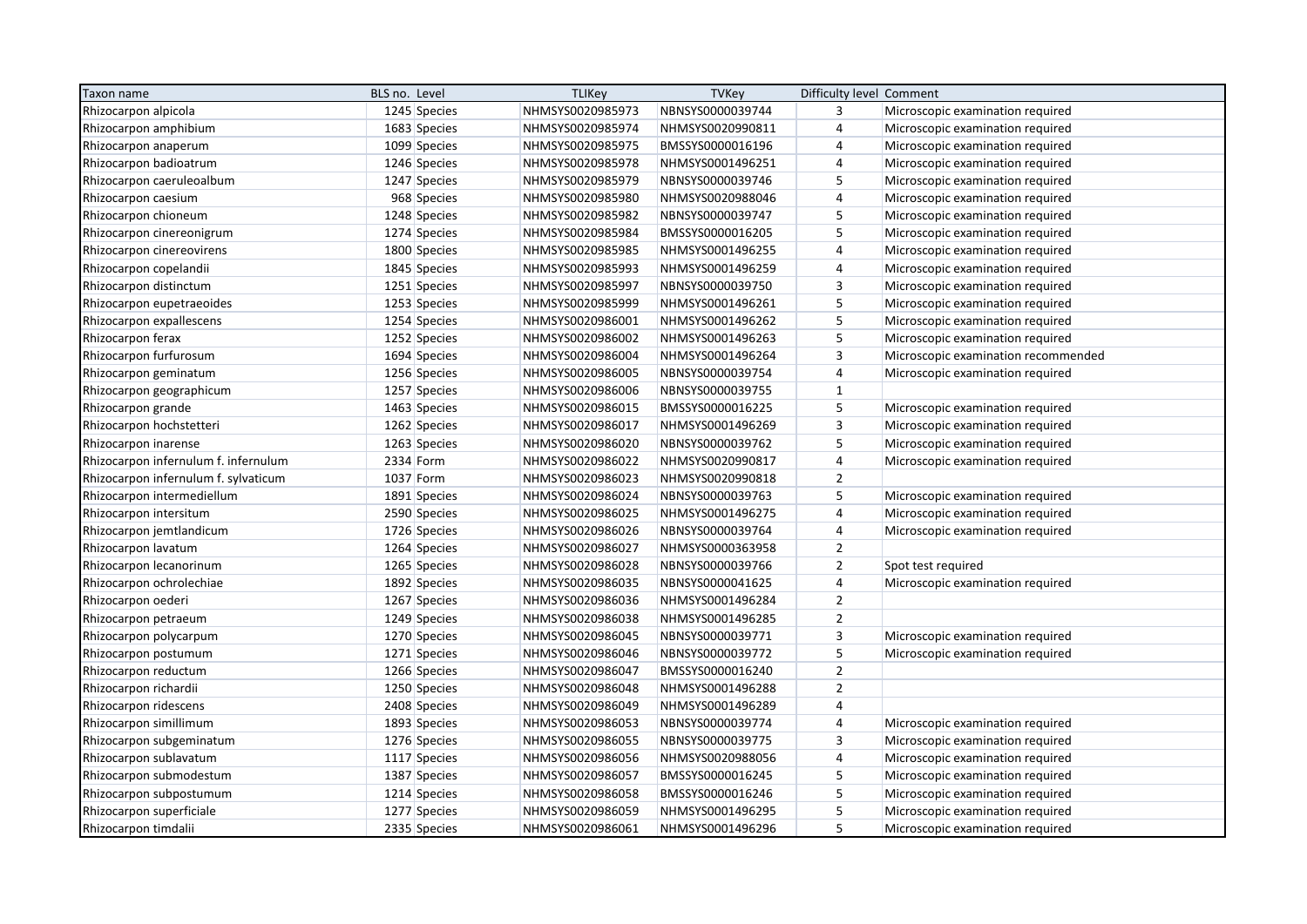| Taxon name                           | BLS no. Level |              | <b>TLIKey</b>    | <b>TVKey</b>     | Difficulty level Comment |                                     |
|--------------------------------------|---------------|--------------|------------------|------------------|--------------------------|-------------------------------------|
| Rhizocarpon alpicola                 |               | 1245 Species | NHMSYS0020985973 | NBNSYS0000039744 | 3                        | Microscopic examination required    |
| Rhizocarpon amphibium                |               | 1683 Species | NHMSYS0020985974 | NHMSYS0020990811 | $\overline{4}$           | Microscopic examination required    |
| Rhizocarpon anaperum                 |               | 1099 Species | NHMSYS0020985975 | BMSSYS0000016196 | $\overline{4}$           | Microscopic examination required    |
| Rhizocarpon badioatrum               |               | 1246 Species | NHMSYS0020985978 | NHMSYS0001496251 | $\sqrt{4}$               | Microscopic examination required    |
| Rhizocarpon caeruleoalbum            |               | 1247 Species | NHMSYS0020985979 | NBNSYS0000039746 | 5                        | Microscopic examination required    |
| Rhizocarpon caesium                  |               | 968 Species  | NHMSYS0020985980 | NHMSYS0020988046 | $\sqrt{4}$               | Microscopic examination required    |
| Rhizocarpon chioneum                 |               | 1248 Species | NHMSYS0020985982 | NBNSYS0000039747 | 5                        | Microscopic examination required    |
| Rhizocarpon cinereonigrum            |               | 1274 Species | NHMSYS0020985984 | BMSSYS0000016205 | 5                        | Microscopic examination required    |
| Rhizocarpon cinereovirens            |               | 1800 Species | NHMSYS0020985985 | NHMSYS0001496255 | $\sqrt{4}$               | Microscopic examination required    |
| Rhizocarpon copelandii               |               | 1845 Species | NHMSYS0020985993 | NHMSYS0001496259 | $\overline{4}$           | Microscopic examination required    |
| Rhizocarpon distinctum               |               | 1251 Species | NHMSYS0020985997 | NBNSYS0000039750 | $\mathsf 3$              | Microscopic examination required    |
| Rhizocarpon eupetraeoides            |               | 1253 Species | NHMSYS0020985999 | NHMSYS0001496261 | 5                        | Microscopic examination required    |
| Rhizocarpon expallescens             |               | 1254 Species | NHMSYS0020986001 | NHMSYS0001496262 | 5                        | Microscopic examination required    |
| Rhizocarpon ferax                    |               | 1252 Species | NHMSYS0020986002 | NHMSYS0001496263 | 5                        | Microscopic examination required    |
| Rhizocarpon furfurosum               |               | 1694 Species | NHMSYS0020986004 | NHMSYS0001496264 | $\mathsf 3$              | Microscopic examination recommended |
| Rhizocarpon geminatum                |               | 1256 Species | NHMSYS0020986005 | NBNSYS0000039754 | $\sqrt{4}$               | Microscopic examination required    |
| Rhizocarpon geographicum             |               | 1257 Species | NHMSYS0020986006 | NBNSYS0000039755 | $\mathbf 1$              |                                     |
| Rhizocarpon grande                   |               | 1463 Species | NHMSYS0020986015 | BMSSYS0000016225 | 5                        | Microscopic examination required    |
| Rhizocarpon hochstetteri             |               | 1262 Species | NHMSYS0020986017 | NHMSYS0001496269 | $\overline{\mathbf{3}}$  | Microscopic examination required    |
| Rhizocarpon inarense                 |               | 1263 Species | NHMSYS0020986020 | NBNSYS0000039762 | 5                        | Microscopic examination required    |
| Rhizocarpon infernulum f. infernulum | 2334 Form     |              | NHMSYS0020986022 | NHMSYS0020990817 | $\overline{4}$           | Microscopic examination required    |
| Rhizocarpon infernulum f. sylvaticum | 1037 Form     |              | NHMSYS0020986023 | NHMSYS0020990818 | $\overline{2}$           |                                     |
| Rhizocarpon intermediellum           |               | 1891 Species | NHMSYS0020986024 | NBNSYS0000039763 | 5                        | Microscopic examination required    |
| Rhizocarpon intersitum               |               | 2590 Species | NHMSYS0020986025 | NHMSYS0001496275 | $\overline{4}$           | Microscopic examination required    |
| Rhizocarpon jemtlandicum             |               | 1726 Species | NHMSYS0020986026 | NBNSYS0000039764 | $\overline{4}$           | Microscopic examination required    |
| Rhizocarpon lavatum                  |               | 1264 Species | NHMSYS0020986027 | NHMSYS0000363958 | $\mathbf 2$              |                                     |
| Rhizocarpon lecanorinum              |               | 1265 Species | NHMSYS0020986028 | NBNSYS0000039766 | $\overline{2}$           | Spot test required                  |
| Rhizocarpon ochrolechiae             |               | 1892 Species | NHMSYS0020986035 | NBNSYS0000041625 | $\overline{4}$           | Microscopic examination required    |
| Rhizocarpon oederi                   |               | 1267 Species | NHMSYS0020986036 | NHMSYS0001496284 | $\mathbf 2$              |                                     |
| Rhizocarpon petraeum                 |               | 1249 Species | NHMSYS0020986038 | NHMSYS0001496285 | $\mathbf 2$              |                                     |
| Rhizocarpon polycarpum               |               | 1270 Species | NHMSYS0020986045 | NBNSYS0000039771 | 3                        | Microscopic examination required    |
| Rhizocarpon postumum                 |               | 1271 Species | NHMSYS0020986046 | NBNSYS0000039772 | 5                        | Microscopic examination required    |
| Rhizocarpon reductum                 |               | 1266 Species | NHMSYS0020986047 | BMSSYS0000016240 | $\mathbf 2$              |                                     |
| Rhizocarpon richardii                |               | 1250 Species | NHMSYS0020986048 | NHMSYS0001496288 | $\mathbf 2$              |                                     |
| Rhizocarpon ridescens                |               | 2408 Species | NHMSYS0020986049 | NHMSYS0001496289 | $\overline{4}$           |                                     |
| Rhizocarpon simillimum               |               | 1893 Species | NHMSYS0020986053 | NBNSYS0000039774 | $\overline{4}$           | Microscopic examination required    |
| Rhizocarpon subgeminatum             |               | 1276 Species | NHMSYS0020986055 | NBNSYS0000039775 | 3                        | Microscopic examination required    |
| Rhizocarpon sublavatum               |               | 1117 Species | NHMSYS0020986056 | NHMSYS0020988056 | $\overline{4}$           | Microscopic examination required    |
| Rhizocarpon submodestum              |               | 1387 Species | NHMSYS0020986057 | BMSSYS0000016245 | 5                        | Microscopic examination required    |
| Rhizocarpon subpostumum              |               | 1214 Species | NHMSYS0020986058 | BMSSYS0000016246 | 5                        | Microscopic examination required    |
| Rhizocarpon superficiale             |               | 1277 Species | NHMSYS0020986059 | NHMSYS0001496295 | 5                        | Microscopic examination required    |
| Rhizocarpon timdalii                 |               | 2335 Species | NHMSYS0020986061 | NHMSYS0001496296 | 5                        | Microscopic examination required    |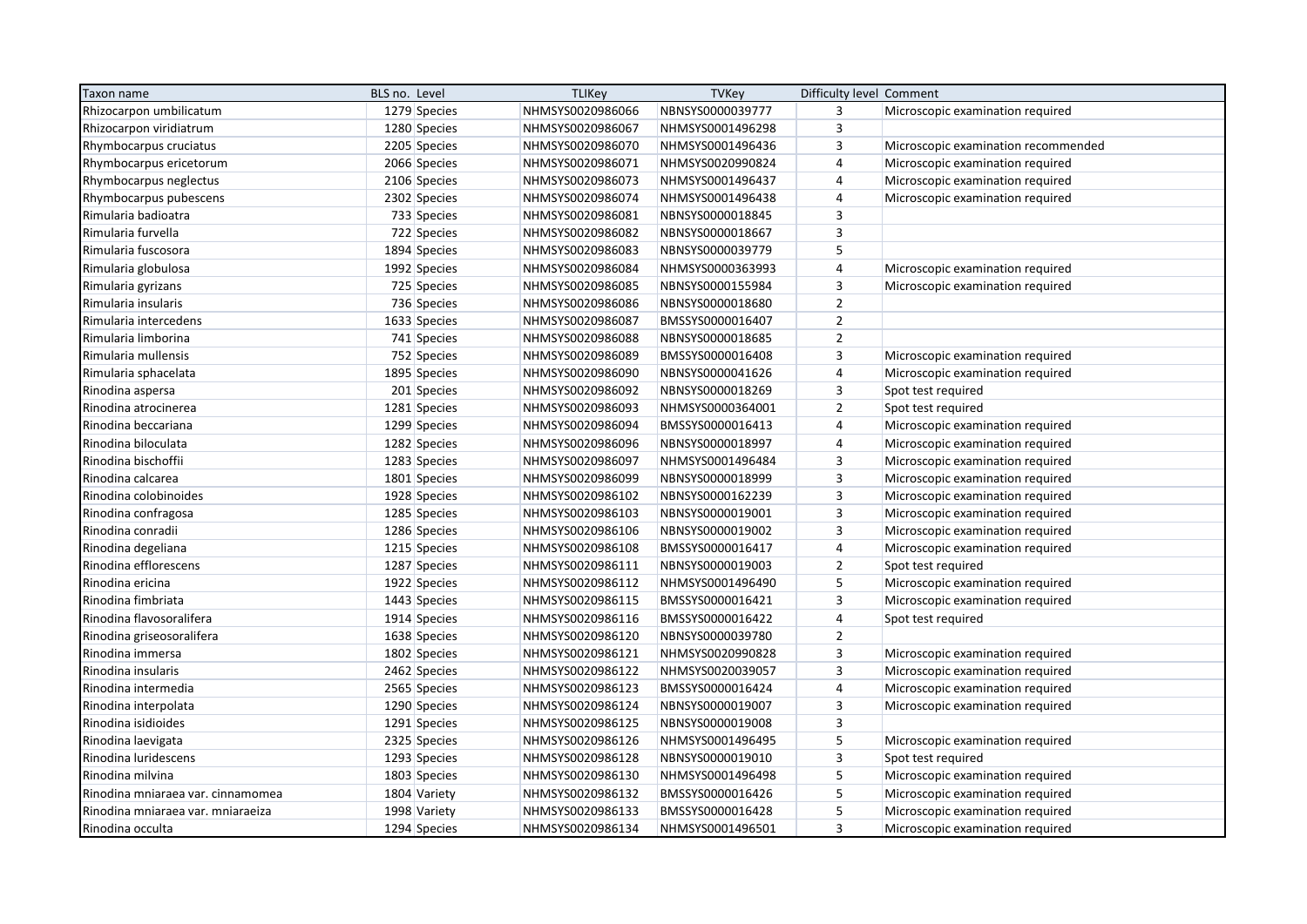| Taxon name                        | BLS no. Level | <b>TLIKey</b>    | <b>TVKey</b>     | Difficulty level Comment |                                     |
|-----------------------------------|---------------|------------------|------------------|--------------------------|-------------------------------------|
| Rhizocarpon umbilicatum           | 1279 Species  | NHMSYS0020986066 | NBNSYS0000039777 | 3                        | Microscopic examination required    |
| Rhizocarpon viridiatrum           | 1280 Species  | NHMSYS0020986067 | NHMSYS0001496298 | $\overline{3}$           |                                     |
| Rhymbocarpus cruciatus            | 2205 Species  | NHMSYS0020986070 | NHMSYS0001496436 | $\overline{3}$           | Microscopic examination recommended |
| Rhymbocarpus ericetorum           | 2066 Species  | NHMSYS0020986071 | NHMSYS0020990824 | $\overline{4}$           | Microscopic examination required    |
| Rhymbocarpus neglectus            | 2106 Species  | NHMSYS0020986073 | NHMSYS0001496437 | $\overline{4}$           | Microscopic examination required    |
| Rhymbocarpus pubescens            | 2302 Species  | NHMSYS0020986074 | NHMSYS0001496438 | $\overline{4}$           | Microscopic examination required    |
| Rimularia badioatra               | 733 Species   | NHMSYS0020986081 | NBNSYS0000018845 | $\overline{3}$           |                                     |
| Rimularia furvella                | 722 Species   | NHMSYS0020986082 | NBNSYS0000018667 | $\overline{3}$           |                                     |
| Rimularia fuscosora               | 1894 Species  | NHMSYS0020986083 | NBNSYS0000039779 | 5                        |                                     |
| Rimularia globulosa               | 1992 Species  | NHMSYS0020986084 | NHMSYS0000363993 | $\overline{4}$           | Microscopic examination required    |
| Rimularia gyrizans                | 725 Species   | NHMSYS0020986085 | NBNSYS0000155984 | $\overline{\mathbf{3}}$  | Microscopic examination required    |
| Rimularia insularis               | 736 Species   | NHMSYS0020986086 | NBNSYS0000018680 | $\overline{2}$           |                                     |
| Rimularia intercedens             | 1633 Species  | NHMSYS0020986087 | BMSSYS0000016407 | $\overline{2}$           |                                     |
| Rimularia limborina               | 741 Species   | NHMSYS0020986088 | NBNSYS0000018685 | $\overline{2}$           |                                     |
| Rimularia mullensis               | 752 Species   | NHMSYS0020986089 | BMSSYS0000016408 | $\overline{3}$           | Microscopic examination required    |
| Rimularia sphacelata              | 1895 Species  | NHMSYS0020986090 | NBNSYS0000041626 | 4                        | Microscopic examination required    |
| Rinodina aspersa                  | 201 Species   | NHMSYS0020986092 | NBNSYS0000018269 | $\mathsf 3$              | Spot test required                  |
| Rinodina atrocinerea              | 1281 Species  | NHMSYS0020986093 | NHMSYS0000364001 | $\overline{2}$           | Spot test required                  |
| Rinodina beccariana               | 1299 Species  | NHMSYS0020986094 | BMSSYS0000016413 | 4                        | Microscopic examination required    |
| Rinodina biloculata               | 1282 Species  | NHMSYS0020986096 | NBNSYS0000018997 | 4                        | Microscopic examination required    |
| Rinodina bischoffii               | 1283 Species  | NHMSYS0020986097 | NHMSYS0001496484 | 3                        | Microscopic examination required    |
| Rinodina calcarea                 | 1801 Species  | NHMSYS0020986099 | NBNSYS0000018999 | 3                        | Microscopic examination required    |
| Rinodina colobinoides             | 1928 Species  | NHMSYS0020986102 | NBNSYS0000162239 | $\overline{\mathbf{3}}$  | Microscopic examination required    |
| Rinodina confragosa               | 1285 Species  | NHMSYS0020986103 | NBNSYS0000019001 | $\overline{\mathbf{3}}$  | Microscopic examination required    |
| Rinodina conradii                 | 1286 Species  | NHMSYS0020986106 | NBNSYS0000019002 | $\overline{3}$           | Microscopic examination required    |
| Rinodina degeliana                | 1215 Species  | NHMSYS0020986108 | BMSSYS0000016417 | $\overline{4}$           | Microscopic examination required    |
| Rinodina efflorescens             | 1287 Species  | NHMSYS0020986111 | NBNSYS0000019003 | $\overline{2}$           | Spot test required                  |
| Rinodina ericina                  | 1922 Species  | NHMSYS0020986112 | NHMSYS0001496490 | 5                        | Microscopic examination required    |
| Rinodina fimbriata                | 1443 Species  | NHMSYS0020986115 | BMSSYS0000016421 | $\overline{3}$           | Microscopic examination required    |
| Rinodina flavosoralifera          | 1914 Species  | NHMSYS0020986116 | BMSSYS0000016422 | 4                        | Spot test required                  |
| Rinodina griseosoralifera         | 1638 Species  | NHMSYS0020986120 | NBNSYS0000039780 | $\overline{2}$           |                                     |
| Rinodina immersa                  | 1802 Species  | NHMSYS0020986121 | NHMSYS0020990828 | $\overline{3}$           | Microscopic examination required    |
| Rinodina insularis                | 2462 Species  | NHMSYS0020986122 | NHMSYS0020039057 | $\overline{3}$           | Microscopic examination required    |
| Rinodina intermedia               | 2565 Species  | NHMSYS0020986123 | BMSSYS0000016424 | 4                        | Microscopic examination required    |
| Rinodina interpolata              | 1290 Species  | NHMSYS0020986124 | NBNSYS0000019007 | 3                        | Microscopic examination required    |
| Rinodina isidioides               | 1291 Species  | NHMSYS0020986125 | NBNSYS0000019008 | $\overline{3}$           |                                     |
| Rinodina laevigata                | 2325 Species  | NHMSYS0020986126 | NHMSYS0001496495 | 5                        | Microscopic examination required    |
| Rinodina luridescens              | 1293 Species  | NHMSYS0020986128 | NBNSYS0000019010 | $\overline{\mathbf{3}}$  | Spot test required                  |
| Rinodina milvina                  | 1803 Species  | NHMSYS0020986130 | NHMSYS0001496498 | 5                        | Microscopic examination required    |
| Rinodina mniaraea var. cinnamomea | 1804 Variety  | NHMSYS0020986132 | BMSSYS0000016426 | 5                        | Microscopic examination required    |
| Rinodina mniaraea var. mniaraeiza | 1998 Variety  | NHMSYS0020986133 | BMSSYS0000016428 | 5                        | Microscopic examination required    |
| Rinodina occulta                  | 1294 Species  | NHMSYS0020986134 | NHMSYS0001496501 | $\overline{3}$           | Microscopic examination required    |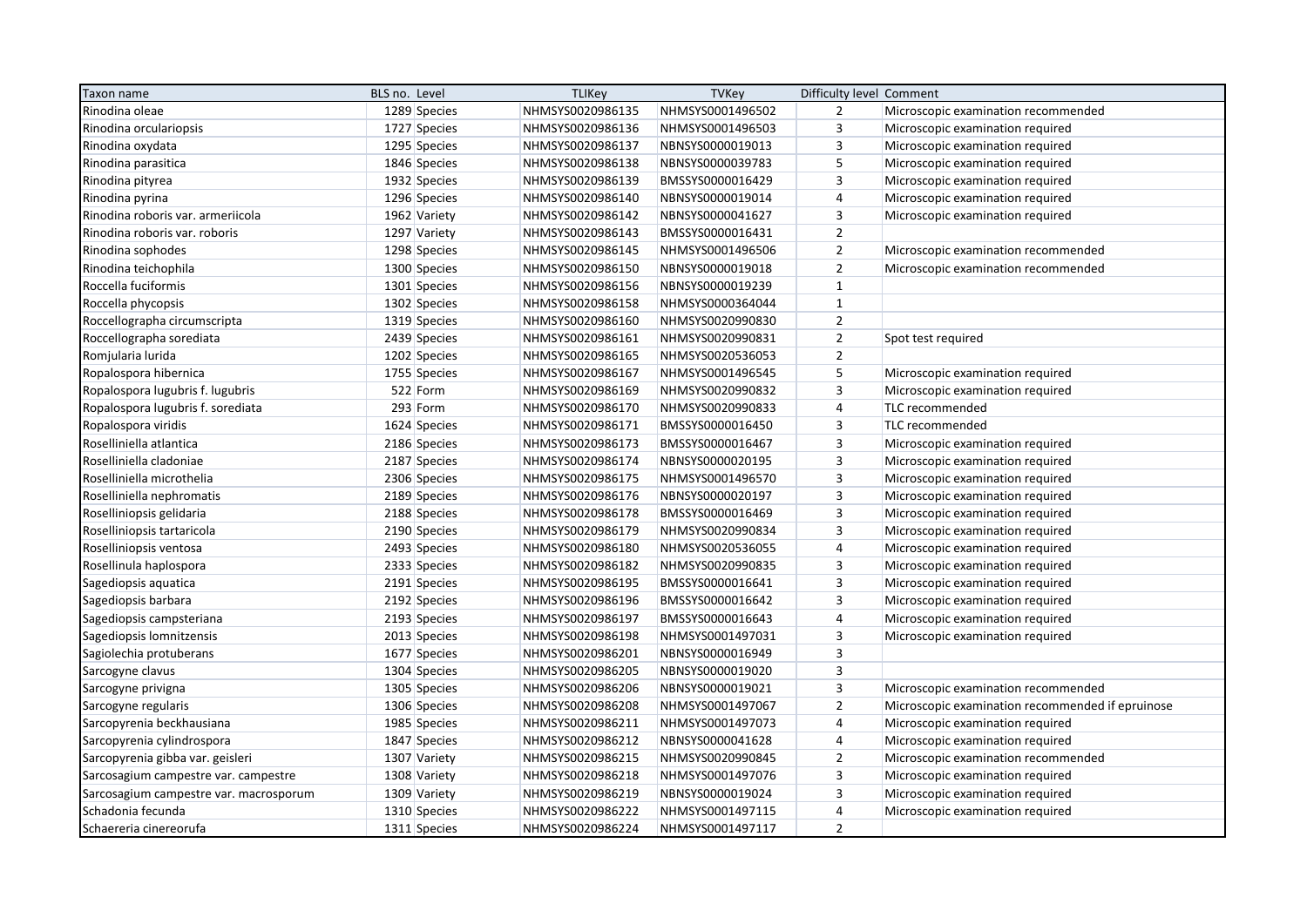| Taxon name                             | BLS no. Level | <b>TLIKey</b>    | <b>TVKey</b>     | Difficulty level Comment |                                                  |
|----------------------------------------|---------------|------------------|------------------|--------------------------|--------------------------------------------------|
| Rinodina oleae                         | 1289 Species  | NHMSYS0020986135 | NHMSYS0001496502 | $\overline{2}$           | Microscopic examination recommended              |
| Rinodina orculariopsis                 | 1727 Species  | NHMSYS0020986136 | NHMSYS0001496503 | 3                        | Microscopic examination required                 |
| Rinodina oxydata                       | 1295 Species  | NHMSYS0020986137 | NBNSYS0000019013 | 3                        | Microscopic examination required                 |
| Rinodina parasitica                    | 1846 Species  | NHMSYS0020986138 | NBNSYS0000039783 | 5                        | Microscopic examination required                 |
| Rinodina pityrea                       | 1932 Species  | NHMSYS0020986139 | BMSSYS0000016429 | 3                        | Microscopic examination required                 |
| Rinodina pyrina                        | 1296 Species  | NHMSYS0020986140 | NBNSYS0000019014 | 4                        | Microscopic examination required                 |
| Rinodina roboris var. armeriicola      | 1962 Variety  | NHMSYS0020986142 | NBNSYS0000041627 | 3                        | Microscopic examination required                 |
| Rinodina roboris var. roboris          | 1297 Variety  | NHMSYS0020986143 | BMSSYS0000016431 | $\overline{2}$           |                                                  |
| Rinodina sophodes                      | 1298 Species  | NHMSYS0020986145 | NHMSYS0001496506 | $\mathbf 2$              | Microscopic examination recommended              |
| Rinodina teichophila                   | 1300 Species  | NHMSYS0020986150 | NBNSYS0000019018 | $\overline{2}$           | Microscopic examination recommended              |
| Roccella fuciformis                    | 1301 Species  | NHMSYS0020986156 | NBNSYS0000019239 | $\mathbf{1}$             |                                                  |
| Roccella phycopsis                     | 1302 Species  | NHMSYS0020986158 | NHMSYS0000364044 | $\mathbf{1}$             |                                                  |
| Roccellographa circumscripta           | 1319 Species  | NHMSYS0020986160 | NHMSYS0020990830 | $\mathbf 2$              |                                                  |
| Roccellographa sorediata               | 2439 Species  | NHMSYS0020986161 | NHMSYS0020990831 | $\mathbf 2$              | Spot test required                               |
| Romjularia lurida                      | 1202 Species  | NHMSYS0020986165 | NHMSYS0020536053 | $\overline{2}$           |                                                  |
| Ropalospora hibernica                  | 1755 Species  | NHMSYS0020986167 | NHMSYS0001496545 | 5                        | Microscopic examination required                 |
| Ropalospora lugubris f. lugubris       | 522 Form      | NHMSYS0020986169 | NHMSYS0020990832 | $\overline{3}$           | Microscopic examination required                 |
| Ropalospora lugubris f. sorediata      | 293 Form      | NHMSYS0020986170 | NHMSYS0020990833 | 4                        | TLC recommended                                  |
| Ropalospora viridis                    | 1624 Species  | NHMSYS0020986171 | BMSSYS0000016450 | $\overline{3}$           | TLC recommended                                  |
| Roselliniella atlantica                | 2186 Species  | NHMSYS0020986173 | BMSSYS0000016467 | $\overline{3}$           | Microscopic examination required                 |
| Roselliniella cladoniae                | 2187 Species  | NHMSYS0020986174 | NBNSYS0000020195 | 3                        | Microscopic examination required                 |
| Roselliniella microthelia              | 2306 Species  | NHMSYS0020986175 | NHMSYS0001496570 | $\overline{3}$           | Microscopic examination required                 |
| Roselliniella nephromatis              | 2189 Species  | NHMSYS0020986176 | NBNSYS0000020197 | $\overline{3}$           | Microscopic examination required                 |
| Roselliniopsis gelidaria               | 2188 Species  | NHMSYS0020986178 | BMSSYS0000016469 | $\overline{3}$           | Microscopic examination required                 |
| Roselliniopsis tartaricola             | 2190 Species  | NHMSYS0020986179 | NHMSYS0020990834 | 3                        | Microscopic examination required                 |
| Roselliniopsis ventosa                 | 2493 Species  | NHMSYS0020986180 | NHMSYS0020536055 | $\overline{4}$           | Microscopic examination required                 |
| Rosellinula haplospora                 | 2333 Species  | NHMSYS0020986182 | NHMSYS0020990835 | $\mathsf 3$              | Microscopic examination required                 |
| Sagediopsis aquatica                   | 2191 Species  | NHMSYS0020986195 | BMSSYS0000016641 | $\overline{\mathbf{3}}$  | Microscopic examination required                 |
| Sagediopsis barbara                    | 2192 Species  | NHMSYS0020986196 | BMSSYS0000016642 | 3                        | Microscopic examination required                 |
| Sagediopsis campsteriana               | 2193 Species  | NHMSYS0020986197 | BMSSYS0000016643 | $\overline{4}$           | Microscopic examination required                 |
| Sagediopsis lomnitzensis               | 2013 Species  | NHMSYS0020986198 | NHMSYS0001497031 | $\mathsf 3$              | Microscopic examination required                 |
| Sagiolechia protuberans                | 1677 Species  | NHMSYS0020986201 | NBNSYS0000016949 | $\overline{\mathbf{3}}$  |                                                  |
| Sarcogyne clavus                       | 1304 Species  | NHMSYS0020986205 | NBNSYS0000019020 | $\overline{3}$           |                                                  |
| Sarcogyne privigna                     | 1305 Species  | NHMSYS0020986206 | NBNSYS0000019021 | $\overline{3}$           | Microscopic examination recommended              |
| Sarcogyne regularis                    | 1306 Species  | NHMSYS0020986208 | NHMSYS0001497067 | $\mathbf 2$              | Microscopic examination recommended if epruinose |
| Sarcopyrenia beckhausiana              | 1985 Species  | NHMSYS0020986211 | NHMSYS0001497073 | $\overline{4}$           | Microscopic examination required                 |
| Sarcopyrenia cylindrospora             | 1847 Species  | NHMSYS0020986212 | NBNSYS0000041628 | $\overline{4}$           | Microscopic examination required                 |
| Sarcopyrenia gibba var. geisleri       | 1307 Variety  | NHMSYS0020986215 | NHMSYS0020990845 | $\overline{2}$           | Microscopic examination recommended              |
| Sarcosagium campestre var. campestre   | 1308 Variety  | NHMSYS0020986218 | NHMSYS0001497076 | 3                        | Microscopic examination required                 |
| Sarcosagium campestre var. macrosporum | 1309 Variety  | NHMSYS0020986219 | NBNSYS0000019024 | 3                        | Microscopic examination required                 |
| Schadonia fecunda                      | 1310 Species  | NHMSYS0020986222 | NHMSYS0001497115 | 4                        | Microscopic examination required                 |
| Schaereria cinereorufa                 | 1311 Species  | NHMSYS0020986224 | NHMSYS0001497117 | $\overline{2}$           |                                                  |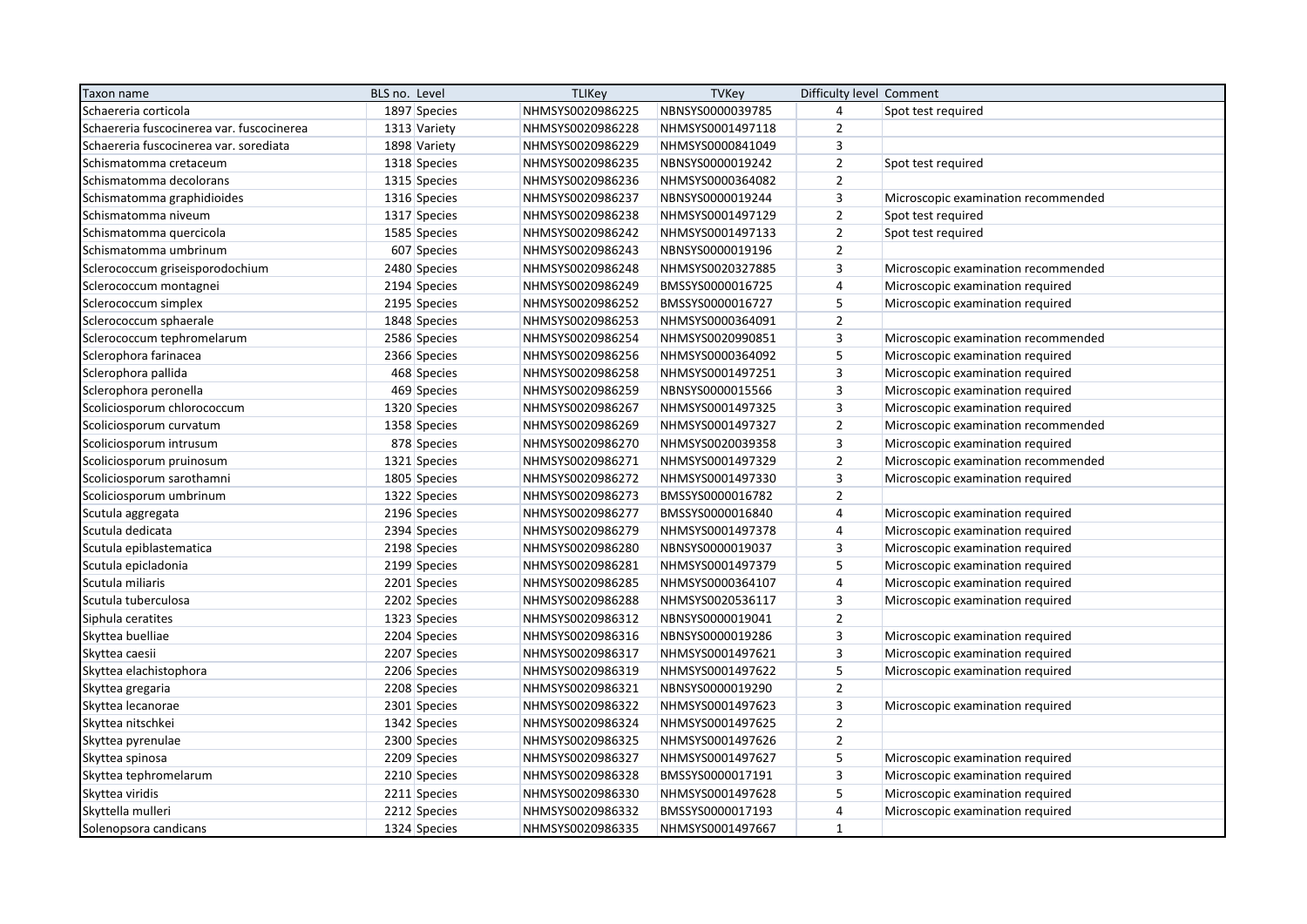| Taxon name                                | BLS no. Level |              | <b>TLIKey</b>    | <b>TVKey</b>     | Difficulty level Comment |                                     |
|-------------------------------------------|---------------|--------------|------------------|------------------|--------------------------|-------------------------------------|
| Schaereria corticola                      |               | 1897 Species | NHMSYS0020986225 | NBNSYS0000039785 | 4                        | Spot test required                  |
| Schaereria fuscocinerea var. fuscocinerea |               | 1313 Variety | NHMSYS0020986228 | NHMSYS0001497118 | $\overline{2}$           |                                     |
| Schaereria fuscocinerea var. sorediata    |               | 1898 Variety | NHMSYS0020986229 | NHMSYS0000841049 | 3                        |                                     |
| Schismatomma cretaceum                    |               | 1318 Species | NHMSYS0020986235 | NBNSYS0000019242 | $\mathbf 2$              | Spot test required                  |
| Schismatomma decolorans                   |               | 1315 Species | NHMSYS0020986236 | NHMSYS0000364082 | $\overline{2}$           |                                     |
| Schismatomma graphidioides                |               | 1316 Species | NHMSYS0020986237 | NBNSYS0000019244 | $\mathsf 3$              | Microscopic examination recommended |
| Schismatomma niveum                       |               | 1317 Species | NHMSYS0020986238 | NHMSYS0001497129 | $\overline{2}$           | Spot test required                  |
| Schismatomma quercicola                   |               | 1585 Species | NHMSYS0020986242 | NHMSYS0001497133 | $\overline{2}$           | Spot test required                  |
| Schismatomma umbrinum                     |               | 607 Species  | NHMSYS0020986243 | NBNSYS0000019196 | $\mathbf 2$              |                                     |
| Sclerococcum griseisporodochium           |               | 2480 Species | NHMSYS0020986248 | NHMSYS0020327885 | 3                        | Microscopic examination recommended |
| Sclerococcum montagnei                    |               | 2194 Species | NHMSYS0020986249 | BMSSYS0000016725 | $\sqrt{4}$               | Microscopic examination required    |
| Sclerococcum simplex                      |               | 2195 Species | NHMSYS0020986252 | BMSSYS0000016727 | 5                        | Microscopic examination required    |
| Sclerococcum sphaerale                    |               | 1848 Species | NHMSYS0020986253 | NHMSYS0000364091 | $\overline{2}$           |                                     |
| Sclerococcum tephromelarum                |               | 2586 Species | NHMSYS0020986254 | NHMSYS0020990851 | 3                        | Microscopic examination recommended |
| Sclerophora farinacea                     |               | 2366 Species | NHMSYS0020986256 | NHMSYS0000364092 | 5                        | Microscopic examination required    |
| Sclerophora pallida                       |               | 468 Species  | NHMSYS0020986258 | NHMSYS0001497251 | $\mathsf 3$              | Microscopic examination required    |
| Sclerophora peronella                     |               | 469 Species  | NHMSYS0020986259 | NBNSYS0000015566 | 3                        | Microscopic examination required    |
| Scoliciosporum chlorococcum               |               | 1320 Species | NHMSYS0020986267 | NHMSYS0001497325 | 3                        | Microscopic examination required    |
| Scoliciosporum curvatum                   |               | 1358 Species | NHMSYS0020986269 | NHMSYS0001497327 | $\overline{2}$           | Microscopic examination recommended |
| Scoliciosporum intrusum                   |               | 878 Species  | NHMSYS0020986270 | NHMSYS0020039358 | 3                        | Microscopic examination required    |
| Scoliciosporum pruinosum                  |               | 1321 Species | NHMSYS0020986271 | NHMSYS0001497329 | $\overline{2}$           | Microscopic examination recommended |
| Scoliciosporum sarothamni                 |               | 1805 Species | NHMSYS0020986272 | NHMSYS0001497330 | 3                        | Microscopic examination required    |
| Scoliciosporum umbrinum                   |               | 1322 Species | NHMSYS0020986273 | BMSSYS0000016782 | $\overline{2}$           |                                     |
| Scutula aggregata                         |               | 2196 Species | NHMSYS0020986277 | BMSSYS0000016840 | $\sqrt{4}$               | Microscopic examination required    |
| Scutula dedicata                          |               | 2394 Species | NHMSYS0020986279 | NHMSYS0001497378 | $\sqrt{4}$               | Microscopic examination required    |
| Scutula epiblastematica                   |               | 2198 Species | NHMSYS0020986280 | NBNSYS0000019037 | 3                        | Microscopic examination required    |
| Scutula epicladonia                       |               | 2199 Species | NHMSYS0020986281 | NHMSYS0001497379 | 5                        | Microscopic examination required    |
| Scutula miliaris                          |               | 2201 Species | NHMSYS0020986285 | NHMSYS0000364107 | $\overline{4}$           | Microscopic examination required    |
| Scutula tuberculosa                       |               | 2202 Species | NHMSYS0020986288 | NHMSYS0020536117 | 3                        | Microscopic examination required    |
| Siphula ceratites                         |               | 1323 Species | NHMSYS0020986312 | NBNSYS0000019041 | $\overline{2}$           |                                     |
| Skyttea buelliae                          |               | 2204 Species | NHMSYS0020986316 | NBNSYS0000019286 | $\mathsf 3$              | Microscopic examination required    |
| Skyttea caesii                            |               | 2207 Species | NHMSYS0020986317 | NHMSYS0001497621 | $\mathsf 3$              | Microscopic examination required    |
| Skyttea elachistophora                    |               | 2206 Species | NHMSYS0020986319 | NHMSYS0001497622 | 5                        | Microscopic examination required    |
| Skyttea gregaria                          |               | 2208 Species | NHMSYS0020986321 | NBNSYS0000019290 | $\mathbf 2$              |                                     |
| Skyttea lecanorae                         |               | 2301 Species | NHMSYS0020986322 | NHMSYS0001497623 | $\mathsf 3$              | Microscopic examination required    |
| Skyttea nitschkei                         |               | 1342 Species | NHMSYS0020986324 | NHMSYS0001497625 | $\overline{2}$           |                                     |
| Skyttea pyrenulae                         |               | 2300 Species | NHMSYS0020986325 | NHMSYS0001497626 | $\overline{2}$           |                                     |
| Skyttea spinosa                           |               | 2209 Species | NHMSYS0020986327 | NHMSYS0001497627 | 5                        | Microscopic examination required    |
| Skyttea tephromelarum                     |               | 2210 Species | NHMSYS0020986328 | BMSSYS0000017191 | 3                        | Microscopic examination required    |
| Skyttea viridis                           |               | 2211 Species | NHMSYS0020986330 | NHMSYS0001497628 | 5                        | Microscopic examination required    |
| Skyttella mulleri                         |               | 2212 Species | NHMSYS0020986332 | BMSSYS0000017193 | $\sqrt{4}$               | Microscopic examination required    |
| Solenopsora candicans                     |               | 1324 Species | NHMSYS0020986335 | NHMSYS0001497667 | $\mathbf{1}$             |                                     |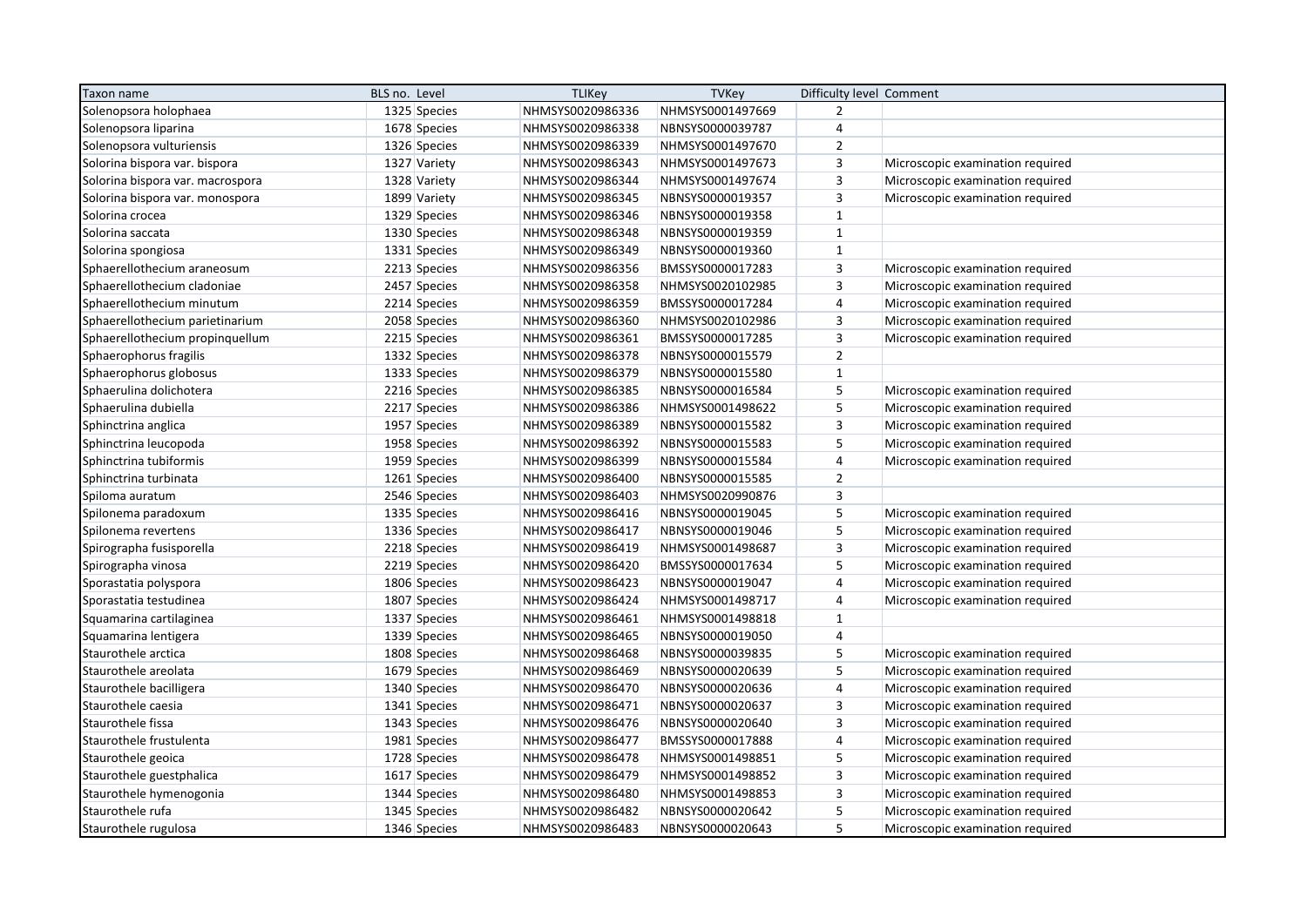| Taxon name                       | BLS no. Level | <b>TLIKey</b>    | <b>TVKey</b>     | Difficulty level Comment |                                  |
|----------------------------------|---------------|------------------|------------------|--------------------------|----------------------------------|
| Solenopsora holophaea            | 1325 Species  | NHMSYS0020986336 | NHMSYS0001497669 | $\overline{2}$           |                                  |
| Solenopsora liparina             | 1678 Species  | NHMSYS0020986338 | NBNSYS0000039787 | $\overline{4}$           |                                  |
| Solenopsora vulturiensis         | 1326 Species  | NHMSYS0020986339 | NHMSYS0001497670 | $\overline{2}$           |                                  |
| Solorina bispora var. bispora    | 1327 Variety  | NHMSYS0020986343 | NHMSYS0001497673 | $\overline{\mathbf{3}}$  | Microscopic examination required |
| Solorina bispora var. macrospora | 1328 Variety  | NHMSYS0020986344 | NHMSYS0001497674 | $\overline{3}$           | Microscopic examination required |
| Solorina bispora var. monospora  | 1899 Variety  | NHMSYS0020986345 | NBNSYS0000019357 | $\overline{3}$           | Microscopic examination required |
| Solorina crocea                  | 1329 Species  | NHMSYS0020986346 | NBNSYS0000019358 | $\mathbf{1}$             |                                  |
| Solorina saccata                 | 1330 Species  | NHMSYS0020986348 | NBNSYS0000019359 | $\mathbf 1$              |                                  |
| Solorina spongiosa               | 1331 Species  | NHMSYS0020986349 | NBNSYS0000019360 | $\mathbf{1}$             |                                  |
| Sphaerellothecium araneosum      | 2213 Species  | NHMSYS0020986356 | BMSSYS0000017283 | $\overline{\mathbf{3}}$  | Microscopic examination required |
| Sphaerellothecium cladoniae      | 2457 Species  | NHMSYS0020986358 | NHMSYS0020102985 | 3                        | Microscopic examination required |
| Sphaerellothecium minutum        | 2214 Species  | NHMSYS0020986359 | BMSSYS0000017284 | 4                        | Microscopic examination required |
| Sphaerellothecium parietinarium  | 2058 Species  | NHMSYS0020986360 | NHMSYS0020102986 | $\mathsf 3$              | Microscopic examination required |
| Sphaerellothecium propinquellum  | 2215 Species  | NHMSYS0020986361 | BMSSYS0000017285 | $\overline{3}$           | Microscopic examination required |
| Sphaerophorus fragilis           | 1332 Species  | NHMSYS0020986378 | NBNSYS0000015579 | $\overline{2}$           |                                  |
| Sphaerophorus globosus           | 1333 Species  | NHMSYS0020986379 | NBNSYS0000015580 | $\mathbf{1}$             |                                  |
| Sphaerulina dolichotera          | 2216 Species  | NHMSYS0020986385 | NBNSYS0000016584 | 5                        | Microscopic examination required |
| Sphaerulina dubiella             | 2217 Species  | NHMSYS0020986386 | NHMSYS0001498622 | 5                        | Microscopic examination required |
| Sphinctrina anglica              | 1957 Species  | NHMSYS0020986389 | NBNSYS0000015582 | $\overline{3}$           | Microscopic examination required |
| Sphinctrina leucopoda            | 1958 Species  | NHMSYS0020986392 | NBNSYS0000015583 | 5                        | Microscopic examination required |
| Sphinctrina tubiformis           | 1959 Species  | NHMSYS0020986399 | NBNSYS0000015584 | 4                        | Microscopic examination required |
| Sphinctrina turbinata            | 1261 Species  | NHMSYS0020986400 | NBNSYS0000015585 | $\overline{2}$           |                                  |
| Spiloma auratum                  | 2546 Species  | NHMSYS0020986403 | NHMSYS0020990876 | $\overline{\mathbf{3}}$  |                                  |
| Spilonema paradoxum              | 1335 Species  | NHMSYS0020986416 | NBNSYS0000019045 | 5                        | Microscopic examination required |
| Spilonema revertens              | 1336 Species  | NHMSYS0020986417 | NBNSYS0000019046 | 5                        | Microscopic examination required |
| Spirographa fusisporella         | 2218 Species  | NHMSYS0020986419 | NHMSYS0001498687 | $\overline{3}$           | Microscopic examination required |
| Spirographa vinosa               | 2219 Species  | NHMSYS0020986420 | BMSSYS0000017634 | 5                        | Microscopic examination required |
| Sporastatia polyspora            | 1806 Species  | NHMSYS0020986423 | NBNSYS0000019047 | 4                        | Microscopic examination required |
| Sporastatia testudinea           | 1807 Species  | NHMSYS0020986424 | NHMSYS0001498717 | $\overline{4}$           | Microscopic examination required |
| Squamarina cartilaginea          | 1337 Species  | NHMSYS0020986461 | NHMSYS0001498818 | $\mathbf{1}$             |                                  |
| Squamarina lentigera             | 1339 Species  | NHMSYS0020986465 | NBNSYS0000019050 | $\overline{4}$           |                                  |
| Staurothele arctica              | 1808 Species  | NHMSYS0020986468 | NBNSYS0000039835 | 5                        | Microscopic examination required |
| Staurothele areolata             | 1679 Species  | NHMSYS0020986469 | NBNSYS0000020639 | 5                        | Microscopic examination required |
| Staurothele bacilligera          | 1340 Species  | NHMSYS0020986470 | NBNSYS0000020636 | 4                        | Microscopic examination required |
| Staurothele caesia               | 1341 Species  | NHMSYS0020986471 | NBNSYS0000020637 | 3                        | Microscopic examination required |
| Staurothele fissa                | 1343 Species  | NHMSYS0020986476 | NBNSYS0000020640 | $\overline{3}$           | Microscopic examination required |
| Staurothele frustulenta          | 1981 Species  | NHMSYS0020986477 | BMSSYS0000017888 | 4                        | Microscopic examination required |
| Staurothele geoica               | 1728 Species  | NHMSYS0020986478 | NHMSYS0001498851 | 5                        | Microscopic examination required |
| Staurothele guestphalica         | 1617 Species  | NHMSYS0020986479 | NHMSYS0001498852 | $\overline{3}$           | Microscopic examination required |
| Staurothele hymenogonia          | 1344 Species  | NHMSYS0020986480 | NHMSYS0001498853 | $\mathsf 3$              | Microscopic examination required |
| Staurothele rufa                 | 1345 Species  | NHMSYS0020986482 | NBNSYS0000020642 | 5                        | Microscopic examination required |
| Staurothele rugulosa             | 1346 Species  | NHMSYS0020986483 | NBNSYS0000020643 | 5                        | Microscopic examination required |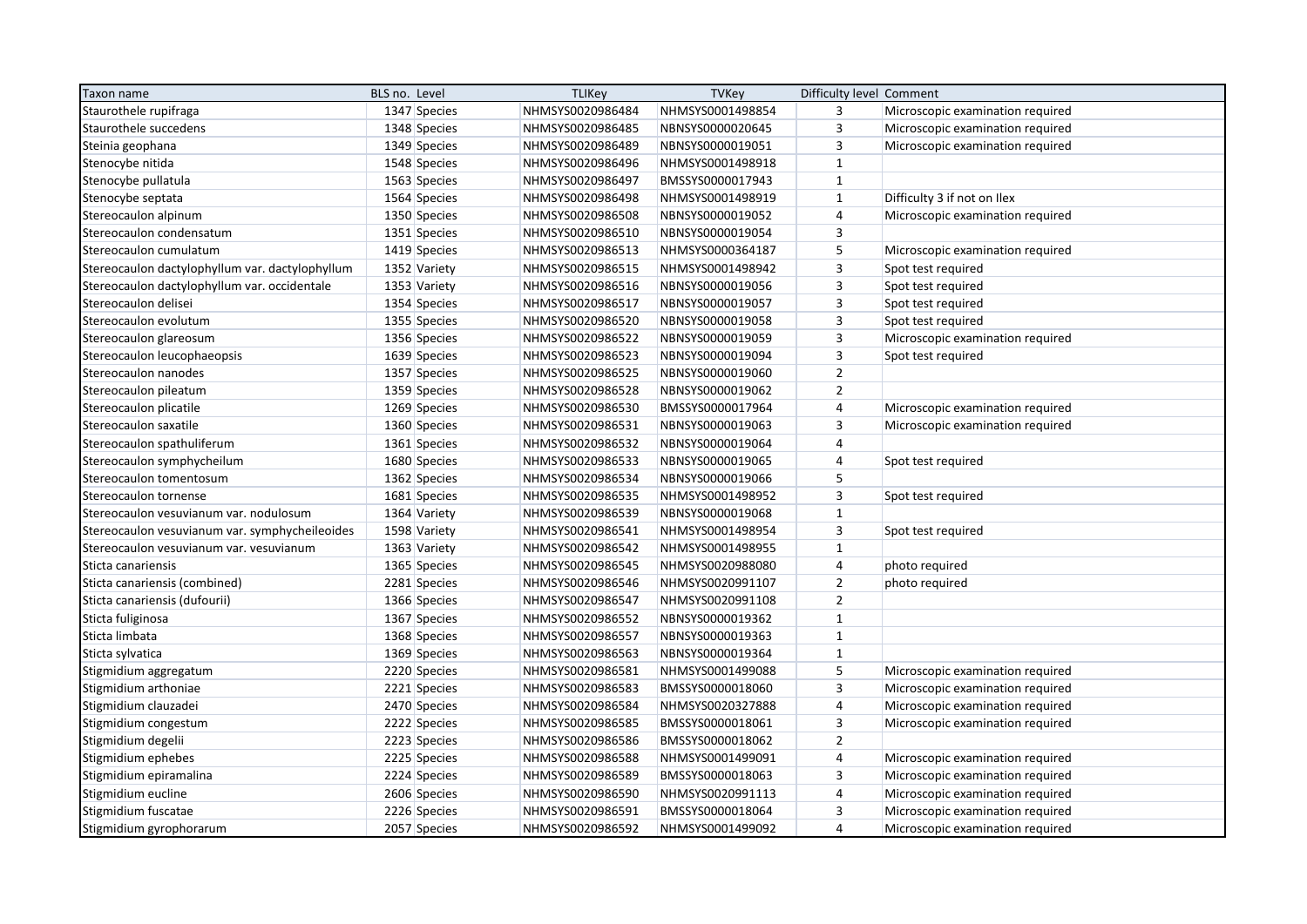| Taxon name                                      | BLS no. Level | <b>TLIKey</b>    | <b>TVKey</b>     | Difficulty level Comment |                                  |
|-------------------------------------------------|---------------|------------------|------------------|--------------------------|----------------------------------|
| Staurothele rupifraga                           | 1347 Species  | NHMSYS0020986484 | NHMSYS0001498854 | 3                        | Microscopic examination required |
| Staurothele succedens                           | 1348 Species  | NHMSYS0020986485 | NBNSYS0000020645 | 3                        | Microscopic examination required |
| Steinia geophana                                | 1349 Species  | NHMSYS0020986489 | NBNSYS0000019051 | $\overline{3}$           | Microscopic examination required |
| Stenocybe nitida                                | 1548 Species  | NHMSYS0020986496 | NHMSYS0001498918 | $1\,$                    |                                  |
| Stenocybe pullatula                             | 1563 Species  | NHMSYS0020986497 | BMSSYS0000017943 | $\mathbf{1}$             |                                  |
| Stenocybe septata                               | 1564 Species  | NHMSYS0020986498 | NHMSYS0001498919 | $\mathbf{1}$             | Difficulty 3 if not on Ilex      |
| Stereocaulon alpinum                            | 1350 Species  | NHMSYS0020986508 | NBNSYS0000019052 | 4                        | Microscopic examination required |
| Stereocaulon condensatum                        | 1351 Species  | NHMSYS0020986510 | NBNSYS0000019054 | $\overline{3}$           |                                  |
| Stereocaulon cumulatum                          | 1419 Species  | NHMSYS0020986513 | NHMSYS0000364187 | 5                        | Microscopic examination required |
| Stereocaulon dactylophyllum var. dactylophyllum | 1352 Variety  | NHMSYS0020986515 | NHMSYS0001498942 | 3                        | Spot test required               |
| Stereocaulon dactylophyllum var. occidentale    | 1353 Variety  | NHMSYS0020986516 | NBNSYS0000019056 | $\mathsf 3$              | Spot test required               |
| Stereocaulon delisei                            | 1354 Species  | NHMSYS0020986517 | NBNSYS0000019057 | $\overline{3}$           | Spot test required               |
| Stereocaulon evolutum                           | 1355 Species  | NHMSYS0020986520 | NBNSYS0000019058 | 3                        | Spot test required               |
| Stereocaulon glareosum                          | 1356 Species  | NHMSYS0020986522 | NBNSYS0000019059 | 3                        | Microscopic examination required |
| Stereocaulon leucophaeopsis                     | 1639 Species  | NHMSYS0020986523 | NBNSYS0000019094 | $\mathsf 3$              | Spot test required               |
| Stereocaulon nanodes                            | 1357 Species  | NHMSYS0020986525 | NBNSYS0000019060 | $\mathbf 2$              |                                  |
| Stereocaulon pileatum                           | 1359 Species  | NHMSYS0020986528 | NBNSYS0000019062 | $\overline{2}$           |                                  |
| Stereocaulon plicatile                          | 1269 Species  | NHMSYS0020986530 | BMSSYS0000017964 | $\overline{4}$           | Microscopic examination required |
| Stereocaulon saxatile                           | 1360 Species  | NHMSYS0020986531 | NBNSYS0000019063 | $\overline{3}$           | Microscopic examination required |
| Stereocaulon spathuliferum                      | 1361 Species  | NHMSYS0020986532 | NBNSYS0000019064 | $\overline{4}$           |                                  |
| Stereocaulon symphycheilum                      | 1680 Species  | NHMSYS0020986533 | NBNSYS0000019065 | $\overline{4}$           | Spot test required               |
| Stereocaulon tomentosum                         | 1362 Species  | NHMSYS0020986534 | NBNSYS0000019066 | 5                        |                                  |
| Stereocaulon tornense                           | 1681 Species  | NHMSYS0020986535 | NHMSYS0001498952 | $\mathsf 3$              | Spot test required               |
| Stereocaulon vesuvianum var. nodulosum          | 1364 Variety  | NHMSYS0020986539 | NBNSYS0000019068 | $\mathbf{1}$             |                                  |
| Stereocaulon vesuvianum var. symphycheileoides  | 1598 Variety  | NHMSYS0020986541 | NHMSYS0001498954 | $\overline{3}$           | Spot test required               |
| Stereocaulon vesuvianum var. vesuvianum         | 1363 Variety  | NHMSYS0020986542 | NHMSYS0001498955 | $\mathbf{1}$             |                                  |
| Sticta canariensis                              | 1365 Species  | NHMSYS0020986545 | NHMSYS0020988080 | 4                        | photo required                   |
| Sticta canariensis (combined)                   | 2281 Species  | NHMSYS0020986546 | NHMSYS0020991107 | $\overline{2}$           | photo required                   |
| Sticta canariensis (dufourii)                   | 1366 Species  | NHMSYS0020986547 | NHMSYS0020991108 | $\overline{2}$           |                                  |
| Sticta fuliginosa                               | 1367 Species  | NHMSYS0020986552 | NBNSYS0000019362 | $\mathbf{1}$             |                                  |
| Sticta limbata                                  | 1368 Species  | NHMSYS0020986557 | NBNSYS0000019363 | $\mathbf{1}$             |                                  |
| Sticta sylvatica                                | 1369 Species  | NHMSYS0020986563 | NBNSYS0000019364 | $\mathbf{1}$             |                                  |
| Stigmidium aggregatum                           | 2220 Species  | NHMSYS0020986581 | NHMSYS0001499088 | 5                        | Microscopic examination required |
| Stigmidium arthoniae                            | 2221 Species  | NHMSYS0020986583 | BMSSYS0000018060 | $\overline{\mathbf{3}}$  | Microscopic examination required |
| Stigmidium clauzadei                            | 2470 Species  | NHMSYS0020986584 | NHMSYS0020327888 | 4                        | Microscopic examination required |
| Stigmidium congestum                            | 2222 Species  | NHMSYS0020986585 | BMSSYS0000018061 | 3                        | Microscopic examination required |
| Stigmidium degelii                              | 2223 Species  | NHMSYS0020986586 | BMSSYS0000018062 | $\overline{2}$           |                                  |
| Stigmidium ephebes                              | 2225 Species  | NHMSYS0020986588 | NHMSYS0001499091 | 4                        | Microscopic examination required |
| Stigmidium epiramalina                          | 2224 Species  | NHMSYS0020986589 | BMSSYS0000018063 | 3                        | Microscopic examination required |
| Stigmidium eucline                              | 2606 Species  | NHMSYS0020986590 | NHMSYS0020991113 | $\overline{\mathbf{r}}$  | Microscopic examination required |
| Stigmidium fuscatae                             | 2226 Species  | NHMSYS0020986591 | BMSSYS0000018064 | 3                        | Microscopic examination required |
| Stigmidium gyrophorarum                         | 2057 Species  | NHMSYS0020986592 | NHMSYS0001499092 | $\overline{4}$           | Microscopic examination required |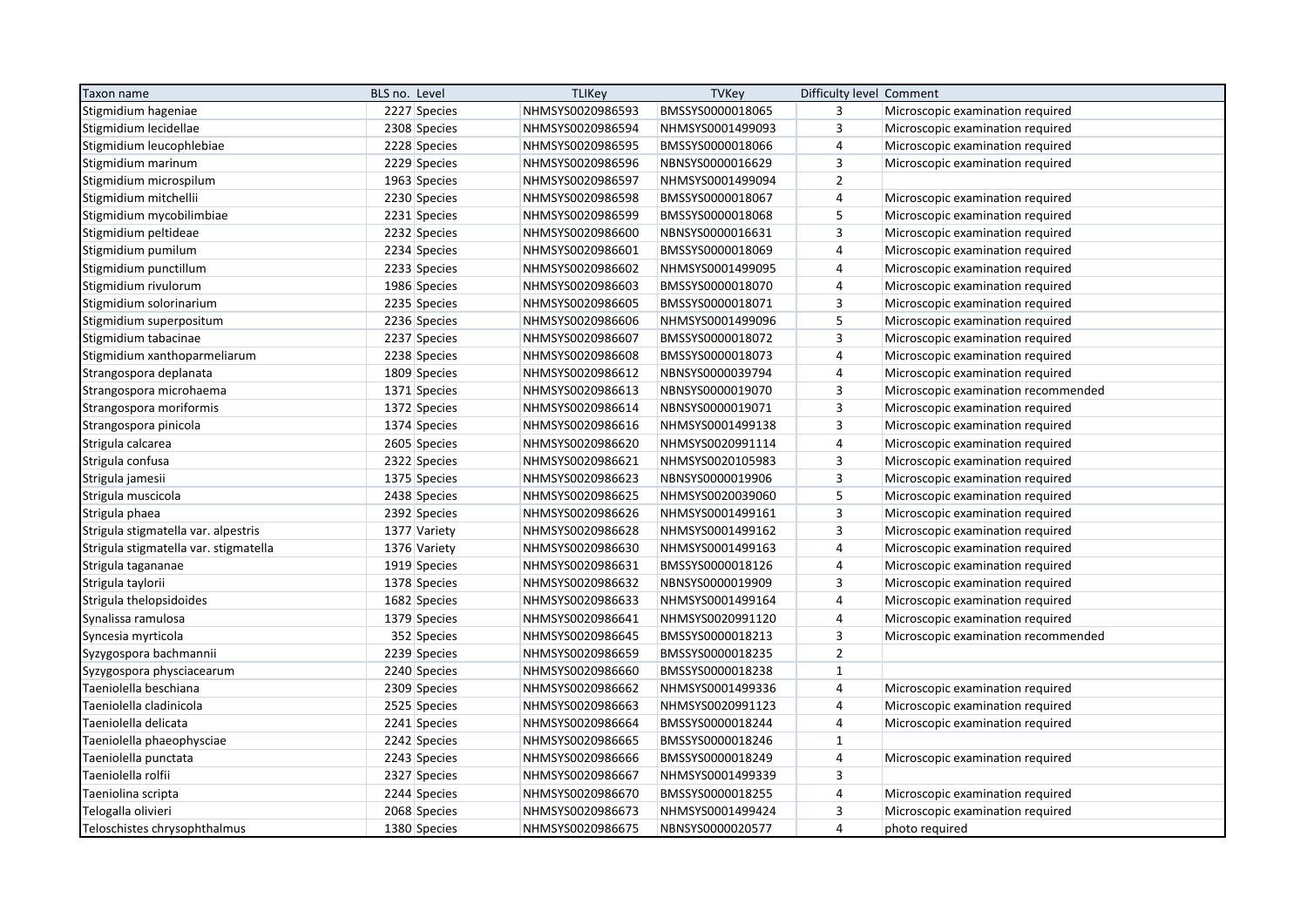| Taxon name                            | BLS no. Level | <b>TLIKey</b>    | <b>TVKey</b>     | Difficulty level Comment |                                     |
|---------------------------------------|---------------|------------------|------------------|--------------------------|-------------------------------------|
| Stigmidium hageniae                   | 2227 Species  | NHMSYS0020986593 | BMSSYS0000018065 | 3                        | Microscopic examination required    |
| Stigmidium lecidellae                 | 2308 Species  | NHMSYS0020986594 | NHMSYS0001499093 | $\overline{3}$           | Microscopic examination required    |
| Stigmidium leucophlebiae              | 2228 Species  | NHMSYS0020986595 | BMSSYS0000018066 | 4                        | Microscopic examination required    |
| Stigmidium marinum                    | 2229 Species  | NHMSYS0020986596 | NBNSYS0000016629 | $\overline{\mathbf{3}}$  | Microscopic examination required    |
| Stigmidium microspilum                | 1963 Species  | NHMSYS0020986597 | NHMSYS0001499094 | $\overline{2}$           |                                     |
| Stigmidium mitchellii                 | 2230 Species  | NHMSYS0020986598 | BMSSYS0000018067 | 4                        | Microscopic examination required    |
| Stigmidium mycobilimbiae              | 2231 Species  | NHMSYS0020986599 | BMSSYS0000018068 | 5                        | Microscopic examination required    |
| Stigmidium peltideae                  | 2232 Species  | NHMSYS0020986600 | NBNSYS0000016631 | $\overline{3}$           | Microscopic examination required    |
| Stigmidium pumilum                    | 2234 Species  | NHMSYS0020986601 | BMSSYS0000018069 | $\overline{\mathbf{r}}$  | Microscopic examination required    |
| Stigmidium punctillum                 | 2233 Species  | NHMSYS0020986602 | NHMSYS0001499095 | 4                        | Microscopic examination required    |
| Stigmidium rivulorum                  | 1986 Species  | NHMSYS0020986603 | BMSSYS0000018070 | 4                        | Microscopic examination required    |
| Stigmidium solorinarium               | 2235 Species  | NHMSYS0020986605 | BMSSYS0000018071 | $\mathsf 3$              | Microscopic examination required    |
| Stigmidium superpositum               | 2236 Species  | NHMSYS0020986606 | NHMSYS0001499096 | 5                        | Microscopic examination required    |
| Stigmidium tabacinae                  | 2237 Species  | NHMSYS0020986607 | BMSSYS0000018072 | 3                        | Microscopic examination required    |
| Stigmidium xanthoparmeliarum          | 2238 Species  | NHMSYS0020986608 | BMSSYS0000018073 | $\overline{4}$           | Microscopic examination required    |
| Strangospora deplanata                | 1809 Species  | NHMSYS0020986612 | NBNSYS0000039794 | 4                        | Microscopic examination required    |
| Strangospora microhaema               | 1371 Species  | NHMSYS0020986613 | NBNSYS0000019070 | $\overline{3}$           | Microscopic examination recommended |
| Strangospora moriformis               | 1372 Species  | NHMSYS0020986614 | NBNSYS0000019071 | $\overline{3}$           | Microscopic examination required    |
| Strangospora pinicola                 | 1374 Species  | NHMSYS0020986616 | NHMSYS0001499138 | $\overline{\mathbf{3}}$  | Microscopic examination required    |
| Strigula calcarea                     | 2605 Species  | NHMSYS0020986620 | NHMSYS0020991114 | 4                        | Microscopic examination required    |
| Strigula confusa                      | 2322 Species  | NHMSYS0020986621 | NHMSYS0020105983 | $\overline{3}$           | Microscopic examination required    |
| Strigula jamesii                      | 1375 Species  | NHMSYS0020986623 | NBNSYS0000019906 | $\overline{3}$           | Microscopic examination required    |
| Strigula muscicola                    | 2438 Species  | NHMSYS0020986625 | NHMSYS0020039060 | 5                        | Microscopic examination required    |
| Strigula phaea                        | 2392 Species  | NHMSYS0020986626 | NHMSYS0001499161 | $\overline{3}$           | Microscopic examination required    |
| Strigula stigmatella var. alpestris   | 1377 Variety  | NHMSYS0020986628 | NHMSYS0001499162 | $\mathsf 3$              | Microscopic examination required    |
| Strigula stigmatella var. stigmatella | 1376 Variety  | NHMSYS0020986630 | NHMSYS0001499163 | $\overline{4}$           | Microscopic examination required    |
| Strigula tagananae                    | 1919 Species  | NHMSYS0020986631 | BMSSYS0000018126 | 4                        | Microscopic examination required    |
| Strigula taylorii                     | 1378 Species  | NHMSYS0020986632 | NBNSYS0000019909 | $\overline{3}$           | Microscopic examination required    |
| Strigula thelopsidoides               | 1682 Species  | NHMSYS0020986633 | NHMSYS0001499164 | 4                        | Microscopic examination required    |
| Synalissa ramulosa                    | 1379 Species  | NHMSYS0020986641 | NHMSYS0020991120 | 4                        | Microscopic examination required    |
| Syncesia myrticola                    | 352 Species   | NHMSYS0020986645 | BMSSYS0000018213 | $\overline{3}$           | Microscopic examination recommended |
| Syzygospora bachmannii                | 2239 Species  | NHMSYS0020986659 | BMSSYS0000018235 | $\overline{2}$           |                                     |
| Syzygospora physciacearum             | 2240 Species  | NHMSYS0020986660 | BMSSYS0000018238 | $\mathbf{1}$             |                                     |
| Taeniolella beschiana                 | 2309 Species  | NHMSYS0020986662 | NHMSYS0001499336 | $\overline{4}$           | Microscopic examination required    |
| Taeniolella cladinicola               | 2525 Species  | NHMSYS0020986663 | NHMSYS0020991123 | 4                        | Microscopic examination required    |
| Taeniolella delicata                  | 2241 Species  | NHMSYS0020986664 | BMSSYS0000018244 | 4                        | Microscopic examination required    |
| Taeniolella phaeophysciae             | 2242 Species  | NHMSYS0020986665 | BMSSYS0000018246 | $\mathbf{1}$             |                                     |
| Taeniolella punctata                  | 2243 Species  | NHMSYS0020986666 | BMSSYS0000018249 | $\overline{4}$           | Microscopic examination required    |
| Taeniolella rolfii                    | 2327 Species  | NHMSYS0020986667 | NHMSYS0001499339 | 3                        |                                     |
| Taeniolina scripta                    | 2244 Species  | NHMSYS0020986670 | BMSSYS0000018255 | 4                        | Microscopic examination required    |
| Telogalla olivieri                    | 2068 Species  | NHMSYS0020986673 | NHMSYS0001499424 | $\overline{3}$           | Microscopic examination required    |
| Teloschistes chrysophthalmus          | 1380 Species  | NHMSYS0020986675 | NBNSYS0000020577 | 4                        | photo required                      |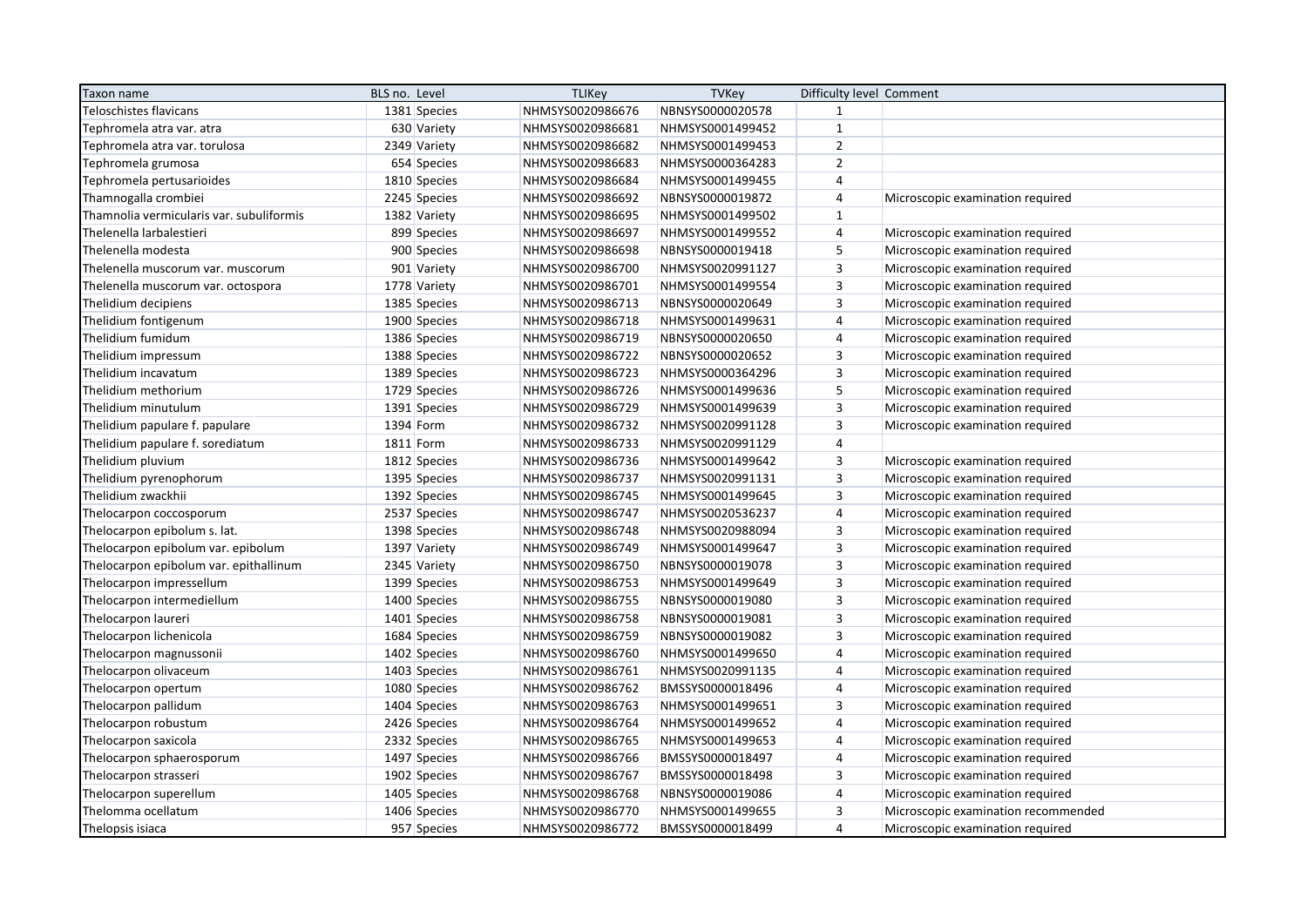| Taxon name                               | BLS no. Level | <b>TLIKey</b>    | <b>TVKey</b>     | Difficulty level Comment |                                     |
|------------------------------------------|---------------|------------------|------------------|--------------------------|-------------------------------------|
| Teloschistes flavicans                   | 1381 Species  | NHMSYS0020986676 | NBNSYS0000020578 | $\mathbf{1}$             |                                     |
| Tephromela atra var. atra                | 630 Variety   | NHMSYS0020986681 | NHMSYS0001499452 | $\mathbf{1}$             |                                     |
| Tephromela atra var. torulosa            | 2349 Variety  | NHMSYS0020986682 | NHMSYS0001499453 | $\overline{2}$           |                                     |
| Tephromela grumosa                       | 654 Species   | NHMSYS0020986683 | NHMSYS0000364283 | $\overline{2}$           |                                     |
| Tephromela pertusarioides                | 1810 Species  | NHMSYS0020986684 | NHMSYS0001499455 | $\overline{4}$           |                                     |
| Thamnogalla crombiei                     | 2245 Species  | NHMSYS0020986692 | NBNSYS0000019872 | $\overline{4}$           | Microscopic examination required    |
| Thamnolia vermicularis var. subuliformis | 1382 Variety  | NHMSYS0020986695 | NHMSYS0001499502 | $\mathbf{1}$             |                                     |
| Thelenella larbalestieri                 | 899 Species   | NHMSYS0020986697 | NHMSYS0001499552 | $\overline{4}$           | Microscopic examination required    |
| Thelenella modesta                       | 900 Species   | NHMSYS0020986698 | NBNSYS0000019418 | 5                        | Microscopic examination required    |
| Thelenella muscorum var. muscorum        | 901 Variety   | NHMSYS0020986700 | NHMSYS0020991127 | 3                        | Microscopic examination required    |
| Thelenella muscorum var. octospora       | 1778 Variety  | NHMSYS0020986701 | NHMSYS0001499554 | $\mathsf 3$              | Microscopic examination required    |
| Thelidium decipiens                      | 1385 Species  | NHMSYS0020986713 | NBNSYS0000020649 | $\overline{3}$           | Microscopic examination required    |
| Thelidium fontigenum                     | 1900 Species  | NHMSYS0020986718 | NHMSYS0001499631 | $\overline{4}$           | Microscopic examination required    |
| Thelidium fumidum                        | 1386 Species  | NHMSYS0020986719 | NBNSYS0000020650 | $\overline{4}$           | Microscopic examination required    |
| Thelidium impressum                      | 1388 Species  | NHMSYS0020986722 | NBNSYS0000020652 | $\mathsf 3$              | Microscopic examination required    |
| Thelidium incavatum                      | 1389 Species  | NHMSYS0020986723 | NHMSYS0000364296 | $\overline{\mathbf{3}}$  | Microscopic examination required    |
| Thelidium methorium                      | 1729 Species  | NHMSYS0020986726 | NHMSYS0001499636 | 5                        | Microscopic examination required    |
| Thelidium minutulum                      | 1391 Species  | NHMSYS0020986729 | NHMSYS0001499639 | $\overline{3}$           | Microscopic examination required    |
| Thelidium papulare f. papulare           | 1394 Form     | NHMSYS0020986732 | NHMSYS0020991128 | $\overline{3}$           | Microscopic examination required    |
| Thelidium papulare f. sorediatum         | 1811 Form     | NHMSYS0020986733 | NHMSYS0020991129 | $\overline{4}$           |                                     |
| Thelidium pluvium                        | 1812 Species  | NHMSYS0020986736 | NHMSYS0001499642 | $\overline{3}$           | Microscopic examination required    |
| Thelidium pyrenophorum                   | 1395 Species  | NHMSYS0020986737 | NHMSYS0020991131 | $\overline{3}$           | Microscopic examination required    |
| Thelidium zwackhii                       | 1392 Species  | NHMSYS0020986745 | NHMSYS0001499645 | $\overline{3}$           | Microscopic examination required    |
| Thelocarpon coccosporum                  | 2537 Species  | NHMSYS0020986747 | NHMSYS0020536237 | 4                        | Microscopic examination required    |
| Thelocarpon epibolum s. lat.             | 1398 Species  | NHMSYS0020986748 | NHMSYS0020988094 | 3                        | Microscopic examination required    |
| Thelocarpon epibolum var. epibolum       | 1397 Variety  | NHMSYS0020986749 | NHMSYS0001499647 | $\overline{3}$           | Microscopic examination required    |
| Thelocarpon epibolum var. epithallinum   | 2345 Variety  | NHMSYS0020986750 | NBNSYS0000019078 | $\overline{3}$           | Microscopic examination required    |
| Thelocarpon impressellum                 | 1399 Species  | NHMSYS0020986753 | NHMSYS0001499649 | $\overline{3}$           | Microscopic examination required    |
| Thelocarpon intermediellum               | 1400 Species  | NHMSYS0020986755 | NBNSYS0000019080 | $\overline{3}$           | Microscopic examination required    |
| Thelocarpon laureri                      | 1401 Species  | NHMSYS0020986758 | NBNSYS0000019081 | $\overline{3}$           | Microscopic examination required    |
| Thelocarpon lichenicola                  | 1684 Species  | NHMSYS0020986759 | NBNSYS0000019082 | 3                        | Microscopic examination required    |
| Thelocarpon magnussonii                  | 1402 Species  | NHMSYS0020986760 | NHMSYS0001499650 | $\overline{4}$           | Microscopic examination required    |
| Thelocarpon olivaceum                    | 1403 Species  | NHMSYS0020986761 | NHMSYS0020991135 | 4                        | Microscopic examination required    |
| Thelocarpon opertum                      | 1080 Species  | NHMSYS0020986762 | BMSSYS0000018496 | $\overline{4}$           | Microscopic examination required    |
| Thelocarpon pallidum                     | 1404 Species  | NHMSYS0020986763 | NHMSYS0001499651 | 3                        | Microscopic examination required    |
| Thelocarpon robustum                     | 2426 Species  | NHMSYS0020986764 | NHMSYS0001499652 | $\overline{4}$           | Microscopic examination required    |
| Thelocarpon saxicola                     | 2332 Species  | NHMSYS0020986765 | NHMSYS0001499653 | $\overline{4}$           | Microscopic examination required    |
| Thelocarpon sphaerosporum                | 1497 Species  | NHMSYS0020986766 | BMSSYS0000018497 | $\overline{4}$           | Microscopic examination required    |
| Thelocarpon strasseri                    | 1902 Species  | NHMSYS0020986767 | BMSSYS0000018498 | 3                        | Microscopic examination required    |
| Thelocarpon superellum                   | 1405 Species  | NHMSYS0020986768 | NBNSYS0000019086 | $\overline{4}$           | Microscopic examination required    |
| Thelomma ocellatum                       | 1406 Species  | NHMSYS0020986770 | NHMSYS0001499655 | $\overline{3}$           | Microscopic examination recommended |
| Thelopsis isiaca                         | 957 Species   | NHMSYS0020986772 | BMSSYS0000018499 | $\overline{4}$           | Microscopic examination required    |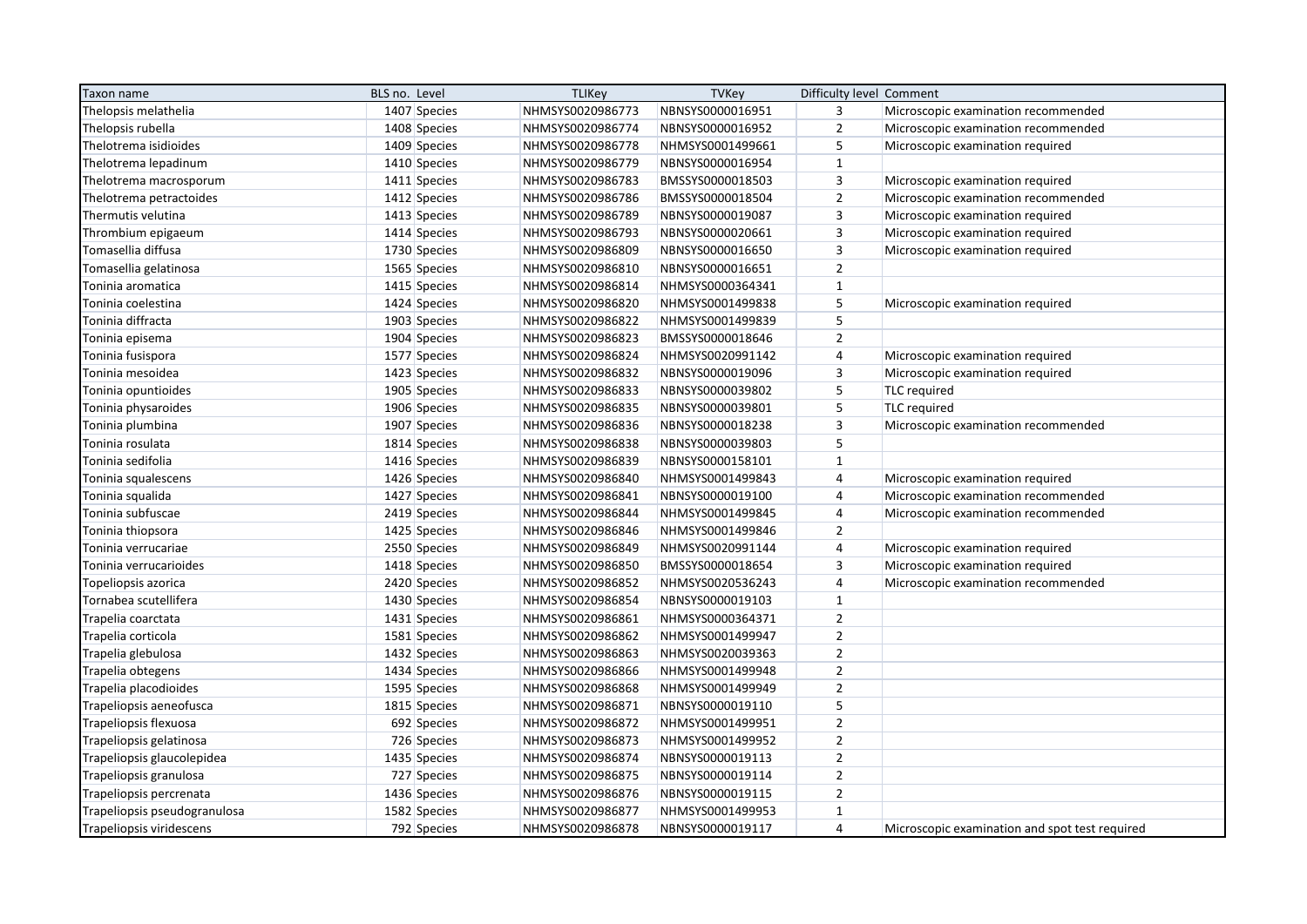| Taxon name                   | BLS no. Level | <b>TLIKey</b>    | TVKey            | Difficulty level Comment |                                                |
|------------------------------|---------------|------------------|------------------|--------------------------|------------------------------------------------|
| Thelopsis melathelia         | 1407 Species  | NHMSYS0020986773 | NBNSYS0000016951 | 3                        | Microscopic examination recommended            |
| Thelopsis rubella            | 1408 Species  | NHMSYS0020986774 | NBNSYS0000016952 | $\overline{2}$           | Microscopic examination recommended            |
| Thelotrema isidioides        | 1409 Species  | NHMSYS0020986778 | NHMSYS0001499661 | 5                        | Microscopic examination required               |
| Thelotrema lepadinum         | 1410 Species  | NHMSYS0020986779 | NBNSYS0000016954 | $\mathbf{1}$             |                                                |
| Thelotrema macrosporum       | 1411 Species  | NHMSYS0020986783 | BMSSYS0000018503 | $\overline{\mathbf{3}}$  | Microscopic examination required               |
| Thelotrema petractoides      | 1412 Species  | NHMSYS0020986786 | BMSSYS0000018504 | $\overline{2}$           | Microscopic examination recommended            |
| Thermutis velutina           | 1413 Species  | NHMSYS0020986789 | NBNSYS0000019087 | 3                        | Microscopic examination required               |
| Thrombium epigaeum           | 1414 Species  | NHMSYS0020986793 | NBNSYS0000020661 | $\mathsf 3$              | Microscopic examination required               |
| Tomasellia diffusa           | 1730 Species  | NHMSYS0020986809 | NBNSYS0000016650 | $\overline{\mathbf{3}}$  | Microscopic examination required               |
| Tomasellia gelatinosa        | 1565 Species  | NHMSYS0020986810 | NBNSYS0000016651 | $\overline{2}$           |                                                |
| Toninia aromatica            | 1415 Species  | NHMSYS0020986814 | NHMSYS0000364341 | $\mathbf{1}$             |                                                |
| Toninia coelestina           | 1424 Species  | NHMSYS0020986820 | NHMSYS0001499838 | 5                        | Microscopic examination required               |
| Toninia diffracta            | 1903 Species  | NHMSYS0020986822 | NHMSYS0001499839 | 5                        |                                                |
| Toninia episema              | 1904 Species  | NHMSYS0020986823 | BMSSYS0000018646 | $\overline{2}$           |                                                |
| Toninia fusispora            | 1577 Species  | NHMSYS0020986824 | NHMSYS0020991142 | $\overline{4}$           | Microscopic examination required               |
| Toninia mesoidea             | 1423 Species  | NHMSYS0020986832 | NBNSYS0000019096 | $\overline{3}$           | Microscopic examination required               |
| Toninia opuntioides          | 1905 Species  | NHMSYS0020986833 | NBNSYS0000039802 | 5                        | <b>TLC</b> required                            |
| Toninia physaroides          | 1906 Species  | NHMSYS0020986835 | NBNSYS0000039801 | 5                        | <b>TLC</b> required                            |
| Toninia plumbina             | 1907 Species  | NHMSYS0020986836 | NBNSYS0000018238 | 3                        | Microscopic examination recommended            |
| Toninia rosulata             | 1814 Species  | NHMSYS0020986838 | NBNSYS0000039803 | 5                        |                                                |
| Toninia sedifolia            | 1416 Species  | NHMSYS0020986839 | NBNSYS0000158101 | $\mathbf{1}$             |                                                |
| Toninia squalescens          | 1426 Species  | NHMSYS0020986840 | NHMSYS0001499843 | $\overline{4}$           | Microscopic examination required               |
| Toninia squalida             | 1427 Species  | NHMSYS0020986841 | NBNSYS0000019100 | $\overline{4}$           | Microscopic examination recommended            |
| Toninia subfuscae            | 2419 Species  | NHMSYS0020986844 | NHMSYS0001499845 | 4                        | Microscopic examination recommended            |
| Toninia thiopsora            | 1425 Species  | NHMSYS0020986846 | NHMSYS0001499846 | $\overline{2}$           |                                                |
| Toninia verrucariae          | 2550 Species  | NHMSYS0020986849 | NHMSYS0020991144 | 4                        | Microscopic examination required               |
| Toninia verrucarioides       | 1418 Species  | NHMSYS0020986850 | BMSSYS0000018654 | $\overline{3}$           | Microscopic examination required               |
| Topeliopsis azorica          | 2420 Species  | NHMSYS0020986852 | NHMSYS0020536243 | $\overline{4}$           | Microscopic examination recommended            |
| Tornabea scutellifera        | 1430 Species  | NHMSYS0020986854 | NBNSYS0000019103 | $\mathbf{1}$             |                                                |
| Trapelia coarctata           | 1431 Species  | NHMSYS0020986861 | NHMSYS0000364371 | $\overline{2}$           |                                                |
| Trapelia corticola           | 1581 Species  | NHMSYS0020986862 | NHMSYS0001499947 | $\overline{2}$           |                                                |
| Trapelia glebulosa           | 1432 Species  | NHMSYS0020986863 | NHMSYS0020039363 | $\overline{2}$           |                                                |
| Trapelia obtegens            | 1434 Species  | NHMSYS0020986866 | NHMSYS0001499948 | $\overline{2}$           |                                                |
| Trapelia placodioides        | 1595 Species  | NHMSYS0020986868 | NHMSYS0001499949 | $\overline{2}$           |                                                |
| Trapeliopsis aeneofusca      | 1815 Species  | NHMSYS0020986871 | NBNSYS0000019110 | 5                        |                                                |
| Trapeliopsis flexuosa        | 692 Species   | NHMSYS0020986872 | NHMSYS0001499951 | $\overline{2}$           |                                                |
| Trapeliopsis gelatinosa      | 726 Species   | NHMSYS0020986873 | NHMSYS0001499952 | $\overline{2}$           |                                                |
| Trapeliopsis glaucolepidea   | 1435 Species  | NHMSYS0020986874 | NBNSYS0000019113 | $\overline{2}$           |                                                |
| Trapeliopsis granulosa       | 727 Species   | NHMSYS0020986875 | NBNSYS0000019114 | $\overline{2}$           |                                                |
| Trapeliopsis percrenata      | 1436 Species  | NHMSYS0020986876 | NBNSYS0000019115 | $\overline{2}$           |                                                |
| Trapeliopsis pseudogranulosa | 1582 Species  | NHMSYS0020986877 | NHMSYS0001499953 | $\mathbf{1}$             |                                                |
| Trapeliopsis viridescens     | 792 Species   | NHMSYS0020986878 | NBNSYS0000019117 | $\overline{4}$           | Microscopic examination and spot test required |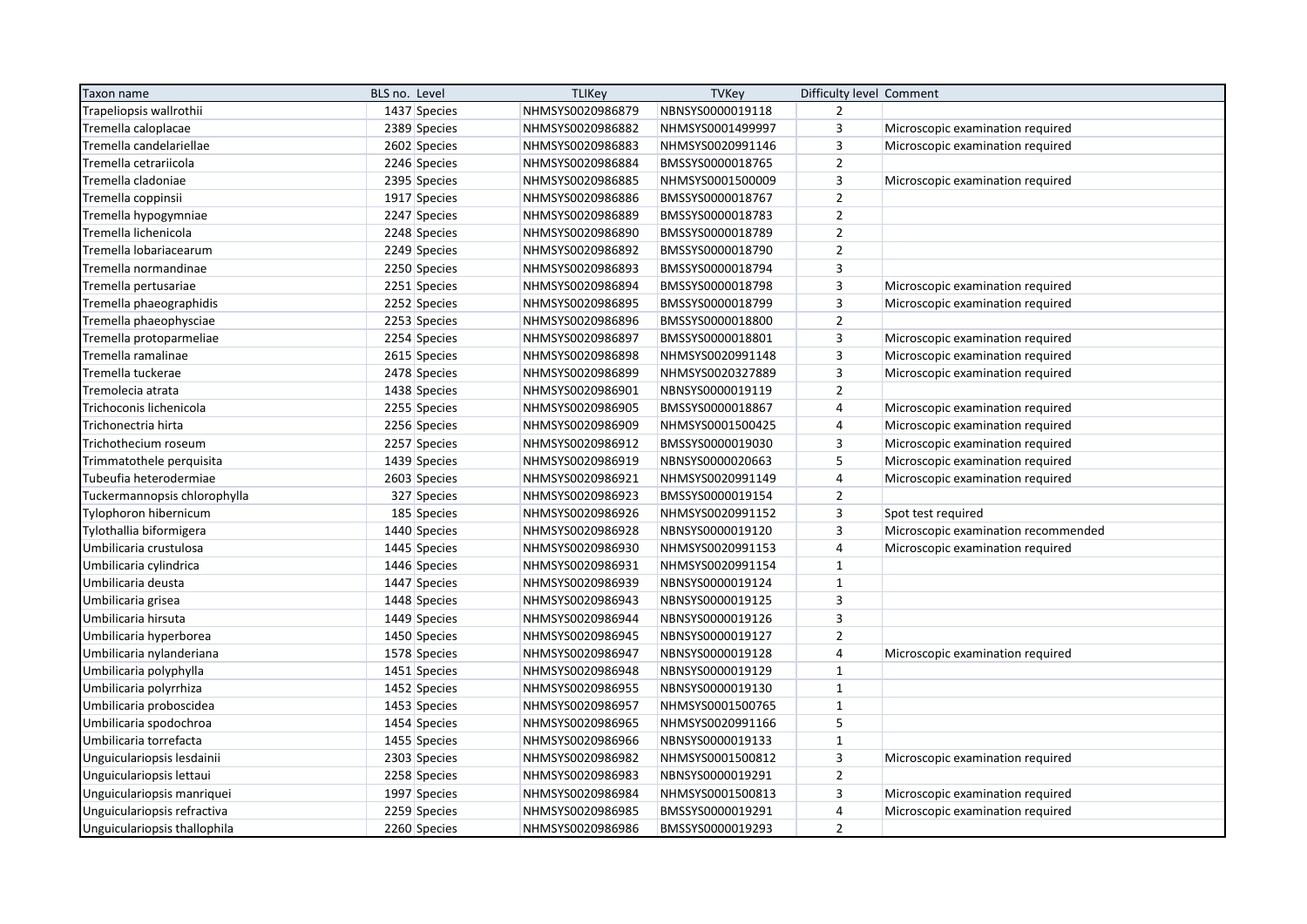| Taxon name                   | BLS no. Level | <b>TLIKey</b>    | <b>TVKey</b>     | Difficulty level Comment |                                     |
|------------------------------|---------------|------------------|------------------|--------------------------|-------------------------------------|
| Trapeliopsis wallrothii      | 1437 Species  | NHMSYS0020986879 | NBNSYS0000019118 | $\overline{2}$           |                                     |
| Tremella caloplacae          | 2389 Species  | NHMSYS0020986882 | NHMSYS0001499997 | 3                        | Microscopic examination required    |
| Tremella candelariellae      | 2602 Species  | NHMSYS0020986883 | NHMSYS0020991146 | $\overline{3}$           | Microscopic examination required    |
| Tremella cetrariicola        | 2246 Species  | NHMSYS0020986884 | BMSSYS0000018765 | $\overline{2}$           |                                     |
| Tremella cladoniae           | 2395 Species  | NHMSYS0020986885 | NHMSYS0001500009 | $\overline{\mathbf{3}}$  | Microscopic examination required    |
| Tremella coppinsii           | 1917 Species  | NHMSYS0020986886 | BMSSYS0000018767 | $\overline{2}$           |                                     |
| Tremella hypogymniae         | 2247 Species  | NHMSYS0020986889 | BMSSYS0000018783 | $\overline{2}$           |                                     |
| Tremella lichenicola         | 2248 Species  | NHMSYS0020986890 | BMSSYS0000018789 | $\mathbf 2$              |                                     |
| Tremella lobariacearum       | 2249 Species  | NHMSYS0020986892 | BMSSYS0000018790 | $\overline{2}$           |                                     |
| Tremella normandinae         | 2250 Species  | NHMSYS0020986893 | BMSSYS0000018794 | $\overline{3}$           |                                     |
| Tremella pertusariae         | 2251 Species  | NHMSYS0020986894 | BMSSYS0000018798 | $\overline{3}$           | Microscopic examination required    |
| Tremella phaeographidis      | 2252 Species  | NHMSYS0020986895 | BMSSYS0000018799 | $\mathsf 3$              | Microscopic examination required    |
| Tremella phaeophysciae       | 2253 Species  | NHMSYS0020986896 | BMSSYS0000018800 | $\overline{2}$           |                                     |
| Tremella protoparmeliae      | 2254 Species  | NHMSYS0020986897 | BMSSYS0000018801 | 3                        | Microscopic examination required    |
| Tremella ramalinae           | 2615 Species  | NHMSYS0020986898 | NHMSYS0020991148 | $\overline{3}$           | Microscopic examination required    |
| Tremella tuckerae            | 2478 Species  | NHMSYS0020986899 | NHMSYS0020327889 | $\mathsf 3$              | Microscopic examination required    |
| Tremolecia atrata            | 1438 Species  | NHMSYS0020986901 | NBNSYS0000019119 | $\overline{2}$           |                                     |
| Trichoconis lichenicola      | 2255 Species  | NHMSYS0020986905 | BMSSYS0000018867 | $\overline{4}$           | Microscopic examination required    |
| Trichonectria hirta          | 2256 Species  | NHMSYS0020986909 | NHMSYS0001500425 | $\overline{4}$           | Microscopic examination required    |
| Trichothecium roseum         | 2257 Species  | NHMSYS0020986912 | BMSSYS0000019030 | 3                        | Microscopic examination required    |
| Trimmatothele perquisita     | 1439 Species  | NHMSYS0020986919 | NBNSYS0000020663 | 5                        | Microscopic examination required    |
| Tubeufia heterodermiae       | 2603 Species  | NHMSYS0020986921 | NHMSYS0020991149 | $\overline{4}$           | Microscopic examination required    |
| Tuckermannopsis chlorophylla | 327 Species   | NHMSYS0020986923 | BMSSYS0000019154 | $\overline{2}$           |                                     |
| Tylophoron hibernicum        | 185 Species   | NHMSYS0020986926 | NHMSYS0020991152 | $\overline{3}$           | Spot test required                  |
| Tylothallia biformigera      | 1440 Species  | NHMSYS0020986928 | NBNSYS0000019120 | $\overline{3}$           | Microscopic examination recommended |
| Umbilicaria crustulosa       | 1445 Species  | NHMSYS0020986930 | NHMSYS0020991153 | $\overline{4}$           | Microscopic examination required    |
| Umbilicaria cylindrica       | 1446 Species  | NHMSYS0020986931 | NHMSYS0020991154 | $\mathbf{1}$             |                                     |
| Umbilicaria deusta           | 1447 Species  | NHMSYS0020986939 | NBNSYS0000019124 | $\mathbf{1}$             |                                     |
| Umbilicaria grisea           | 1448 Species  | NHMSYS0020986943 | NBNSYS0000019125 | $\overline{\mathbf{3}}$  |                                     |
| Umbilicaria hirsuta          | 1449 Species  | NHMSYS0020986944 | NBNSYS0000019126 | $\overline{3}$           |                                     |
| Umbilicaria hyperborea       | 1450 Species  | NHMSYS0020986945 | NBNSYS0000019127 | $\overline{2}$           |                                     |
| Umbilicaria nylanderiana     | 1578 Species  | NHMSYS0020986947 | NBNSYS0000019128 | $\overline{4}$           | Microscopic examination required    |
| Umbilicaria polyphylla       | 1451 Species  | NHMSYS0020986948 | NBNSYS0000019129 | $\mathbf{1}$             |                                     |
| Umbilicaria polyrrhiza       | 1452 Species  | NHMSYS0020986955 | NBNSYS0000019130 | $\mathbf{1}$             |                                     |
| Umbilicaria proboscidea      | 1453 Species  | NHMSYS0020986957 | NHMSYS0001500765 | $\mathbf{1}$             |                                     |
| Umbilicaria spodochroa       | 1454 Species  | NHMSYS0020986965 | NHMSYS0020991166 | 5                        |                                     |
| Umbilicaria torrefacta       | 1455 Species  | NHMSYS0020986966 | NBNSYS0000019133 | $\mathbf{1}$             |                                     |
| Unguiculariopsis lesdainii   | 2303 Species  | NHMSYS0020986982 | NHMSYS0001500812 | $\overline{3}$           | Microscopic examination required    |
| Unguiculariopsis lettaui     | 2258 Species  | NHMSYS0020986983 | NBNSYS0000019291 | $\overline{2}$           |                                     |
| Unguiculariopsis manriquei   | 1997 Species  | NHMSYS0020986984 | NHMSYS0001500813 | $\mathsf 3$              | Microscopic examination required    |
| Unguiculariopsis refractiva  | 2259 Species  | NHMSYS0020986985 | BMSSYS0000019291 | $\overline{4}$           | Microscopic examination required    |
| Unguiculariopsis thallophila | 2260 Species  | NHMSYS0020986986 | BMSSYS0000019293 | $\overline{2}$           |                                     |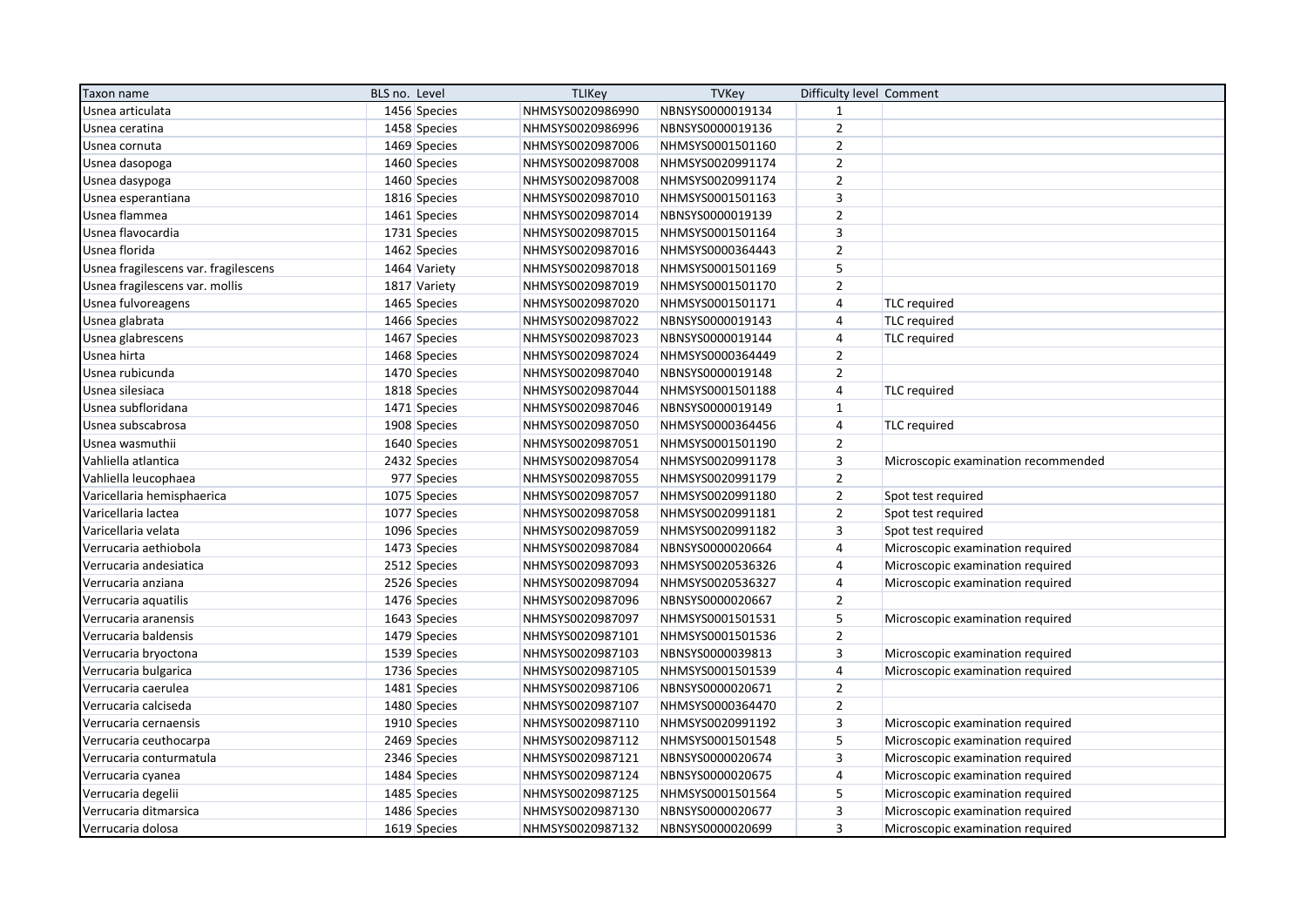| Taxon name                           | BLS no. Level | <b>TLIKey</b>    | <b>TVKey</b>     | Difficulty level Comment |                                     |
|--------------------------------------|---------------|------------------|------------------|--------------------------|-------------------------------------|
| Usnea articulata                     | 1456 Species  | NHMSYS0020986990 | NBNSYS0000019134 | $\mathbf{1}$             |                                     |
| Usnea ceratina                       | 1458 Species  | NHMSYS0020986996 | NBNSYS0000019136 | $\overline{2}$           |                                     |
| Usnea cornuta                        | 1469 Species  | NHMSYS0020987006 | NHMSYS0001501160 | $\overline{2}$           |                                     |
| Usnea dasopoga                       | 1460 Species  | NHMSYS0020987008 | NHMSYS0020991174 | $\overline{2}$           |                                     |
| Usnea dasypoga                       | 1460 Species  | NHMSYS0020987008 | NHMSYS0020991174 | $\overline{2}$           |                                     |
| Usnea esperantiana                   | 1816 Species  | NHMSYS0020987010 | NHMSYS0001501163 | 3                        |                                     |
| Usnea flammea                        | 1461 Species  | NHMSYS0020987014 | NBNSYS0000019139 | $\mathbf 2$              |                                     |
| Usnea flavocardia                    | 1731 Species  | NHMSYS0020987015 | NHMSYS0001501164 | $\overline{\mathbf{3}}$  |                                     |
| Usnea florida                        | 1462 Species  | NHMSYS0020987016 | NHMSYS0000364443 | $\overline{2}$           |                                     |
| Usnea fragilescens var. fragilescens | 1464 Variety  | NHMSYS0020987018 | NHMSYS0001501169 | 5                        |                                     |
| Usnea fragilescens var. mollis       | 1817 Variety  | NHMSYS0020987019 | NHMSYS0001501170 | $\mathbf 2$              |                                     |
| Usnea fulvoreagens                   | 1465 Species  | NHMSYS0020987020 | NHMSYS0001501171 | $\sqrt{4}$               | <b>TLC</b> required                 |
| Usnea glabrata                       | 1466 Species  | NHMSYS0020987022 | NBNSYS0000019143 | $\overline{4}$           | <b>TLC</b> required                 |
| Usnea glabrescens                    | 1467 Species  | NHMSYS0020987023 | NBNSYS0000019144 | $\overline{4}$           | TLC required                        |
| Usnea hirta                          | 1468 Species  | NHMSYS0020987024 | NHMSYS0000364449 | $\overline{2}$           |                                     |
| Usnea rubicunda                      | 1470 Species  | NHMSYS0020987040 | NBNSYS0000019148 | $\overline{2}$           |                                     |
| Usnea silesiaca                      | 1818 Species  | NHMSYS0020987044 | NHMSYS0001501188 | $\sqrt{4}$               | <b>TLC</b> required                 |
| Usnea subfloridana                   | 1471 Species  | NHMSYS0020987046 | NBNSYS0000019149 | $\mathbf{1}$             |                                     |
| Usnea subscabrosa                    | 1908 Species  | NHMSYS0020987050 | NHMSYS0000364456 | $\pmb{4}$                | <b>TLC</b> required                 |
| Usnea wasmuthii                      | 1640 Species  | NHMSYS0020987051 | NHMSYS0001501190 | $\overline{2}$           |                                     |
| Vahliella atlantica                  | 2432 Species  | NHMSYS0020987054 | NHMSYS0020991178 | 3                        | Microscopic examination recommended |
| Vahliella leucophaea                 | 977 Species   | NHMSYS0020987055 | NHMSYS0020991179 | $\overline{2}$           |                                     |
| Varicellaria hemisphaerica           | 1075 Species  | NHMSYS0020987057 | NHMSYS0020991180 | $\mathbf 2$              | Spot test required                  |
| Varicellaria lactea                  | 1077 Species  | NHMSYS0020987058 | NHMSYS0020991181 | $\overline{2}$           | Spot test required                  |
| Varicellaria velata                  | 1096 Species  | NHMSYS0020987059 | NHMSYS0020991182 | 3                        | Spot test required                  |
| Verrucaria aethiobola                | 1473 Species  | NHMSYS0020987084 | NBNSYS0000020664 | $\sqrt{4}$               | Microscopic examination required    |
| Verrucaria andesiatica               | 2512 Species  | NHMSYS0020987093 | NHMSYS0020536326 | $\overline{4}$           | Microscopic examination required    |
| Verrucaria anziana                   | 2526 Species  | NHMSYS0020987094 | NHMSYS0020536327 | $\overline{4}$           | Microscopic examination required    |
| Verrucaria aquatilis                 | 1476 Species  | NHMSYS0020987096 | NBNSYS0000020667 | $\mathbf 2$              |                                     |
| Verrucaria aranensis                 | 1643 Species  | NHMSYS0020987097 | NHMSYS0001501531 | 5                        | Microscopic examination required    |
| Verrucaria baldensis                 | 1479 Species  | NHMSYS0020987101 | NHMSYS0001501536 | $\mathbf 2$              |                                     |
| Verrucaria bryoctona                 | 1539 Species  | NHMSYS0020987103 | NBNSYS0000039813 | 3                        | Microscopic examination required    |
| Verrucaria bulgarica                 | 1736 Species  | NHMSYS0020987105 | NHMSYS0001501539 | $\sqrt{4}$               | Microscopic examination required    |
| Verrucaria caerulea                  | 1481 Species  | NHMSYS0020987106 | NBNSYS0000020671 | $\overline{2}$           |                                     |
| Verrucaria calciseda                 | 1480 Species  | NHMSYS0020987107 | NHMSYS0000364470 | $\overline{2}$           |                                     |
| Verrucaria cernaensis                | 1910 Species  | NHMSYS0020987110 | NHMSYS0020991192 | 3                        | Microscopic examination required    |
| Verrucaria ceuthocarpa               | 2469 Species  | NHMSYS0020987112 | NHMSYS0001501548 | 5                        | Microscopic examination required    |
| Verrucaria conturmatula              | 2346 Species  | NHMSYS0020987121 | NBNSYS0000020674 | $\mathsf 3$              | Microscopic examination required    |
| Verrucaria cyanea                    | 1484 Species  | NHMSYS0020987124 | NBNSYS0000020675 | $\sqrt{4}$               | Microscopic examination required    |
| Verrucaria degelii                   | 1485 Species  | NHMSYS0020987125 | NHMSYS0001501564 | 5                        | Microscopic examination required    |
| Verrucaria ditmarsica                | 1486 Species  | NHMSYS0020987130 | NBNSYS0000020677 | $\mathsf 3$              | Microscopic examination required    |
| Verrucaria dolosa                    | 1619 Species  | NHMSYS0020987132 | NBNSYS0000020699 | $\overline{3}$           | Microscopic examination required    |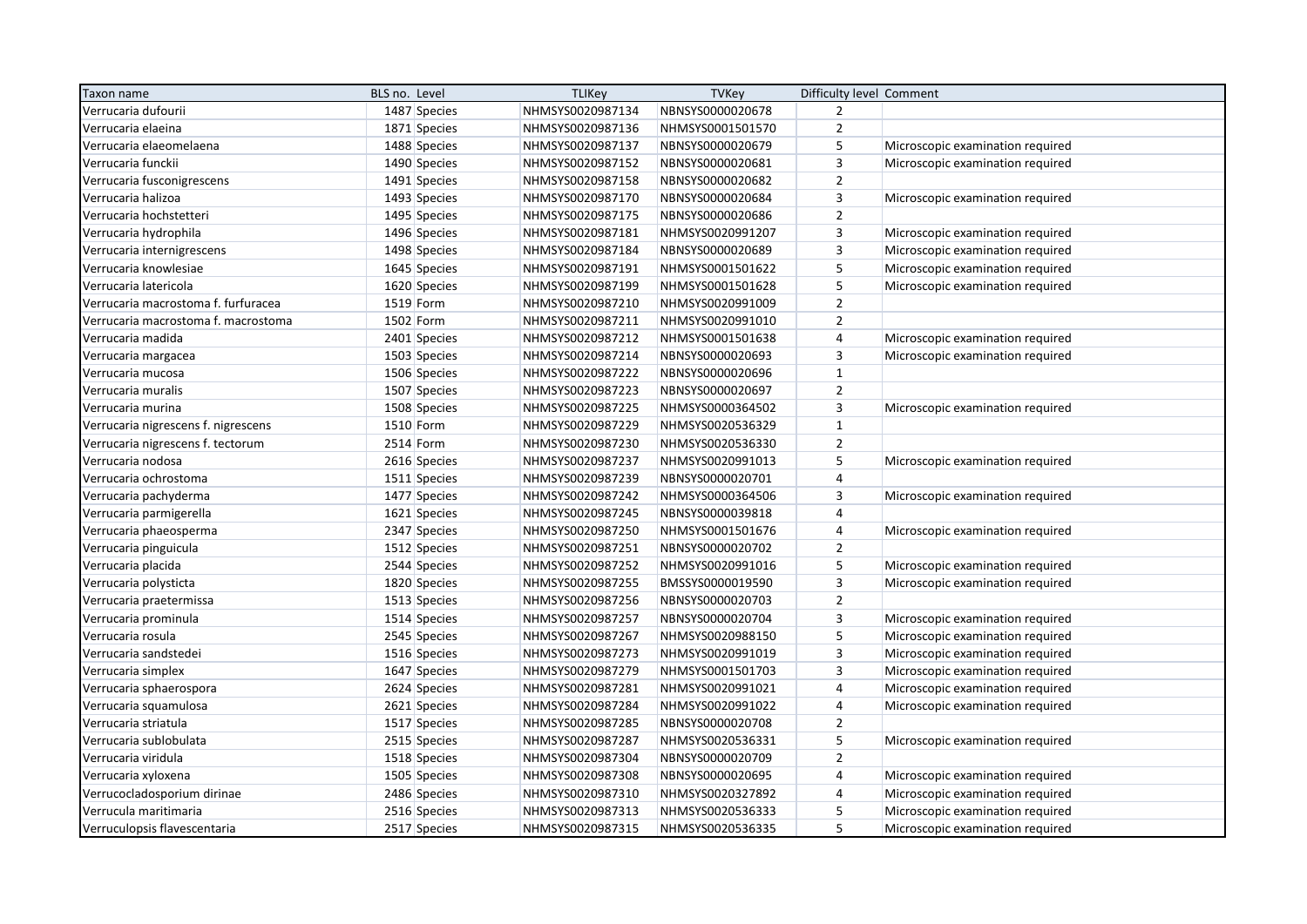| Taxon name                          | BLS no. Level | <b>TLIKey</b>    | <b>TVKey</b>     | Difficulty level Comment |                                  |
|-------------------------------------|---------------|------------------|------------------|--------------------------|----------------------------------|
| Verrucaria dufourii                 | 1487 Species  | NHMSYS0020987134 | NBNSYS0000020678 | $\overline{2}$           |                                  |
| Verrucaria elaeina                  | 1871 Species  | NHMSYS0020987136 | NHMSYS0001501570 | $\overline{2}$           |                                  |
| Verrucaria elaeomelaena             | 1488 Species  | NHMSYS0020987137 | NBNSYS0000020679 | 5                        | Microscopic examination required |
| Verrucaria funckii                  | 1490 Species  | NHMSYS0020987152 | NBNSYS0000020681 | $\mathsf 3$              | Microscopic examination required |
| Verrucaria fusconigrescens          | 1491 Species  | NHMSYS0020987158 | NBNSYS0000020682 | $\overline{2}$           |                                  |
| Verrucaria halizoa                  | 1493 Species  | NHMSYS0020987170 | NBNSYS0000020684 | $\overline{3}$           | Microscopic examination required |
| Verrucaria hochstetteri             | 1495 Species  | NHMSYS0020987175 | NBNSYS0000020686 | $\overline{2}$           |                                  |
| Verrucaria hydrophila               | 1496 Species  | NHMSYS0020987181 | NHMSYS0020991207 | 3                        | Microscopic examination required |
| Verrucaria internigrescens          | 1498 Species  | NHMSYS0020987184 | NBNSYS0000020689 | $\overline{3}$           | Microscopic examination required |
| Verrucaria knowlesiae               | 1645 Species  | NHMSYS0020987191 | NHMSYS0001501622 | $\sqrt{5}$               | Microscopic examination required |
| Verrucaria latericola               | 1620 Species  | NHMSYS0020987199 | NHMSYS0001501628 | 5                        | Microscopic examination required |
| Verrucaria macrostoma f. furfuracea | 1519 Form     | NHMSYS0020987210 | NHMSYS0020991009 | $\overline{2}$           |                                  |
| Verrucaria macrostoma f. macrostoma | 1502 Form     | NHMSYS0020987211 | NHMSYS0020991010 | $\overline{2}$           |                                  |
| Verrucaria madida                   | 2401 Species  | NHMSYS0020987212 | NHMSYS0001501638 | $\overline{4}$           | Microscopic examination required |
| Verrucaria margacea                 | 1503 Species  | NHMSYS0020987214 | NBNSYS0000020693 | $\overline{3}$           | Microscopic examination required |
| Verrucaria mucosa                   | 1506 Species  | NHMSYS0020987222 | NBNSYS0000020696 | $\mathbf{1}$             |                                  |
| Verrucaria muralis                  | 1507 Species  | NHMSYS0020987223 | NBNSYS0000020697 | $\mathbf 2$              |                                  |
| Verrucaria murina                   | 1508 Species  | NHMSYS0020987225 | NHMSYS0000364502 | 3                        | Microscopic examination required |
| Verrucaria nigrescens f. nigrescens | 1510 Form     | NHMSYS0020987229 | NHMSYS0020536329 | $\mathbf{1}$             |                                  |
| Verrucaria nigrescens f. tectorum   | 2514 Form     | NHMSYS0020987230 | NHMSYS0020536330 | $\overline{2}$           |                                  |
| Verrucaria nodosa                   | 2616 Species  | NHMSYS0020987237 | NHMSYS0020991013 | 5                        | Microscopic examination required |
| Verrucaria ochrostoma               | 1511 Species  | NHMSYS0020987239 | NBNSYS0000020701 | $\overline{4}$           |                                  |
| Verrucaria pachyderma               | 1477 Species  | NHMSYS0020987242 | NHMSYS0000364506 | $\mathsf 3$              | Microscopic examination required |
| Verrucaria parmigerella             | 1621 Species  | NHMSYS0020987245 | NBNSYS0000039818 | $\overline{4}$           |                                  |
| Verrucaria phaeosperma              | 2347 Species  | NHMSYS0020987250 | NHMSYS0001501676 | $\overline{4}$           | Microscopic examination required |
| Verrucaria pinguicula               | 1512 Species  | NHMSYS0020987251 | NBNSYS0000020702 | $\overline{2}$           |                                  |
| Verrucaria placida                  | 2544 Species  | NHMSYS0020987252 | NHMSYS0020991016 | $\sqrt{5}$               | Microscopic examination required |
| Verrucaria polysticta               | 1820 Species  | NHMSYS0020987255 | BMSSYS0000019590 | $\overline{3}$           | Microscopic examination required |
| Verrucaria praetermissa             | 1513 Species  | NHMSYS0020987256 | NBNSYS0000020703 | $\overline{2}$           |                                  |
| Verrucaria prominula                | 1514 Species  | NHMSYS0020987257 | NBNSYS0000020704 | $\overline{3}$           | Microscopic examination required |
| Verrucaria rosula                   | 2545 Species  | NHMSYS0020987267 | NHMSYS0020988150 | $\mathsf S$              | Microscopic examination required |
| Verrucaria sandstedei               | 1516 Species  | NHMSYS0020987273 | NHMSYS0020991019 | $\overline{3}$           | Microscopic examination required |
| Verrucaria simplex                  | 1647 Species  | NHMSYS0020987279 | NHMSYS0001501703 | 3                        | Microscopic examination required |
| Verrucaria sphaerospora             | 2624 Species  | NHMSYS0020987281 | NHMSYS0020991021 | $\overline{4}$           | Microscopic examination required |
| Verrucaria squamulosa               | 2621 Species  | NHMSYS0020987284 | NHMSYS0020991022 | $\overline{a}$           | Microscopic examination required |
| Verrucaria striatula                | 1517 Species  | NHMSYS0020987285 | NBNSYS0000020708 | $\overline{2}$           |                                  |
| Verrucaria sublobulata              | 2515 Species  | NHMSYS0020987287 | NHMSYS0020536331 | $\sqrt{5}$               | Microscopic examination required |
| Verrucaria viridula                 | 1518 Species  | NHMSYS0020987304 | NBNSYS0000020709 | $\mathbf 2$              |                                  |
| Verrucaria xyloxena                 | 1505 Species  | NHMSYS0020987308 | NBNSYS0000020695 | $\overline{4}$           | Microscopic examination required |
| Verrucocladosporium dirinae         | 2486 Species  | NHMSYS0020987310 | NHMSYS0020327892 | 4                        | Microscopic examination required |
| Verrucula maritimaria               | 2516 Species  | NHMSYS0020987313 | NHMSYS0020536333 | 5                        | Microscopic examination required |
| Verruculopsis flavescentaria        | 2517 Species  | NHMSYS0020987315 | NHMSYS0020536335 | 5                        | Microscopic examination required |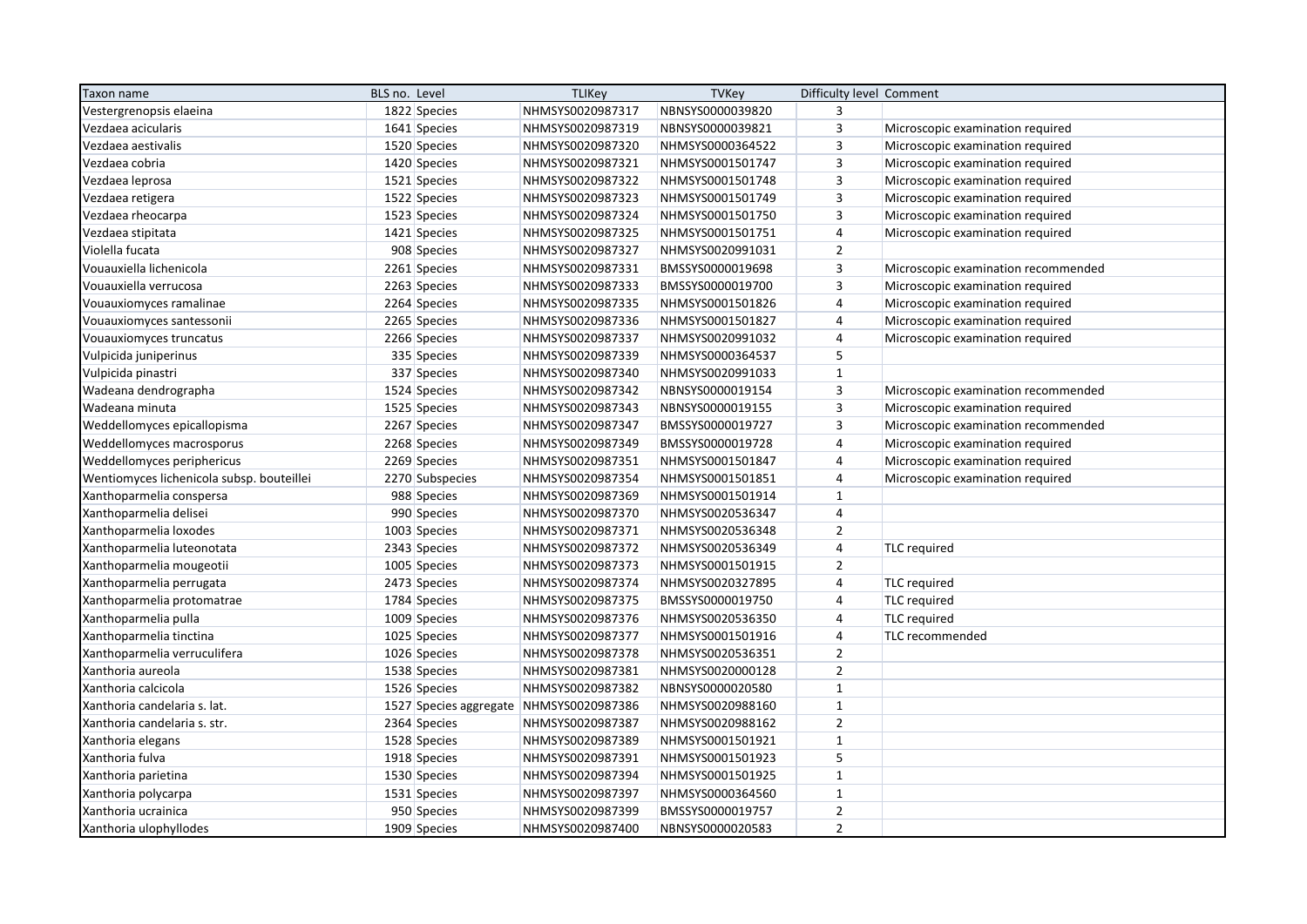| Taxon name                                | BLS no. Level   | <b>TLIKey</b>                           | <b>TVKey</b>     | Difficulty level Comment |                                     |
|-------------------------------------------|-----------------|-----------------------------------------|------------------|--------------------------|-------------------------------------|
| Vestergrenopsis elaeina                   | 1822 Species    | NHMSYS0020987317                        | NBNSYS0000039820 | 3                        |                                     |
| Vezdaea acicularis                        | 1641 Species    | NHMSYS0020987319                        | NBNSYS0000039821 | 3                        | Microscopic examination required    |
| Vezdaea aestivalis                        | 1520 Species    | NHMSYS0020987320                        | NHMSYS0000364522 | 3                        | Microscopic examination required    |
| Vezdaea cobria                            | 1420 Species    | NHMSYS0020987321                        | NHMSYS0001501747 | $\overline{3}$           | Microscopic examination required    |
| Vezdaea leprosa                           | 1521 Species    | NHMSYS0020987322                        | NHMSYS0001501748 | 3                        | Microscopic examination required    |
| Vezdaea retigera                          | 1522 Species    | NHMSYS0020987323                        | NHMSYS0001501749 | 3                        | Microscopic examination required    |
| Vezdaea rheocarpa                         | 1523 Species    | NHMSYS0020987324                        | NHMSYS0001501750 | $\overline{3}$           | Microscopic examination required    |
| Vezdaea stipitata                         | 1421 Species    | NHMSYS0020987325                        | NHMSYS0001501751 | $\overline{4}$           | Microscopic examination required    |
| Violella fucata                           | 908 Species     | NHMSYS0020987327                        | NHMSYS0020991031 | $\overline{2}$           |                                     |
| Vouauxiella lichenicola                   | 2261 Species    | NHMSYS0020987331                        | BMSSYS0000019698 | 3                        | Microscopic examination recommended |
| Vouauxiella verrucosa                     | 2263 Species    | NHMSYS0020987333                        | BMSSYS0000019700 | $\overline{3}$           | Microscopic examination required    |
| Vouauxiomyces ramalinae                   | 2264 Species    | NHMSYS0020987335                        | NHMSYS0001501826 | 4                        | Microscopic examination required    |
| Vouauxiomyces santessonii                 | 2265 Species    | NHMSYS0020987336                        | NHMSYS0001501827 | $\overline{4}$           | Microscopic examination required    |
| Vouauxiomyces truncatus                   | 2266 Species    | NHMSYS0020987337                        | NHMSYS0020991032 | $\overline{4}$           | Microscopic examination required    |
| Vulpicida juniperinus                     | 335 Species     | NHMSYS0020987339                        | NHMSYS0000364537 | 5                        |                                     |
| Vulpicida pinastri                        | 337 Species     | NHMSYS0020987340                        | NHMSYS0020991033 | $\mathbf{1}$             |                                     |
| Wadeana dendrographa                      | 1524 Species    | NHMSYS0020987342                        | NBNSYS0000019154 | $\mathsf 3$              | Microscopic examination recommended |
| Wadeana minuta                            | 1525 Species    | NHMSYS0020987343                        | NBNSYS0000019155 | 3                        | Microscopic examination required    |
| Weddellomyces epicallopisma               | 2267 Species    | NHMSYS0020987347                        | BMSSYS0000019727 | $\mathsf 3$              | Microscopic examination recommended |
| Weddellomyces macrosporus                 | 2268 Species    | NHMSYS0020987349                        | BMSSYS0000019728 | $\overline{4}$           | Microscopic examination required    |
| Weddellomyces periphericus                | 2269 Species    | NHMSYS0020987351                        | NHMSYS0001501847 | $\overline{4}$           | Microscopic examination required    |
| Wentiomyces lichenicola subsp. bouteillei | 2270 Subspecies | NHMSYS0020987354                        | NHMSYS0001501851 | $\overline{4}$           | Microscopic examination required    |
| Xanthoparmelia conspersa                  | 988 Species     | NHMSYS0020987369                        | NHMSYS0001501914 | $\mathbf{1}$             |                                     |
| Xanthoparmelia delisei                    | 990 Species     | NHMSYS0020987370                        | NHMSYS0020536347 | $\overline{4}$           |                                     |
| Xanthoparmelia loxodes                    | 1003 Species    | NHMSYS0020987371                        | NHMSYS0020536348 | $\overline{2}$           |                                     |
| Xanthoparmelia luteonotata                | 2343 Species    | NHMSYS0020987372                        | NHMSYS0020536349 | $\overline{4}$           | <b>TLC</b> required                 |
| Xanthoparmelia mougeotii                  | 1005 Species    | NHMSYS0020987373                        | NHMSYS0001501915 | $\overline{2}$           |                                     |
| Xanthoparmelia perrugata                  | 2473 Species    | NHMSYS0020987374                        | NHMSYS0020327895 | $\overline{4}$           | TLC required                        |
| Xanthoparmelia protomatrae                | 1784 Species    | NHMSYS0020987375                        | BMSSYS0000019750 | $\overline{4}$           | <b>TLC</b> required                 |
| Xanthoparmelia pulla                      | 1009 Species    | NHMSYS0020987376                        | NHMSYS0020536350 | $\overline{4}$           | <b>TLC</b> required                 |
| Xanthoparmelia tinctina                   | 1025 Species    | NHMSYS0020987377                        | NHMSYS0001501916 | $\overline{4}$           | TLC recommended                     |
| Xanthoparmelia verruculifera              | 1026 Species    | NHMSYS0020987378                        | NHMSYS0020536351 | $\mathbf 2$              |                                     |
| Xanthoria aureola                         | 1538 Species    | NHMSYS0020987381                        | NHMSYS0020000128 | $\overline{2}$           |                                     |
| Xanthoria calcicola                       | 1526 Species    | NHMSYS0020987382                        | NBNSYS0000020580 | $\mathbf{1}$             |                                     |
| Xanthoria candelaria s. lat.              |                 | 1527 Species aggregate NHMSYS0020987386 | NHMSYS0020988160 | $\mathbf{1}$             |                                     |
| Xanthoria candelaria s. str.              | 2364 Species    | NHMSYS0020987387                        | NHMSYS0020988162 | $\overline{2}$           |                                     |
| Xanthoria elegans                         | 1528 Species    | NHMSYS0020987389                        | NHMSYS0001501921 | $\mathbf{1}$             |                                     |
| Xanthoria fulva                           | 1918 Species    | NHMSYS0020987391                        | NHMSYS0001501923 | 5                        |                                     |
| Xanthoria parietina                       | 1530 Species    | NHMSYS0020987394                        | NHMSYS0001501925 | $\mathbf{1}$             |                                     |
| Xanthoria polycarpa                       | 1531 Species    | NHMSYS0020987397                        | NHMSYS0000364560 | $\mathbf{1}$             |                                     |
| Xanthoria ucrainica                       | 950 Species     | NHMSYS0020987399                        | BMSSYS0000019757 | $\overline{2}$           |                                     |
| Xanthoria ulophyllodes                    | 1909 Species    | NHMSYS0020987400                        | NBNSYS0000020583 | $\overline{2}$           |                                     |